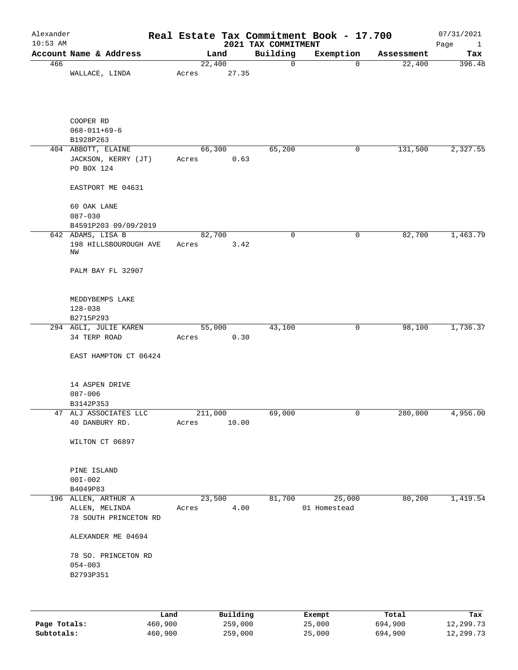| Alexander                                               |                                                                                                            |       |                                                                   | Real Estate Tax Commitment Book - 17.700          |                                    | 07/31/2021<br>Page<br>$\mathbf{1}$ |
|---------------------------------------------------------|------------------------------------------------------------------------------------------------------------|-------|-------------------------------------------------------------------|---------------------------------------------------|------------------------------------|------------------------------------|
| Account Name & Address                                  |                                                                                                            |       | Building                                                          | Exemption                                         | Assessment                         | Tax                                |
| WALLACE, LINDA                                          | Acres                                                                                                      |       | $\mathsf{O}$                                                      | $\overline{0}$                                    | 22,400                             | 396.48                             |
| COOPER RD<br>$068 - 011 + 69 - 6$<br>B1928P263          |                                                                                                            |       |                                                                   |                                                   |                                    |                                    |
| 404 ABBOTT, ELAINE<br>JACKSON, KERRY (JT)<br>PO BOX 124 | Acres                                                                                                      |       | 65,200                                                            | 0                                                 | 131,500                            | 2,327.55                           |
| EASTPORT ME 04631                                       |                                                                                                            |       |                                                                   |                                                   |                                    |                                    |
| 60 OAK LANE<br>$087 - 030$                              |                                                                                                            |       |                                                                   |                                                   |                                    |                                    |
| 642 ADAMS, LISA B<br>198 HILLSBOUROUGH AVE<br>ΝW        | Acres                                                                                                      |       | 0                                                                 | 0                                                 | 82,700                             | 1,463.79                           |
| PALM BAY FL 32907                                       |                                                                                                            |       |                                                                   |                                                   |                                    |                                    |
| MEDDYBEMPS LAKE<br>$128 - 038$                          |                                                                                                            |       |                                                                   |                                                   |                                    |                                    |
|                                                         |                                                                                                            |       |                                                                   |                                                   |                                    | 1,736.37                           |
| 34 TERP ROAD                                            | Acres                                                                                                      | 0.30  |                                                                   |                                                   |                                    |                                    |
| EAST HAMPTON CT 06424                                   |                                                                                                            |       |                                                                   |                                                   |                                    |                                    |
| 14 ASPEN DRIVE<br>$087 - 006$                           |                                                                                                            |       |                                                                   |                                                   |                                    |                                    |
| 47 ALJ ASSOCIATES LLC                                   |                                                                                                            |       | 69,000                                                            | 0                                                 | 280,000                            | 4,956.00                           |
| 40 DANBURY RD.                                          | Acres                                                                                                      | 10.00 |                                                                   |                                                   |                                    |                                    |
| WILTON CT 06897                                         |                                                                                                            |       |                                                                   |                                                   |                                    |                                    |
| PINE ISLAND<br>$00I - 002$                              |                                                                                                            |       |                                                                   |                                                   |                                    |                                    |
|                                                         |                                                                                                            |       |                                                                   |                                                   |                                    |                                    |
| ALLEN, MELINDA<br>78 SOUTH PRINCETON RD                 | Acres                                                                                                      |       |                                                                   | 01 Homestead                                      |                                    | 1,419.54                           |
| ALEXANDER ME 04694                                      |                                                                                                            |       |                                                                   |                                                   |                                    |                                    |
| 78 SO. PRINCETON RD<br>$054 - 003$                      |                                                                                                            |       |                                                                   |                                                   |                                    |                                    |
|                                                         | B4591P203 09/09/2019<br>B2715P293<br>294 AGLI, JULIE KAREN<br>B3142P353<br>B4049P83<br>196 ALLEN, ARTHUR A |       | Land<br>22,400<br>66,300<br>82,700<br>55,000<br>211,000<br>23,500 | 27.35<br>0.63<br>3.42<br>43,100<br>81,700<br>4.00 | 2021 TAX COMMITMENT<br>0<br>25,000 | 98,100<br>80,200                   |

|              | Land    | Building | Exempt | Total   | Tax       |
|--------------|---------|----------|--------|---------|-----------|
| Page Totals: | 460,900 | 259,000  | 25,000 | 694,900 | 12,299.73 |
| Subtotals:   | 460,900 | 259,000  | 25,000 | 694,900 | 12,299.73 |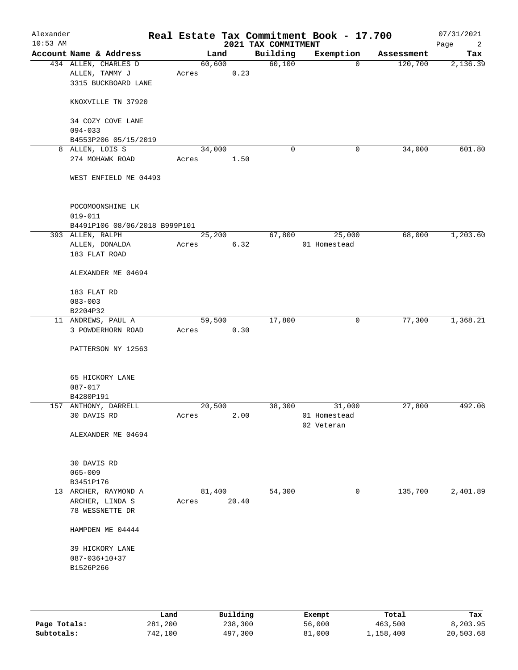| Alexander<br>$10:53$ AM |                                                               |        |                     | 2021 TAX COMMITMENT | Real Estate Tax Commitment Book - 17.700 |            | 07/31/2021<br>Page<br>2 |
|-------------------------|---------------------------------------------------------------|--------|---------------------|---------------------|------------------------------------------|------------|-------------------------|
|                         | Account Name & Address                                        |        | Land                | Building            | Exemption                                | Assessment | Tax                     |
|                         | 434 ALLEN, CHARLES D<br>ALLEN, TAMMY J<br>3315 BUCKBOARD LANE | Acres  | 60,600<br>0.23      | 60,100              | $\Omega$                                 | 120,700    | 2,136.39                |
|                         | KNOXVILLE TN 37920                                            |        |                     |                     |                                          |            |                         |
|                         | 34 COZY COVE LANE<br>$094 - 033$                              |        |                     |                     |                                          |            |                         |
|                         | B4553P206 05/15/2019                                          |        |                     |                     |                                          |            |                         |
|                         | 8 ALLEN, LOIS S                                               | 34,000 |                     | 0                   | 0                                        | 34,000     | 601.80                  |
|                         | 274 MOHAWK ROAD                                               | Acres  | 1.50                |                     |                                          |            |                         |
|                         | WEST ENFIELD ME 04493                                         |        |                     |                     |                                          |            |                         |
|                         | POCOMOONSHINE LK<br>$019 - 011$                               |        |                     |                     |                                          |            |                         |
|                         | B4491P106 08/06/2018 B999P101                                 |        |                     |                     |                                          |            |                         |
|                         | 393 ALLEN, RALPH                                              |        | $2\overline{5,200}$ | 67,800              | 25,000                                   | 68,000     | 1,203.60                |
|                         | ALLEN, DONALDA                                                | Acres  | 6.32                |                     | 01 Homestead                             |            |                         |
|                         | 183 FLAT ROAD                                                 |        |                     |                     |                                          |            |                         |
|                         | ALEXANDER ME 04694                                            |        |                     |                     |                                          |            |                         |
|                         | 183 FLAT RD                                                   |        |                     |                     |                                          |            |                         |
|                         | $083 - 003$                                                   |        |                     |                     |                                          |            |                         |
|                         | B2204P32<br>11 ANDREWS, PAUL A                                |        | 59,500              | 17,800              | $\mathsf{O}$                             | 77,300     | 1,368.21                |
|                         | 3 POWDERHORN ROAD                                             | Acres  | 0.30                |                     |                                          |            |                         |
|                         | PATTERSON NY 12563                                            |        |                     |                     |                                          |            |                         |
|                         |                                                               |        |                     |                     |                                          |            |                         |
|                         | 65 HICKORY LANE                                               |        |                     |                     |                                          |            |                         |
|                         | $087 - 017$<br>B4280P191                                      |        |                     |                     |                                          |            |                         |
|                         | 157 ANTHONY, DARRELL                                          | 20,500 |                     | 38,300              | 31,000                                   | 27,800     | 492.06                  |
|                         | 30 DAVIS RD                                                   | Acres  | 2.00                |                     | 01 Homestead                             |            |                         |
|                         |                                                               |        |                     |                     | 02 Veteran                               |            |                         |
|                         | ALEXANDER ME 04694                                            |        |                     |                     |                                          |            |                         |
|                         | 30 DAVIS RD                                                   |        |                     |                     |                                          |            |                         |
|                         | $065 - 009$                                                   |        |                     |                     |                                          |            |                         |
|                         | B3451P176<br>13 ARCHER, RAYMOND A                             | 81,400 |                     | 54,300              | 0                                        | 135,700    | 2,401.89                |
|                         | ARCHER, LINDA S<br>78 WESSNETTE DR                            | Acres  | 20.40               |                     |                                          |            |                         |
|                         | HAMPDEN ME 04444                                              |        |                     |                     |                                          |            |                         |
|                         | 39 HICKORY LANE                                               |        |                     |                     |                                          |            |                         |
|                         | $087 - 036 + 10 + 37$                                         |        |                     |                     |                                          |            |                         |
|                         | B1526P266                                                     |        |                     |                     |                                          |            |                         |
|                         |                                                               |        |                     |                     |                                          |            |                         |
|                         |                                                               |        |                     |                     |                                          |            |                         |
|                         |                                                               |        |                     |                     |                                          |            |                         |
|                         |                                                               |        |                     |                     |                                          |            |                         |

|              | Land    | Building | Exempt | Total     | Tax       |
|--------------|---------|----------|--------|-----------|-----------|
| Page Totals: | 281,200 | 238,300  | 56,000 | 463,500   | 8,203.95  |
| Subtotals:   | 742,100 | 497,300  | 81,000 | 1,158,400 | 20,503.68 |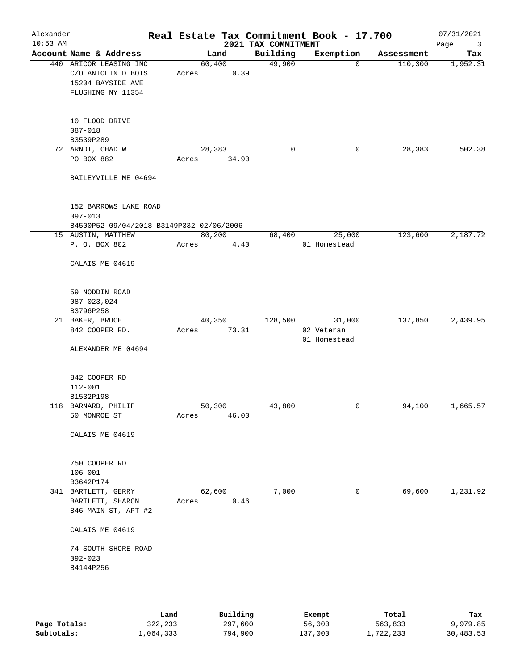| Alexander<br>$10:53$ AM |                                                                                        | Real Estate Tax Commitment Book - 17.700 | 2021 TAX COMMITMENT |                            |            | 07/31/2021<br>Page<br>3 |
|-------------------------|----------------------------------------------------------------------------------------|------------------------------------------|---------------------|----------------------------|------------|-------------------------|
|                         | Account Name & Address                                                                 | Land                                     | Building            | Exemption                  | Assessment | Tax                     |
|                         | 440 ARICOR LEASING INC<br>C/O ANTOLIN D BOIS<br>15204 BAYSIDE AVE<br>FLUSHING NY 11354 | 60,400<br>0.39<br>Acres                  | 49,900              | $\overline{0}$             | 110,300    | 1,952.31                |
|                         | 10 FLOOD DRIVE<br>$087 - 018$<br>B3539P289                                             |                                          |                     |                            |            |                         |
|                         | 72 ARNDT, CHAD W                                                                       | 28,383                                   | 0                   | 0                          | 28,383     | 502.38                  |
|                         | PO BOX 882                                                                             | 34.90<br>Acres                           |                     |                            |            |                         |
|                         | BAILEYVILLE ME 04694                                                                   |                                          |                     |                            |            |                         |
|                         | 152 BARROWS LAKE ROAD<br>$097 - 013$<br>B4500P52 09/04/2018 B3149P332 02/06/2006       |                                          |                     |                            |            |                         |
|                         | 15 AUSTIN, MATTHEW                                                                     | 80,200                                   | 68,400              | 25,000                     | 123,600    | 2,187.72                |
|                         | P. O. BOX 802                                                                          | Acres<br>4.40                            |                     | 01 Homestead               |            |                         |
|                         | CALAIS ME 04619                                                                        |                                          |                     |                            |            |                         |
|                         | 59 NODDIN ROAD<br>$087 - 023,024$<br>B3796P258                                         |                                          |                     |                            |            |                         |
|                         | 21 BAKER, BRUCE                                                                        | 40,350                                   | 128,500             | 31,000                     | 137,850    | 2,439.95                |
|                         | 842 COOPER RD.                                                                         | 73.31<br>Acres                           |                     | 02 Veteran<br>01 Homestead |            |                         |
|                         | ALEXANDER ME 04694                                                                     |                                          |                     |                            |            |                         |
|                         | 842 COOPER RD<br>$112 - 001$                                                           |                                          |                     |                            |            |                         |
|                         | B1532P198<br>118 BARNARD, PHILIP                                                       | 50,300                                   | 43,800              | 0                          | 94,100     | 1,665.57                |
|                         | 50 MONROE ST                                                                           | 46.00<br>Acres                           |                     |                            |            |                         |
|                         | CALAIS ME 04619                                                                        |                                          |                     |                            |            |                         |
|                         | 750 COOPER RD<br>$106 - 001$                                                           |                                          |                     |                            |            |                         |
|                         | B3642P174                                                                              |                                          |                     |                            |            |                         |
|                         | 341 BARTLETT, GERRY<br>BARTLETT, SHARON<br>846 MAIN ST, APT #2                         | 62,600<br>0.46<br>Acres                  | 7,000               | 0                          | 69,600     | 1,231.92                |
|                         | CALAIS ME 04619                                                                        |                                          |                     |                            |            |                         |
|                         | 74 SOUTH SHORE ROAD<br>$092 - 023$                                                     |                                          |                     |                            |            |                         |
|                         | B4144P256                                                                              |                                          |                     |                            |            |                         |

|              | úand      | Building | Exempt  | Total     | Tax       |
|--------------|-----------|----------|---------|-----------|-----------|
| Page Totals: | 322,233   | 297,600  | 56,000  | 563,833   | 9,979.85  |
| Subtotals:   | 1,064,333 | 794,900  | 137,000 | 1,722,233 | 30,483.53 |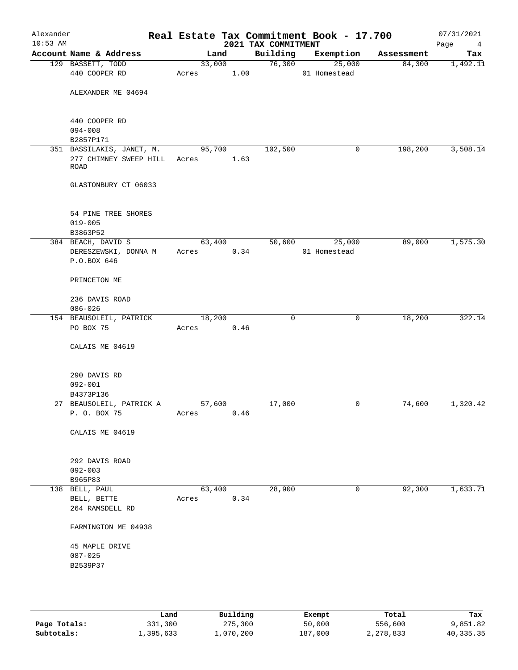| Alexander<br>$10:53$ AM |                                                                          |                 |      | 2021 TAX COMMITMENT | Real Estate Tax Commitment Book - 17.700 |            | 07/31/2021<br>Page<br>4 |
|-------------------------|--------------------------------------------------------------------------|-----------------|------|---------------------|------------------------------------------|------------|-------------------------|
|                         | Account Name & Address                                                   | Land            |      | Building            | Exemption                                | Assessment | Tax                     |
|                         | 129 BASSETT, TODD<br>440 COOPER RD                                       | 33,000<br>Acres | 1.00 | 76,300              | 25,000<br>01 Homestead                   | 84,300     | 1,492.11                |
|                         | ALEXANDER ME 04694                                                       |                 |      |                     |                                          |            |                         |
|                         | 440 COOPER RD<br>$094 - 008$<br>B2857P171                                |                 |      |                     |                                          |            |                         |
|                         | 351 BASSILAKIS, JANET, M.<br>277 CHIMNEY SWEEP HILL Acres<br><b>ROAD</b> | 95,700          | 1.63 | 102,500             | 0                                        | 198,200    | 3,508.14                |
|                         | GLASTONBURY CT 06033                                                     |                 |      |                     |                                          |            |                         |
|                         | 54 PINE TREE SHORES<br>$019 - 005$<br>B3863P52                           |                 |      |                     |                                          |            |                         |
|                         | 384 BEACH, DAVID S<br>DERESZEWSKI, DONNA M<br>P.O.BOX 646                | 63,400<br>Acres | 0.34 | 50,600              | 25,000<br>01 Homestead                   | 89,000     | 1,575.30                |
|                         | PRINCETON ME                                                             |                 |      |                     |                                          |            |                         |
|                         | 236 DAVIS ROAD<br>$086 - 026$                                            |                 |      |                     |                                          |            |                         |
|                         | 154 BEAUSOLEIL, PATRICK<br>PO BOX 75                                     | 18,200<br>Acres | 0.46 | 0                   | 0                                        | 18,200     | 322.14                  |
|                         | CALAIS ME 04619                                                          |                 |      |                     |                                          |            |                         |
|                         | 290 DAVIS RD<br>$092 - 001$<br>B4373P136                                 |                 |      |                     |                                          |            |                         |
|                         | 27 BEAUSOLEIL, PATRICK A                                                 | 57,600          |      | 17,000              | 0                                        | 74,600     | 1,320.42                |
|                         | P. O. BOX 75                                                             | Acres           | 0.46 |                     |                                          |            |                         |
|                         | CALAIS ME 04619                                                          |                 |      |                     |                                          |            |                         |
|                         | 292 DAVIS ROAD<br>$092 - 003$<br>B965P83                                 |                 |      |                     |                                          |            |                         |
|                         | 138 BELL, PAUL<br>BELL, BETTE<br>264 RAMSDELL RD                         | 63,400<br>Acres | 0.34 | 28,900              | $\mathbf 0$                              | 92,300     | 1,633.71                |
|                         | FARMINGTON ME 04938                                                      |                 |      |                     |                                          |            |                         |
|                         | 45 MAPLE DRIVE<br>$087 - 025$<br>B2539P37                                |                 |      |                     |                                          |            |                         |
|                         |                                                                          |                 |      |                     |                                          |            |                         |

|              | Land      | Building  | Exempt  | Total     | Tax       |
|--------------|-----------|-----------|---------|-----------|-----------|
| Page Totals: | 331,300   | 275,300   | 50,000  | 556,600   | 9,851.82  |
| Subtotals:   | 1,395,633 | .,070,200 | 187,000 | 2,278,833 | 40,335.35 |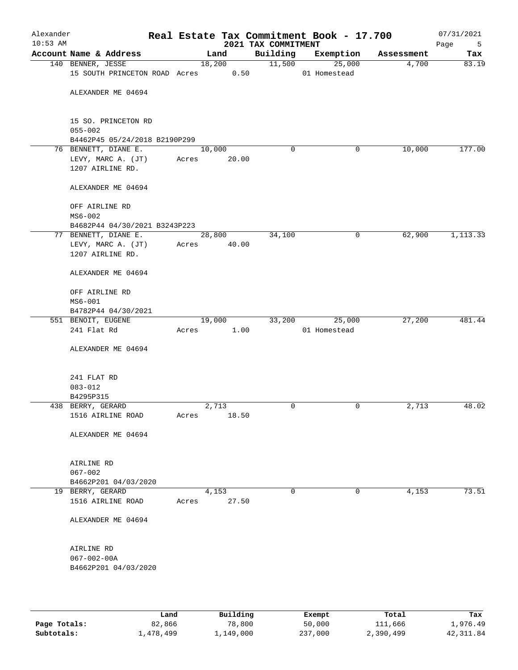| Alexander<br>$10:53$ AM |                                                                |       |                 |       | 2021 TAX COMMITMENT | Real Estate Tax Commitment Book - 17.700 |            | 07/31/2021<br>Page<br>$5^{\circ}$ |
|-------------------------|----------------------------------------------------------------|-------|-----------------|-------|---------------------|------------------------------------------|------------|-----------------------------------|
|                         | Account Name & Address                                         |       | Land            |       | Building            | Exemption                                | Assessment | Tax                               |
|                         | 140 BENNER, JESSE<br>15 SOUTH PRINCETON ROAD Acres 0.50        |       | 18,200          |       | 11,500              | 25,000<br>01 Homestead                   | 4,700      | 83.19                             |
|                         | ALEXANDER ME 04694                                             |       |                 |       |                     |                                          |            |                                   |
|                         | 15 SO. PRINCETON RD<br>$055 - 002$                             |       |                 |       |                     |                                          |            |                                   |
|                         | B4462P45 05/24/2018 B2190P299                                  |       |                 |       |                     |                                          |            |                                   |
|                         | 76 BENNETT, DIANE E.<br>LEVY, MARC A. (JT)<br>1207 AIRLINE RD. | Acres | 10,000<br>20.00 |       | $\mathbf 0$         | 0                                        | 10,000     | 177.00                            |
|                         | ALEXANDER ME 04694                                             |       |                 |       |                     |                                          |            |                                   |
|                         | OFF AIRLINE RD<br>$MS6 - 002$                                  |       |                 |       |                     |                                          |            |                                   |
|                         | B4682P44 04/30/2021 B3243P223                                  |       |                 |       |                     |                                          |            |                                   |
|                         | 77 BENNETT, DIANE E.                                           |       | 28,800          |       | 34,100              | 0                                        | 62,900     | 1,113.33                          |
|                         | LEVY, MARC A. (JT)<br>1207 AIRLINE RD.                         | Acres |                 | 40.00 |                     |                                          |            |                                   |
|                         | ALEXANDER ME 04694                                             |       |                 |       |                     |                                          |            |                                   |
|                         | OFF AIRLINE RD<br>$MS6-001$                                    |       |                 |       |                     |                                          |            |                                   |
|                         | B4782P44 04/30/2021                                            |       |                 |       |                     |                                          |            |                                   |
|                         | 551 BENOIT, EUGENE                                             |       | 19,000          |       | 33,200              | 25,000                                   | 27,200     | 481.44                            |
|                         | 241 Flat Rd                                                    | Acres |                 | 1.00  |                     | 01 Homestead                             |            |                                   |
|                         | ALEXANDER ME 04694                                             |       |                 |       |                     |                                          |            |                                   |
|                         | 241 FLAT RD                                                    |       |                 |       |                     |                                          |            |                                   |
|                         | $083 - 012$<br>B4295P315                                       |       |                 |       |                     |                                          |            |                                   |
|                         | 438 BERRY, GERARD                                              |       | 2,713           |       | 0                   | 0                                        | 2,713      | 48.02                             |
|                         | 1516 AIRLINE ROAD                                              | Acres |                 | 18.50 |                     |                                          |            |                                   |
|                         | ALEXANDER ME 04694                                             |       |                 |       |                     |                                          |            |                                   |
|                         | AIRLINE RD                                                     |       |                 |       |                     |                                          |            |                                   |
|                         | $067 - 002$<br>B4662P201 04/03/2020                            |       |                 |       |                     |                                          |            |                                   |
|                         | 19 BERRY, GERARD                                               |       | 4,153           |       | 0                   | 0                                        | 4,153      | 73.51                             |
|                         | 1516 AIRLINE ROAD                                              | Acres |                 | 27.50 |                     |                                          |            |                                   |
|                         | ALEXANDER ME 04694                                             |       |                 |       |                     |                                          |            |                                   |
|                         | AIRLINE RD                                                     |       |                 |       |                     |                                          |            |                                   |
|                         | $067 - 002 - 00A$<br>B4662P201 04/03/2020                      |       |                 |       |                     |                                          |            |                                   |
|                         |                                                                |       |                 |       |                     |                                          |            |                                   |

|              | Land      | Building  | Exempt  | Total     | Tax        |
|--------------|-----------|-----------|---------|-----------|------------|
| Page Totals: | 82,866    | 78,800    | 50,000  | 111,666   | 1,976.49   |
| Subtotals:   | 1,478,499 | l,149,000 | 237,000 | 2,390,499 | 42, 311.84 |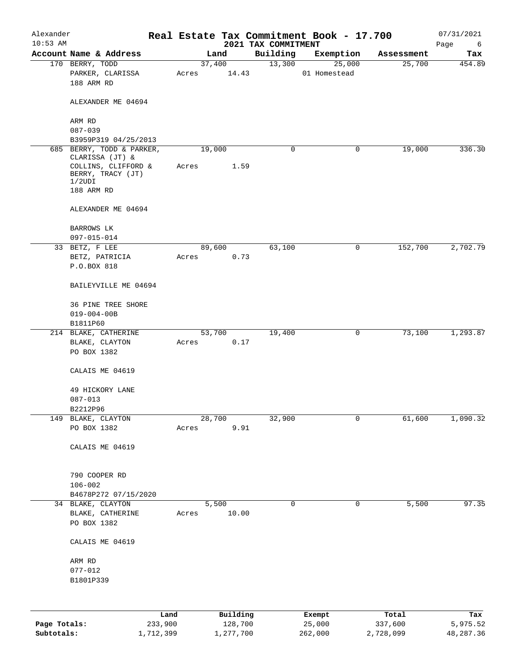| Alexander<br>$10:53$ AM |                                                    |      |       |          |       | Real Estate Tax Commitment Book - 17.700 |              |           |            | 07/31/2021       |
|-------------------------|----------------------------------------------------|------|-------|----------|-------|------------------------------------------|--------------|-----------|------------|------------------|
|                         | Account Name & Address                             |      |       | Land     |       | 2021 TAX COMMITMENT<br>Building          |              | Exemption | Assessment | Page<br>6<br>Tax |
|                         | 170 BERRY, TODD                                    |      |       | 37,400   |       | 13,300                                   |              | 25,000    | 25,700     | 454.89           |
|                         | PARKER, CLARISSA<br>188 ARM RD                     |      | Acres |          | 14.43 |                                          | 01 Homestead |           |            |                  |
|                         | ALEXANDER ME 04694                                 |      |       |          |       |                                          |              |           |            |                  |
|                         | ARM RD                                             |      |       |          |       |                                          |              |           |            |                  |
|                         | $087 - 039$                                        |      |       |          |       |                                          |              |           |            |                  |
|                         | B3959P319 04/25/2013<br>685 BERRY, TODD & PARKER,  |      |       | 19,000   |       | 0                                        |              | 0         | 19,000     | 336.30           |
|                         | CLARISSA (JT) &                                    |      |       |          |       |                                          |              |           |            |                  |
|                         | COLLINS, CLIFFORD &<br>BERRY, TRACY (JT)<br>1/2UDI |      | Acres |          | 1.59  |                                          |              |           |            |                  |
|                         | 188 ARM RD                                         |      |       |          |       |                                          |              |           |            |                  |
|                         | ALEXANDER ME 04694                                 |      |       |          |       |                                          |              |           |            |                  |
|                         | BARROWS LK<br>$097 - 015 - 014$                    |      |       |          |       |                                          |              |           |            |                  |
|                         | 33 BETZ, F LEE                                     |      |       | 89,600   |       | 63,100                                   |              | 0         | 152,700    | 2,702.79         |
|                         | BETZ, PATRICIA                                     |      | Acres |          | 0.73  |                                          |              |           |            |                  |
|                         | P.O.BOX 818                                        |      |       |          |       |                                          |              |           |            |                  |
|                         | BAILEYVILLE ME 04694                               |      |       |          |       |                                          |              |           |            |                  |
|                         | 36 PINE TREE SHORE                                 |      |       |          |       |                                          |              |           |            |                  |
|                         | $019 - 004 - 00B$                                  |      |       |          |       |                                          |              |           |            |                  |
|                         | B1811P60                                           |      |       |          |       |                                          |              |           |            |                  |
|                         | 214 BLAKE, CATHERINE                               |      |       | 53,700   |       | 19,400                                   |              | 0         | 73,100     | 1,293.87         |
|                         | BLAKE, CLAYTON<br>PO BOX 1382                      |      | Acres |          | 0.17  |                                          |              |           |            |                  |
|                         | CALAIS ME 04619                                    |      |       |          |       |                                          |              |           |            |                  |
|                         | 49 HICKORY LANE                                    |      |       |          |       |                                          |              |           |            |                  |
|                         | $087 - 013$                                        |      |       |          |       |                                          |              |           |            |                  |
|                         | B2212P96                                           |      |       |          |       |                                          |              |           |            |                  |
|                         | 149 BLAKE, CLAYTON                                 |      |       | 28,700   |       | 32,900                                   |              | 0         | 61,600     | 1,090.32         |
|                         | PO BOX 1382                                        |      | Acres |          | 9.91  |                                          |              |           |            |                  |
|                         | CALAIS ME 04619                                    |      |       |          |       |                                          |              |           |            |                  |
|                         | 790 COOPER RD                                      |      |       |          |       |                                          |              |           |            |                  |
|                         | $106 - 002$                                        |      |       |          |       |                                          |              |           |            |                  |
|                         | B4678P272 07/15/2020                               |      |       |          |       |                                          |              |           |            |                  |
|                         | 34 BLAKE, CLAYTON                                  |      |       | 5,500    |       | 0                                        |              | 0         | 5,500      | 97.35            |
|                         | BLAKE, CATHERINE<br>PO BOX 1382                    |      | Acres |          | 10.00 |                                          |              |           |            |                  |
|                         | CALAIS ME 04619                                    |      |       |          |       |                                          |              |           |            |                  |
|                         | ARM RD                                             |      |       |          |       |                                          |              |           |            |                  |
|                         | $077 - 012$                                        |      |       |          |       |                                          |              |           |            |                  |
|                         | B1801P339                                          |      |       |          |       |                                          |              |           |            |                  |
|                         |                                                    | Land |       | Building |       |                                          | Exempt       |           | Total      | Tax              |

|              | Land      | Building  | Exempt  | Total     | Tax       |
|--------------|-----------|-----------|---------|-----------|-----------|
| Page Totals: | 233,900   | 128,700   | 25,000  | 337,600   | 5,975.52  |
| Subtotals:   | 1,712,399 | 1,277,700 | 262,000 | 2,728,099 | 48,287.36 |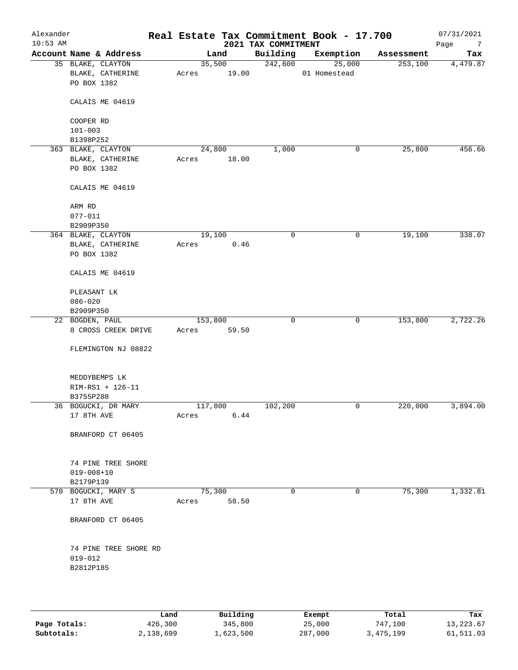| Alexander<br>$10:53$ AM |                        |         |        | 2021 TAX COMMITMENT | Real Estate Tax Commitment Book - 17.700 |            | 07/31/2021<br>Page<br>$\overline{7}$ |
|-------------------------|------------------------|---------|--------|---------------------|------------------------------------------|------------|--------------------------------------|
|                         | Account Name & Address |         | Land   | Building            | Exemption                                | Assessment | Tax                                  |
|                         | 35 BLAKE, CLAYTON      |         | 35,500 | 242,600             | 25,000                                   | 253,100    | 4,479.87                             |
|                         | BLAKE, CATHERINE       | Acres   | 19.00  |                     | 01 Homestead                             |            |                                      |
|                         | PO BOX 1382            |         |        |                     |                                          |            |                                      |
|                         |                        |         |        |                     |                                          |            |                                      |
|                         | CALAIS ME 04619        |         |        |                     |                                          |            |                                      |
|                         | COOPER RD              |         |        |                     |                                          |            |                                      |
|                         | $101 - 003$            |         |        |                     |                                          |            |                                      |
|                         | B1398P252              |         |        |                     |                                          |            |                                      |
|                         | 363 BLAKE, CLAYTON     |         | 24,800 | 1,000               | 0                                        | 25,800     | 456.66                               |
|                         | BLAKE, CATHERINE       | Acres   | 18.00  |                     |                                          |            |                                      |
|                         | PO BOX 1382            |         |        |                     |                                          |            |                                      |
|                         |                        |         |        |                     |                                          |            |                                      |
|                         | CALAIS ME 04619        |         |        |                     |                                          |            |                                      |
|                         | ARM RD                 |         |        |                     |                                          |            |                                      |
|                         | $077 - 011$            |         |        |                     |                                          |            |                                      |
|                         | B2909P350              |         |        |                     |                                          |            |                                      |
|                         | 364 BLAKE, CLAYTON     | 19,100  |        | $\mathbf 0$         | 0                                        | 19,100     | 338.07                               |
|                         | BLAKE, CATHERINE       | Acres   | 0.46   |                     |                                          |            |                                      |
|                         | PO BOX 1382            |         |        |                     |                                          |            |                                      |
|                         | CALAIS ME 04619        |         |        |                     |                                          |            |                                      |
|                         | PLEASANT LK            |         |        |                     |                                          |            |                                      |
|                         | $086 - 020$            |         |        |                     |                                          |            |                                      |
|                         | B2909P350              |         |        |                     |                                          |            |                                      |
|                         | 22 BOGDEN, PAUL        | 153,800 |        | $\mathbf 0$         | 0                                        | 153,800    | 2,722.26                             |
|                         | 8 CROSS CREEK DRIVE    | Acres   | 59.50  |                     |                                          |            |                                      |
|                         |                        |         |        |                     |                                          |            |                                      |
|                         | FLEMINGTON NJ 08822    |         |        |                     |                                          |            |                                      |
|                         | MEDDYBEMPS LK          |         |        |                     |                                          |            |                                      |
|                         | RIM-RS1 + 126-11       |         |        |                     |                                          |            |                                      |
|                         | B3755P288              |         |        |                     |                                          |            |                                      |
|                         | 36 BOGUCKI, DR MARY    | 117,800 |        | 102,200             | 0                                        | 220,000    | 3,894.00                             |
|                         | 17 8TH AVE             | Acres   | 6.44   |                     |                                          |            |                                      |
|                         | BRANFORD CT 06405      |         |        |                     |                                          |            |                                      |
|                         |                        |         |        |                     |                                          |            |                                      |
|                         | 74 PINE TREE SHORE     |         |        |                     |                                          |            |                                      |
|                         | $019 - 008 + 10$       |         |        |                     |                                          |            |                                      |
|                         | B2179P139              |         |        |                     |                                          |            |                                      |
|                         | 570 BOGUCKI, MARY S    | 75,300  |        | $\mathbf 0$         | 0                                        | 75,300     | 1,332.81                             |
|                         | 17 8TH AVE             | Acres   | 58.50  |                     |                                          |            |                                      |
|                         |                        |         |        |                     |                                          |            |                                      |
|                         | BRANFORD CT 06405      |         |        |                     |                                          |            |                                      |
|                         | 74 PINE TREE SHORE RD  |         |        |                     |                                          |            |                                      |
|                         | $019 - 012$            |         |        |                     |                                          |            |                                      |
|                         | B2812P185              |         |        |                     |                                          |            |                                      |
|                         |                        |         |        |                     |                                          |            |                                      |
|                         |                        |         |        |                     |                                          |            |                                      |
|                         |                        |         |        |                     |                                          |            |                                      |

|              | Land      | Building  | Exempt  | Total     | Tax       |
|--------------|-----------|-----------|---------|-----------|-----------|
| Page Totals: | 426,300   | 345,800   | 25,000  | 747,100   | 13,223.67 |
| Subtotals:   | 2,138,699 | 1,623,500 | 287,000 | 3,475,199 | 61,511.03 |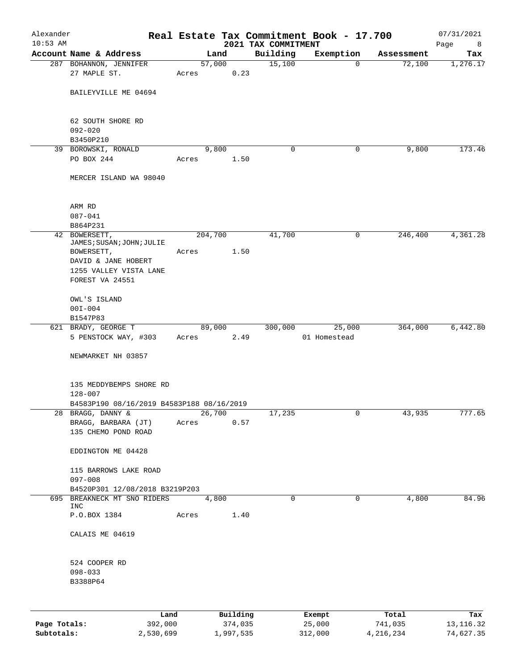| Alexander    |                                                               |         |                |                     | Real Estate Tax Commitment Book - 17.700 |                      | 07/31/2021  |
|--------------|---------------------------------------------------------------|---------|----------------|---------------------|------------------------------------------|----------------------|-------------|
| $10:53$ AM   |                                                               |         |                | 2021 TAX COMMITMENT |                                          |                      | Page<br>8   |
|              | Account Name & Address                                        |         | Land<br>57,000 | Building<br>15,100  | Exemption<br>$\mathbf 0$                 | Assessment<br>72,100 | Tax         |
|              | 287 BOHANNON, JENNIFER<br>27 MAPLE ST.                        | Acres   | 0.23           |                     |                                          |                      | 1,276.17    |
|              |                                                               |         |                |                     |                                          |                      |             |
|              | BAILEYVILLE ME 04694                                          |         |                |                     |                                          |                      |             |
|              |                                                               |         |                |                     |                                          |                      |             |
|              |                                                               |         |                |                     |                                          |                      |             |
|              | 62 SOUTH SHORE RD<br>$092 - 020$                              |         |                |                     |                                          |                      |             |
|              | B3450P210                                                     |         |                |                     |                                          |                      |             |
|              | 39 BOROWSKI, RONALD                                           |         | 9,800          | 0                   | 0                                        | 9,800                | 173.46      |
|              | PO BOX 244                                                    | Acres   | 1.50           |                     |                                          |                      |             |
|              |                                                               |         |                |                     |                                          |                      |             |
|              | MERCER ISLAND WA 98040                                        |         |                |                     |                                          |                      |             |
|              |                                                               |         |                |                     |                                          |                      |             |
|              | ARM RD                                                        |         |                |                     |                                          |                      |             |
|              | $087 - 041$                                                   |         |                |                     |                                          |                      |             |
|              | B864P231                                                      |         |                |                     |                                          |                      |             |
|              | 42 BOWERSETT,                                                 | 204,700 |                | 41,700              | 0                                        | 246,400              | 4,361.28    |
|              | JAMES; SUSAN; JOHN; JULIE<br>BOWERSETT,                       | Acres   | 1.50           |                     |                                          |                      |             |
|              | DAVID & JANE HOBERT                                           |         |                |                     |                                          |                      |             |
|              | 1255 VALLEY VISTA LANE                                        |         |                |                     |                                          |                      |             |
|              | FOREST VA 24551                                               |         |                |                     |                                          |                      |             |
|              |                                                               |         |                |                     |                                          |                      |             |
|              | OWL'S ISLAND                                                  |         |                |                     |                                          |                      |             |
|              | $00I - 004$                                                   |         |                |                     |                                          |                      |             |
|              | B1547P83<br>621 BRADY, GEORGE T                               | 89,000  |                | 300,000             | 25,000                                   | 364,000              | 6,442.80    |
|              | 5 PENSTOCK WAY, #303                                          | Acres   | 2.49           |                     | 01 Homestead                             |                      |             |
|              |                                                               |         |                |                     |                                          |                      |             |
|              | NEWMARKET NH 03857                                            |         |                |                     |                                          |                      |             |
|              |                                                               |         |                |                     |                                          |                      |             |
|              | 135 MEDDYBEMPS SHORE RD                                       |         |                |                     |                                          |                      |             |
|              | $128 - 007$                                                   |         |                |                     |                                          |                      |             |
|              | B4583P190 08/16/2019 B4583P188 08/16/2019                     |         |                |                     |                                          |                      |             |
|              | 28 BRAGG, DANNY &                                             | 26,700  |                | 17,235              | 0                                        | 43,935               | 777.65      |
|              | BRAGG, BARBARA (JT)                                           | Acres   | 0.57           |                     |                                          |                      |             |
|              | 135 CHEMO POND ROAD                                           |         |                |                     |                                          |                      |             |
|              | EDDINGTON ME 04428                                            |         |                |                     |                                          |                      |             |
|              |                                                               |         |                |                     |                                          |                      |             |
|              | 115 BARROWS LAKE ROAD                                         |         |                |                     |                                          |                      |             |
|              | $097 - 008$                                                   |         |                |                     |                                          |                      |             |
|              | B4520P301 12/08/2018 B3219P203<br>695 BREAKNECK MT SNO RIDERS |         | 4,800          | $\mathbf 0$         | $\mathbf 0$                              | 4,800                |             |
|              | <b>INC</b>                                                    |         |                |                     |                                          |                      | 84.96       |
|              | P.O.BOX 1384                                                  | Acres   | 1.40           |                     |                                          |                      |             |
|              |                                                               |         |                |                     |                                          |                      |             |
|              | CALAIS ME 04619                                               |         |                |                     |                                          |                      |             |
|              |                                                               |         |                |                     |                                          |                      |             |
|              | 524 COOPER RD                                                 |         |                |                     |                                          |                      |             |
|              | $098 - 033$                                                   |         |                |                     |                                          |                      |             |
|              | B3388P64                                                      |         |                |                     |                                          |                      |             |
|              |                                                               |         |                |                     |                                          |                      |             |
|              |                                                               |         |                |                     |                                          |                      |             |
|              | Land                                                          |         | Building       |                     | Exempt                                   | Total                | Tax         |
| Page Totals: | 392,000                                                       |         | 374,035        |                     | 25,000                                   | 741,035              | 13, 116. 32 |

**Subtotals:** 2,530,699 1,997,535 312,000 4,216,234 74,627.35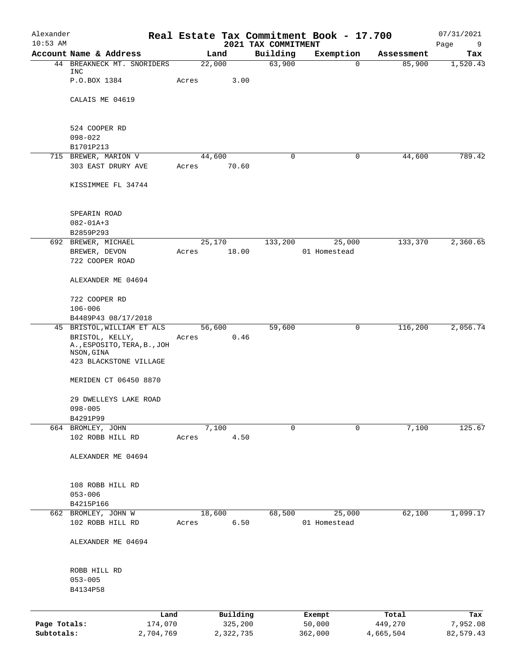| Alexander                  |                                                              |        |                      |                                 | Real Estate Tax Commitment Book - 17.700 |                      | 07/31/2021            |
|----------------------------|--------------------------------------------------------------|--------|----------------------|---------------------------------|------------------------------------------|----------------------|-----------------------|
| $10:53$ AM                 | Account Name & Address                                       |        | Land                 | 2021 TAX COMMITMENT<br>Building | Exemption                                | Assessment           | Page<br>9<br>Tax      |
|                            | 44 BREAKNECK MT. SNORIDERS                                   | 22,000 |                      | 63,900                          | 0                                        | 85,900               | 1,520.43              |
|                            | INC<br>P.O.BOX 1384                                          | Acres  | 3.00                 |                                 |                                          |                      |                       |
|                            | CALAIS ME 04619                                              |        |                      |                                 |                                          |                      |                       |
|                            | 524 COOPER RD                                                |        |                      |                                 |                                          |                      |                       |
|                            | $098 - 022$                                                  |        |                      |                                 |                                          |                      |                       |
| 715                        | B1701P213<br>BREWER, MARION V                                | 44,600 |                      | 0                               | 0                                        | 44,600               | 789.42                |
|                            | 303 EAST DRURY AVE                                           | Acres  | 70.60                |                                 |                                          |                      |                       |
|                            | KISSIMMEE FL 34744                                           |        |                      |                                 |                                          |                      |                       |
|                            | SPEARIN ROAD                                                 |        |                      |                                 |                                          |                      |                       |
|                            | $082 - 01A + 3$                                              |        |                      |                                 |                                          |                      |                       |
|                            | B2859P293                                                    |        |                      |                                 |                                          |                      |                       |
| 692                        | BREWER, MICHAEL                                              | 25,170 |                      | 133,200                         | 25,000                                   | 133,370              | 2,360.65              |
|                            | BREWER, DEVON<br>722 COOPER ROAD                             | Acres  | 18.00                |                                 | 01 Homestead                             |                      |                       |
|                            | ALEXANDER ME 04694                                           |        |                      |                                 |                                          |                      |                       |
|                            | 722 COOPER RD                                                |        |                      |                                 |                                          |                      |                       |
|                            | $106 - 006$                                                  |        |                      |                                 |                                          |                      |                       |
|                            | B4489P43 08/17/2018<br>45 BRISTOL, WILLIAM ET ALS            | 56,600 |                      | 59,600                          | 0                                        | 116,200              | 2,056.74              |
|                            | BRISTOL, KELLY,<br>A., ESPOSITO, TERA, B., JOH<br>NSON, GINA | Acres  | 0.46                 |                                 |                                          |                      |                       |
|                            | 423 BLACKSTONE VILLAGE                                       |        |                      |                                 |                                          |                      |                       |
|                            | MERIDEN CT 06450 8870                                        |        |                      |                                 |                                          |                      |                       |
|                            | 29 DWELLEYS LAKE ROAD<br>$098 - 005$                         |        |                      |                                 |                                          |                      |                       |
|                            | B4291P99                                                     |        |                      |                                 |                                          |                      |                       |
|                            | 664 BROMLEY, JOHN<br>102 ROBB HILL RD                        | Acres  | 7,100<br>4.50        | $\Omega$                        | $\mathbf 0$                              | 7,100                | 125.67                |
|                            | ALEXANDER ME 04694                                           |        |                      |                                 |                                          |                      |                       |
|                            |                                                              |        |                      |                                 |                                          |                      |                       |
|                            | 108 ROBB HILL RD                                             |        |                      |                                 |                                          |                      |                       |
|                            | $053 - 006$                                                  |        |                      |                                 |                                          |                      |                       |
|                            | B4215P166<br>662 BROMLEY, JOHN W                             | 18,600 |                      | 68,500                          | 25,000                                   | 62,100               | 1,099.17              |
|                            | 102 ROBB HILL RD                                             | Acres  | 6.50                 |                                 | 01 Homestead                             |                      |                       |
|                            | ALEXANDER ME 04694                                           |        |                      |                                 |                                          |                      |                       |
|                            | ROBB HILL RD                                                 |        |                      |                                 |                                          |                      |                       |
|                            | $053 - 005$<br>B4134P58                                      |        |                      |                                 |                                          |                      |                       |
|                            | Land                                                         |        | Building             |                                 | Exempt                                   | Total                | Tax                   |
| Page Totals:<br>Subtotals: | 174,070<br>2,704,769                                         |        | 325,200<br>2,322,735 |                                 | 50,000<br>362,000                        | 449,270<br>4,665,504 | 7,952.08<br>82,579.43 |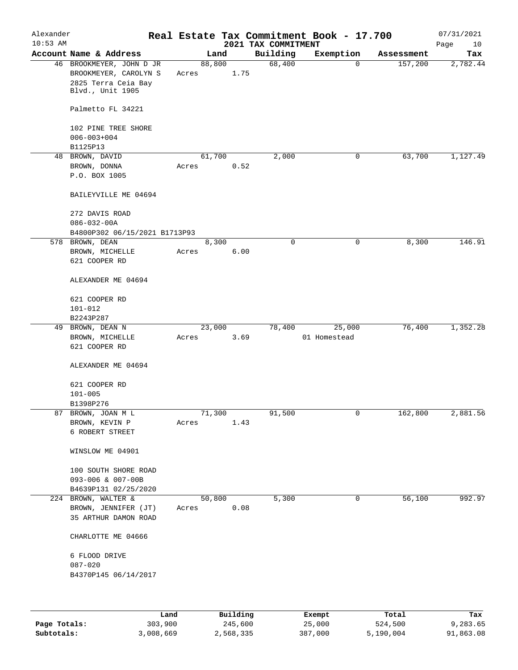| Alexander<br>$10:53$ AM                              |                                                                                              |       |        |      | 2021 TAX COMMITMENT | Real Estate Tax Commitment Book - 17.700 |            | 07/31/2021<br>Page<br>10 |
|------------------------------------------------------|----------------------------------------------------------------------------------------------|-------|--------|------|---------------------|------------------------------------------|------------|--------------------------|
|                                                      | Account Name & Address                                                                       |       | Land   |      | Building            | Exemption                                | Assessment | Tax                      |
|                                                      | 46 BROOKMEYER, JOHN D JR<br>BROOKMEYER, CAROLYN S<br>2825 Terra Ceia Bay<br>Blvd., Unit 1905 | Acres | 88,800 | 1.75 | 68,400              | $\mathbf 0$                              | 157,200    | 2,782.44                 |
|                                                      | Palmetto FL 34221                                                                            |       |        |      |                     |                                          |            |                          |
|                                                      | 102 PINE TREE SHORE<br>$006 - 003 + 004$                                                     |       |        |      |                     |                                          |            |                          |
|                                                      | B1125P13                                                                                     |       |        |      |                     |                                          |            |                          |
|                                                      | 48 BROWN, DAVID<br>BROWN, DONNA<br>P.O. BOX 1005                                             | Acres | 61,700 | 0.52 | 2,000               | 0                                        | 63,700     | 1,127.49                 |
|                                                      | BAILEYVILLE ME 04694                                                                         |       |        |      |                     |                                          |            |                          |
|                                                      | 272 DAVIS ROAD<br>$086 - 032 - 00A$                                                          |       |        |      |                     |                                          |            |                          |
|                                                      | B4800P302 06/15/2021 B1713P93                                                                |       |        |      |                     |                                          |            |                          |
|                                                      | 578 BROWN, DEAN<br>BROWN, MICHELLE<br>621 COOPER RD                                          | Acres | 8,300  | 6.00 | $\mathbf 0$         | 0                                        | 8,300      | 146.91                   |
|                                                      | ALEXANDER ME 04694                                                                           |       |        |      |                     |                                          |            |                          |
|                                                      | 621 COOPER RD<br>$101 - 012$                                                                 |       |        |      |                     |                                          |            |                          |
|                                                      | B2243P287                                                                                    |       |        |      |                     |                                          |            |                          |
|                                                      | 49 BROWN, DEAN N                                                                             |       | 23,000 |      | 78,400              | 25,000                                   | 76,400     | 1,352.28                 |
|                                                      | BROWN, MICHELLE<br>621 COOPER RD<br>ALEXANDER ME 04694                                       | Acres |        | 3.69 |                     | 01 Homestead                             |            |                          |
|                                                      | 621 COOPER RD<br>$101 - 005$                                                                 |       |        |      |                     |                                          |            |                          |
|                                                      | B1398P276                                                                                    |       |        |      |                     |                                          |            |                          |
|                                                      | 87 BROWN, JOAN M L<br>BROWN, KEVIN P<br>6 ROBERT STREET                                      | Acres | 71,300 | 1.43 | 91,500              | 0                                        | 162,800    | 2,881.56                 |
|                                                      | WINSLOW ME 04901                                                                             |       |        |      |                     |                                          |            |                          |
|                                                      | 100 SOUTH SHORE ROAD<br>093-006 & 007-00B<br>B4639P131 02/25/2020                            |       |        |      |                     |                                          |            |                          |
|                                                      | 224 BROWN, WALTER &                                                                          |       | 50,800 |      | 5,300               | 0                                        | 56,100     | 992.97                   |
|                                                      | BROWN, JENNIFER (JT)<br>35 ARTHUR DAMON ROAD                                                 | Acres |        | 0.08 |                     |                                          |            |                          |
|                                                      | CHARLOTTE ME 04666                                                                           |       |        |      |                     |                                          |            |                          |
| 6 FLOOD DRIVE<br>$087 - 020$<br>B4370P145 06/14/2017 |                                                                                              |       |        |      |                     |                                          |            |                          |

|              | Land      | Building  | Exempt  | Total     | Tax       |
|--------------|-----------|-----------|---------|-----------|-----------|
| Page Totals: | 303,900   | 245,600   | 25,000  | 524,500   | 9,283.65  |
| Subtotals:   | 3,008,669 | 2,568,335 | 387,000 | 5,190,004 | 91,863.08 |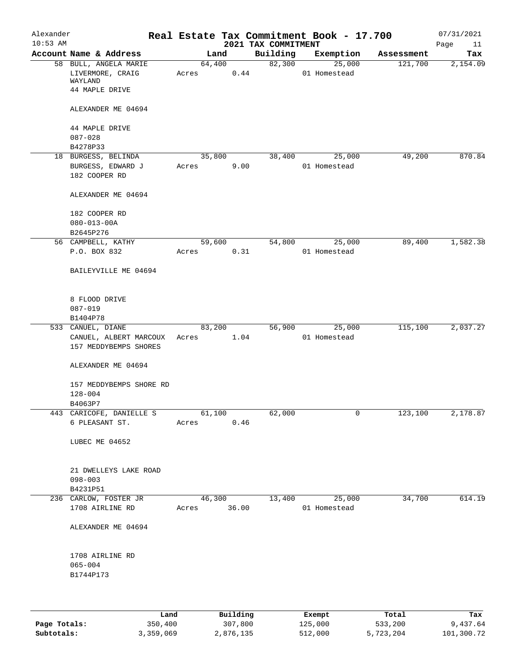| Alexander<br>$10:53$ AM |                                                                        |             |        |      | 2021 TAX COMMITMENT | Real Estate Tax Commitment Book - 17.700 |            | 07/31/2021<br>Page<br>11 |
|-------------------------|------------------------------------------------------------------------|-------------|--------|------|---------------------|------------------------------------------|------------|--------------------------|
|                         | Account Name & Address                                                 |             | Land   |      | Building            | Exemption                                | Assessment | Tax                      |
|                         | 58 BULL, ANGELA MARIE<br>LIVERMORE, CRAIG<br>WAYLAND<br>44 MAPLE DRIVE | Acres       | 64,400 | 0.44 | 82,300              | 25,000<br>01 Homestead                   | 121,700    | 2,154.09                 |
|                         | ALEXANDER ME 04694                                                     |             |        |      |                     |                                          |            |                          |
|                         | 44 MAPLE DRIVE<br>$087 - 028$                                          |             |        |      |                     |                                          |            |                          |
|                         | B4278P33                                                               |             |        |      |                     |                                          |            |                          |
|                         | 18 BURGESS, BELINDA<br>BURGESS, EDWARD J<br>182 COOPER RD              | Acres       | 35,800 | 9.00 | 38,400              | 25,000<br>01 Homestead                   | 49,200     | 870.84                   |
|                         | ALEXANDER ME 04694                                                     |             |        |      |                     |                                          |            |                          |
|                         | 182 COOPER RD<br>$080 - 013 - 00A$                                     |             |        |      |                     |                                          |            |                          |
|                         | B2645P276<br>56 CAMPBELL, KATHY                                        |             | 59,600 |      | 54,800              | 25,000                                   | 89,400     | 1,582.38                 |
|                         | P.O. BOX 832                                                           | Acres       |        | 0.31 |                     | 01 Homestead                             |            |                          |
|                         | BAILEYVILLE ME 04694                                                   |             |        |      |                     |                                          |            |                          |
|                         | 8 FLOOD DRIVE<br>$087 - 019$                                           |             |        |      |                     |                                          |            |                          |
|                         | B1404P78                                                               |             |        |      |                     |                                          |            |                          |
|                         | 533 CANUEL, DIANE<br>CANUEL, ALBERT MARCOUX<br>157 MEDDYBEMPS SHORES   | Acres       | 83,200 | 1.04 | 56,900              | 25,000<br>01 Homestead                   | 115,100    | 2,037.27                 |
|                         | ALEXANDER ME 04694                                                     |             |        |      |                     |                                          |            |                          |
|                         | 157 MEDDYBEMPS SHORE RD<br>$128 - 004$<br>B4063P7                      |             |        |      |                     |                                          |            |                          |
|                         | 443 CARICOFE, DANIELLE S                                               |             | 61,100 |      | 62,000              | 0                                        | 123,100    | 2,178.87                 |
|                         | 6 PLEASANT ST.                                                         | Acres       |        | 0.46 |                     |                                          |            |                          |
|                         | LUBEC ME 04652                                                         |             |        |      |                     |                                          |            |                          |
|                         | 21 DWELLEYS LAKE ROAD<br>$098 - 003$<br>B4231P51                       |             |        |      |                     |                                          |            |                          |
|                         | 236 CARLOW, FOSTER JR                                                  |             | 46,300 |      | 13,400              | 25,000                                   | 34,700     | 614.19                   |
|                         | 1708 AIRLINE RD                                                        | Acres 36.00 |        |      |                     | 01 Homestead                             |            |                          |
|                         | ALEXANDER ME 04694                                                     |             |        |      |                     |                                          |            |                          |
|                         | 1708 AIRLINE RD<br>$065 - 004$<br>B1744P173                            |             |        |      |                     |                                          |            |                          |
|                         |                                                                        |             |        |      |                     |                                          |            |                          |

|              | Land      | Building  | Exempt  | Total     | Tax        |
|--------------|-----------|-----------|---------|-----------|------------|
| Page Totals: | 350,400   | 307,800   | 125,000 | 533,200   | 9,437.64   |
| Subtotals:   | 3,359,069 | 2,876,135 | 512,000 | 5,723,204 | 101,300.72 |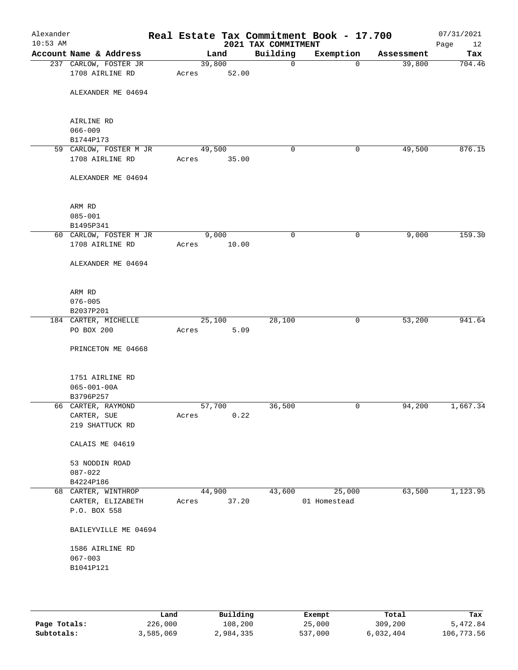| Alexander<br>$10:53$ AM |                                   |        |        | 2021 TAX COMMITMENT | Real Estate Tax Commitment Book - 17.700 |            | 07/31/2021<br>Page<br>12 |
|-------------------------|-----------------------------------|--------|--------|---------------------|------------------------------------------|------------|--------------------------|
|                         | Account Name & Address            |        | Land   | Building            | Exemption                                | Assessment | Tax                      |
|                         | 237 CARLOW, FOSTER JR             | 39,800 |        | 0                   | $\Omega$                                 | 39,800     | 704.46                   |
|                         | 1708 AIRLINE RD                   | Acres  | 52.00  |                     |                                          |            |                          |
|                         |                                   |        |        |                     |                                          |            |                          |
|                         | ALEXANDER ME 04694                |        |        |                     |                                          |            |                          |
|                         |                                   |        |        |                     |                                          |            |                          |
|                         | AIRLINE RD                        |        |        |                     |                                          |            |                          |
|                         | $066 - 009$                       |        |        |                     |                                          |            |                          |
|                         | B1744P173                         |        |        |                     |                                          |            |                          |
|                         | 59 CARLOW, FOSTER M JR            | 49,500 |        | 0                   | 0                                        | 49,500     | 876.15                   |
|                         | 1708 AIRLINE RD                   | Acres  | 35.00  |                     |                                          |            |                          |
|                         |                                   |        |        |                     |                                          |            |                          |
|                         | ALEXANDER ME 04694                |        |        |                     |                                          |            |                          |
|                         |                                   |        |        |                     |                                          |            |                          |
|                         |                                   |        |        |                     |                                          |            |                          |
|                         | ARM RD<br>$085 - 001$             |        |        |                     |                                          |            |                          |
|                         | B1495P341                         |        |        |                     |                                          |            |                          |
|                         | 60 CARLOW, FOSTER M JR            |        | 9,000  | 0                   | 0                                        | 9,000      | 159.30                   |
|                         | 1708 AIRLINE RD                   | Acres  | 10.00  |                     |                                          |            |                          |
|                         |                                   |        |        |                     |                                          |            |                          |
|                         | ALEXANDER ME 04694                |        |        |                     |                                          |            |                          |
|                         |                                   |        |        |                     |                                          |            |                          |
|                         |                                   |        |        |                     |                                          |            |                          |
|                         | ARM RD                            |        |        |                     |                                          |            |                          |
|                         | $076 - 005$<br>B2037P201          |        |        |                     |                                          |            |                          |
|                         | 184 CARTER, MICHELLE              |        | 25,100 | 28,100              | 0                                        | 53,200     | 941.64                   |
|                         | PO BOX 200                        | Acres  | 5.09   |                     |                                          |            |                          |
|                         |                                   |        |        |                     |                                          |            |                          |
|                         | PRINCETON ME 04668                |        |        |                     |                                          |            |                          |
|                         |                                   |        |        |                     |                                          |            |                          |
|                         |                                   |        |        |                     |                                          |            |                          |
|                         | 1751 AIRLINE RD                   |        |        |                     |                                          |            |                          |
|                         | $065 - 001 - 00A$                 |        |        |                     |                                          |            |                          |
|                         | B3796P257<br>66 CARTER, RAYMOND   | 57,700 |        | 36,500              | 0                                        | 94,200     | 1,667.34                 |
|                         | CARTER, SUE                       | Acres  | 0.22   |                     |                                          |            |                          |
|                         | 219 SHATTUCK RD                   |        |        |                     |                                          |            |                          |
|                         |                                   |        |        |                     |                                          |            |                          |
|                         | CALAIS ME 04619                   |        |        |                     |                                          |            |                          |
|                         |                                   |        |        |                     |                                          |            |                          |
|                         | 53 NODDIN ROAD                    |        |        |                     |                                          |            |                          |
|                         | $087 - 022$                       |        |        |                     |                                          |            |                          |
|                         | B4224P186                         |        |        |                     |                                          |            |                          |
|                         | 68 CARTER, WINTHROP               | 44,900 |        | 43,600              | 25,000<br>01 Homestead                   | 63,500     | 1,123.95                 |
|                         | CARTER, ELIZABETH<br>P.O. BOX 558 | Acres  | 37.20  |                     |                                          |            |                          |
|                         |                                   |        |        |                     |                                          |            |                          |
|                         | BAILEYVILLE ME 04694              |        |        |                     |                                          |            |                          |
|                         |                                   |        |        |                     |                                          |            |                          |
|                         | 1586 AIRLINE RD                   |        |        |                     |                                          |            |                          |
|                         | $067 - 003$                       |        |        |                     |                                          |            |                          |
|                         | B1041P121                         |        |        |                     |                                          |            |                          |
|                         |                                   |        |        |                     |                                          |            |                          |
|                         |                                   |        |        |                     |                                          |            |                          |
|                         |                                   |        |        |                     |                                          |            |                          |

|              | Land      | Building  | Exempt  | Total     | Tax        |
|--------------|-----------|-----------|---------|-----------|------------|
| Page Totals: | 226,000   | 108,200   | 25,000  | 309,200   | 5,472.84   |
| Subtotals:   | 3,585,069 | 2,984,335 | 537,000 | 6,032,404 | 106,773.56 |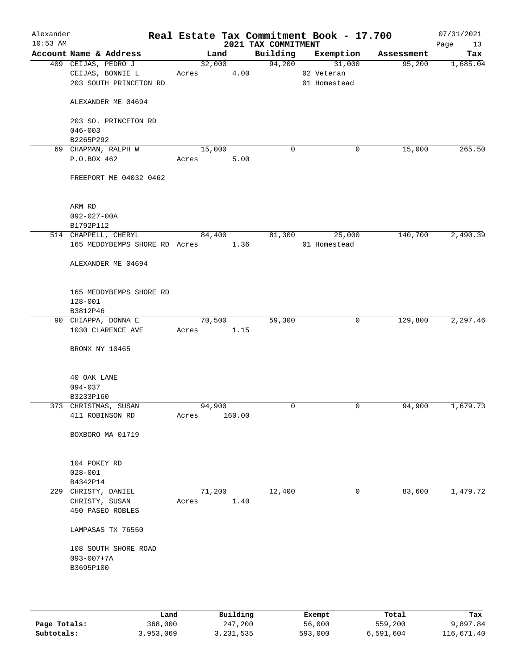| Alexander<br>$10:53$ AM |                                                                   | Real Estate Tax Commitment Book - 17.700 | 2021 TAX COMMITMENT |                                                |            | 07/31/2021<br>Page<br>13 |
|-------------------------|-------------------------------------------------------------------|------------------------------------------|---------------------|------------------------------------------------|------------|--------------------------|
|                         | Account Name & Address                                            | Land                                     |                     | Building Exemption                             | Assessment | Tax                      |
|                         | 409 CEIJAS, PEDRO J<br>CEIJAS, BONNIE L<br>203 SOUTH PRINCETON RD | 32,000<br>Acres                          | 4.00                | 94,200<br>31,000<br>02 Veteran<br>01 Homestead | 95,200     | 1,685.04                 |
|                         | ALEXANDER ME 04694                                                |                                          |                     |                                                |            |                          |
|                         | 203 SO. PRINCETON RD<br>$046 - 003$                               |                                          |                     |                                                |            |                          |
|                         | B2265P292                                                         |                                          |                     |                                                |            |                          |
|                         | 69 CHAPMAN, RALPH W                                               | 15,000                                   | $\mathbf 0$         | 0                                              | 15,000     | 265.50                   |
|                         | P.O.BOX 462                                                       | 5.00<br>Acres                            |                     |                                                |            |                          |
|                         | FREEPORT ME 04032 0462                                            |                                          |                     |                                                |            |                          |
|                         | ARM RD                                                            |                                          |                     |                                                |            |                          |
|                         | $092 - 027 - 00A$<br>B1792P112                                    |                                          |                     |                                                |            |                          |
|                         | 514 CHAPPELL, CHERYL                                              | 84,400                                   | 81,300              | 25,000                                         | 140,700    | 2,490.39                 |
|                         | 165 MEDDYBEMPS SHORE RD Acres 1.36                                |                                          |                     | 01 Homestead                                   |            |                          |
|                         | ALEXANDER ME 04694                                                |                                          |                     |                                                |            |                          |
|                         | 165 MEDDYBEMPS SHORE RD                                           |                                          |                     |                                                |            |                          |
|                         | $128 - 001$                                                       |                                          |                     |                                                |            |                          |
|                         | B3812P46                                                          |                                          |                     |                                                |            |                          |
|                         | 90 CHIAPPA, DONNA E                                               | 70,500                                   | 59,300              | 0                                              | 129,800    | 2,297.46                 |
|                         | 1030 CLARENCE AVE                                                 | Acres 1.15                               |                     |                                                |            |                          |
|                         | BRONX NY 10465                                                    |                                          |                     |                                                |            |                          |
|                         | 40 OAK LANE                                                       |                                          |                     |                                                |            |                          |
|                         | 094-037                                                           |                                          |                     |                                                |            |                          |
|                         | B3233P160                                                         |                                          |                     |                                                |            |                          |
|                         | 373 CHRISTMAS, SUSAN                                              | 94,900                                   | 0                   | 0                                              | 94,900     | 1,679.73                 |
|                         | 411 ROBINSON RD                                                   | 160.00<br>Acres                          |                     |                                                |            |                          |
|                         | BOXBORO MA 01719                                                  |                                          |                     |                                                |            |                          |
|                         | 104 POKEY RD                                                      |                                          |                     |                                                |            |                          |
|                         | $028 - 001$                                                       |                                          |                     |                                                |            |                          |
|                         | B4342P14                                                          |                                          |                     |                                                |            |                          |
|                         | 229 CHRISTY, DANIEL                                               | 71,200                                   | 12,400              | 0                                              | 83,600     | 1,479.72                 |
|                         | CHRISTY, SUSAN<br>450 PASEO ROBLES                                | Acres                                    | 1.40                |                                                |            |                          |
|                         | LAMPASAS TX 76550                                                 |                                          |                     |                                                |            |                          |
|                         | 108 SOUTH SHORE ROAD                                              |                                          |                     |                                                |            |                          |
|                         | $093 - 007 + 7A$<br>B3695P100                                     |                                          |                     |                                                |            |                          |
|                         |                                                                   |                                          |                     |                                                |            |                          |
|                         |                                                                   |                                          |                     |                                                |            |                          |
|                         |                                                                   |                                          |                     |                                                |            |                          |

|              | úand      | Building    | Exempt  | Total     | Tax        |
|--------------|-----------|-------------|---------|-----------|------------|
| Page Totals: | 368,000   | 247,200     | 56,000  | 559,200   | 9,897.84   |
| Subtotals:   | 3,953,069 | 3, 231, 535 | 593,000 | 6,591,604 | 116,671.40 |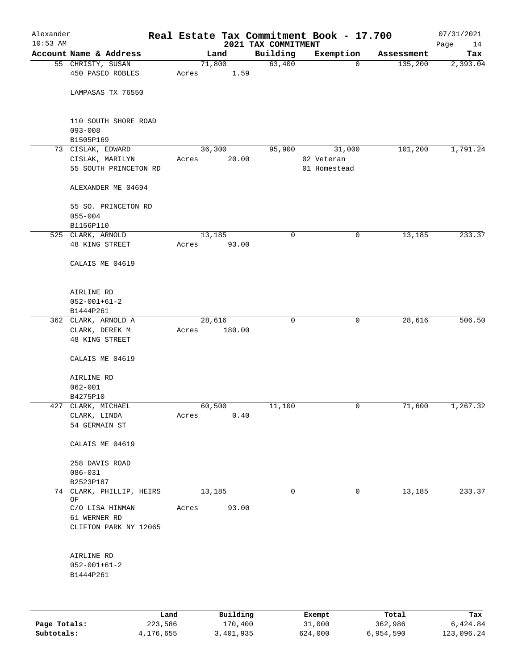| Alexander<br>$10:53$ AM |                               |       |          | 2021 TAX COMMITMENT | Real Estate Tax Commitment Book - 17.700 |            | 07/31/2021<br>Page<br>14 |
|-------------------------|-------------------------------|-------|----------|---------------------|------------------------------------------|------------|--------------------------|
|                         | Account Name & Address        |       | Land     | Building            | Exemption                                | Assessment | Tax                      |
|                         | 55 CHRISTY, SUSAN             |       | 71,800   | 63,400              | 0                                        | 135,200    | 2,393.04                 |
|                         | 450 PASEO ROBLES              | Acres | 1.59     |                     |                                          |            |                          |
|                         | LAMPASAS TX 76550             |       |          |                     |                                          |            |                          |
|                         | 110 SOUTH SHORE ROAD          |       |          |                     |                                          |            |                          |
|                         | $093 - 008$                   |       |          |                     |                                          |            |                          |
|                         | B1505P169                     |       |          |                     |                                          |            |                          |
|                         | 73 CISLAK, EDWARD             |       | 36,300   | 95,900              | 31,000                                   | 101,200    | 1,791.24                 |
|                         | CISLAK, MARILYN               | Acres | 20.00    |                     | 02 Veteran                               |            |                          |
|                         | 55 SOUTH PRINCETON RD         |       |          |                     | 01 Homestead                             |            |                          |
|                         | ALEXANDER ME 04694            |       |          |                     |                                          |            |                          |
|                         | 55 SO. PRINCETON RD           |       |          |                     |                                          |            |                          |
|                         | $055 - 004$                   |       |          |                     |                                          |            |                          |
|                         | B1156P110                     |       |          | $\mathbf 0$         |                                          |            |                          |
|                         | 525 CLARK, ARNOLD             | Acres | 13,185   |                     | 0                                        | 13,185     | 233.37                   |
|                         | 48 KING STREET                |       | 93.00    |                     |                                          |            |                          |
|                         | CALAIS ME 04619               |       |          |                     |                                          |            |                          |
|                         | AIRLINE RD                    |       |          |                     |                                          |            |                          |
|                         | $052 - 001 + 61 - 2$          |       |          |                     |                                          |            |                          |
|                         | B1444P261                     |       |          |                     |                                          |            |                          |
|                         | 362 CLARK, ARNOLD A           |       | 28,616   | $\mathbf 0$         | 0                                        | 28,616     | 506.50                   |
|                         | CLARK, DEREK M                | Acres | 180.00   |                     |                                          |            |                          |
|                         | 48 KING STREET                |       |          |                     |                                          |            |                          |
|                         | CALAIS ME 04619               |       |          |                     |                                          |            |                          |
|                         | AIRLINE RD                    |       |          |                     |                                          |            |                          |
|                         | $062 - 001$                   |       |          |                     |                                          |            |                          |
|                         | B4275P10                      |       |          |                     |                                          |            |                          |
|                         | 427 CLARK, MICHAEL            |       | 60,500   | 11,100              | 0                                        | 71,600     | 1,267.32                 |
|                         | CLARK, LINDA<br>54 GERMAIN ST | Acres | 0.40     |                     |                                          |            |                          |
|                         |                               |       |          |                     |                                          |            |                          |
|                         | CALAIS ME 04619               |       |          |                     |                                          |            |                          |
|                         | 258 DAVIS ROAD                |       |          |                     |                                          |            |                          |
|                         | $086 - 031$                   |       |          |                     |                                          |            |                          |
|                         | B2523P187                     |       |          |                     |                                          |            |                          |
|                         | 74 CLARK, PHILLIP, HEIRS      |       | 13,185   | $\mathbf 0$         | 0                                        | 13,185     | 233.37                   |
|                         | ΟF<br>C/O LISA HINMAN         | Acres | 93.00    |                     |                                          |            |                          |
|                         | 61 WERNER RD                  |       |          |                     |                                          |            |                          |
|                         | CLIFTON PARK NY 12065         |       |          |                     |                                          |            |                          |
|                         |                               |       |          |                     |                                          |            |                          |
|                         | AIRLINE RD                    |       |          |                     |                                          |            |                          |
|                         | $052 - 001 + 61 - 2$          |       |          |                     |                                          |            |                          |
|                         | B1444P261                     |       |          |                     |                                          |            |                          |
|                         |                               |       |          |                     |                                          |            |                          |
|                         |                               | Land  | Building |                     | Exempt                                   | Total      | Tax                      |

| Page Totals: | 223,586   | 170,400   | 31,000  | 362,986   | 6,424.84   |
|--------------|-----------|-----------|---------|-----------|------------|
| Subtotals:   | 4,176,655 | 3,401,935 | 624,000 | 6,954,590 | 123,096.24 |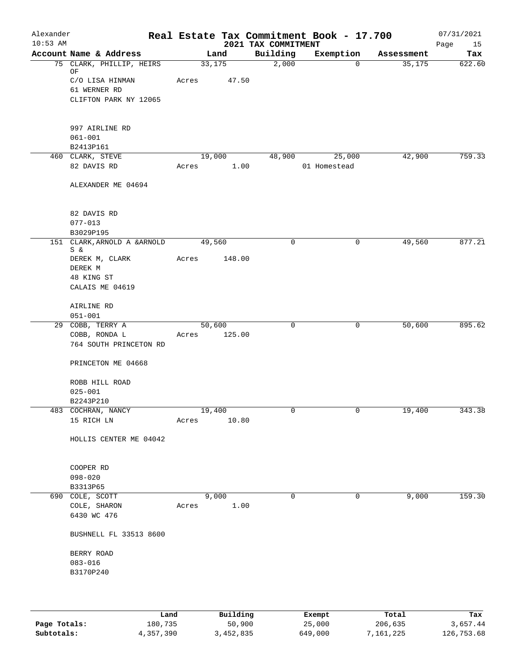| Alexander<br>$10:53$ AM |                                                   |       |                 | 2021 TAX COMMITMENT | Real Estate Tax Commitment Book - 17.700 |            | 07/31/2021<br>Page<br>15 |
|-------------------------|---------------------------------------------------|-------|-----------------|---------------------|------------------------------------------|------------|--------------------------|
|                         | Account Name & Address                            |       | Land            | Building            | Exemption                                | Assessment | Tax                      |
|                         | 75 CLARK, PHILLIP, HEIRS<br>ΟF<br>C/O LISA HINMAN | Acres | 33,175<br>47.50 | 2,000               | $\mathbf{0}$                             | 35,175     | 622.60                   |
|                         | 61 WERNER RD<br>CLIFTON PARK NY 12065             |       |                 |                     |                                          |            |                          |
|                         | 997 AIRLINE RD<br>$061 - 001$                     |       |                 |                     |                                          |            |                          |
|                         | B2413P161                                         |       |                 |                     |                                          |            |                          |
|                         | 460 CLARK, STEVE<br>82 DAVIS RD                   | Acres | 19,000<br>1.00  | 48,900              | 25,000<br>01 Homestead                   | 42,900     | 759.33                   |
|                         | ALEXANDER ME 04694                                |       |                 |                     |                                          |            |                          |
|                         | 82 DAVIS RD<br>$077 - 013$                        |       |                 |                     |                                          |            |                          |
|                         | B3029P195                                         |       |                 |                     |                                          |            |                          |
|                         | 151 CLARK, ARNOLD A & ARNOLD<br>S &               |       | 49,560          | 0                   | 0                                        | 49,560     | 877.21                   |
|                         | DEREK M, CLARK<br>DEREK M                         | Acres | 148.00          |                     |                                          |            |                          |
|                         | 48 KING ST<br>CALAIS ME 04619                     |       |                 |                     |                                          |            |                          |
|                         | AIRLINE RD<br>$051 - 001$                         |       |                 |                     |                                          |            |                          |
|                         | 29 COBB, TERRY A                                  |       | 50,600          | $\mathsf{O}$        | 0                                        | 50,600     | 895.62                   |
|                         | COBB, RONDA L<br>764 SOUTH PRINCETON RD           | Acres | 125.00          |                     |                                          |            |                          |
|                         | PRINCETON ME 04668                                |       |                 |                     |                                          |            |                          |
|                         | ROBB HILL ROAD<br>$025 - 001$<br>B2243P210        |       |                 |                     |                                          |            |                          |
|                         | 483 COCHRAN, NANCY                                |       | 19,400          |                     |                                          | 19,400     | 343.38                   |
|                         | 15 RICH LN                                        | Acres | 10.80           |                     |                                          |            |                          |
|                         | HOLLIS CENTER ME 04042                            |       |                 |                     |                                          |            |                          |
|                         | COOPER RD                                         |       |                 |                     |                                          |            |                          |
|                         | $098 - 020$                                       |       |                 |                     |                                          |            |                          |
|                         | B3313P65<br>690 COLE, SCOTT                       |       | 9,000           | $\mathbf 0$         | $\mathbf 0$                              | 9,000      | 159.30                   |
|                         | COLE, SHARON                                      | Acres | 1.00            |                     |                                          |            |                          |
|                         | 6430 WC 476                                       |       |                 |                     |                                          |            |                          |
|                         | BUSHNELL FL 33513 8600                            |       |                 |                     |                                          |            |                          |
|                         | BERRY ROAD                                        |       |                 |                     |                                          |            |                          |
|                         | $083 - 016$                                       |       |                 |                     |                                          |            |                          |
|                         | B3170P240                                         |       |                 |                     |                                          |            |                          |
|                         |                                                   |       |                 |                     |                                          |            |                          |

|              | Land      | Building  | Exempt  | Total     | Tax        |
|--------------|-----------|-----------|---------|-----------|------------|
| Page Totals: | 180,735   | 50,900    | 25,000  | 206,635   | 3,657.44   |
| Subtotals:   | 4,357,390 | 3,452,835 | 649,000 | 7,161,225 | 126,753.68 |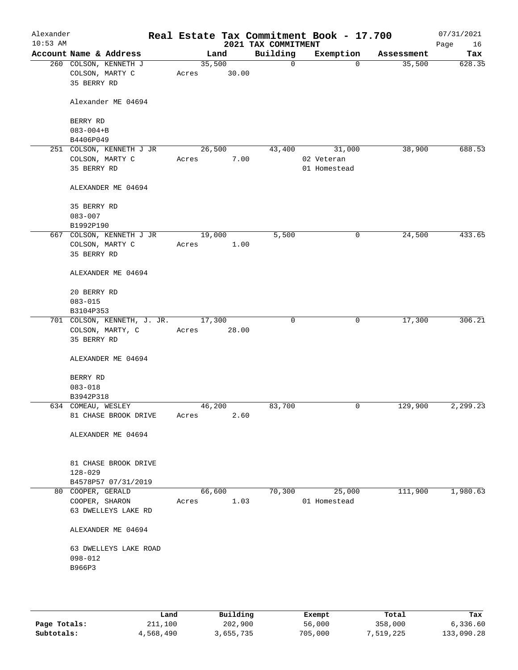| Alexander<br>$10:53$ AM |                                                         |       |                 | 2021 TAX COMMITMENT | Real Estate Tax Commitment Book - 17.700 |            | 07/31/2021<br>Page<br>16 |
|-------------------------|---------------------------------------------------------|-------|-----------------|---------------------|------------------------------------------|------------|--------------------------|
|                         | Account Name & Address                                  |       | Land            | Building            | Exemption                                | Assessment | Tax                      |
|                         | 260 COLSON, KENNETH J<br>COLSON, MARTY C<br>35 BERRY RD | Acres | 35,500<br>30.00 | $\mathbf 0$         | $\mathbf{0}$                             | 35,500     | 628.35                   |
|                         | Alexander ME 04694                                      |       |                 |                     |                                          |            |                          |
|                         | BERRY RD                                                |       |                 |                     |                                          |            |                          |
|                         | $083 - 004 + B$                                         |       |                 |                     |                                          |            |                          |
|                         | B4406P049                                               |       |                 |                     |                                          |            |                          |
|                         | 251 COLSON, KENNETH J JR                                |       | 26,500          | 43,400              | 31,000                                   | 38,900     | 688.53                   |
|                         | COLSON, MARTY C<br>35 BERRY RD                          | Acres | 7.00            |                     | 02 Veteran                               |            |                          |
|                         |                                                         |       |                 |                     | 01 Homestead                             |            |                          |
|                         | ALEXANDER ME 04694                                      |       |                 |                     |                                          |            |                          |
|                         | 35 BERRY RD                                             |       |                 |                     |                                          |            |                          |
|                         | $083 - 007$                                             |       |                 |                     |                                          |            |                          |
|                         | B1992P190                                               |       |                 |                     |                                          |            |                          |
|                         | 667 COLSON, KENNETH J JR                                |       | 19,000          | 5,500               | 0                                        | 24,500     | 433.65                   |
|                         | COLSON, MARTY C                                         | Acres | 1.00            |                     |                                          |            |                          |
|                         | 35 BERRY RD                                             |       |                 |                     |                                          |            |                          |
|                         | ALEXANDER ME 04694                                      |       |                 |                     |                                          |            |                          |
|                         | 20 BERRY RD                                             |       |                 |                     |                                          |            |                          |
|                         | $083 - 015$                                             |       |                 |                     |                                          |            |                          |
|                         | B3104P353                                               |       |                 |                     |                                          |            |                          |
|                         | 701 COLSON, KENNETH, J. JR.                             |       | 17,300          | 0                   | $\mathbf 0$                              | 17,300     | 306.21                   |
|                         | COLSON, MARTY, C<br>35 BERRY RD                         | Acres | 28.00           |                     |                                          |            |                          |
|                         | ALEXANDER ME 04694                                      |       |                 |                     |                                          |            |                          |
|                         | BERRY RD                                                |       |                 |                     |                                          |            |                          |
|                         | $083 - 018$                                             |       |                 |                     |                                          |            |                          |
|                         | B3942P318                                               |       |                 |                     |                                          |            |                          |
|                         | 634 COMEAU, WESLEY                                      |       | 46,200          | 83,700              | 0                                        | 129,900    | 2,299.23                 |
|                         | 81 CHASE BROOK DRIVE                                    | Acres | 2.60            |                     |                                          |            |                          |
|                         | ALEXANDER ME 04694                                      |       |                 |                     |                                          |            |                          |
|                         |                                                         |       |                 |                     |                                          |            |                          |
|                         | 81 CHASE BROOK DRIVE<br>$128 - 029$                     |       |                 |                     |                                          |            |                          |
|                         | B4578P57 07/31/2019                                     |       |                 |                     |                                          |            |                          |
|                         | 80 COOPER, GERALD                                       |       | 66,600          | 70,300              | 25,000                                   | 111,900    | 1,980.63                 |
|                         | COOPER, SHARON                                          | Acres | 1.03            |                     | 01 Homestead                             |            |                          |
|                         | 63 DWELLEYS LAKE RD                                     |       |                 |                     |                                          |            |                          |
|                         | ALEXANDER ME 04694                                      |       |                 |                     |                                          |            |                          |
|                         |                                                         |       |                 |                     |                                          |            |                          |
|                         | 63 DWELLEYS LAKE ROAD<br>$098 - 012$                    |       |                 |                     |                                          |            |                          |
|                         | B966P3                                                  |       |                 |                     |                                          |            |                          |
|                         |                                                         |       |                 |                     |                                          |            |                          |
|                         |                                                         |       |                 |                     |                                          |            |                          |
|                         |                                                         |       |                 |                     |                                          |            |                          |

|              | Land      | Building  | Exempt  | Total     | Tax        |
|--------------|-----------|-----------|---------|-----------|------------|
| Page Totals: | 211,100   | 202,900   | 56,000  | 358,000   | 6,336.60   |
| Subtotals:   | 4,568,490 | 3,655,735 | 705,000 | 7,519,225 | 133,090.28 |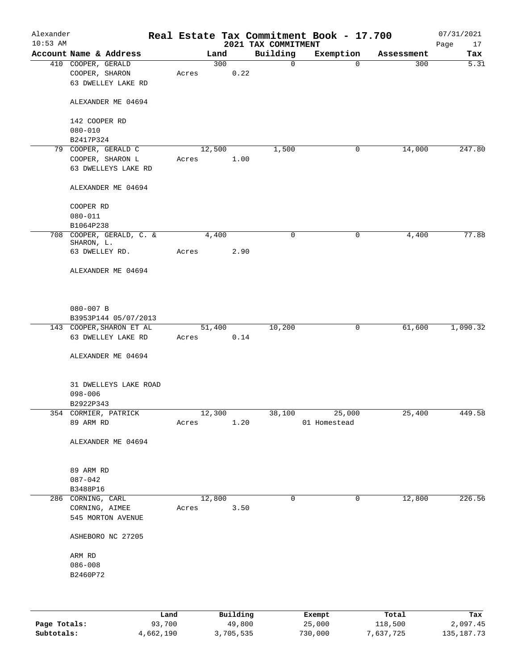| Alexander<br>$10:53$ AM |                                                            |      |       |        |          | 2021 TAX COMMITMENT | Real Estate Tax Commitment Book - 17.700 |            | 07/31/2021<br>Page<br>17 |
|-------------------------|------------------------------------------------------------|------|-------|--------|----------|---------------------|------------------------------------------|------------|--------------------------|
|                         | Account Name & Address                                     |      |       | Land   |          | Building            | Exemption                                | Assessment | Tax                      |
|                         | 410 COOPER, GERALD<br>COOPER, SHARON<br>63 DWELLEY LAKE RD |      | Acres | 300    | 0.22     | 0                   | $\mathbf 0$                              | 300        | 5.31                     |
|                         | ALEXANDER ME 04694                                         |      |       |        |          |                     |                                          |            |                          |
|                         | 142 COOPER RD                                              |      |       |        |          |                     |                                          |            |                          |
|                         | $080 - 010$<br>B2417P324                                   |      |       |        |          |                     |                                          |            |                          |
|                         | 79 COOPER, GERALD C                                        |      |       | 12,500 |          | 1,500               | 0                                        | 14,000     | 247.80                   |
|                         | COOPER, SHARON L                                           |      | Acres |        | 1.00     |                     |                                          |            |                          |
|                         | 63 DWELLEYS LAKE RD                                        |      |       |        |          |                     |                                          |            |                          |
|                         | ALEXANDER ME 04694                                         |      |       |        |          |                     |                                          |            |                          |
|                         | COOPER RD                                                  |      |       |        |          |                     |                                          |            |                          |
|                         | $080 - 011$                                                |      |       |        |          |                     |                                          |            |                          |
|                         | B1064P238                                                  |      |       |        |          |                     |                                          |            |                          |
|                         | 708 COOPER, GERALD, C. &<br>SHARON, L.                     |      |       | 4,400  |          | 0                   | 0                                        | 4,400      | 77.88                    |
|                         | 63 DWELLEY RD.                                             |      | Acres |        | 2.90     |                     |                                          |            |                          |
|                         | ALEXANDER ME 04694                                         |      |       |        |          |                     |                                          |            |                          |
|                         | 080-007 B<br>B3953P144 05/07/2013                          |      |       |        |          |                     |                                          |            |                          |
|                         | 143 COOPER, SHARON ET AL                                   |      |       | 51,400 |          | 10,200              | $\mathsf{O}$                             | 61,600     | 1,090.32                 |
|                         | 63 DWELLEY LAKE RD                                         |      | Acres |        | 0.14     |                     |                                          |            |                          |
|                         | ALEXANDER ME 04694                                         |      |       |        |          |                     |                                          |            |                          |
|                         | 31 DWELLEYS LAKE ROAD                                      |      |       |        |          |                     |                                          |            |                          |
|                         | $098 - 006$                                                |      |       |        |          |                     |                                          |            |                          |
|                         | B2922P343                                                  |      |       |        |          |                     |                                          |            |                          |
|                         | 354 CORMIER, PATRICK<br>89 ARM RD                          |      | Acres | 12,300 | 1.20     | 38,100              | 25,000<br>01 Homestead                   | 25,400     | 449.58                   |
|                         | ALEXANDER ME 04694                                         |      |       |        |          |                     |                                          |            |                          |
|                         |                                                            |      |       |        |          |                     |                                          |            |                          |
|                         | 89 ARM RD                                                  |      |       |        |          |                     |                                          |            |                          |
|                         | $087 - 042$                                                |      |       |        |          |                     |                                          |            |                          |
|                         | B3488P16<br>286 CORNING, CARL                              |      |       |        |          | $\mathbf 0$         | $\mathbf 0$                              | 12,800     | 226.56                   |
|                         |                                                            |      |       | 12,800 |          |                     |                                          |            |                          |
|                         | CORNING, AIMEE<br>545 MORTON AVENUE                        |      | Acres |        | 3.50     |                     |                                          |            |                          |
|                         | ASHEBORO NC 27205                                          |      |       |        |          |                     |                                          |            |                          |
|                         | ARM RD                                                     |      |       |        |          |                     |                                          |            |                          |
|                         | $086 - 008$                                                |      |       |        |          |                     |                                          |            |                          |
|                         | B2460P72                                                   |      |       |        |          |                     |                                          |            |                          |
|                         |                                                            |      |       |        |          |                     |                                          |            |                          |
|                         |                                                            | Land |       |        | Building |                     | Exempt                                   | Total      | Tax                      |

|              | Land      | Building  | Exempt  | Total     | Tax        |
|--------------|-----------|-----------|---------|-----------|------------|
| Page Totals: | 93,700    | 49,800    | 25,000  | 118,500   | 2,097.45   |
| Subtotals:   | 4,662,190 | 3,705,535 | 730,000 | 7,637,725 | 135,187.73 |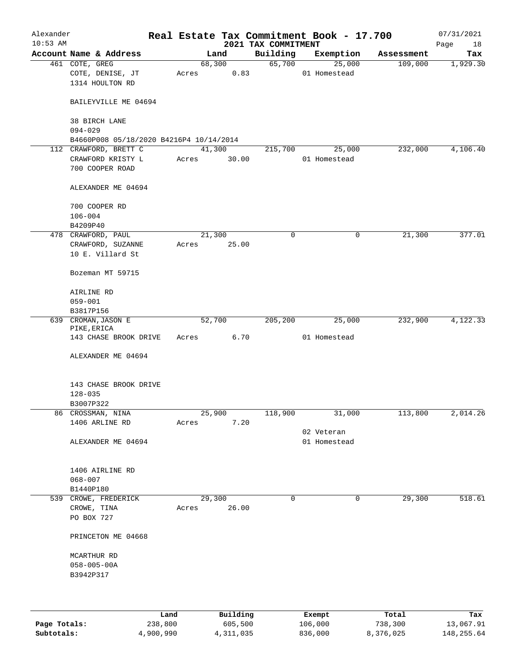| Alexander<br>$10:53$ AM |                                                       |       |        |       | 2021 TAX COMMITMENT | Real Estate Tax Commitment Book - 17.700 |            | 07/31/2021<br>Page<br>18 |
|-------------------------|-------------------------------------------------------|-------|--------|-------|---------------------|------------------------------------------|------------|--------------------------|
|                         | Account Name & Address                                |       | Land   |       | Building            | Exemption                                | Assessment | Tax                      |
|                         | 461 COTE, GREG<br>COTE, DENISE, JT<br>1314 HOULTON RD | Acres | 68,300 | 0.83  | 65,700              | 25,000<br>01 Homestead                   | 109,000    | 1,929.30                 |
|                         | BAILEYVILLE ME 04694                                  |       |        |       |                     |                                          |            |                          |
|                         | 38 BIRCH LANE<br>$094 - 029$                          |       |        |       |                     |                                          |            |                          |
|                         | B4660P008 05/18/2020 B4216P4 10/14/2014               |       |        |       |                     |                                          |            |                          |
|                         | 112 CRAWFORD, BRETT C                                 |       | 41,300 |       | 215,700             | 25,000                                   | 232,000    | 4,106.40                 |
|                         | CRAWFORD KRISTY L<br>700 COOPER ROAD                  | Acres |        | 30.00 |                     | 01 Homestead                             |            |                          |
|                         | ALEXANDER ME 04694                                    |       |        |       |                     |                                          |            |                          |
|                         | 700 COOPER RD<br>$106 - 004$                          |       |        |       |                     |                                          |            |                          |
|                         | B4209P40<br>478 CRAWFORD, PAUL                        |       | 21,300 |       | $\mathbf 0$         | 0                                        | 21,300     | 377.01                   |
|                         | CRAWFORD, SUZANNE<br>10 E. Villard St                 | Acres |        | 25.00 |                     |                                          |            |                          |
|                         | Bozeman MT 59715                                      |       |        |       |                     |                                          |            |                          |
|                         | AIRLINE RD<br>$059 - 001$                             |       |        |       |                     |                                          |            |                          |
|                         | B3817P156                                             |       |        |       |                     |                                          |            |                          |
|                         | 639 CROMAN, JASON E<br>PIKE, ERICA                    |       | 52,700 |       | 205,200             | 25,000                                   | 232,900    | 4,122.33                 |
|                         | 143 CHASE BROOK DRIVE                                 | Acres |        | 6.70  |                     | 01 Homestead                             |            |                          |
|                         | ALEXANDER ME 04694                                    |       |        |       |                     |                                          |            |                          |
|                         | 143 CHASE BROOK DRIVE<br>$128 - 035$                  |       |        |       |                     |                                          |            |                          |
|                         | B3007P322                                             |       |        |       |                     |                                          |            |                          |
|                         | 86 CROSSMAN, NINA<br>1406 ARLINE RD                   | Acres | 25,900 | 7.20  | 118,900             | 31,000                                   | 113,800    | 2,014.26                 |
|                         |                                                       |       |        |       |                     | 02 Veteran                               |            |                          |
|                         | ALEXANDER ME 04694                                    |       |        |       |                     | 01 Homestead                             |            |                          |
|                         | 1406 AIRLINE RD<br>$068 - 007$                        |       |        |       |                     |                                          |            |                          |
|                         | B1440P180                                             |       |        |       |                     |                                          |            |                          |
|                         | 539 CROWE, FREDERICK<br>CROWE, TINA<br>PO BOX 727     | Acres | 29,300 | 26.00 | $\mathbf 0$         | $\mathbf 0$                              | 29,300     | 518.61                   |
|                         | PRINCETON ME 04668                                    |       |        |       |                     |                                          |            |                          |
|                         | MCARTHUR RD<br>$058 - 005 - 00A$<br>B3942P317         |       |        |       |                     |                                          |            |                          |
|                         |                                                       |       |        |       |                     |                                          |            |                          |
|                         |                                                       |       |        |       |                     |                                          |            |                          |

|              | Land      | Building  | Exempt  | Total     | Tax         |
|--------------|-----------|-----------|---------|-----------|-------------|
| Page Totals: | 238,800   | 605,500   | 106,000 | 738,300   | 13,067.91   |
| Subtotals:   | 4,900,990 | 4,311,035 | 836,000 | 8,376,025 | 148, 255.64 |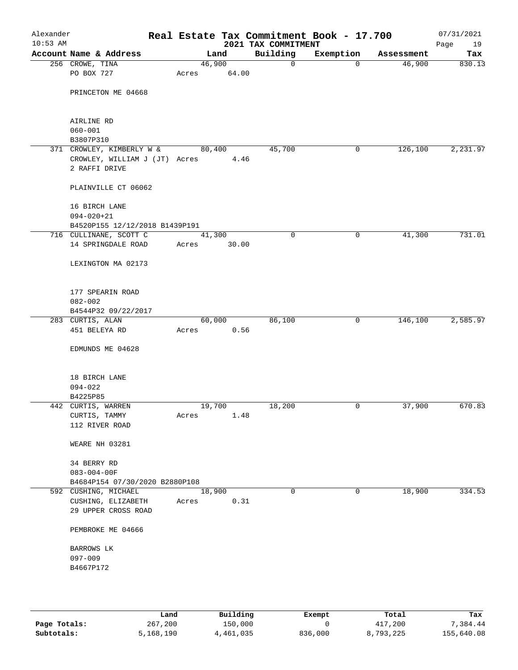| Alexander<br>$10:53$ AM |                                                |        |        | 2021 TAX COMMITMENT | Real Estate Tax Commitment Book - 17.700 |            | 07/31/2021<br>Page<br>19 |
|-------------------------|------------------------------------------------|--------|--------|---------------------|------------------------------------------|------------|--------------------------|
|                         | Account Name & Address                         |        | Land   | Building            | Exemption                                | Assessment | Tax                      |
|                         | 256 CROWE, TINA                                | 46,900 |        | $\mathsf{O}$        | $\mathbf 0$                              | 46,900     | 830.13                   |
|                         | PO BOX 727                                     | Acres  | 64.00  |                     |                                          |            |                          |
|                         | PRINCETON ME 04668                             |        |        |                     |                                          |            |                          |
|                         |                                                |        |        |                     |                                          |            |                          |
|                         | AIRLINE RD                                     |        |        |                     |                                          |            |                          |
|                         | $060 - 001$                                    |        |        |                     |                                          |            |                          |
|                         | B3807P310                                      |        |        |                     |                                          |            |                          |
|                         | 371 CROWLEY, KIMBERLY W &                      | 80,400 |        | 45,700              | 0                                        | 126,100    | 2,231.97                 |
|                         | CROWLEY, WILLIAM J (JT) Acres<br>2 RAFFI DRIVE |        | 4.46   |                     |                                          |            |                          |
|                         | PLAINVILLE CT 06062                            |        |        |                     |                                          |            |                          |
|                         | 16 BIRCH LANE                                  |        |        |                     |                                          |            |                          |
|                         | $094 - 020 + 21$                               |        |        |                     |                                          |            |                          |
|                         | B4520P155 12/12/2018 B1439P191                 |        |        |                     |                                          |            |                          |
|                         | 716 CULLINANE, SCOTT C                         | 41,300 |        | $\mathbf 0$         | 0                                        | 41,300     | 731.01                   |
|                         | 14 SPRINGDALE ROAD                             | Acres  | 30.00  |                     |                                          |            |                          |
|                         | LEXINGTON MA 02173                             |        |        |                     |                                          |            |                          |
|                         | 177 SPEARIN ROAD                               |        |        |                     |                                          |            |                          |
|                         | $082 - 002$                                    |        |        |                     |                                          |            |                          |
|                         | B4544P32 09/22/2017                            |        |        |                     |                                          |            |                          |
|                         | 283 CURTIS, ALAN                               |        | 60,000 | 86,100              | $\mathbf 0$                              | 146,100    | 2,585.97                 |
|                         | 451 BELEYA RD                                  | Acres  | 0.56   |                     |                                          |            |                          |
|                         | EDMUNDS ME 04628                               |        |        |                     |                                          |            |                          |
|                         | 18 BIRCH LANE                                  |        |        |                     |                                          |            |                          |
|                         | $094 - 022$                                    |        |        |                     |                                          |            |                          |
|                         | B4225P85                                       |        |        |                     |                                          |            |                          |
|                         | 442 CURTIS, WARREN                             | 19,700 |        | 18,200              | 0                                        | 37,900     | 670.83                   |
|                         | CURTIS, TAMMY<br>112 RIVER ROAD                | Acres  | 1.48   |                     |                                          |            |                          |
|                         |                                                |        |        |                     |                                          |            |                          |
|                         | WEARE NH 03281                                 |        |        |                     |                                          |            |                          |
|                         | 34 BERRY RD                                    |        |        |                     |                                          |            |                          |
|                         | $083 - 004 - 00F$                              |        |        |                     |                                          |            |                          |
|                         | B4684P154 07/30/2020 B2880P108                 |        |        |                     |                                          |            |                          |
|                         | 592 CUSHING, MICHAEL                           | 18,900 |        | $\mathbf 0$         | $\mathbf 0$                              | 18,900     | 334.53                   |
|                         | CUSHING, ELIZABETH                             | Acres  | 0.31   |                     |                                          |            |                          |
|                         | 29 UPPER CROSS ROAD                            |        |        |                     |                                          |            |                          |
|                         | PEMBROKE ME 04666                              |        |        |                     |                                          |            |                          |
|                         | BARROWS LK                                     |        |        |                     |                                          |            |                          |
|                         | $097 - 009$                                    |        |        |                     |                                          |            |                          |
|                         | B4667P172                                      |        |        |                     |                                          |            |                          |
|                         |                                                |        |        |                     |                                          |            |                          |
|                         |                                                |        |        |                     |                                          |            |                          |

|              | Land      | Building  | Exempt  | Total     | Tax        |
|--------------|-----------|-----------|---------|-----------|------------|
| Page Totals: | 267,200   | 150,000   |         | 417,200   | 7.384.44   |
| Subtotals:   | 5,168,190 | 4,461,035 | 836,000 | 8,793,225 | 155,640.08 |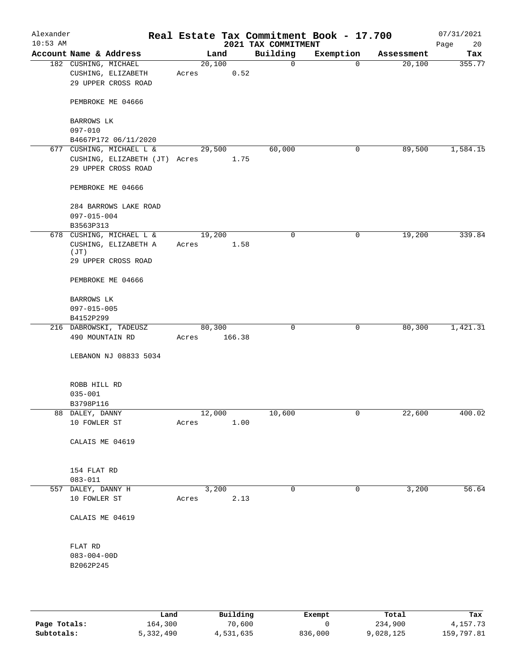| Alexander<br>$10:53$ AM                                                                                                                        |                                 |                                                                                  |        |        |        | Real Estate Tax Commitment Book - 17.700<br>2021 TAX COMMITMENT |                |            | 07/31/2021<br>20<br>Page |
|------------------------------------------------------------------------------------------------------------------------------------------------|---------------------------------|----------------------------------------------------------------------------------|--------|--------|--------|-----------------------------------------------------------------|----------------|------------|--------------------------|
| Account Name & Address                                                                                                                         |                                 |                                                                                  |        | Land   |        | Building                                                        | Exemption      | Assessment | Tax                      |
|                                                                                                                                                |                                 | 182 CUSHING, MICHAEL<br>CUSHING, ELIZABETH                                       | Acres  | 20,100 | 0.52   | $\mathbf 0$                                                     | $\mathbf 0$    | 20,100     | 355.77                   |
|                                                                                                                                                |                                 | 29 UPPER CROSS ROAD                                                              |        |        |        |                                                                 |                |            |                          |
|                                                                                                                                                |                                 | PEMBROKE ME 04666                                                                |        |        |        |                                                                 |                |            |                          |
|                                                                                                                                                | BARROWS LK<br>$097 - 010$       |                                                                                  |        |        |        |                                                                 |                |            |                          |
|                                                                                                                                                |                                 | B4667P172 06/11/2020                                                             |        |        |        |                                                                 |                |            |                          |
|                                                                                                                                                |                                 | 677 CUSHING, MICHAEL L &<br>CUSHING, ELIZABETH (JT) Acres<br>29 UPPER CROSS ROAD |        | 29,500 | 1.75   | 60,000                                                          | 0              | 89,500     | 1,584.15                 |
|                                                                                                                                                |                                 | PEMBROKE ME 04666                                                                |        |        |        |                                                                 |                |            |                          |
|                                                                                                                                                | $097 - 015 - 004$               | 284 BARROWS LAKE ROAD                                                            |        |        |        |                                                                 |                |            |                          |
|                                                                                                                                                | B3563P313                       |                                                                                  |        |        |        |                                                                 |                |            |                          |
| 678 CUSHING, MICHAEL L &<br>19,200<br>$\mathbf 0$<br>CUSHING, ELIZABETH A<br>1.58<br>Acres<br>(JT)<br>29 UPPER CROSS ROAD<br>PEMBROKE ME 04666 | 0                               | 19,200                                                                           | 339.84 |        |        |                                                                 |                |            |                          |
|                                                                                                                                                |                                 |                                                                                  |        |        |        |                                                                 |                |            |                          |
|                                                                                                                                                |                                 |                                                                                  |        |        |        |                                                                 |                |            |                          |
|                                                                                                                                                | BARROWS LK                      |                                                                                  |        |        |        |                                                                 |                |            |                          |
|                                                                                                                                                | 097-015-005                     |                                                                                  |        |        |        |                                                                 |                |            |                          |
|                                                                                                                                                | B4152P299                       | 216 DABROWSKI, TADEUSZ                                                           |        | 80,300 |        | $\mathbf 0$                                                     | 0              | 80,300     | 1,421.31                 |
|                                                                                                                                                | 490 MOUNTAIN RD                 |                                                                                  | Acres  |        | 166.38 |                                                                 |                |            |                          |
|                                                                                                                                                |                                 | LEBANON NJ 08833 5034                                                            |        |        |        |                                                                 |                |            |                          |
|                                                                                                                                                | ROBB HILL RD                    |                                                                                  |        |        |        |                                                                 |                |            |                          |
|                                                                                                                                                | $035 - 001$                     |                                                                                  |        |        |        |                                                                 |                |            |                          |
|                                                                                                                                                | B3798P116                       |                                                                                  |        |        |        |                                                                 |                |            |                          |
|                                                                                                                                                | 88 DALEY, DANNY<br>10 FOWLER ST |                                                                                  | Acres  | 12,000 | 1.00   | 10,600                                                          | $\overline{0}$ | 22,600     | 400.02                   |
|                                                                                                                                                | CALAIS ME 04619                 |                                                                                  |        |        |        |                                                                 |                |            |                          |
|                                                                                                                                                | 154 FLAT RD<br>$083 - 011$      |                                                                                  |        |        |        |                                                                 |                |            |                          |
|                                                                                                                                                | 557 DALEY, DANNY H              |                                                                                  |        | 3,200  |        | 0                                                               | 0              | 3,200      | 56.64                    |
|                                                                                                                                                | 10 FOWLER ST                    |                                                                                  | Acres  |        | 2.13   |                                                                 |                |            |                          |
|                                                                                                                                                | CALAIS ME 04619                 |                                                                                  |        |        |        |                                                                 |                |            |                          |
|                                                                                                                                                | FLAT RD                         |                                                                                  |        |        |        |                                                                 |                |            |                          |
|                                                                                                                                                | $083 - 004 - 00D$<br>B2062P245  |                                                                                  |        |        |        |                                                                 |                |            |                          |
|                                                                                                                                                |                                 |                                                                                  |        |        |        |                                                                 |                |            |                          |

|              | Land      | Building  | Exempt  | Total     | Tax        |
|--------------|-----------|-----------|---------|-----------|------------|
| Page Totals: | 164,300   | 70,600    |         | 234,900   | 4, 157, 73 |
| Subtotals:   | 5,332,490 | 4,531,635 | 836,000 | 9,028,125 | 159,797.81 |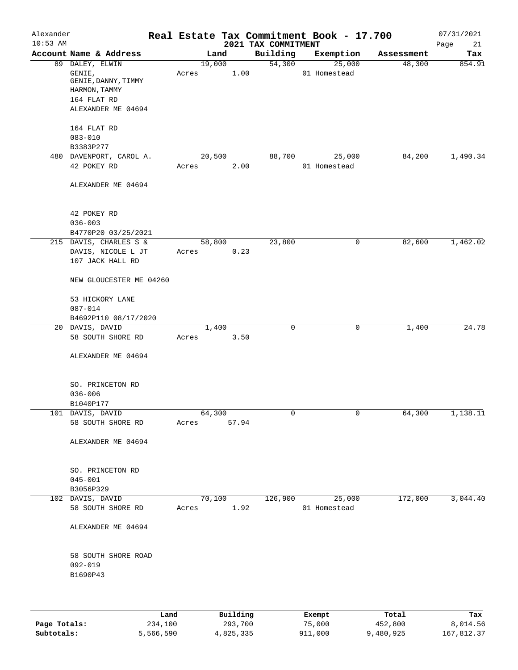| Alexander<br>$10:53$ AM |                                                                                  |       |                 | 2021 TAX COMMITMENT | Real Estate Tax Commitment Book - 17.700 |            | 07/31/2021<br>Page<br>21 |
|-------------------------|----------------------------------------------------------------------------------|-------|-----------------|---------------------|------------------------------------------|------------|--------------------------|
|                         | Account Name & Address                                                           |       | Land            | Building            | Exemption                                | Assessment | Tax                      |
|                         | 89 DALEY, ELWIN<br>GENIE,<br>GENIE, DANNY, TIMMY<br>HARMON, TAMMY<br>164 FLAT RD | Acres | 19,000<br>1.00  | 54,300              | 25,000<br>01 Homestead                   | 48,300     | 854.91                   |
|                         | ALEXANDER ME 04694<br>164 FLAT RD<br>$083 - 010$                                 |       |                 |                     |                                          |            |                          |
|                         | B3383P277                                                                        |       |                 |                     |                                          |            |                          |
|                         | 480 DAVENPORT, CAROL A.                                                          |       | 20,500          | 88,700              | 25,000                                   | 84,200     | 1,490.34                 |
|                         | 42 POKEY RD                                                                      | Acres | 2.00            |                     | 01 Homestead                             |            |                          |
|                         | ALEXANDER ME 04694                                                               |       |                 |                     |                                          |            |                          |
|                         | 42 POKEY RD<br>$036 - 003$                                                       |       |                 |                     |                                          |            |                          |
|                         | B4770P20 03/25/2021                                                              |       |                 |                     |                                          |            |                          |
|                         | 215 DAVIS, CHARLES S &                                                           |       | 58,800          | 23,800              | 0                                        | 82,600     | 1,462.02                 |
|                         | DAVIS, NICOLE L JT<br>107 JACK HALL RD                                           | Acres | 0.23            |                     |                                          |            |                          |
|                         | NEW GLOUCESTER ME 04260                                                          |       |                 |                     |                                          |            |                          |
|                         | 53 HICKORY LANE<br>$087 - 014$                                                   |       |                 |                     |                                          |            |                          |
|                         | B4692P110 08/17/2020                                                             |       |                 |                     |                                          |            |                          |
|                         | 20 DAVIS, DAVID<br>58 SOUTH SHORE RD                                             | Acres | 1,400<br>3.50   | 0                   | 0                                        | 1,400      | 24.78                    |
|                         | ALEXANDER ME 04694                                                               |       |                 |                     |                                          |            |                          |
|                         | SO. PRINCETON RD<br>$036 - 006$                                                  |       |                 |                     |                                          |            |                          |
|                         | B1040P177                                                                        |       |                 |                     |                                          |            |                          |
|                         | 101 DAVIS, DAVID<br>58 SOUTH SHORE RD                                            | Acres | 64,300<br>57.94 | 0                   | 0                                        | 64,300     | 1,138.11                 |
|                         | ALEXANDER ME 04694                                                               |       |                 |                     |                                          |            |                          |
|                         | SO. PRINCETON RD<br>$045 - 001$                                                  |       |                 |                     |                                          |            |                          |
|                         | B3056P329                                                                        |       |                 |                     |                                          |            |                          |
|                         | 102 DAVIS, DAVID                                                                 |       | 70,100          | 126,900             | 25,000                                   | 172,000    | 3,044.40                 |
|                         | 58 SOUTH SHORE RD                                                                | Acres | 1.92            |                     | 01 Homestead                             |            |                          |
|                         | ALEXANDER ME 04694                                                               |       |                 |                     |                                          |            |                          |
|                         | 58 SOUTH SHORE ROAD<br>$092 - 019$<br>B1690P43                                   |       |                 |                     |                                          |            |                          |
|                         |                                                                                  |       |                 |                     |                                          |            |                          |
|                         |                                                                                  |       |                 |                     |                                          |            |                          |

|              | Land      | Building  | Exempt  | Total     | Tax        |
|--------------|-----------|-----------|---------|-----------|------------|
| Page Totals: | 234,100   | 293,700   | 75,000  | 452,800   | 8,014.56   |
| Subtotals:   | 5,566,590 | 4,825,335 | 911,000 | 9,480,925 | 167,812.37 |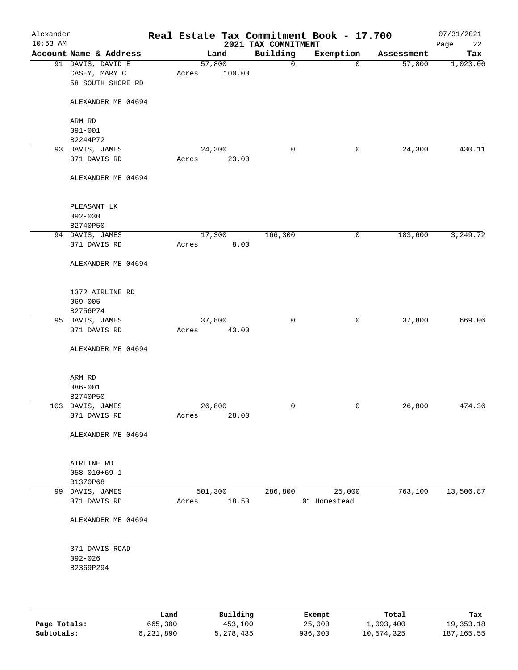| Alexander<br>$10:53$ AM |                        |       |         | 2021 TAX COMMITMENT | Real Estate Tax Commitment Book - 17.700 |            | 07/31/2021<br>Page<br>22 |
|-------------------------|------------------------|-------|---------|---------------------|------------------------------------------|------------|--------------------------|
|                         | Account Name & Address |       | Land    | Building            | Exemption                                | Assessment | Tax                      |
|                         | 91 DAVIS, DAVID E      |       | 57,800  | $\mathbf 0$         | $\mathbf{0}$                             | 57,800     | 1,023.06                 |
|                         | CASEY, MARY C          | Acres | 100.00  |                     |                                          |            |                          |
|                         | 58 SOUTH SHORE RD      |       |         |                     |                                          |            |                          |
|                         |                        |       |         |                     |                                          |            |                          |
|                         |                        |       |         |                     |                                          |            |                          |
|                         | ALEXANDER ME 04694     |       |         |                     |                                          |            |                          |
|                         |                        |       |         |                     |                                          |            |                          |
|                         | ARM RD                 |       |         |                     |                                          |            |                          |
|                         | $091 - 001$            |       |         |                     |                                          |            |                          |
|                         | B2244P72               |       |         |                     |                                          |            |                          |
|                         | 93 DAVIS, JAMES        |       | 24,300  | 0                   | 0                                        | 24,300     | 430.11                   |
|                         | 371 DAVIS RD           | Acres | 23.00   |                     |                                          |            |                          |
|                         |                        |       |         |                     |                                          |            |                          |
|                         | ALEXANDER ME 04694     |       |         |                     |                                          |            |                          |
|                         |                        |       |         |                     |                                          |            |                          |
|                         |                        |       |         |                     |                                          |            |                          |
|                         | PLEASANT LK            |       |         |                     |                                          |            |                          |
|                         | $092 - 030$            |       |         |                     |                                          |            |                          |
|                         | B2740P50               |       |         |                     |                                          |            |                          |
|                         | 94 DAVIS, JAMES        |       | 17,300  | 166,300             | 0                                        | 183,600    | 3,249.72                 |
|                         | 371 DAVIS RD           | Acres | 8.00    |                     |                                          |            |                          |
|                         |                        |       |         |                     |                                          |            |                          |
|                         |                        |       |         |                     |                                          |            |                          |
|                         | ALEXANDER ME 04694     |       |         |                     |                                          |            |                          |
|                         |                        |       |         |                     |                                          |            |                          |
|                         |                        |       |         |                     |                                          |            |                          |
|                         | 1372 AIRLINE RD        |       |         |                     |                                          |            |                          |
|                         | $069 - 005$            |       |         |                     |                                          |            |                          |
|                         | B2756P74               |       |         |                     |                                          |            |                          |
|                         | 95 DAVIS, JAMES        |       | 37,800  | $\mathbf 0$         | 0                                        | 37,800     | 669.06                   |
|                         | 371 DAVIS RD           | Acres | 43.00   |                     |                                          |            |                          |
|                         |                        |       |         |                     |                                          |            |                          |
|                         | ALEXANDER ME 04694     |       |         |                     |                                          |            |                          |
|                         |                        |       |         |                     |                                          |            |                          |
|                         |                        |       |         |                     |                                          |            |                          |
|                         | ARM RD                 |       |         |                     |                                          |            |                          |
|                         | $086 - 001$            |       |         |                     |                                          |            |                          |
|                         | B2740P50               |       |         |                     |                                          |            |                          |
|                         | 103 DAVIS, JAMES       |       | 26,800  | $\mathbf 0$         | 0                                        | 26,800     | 474.36                   |
|                         | 371 DAVIS RD           |       | 28.00   |                     |                                          |            |                          |
|                         |                        | Acres |         |                     |                                          |            |                          |
|                         |                        |       |         |                     |                                          |            |                          |
|                         | ALEXANDER ME 04694     |       |         |                     |                                          |            |                          |
|                         |                        |       |         |                     |                                          |            |                          |
|                         |                        |       |         |                     |                                          |            |                          |
|                         | AIRLINE RD             |       |         |                     |                                          |            |                          |
|                         | $058 - 010 + 69 - 1$   |       |         |                     |                                          |            |                          |
|                         | B1370P68               |       |         |                     |                                          |            |                          |
|                         | 99 DAVIS, JAMES        |       | 501,300 | 286,800             | 25,000                                   | 763,100    | 13,506.87                |
|                         | 371 DAVIS RD           | Acres | 18.50   |                     | 01 Homestead                             |            |                          |
|                         |                        |       |         |                     |                                          |            |                          |
|                         | ALEXANDER ME 04694     |       |         |                     |                                          |            |                          |
|                         |                        |       |         |                     |                                          |            |                          |
|                         |                        |       |         |                     |                                          |            |                          |
|                         | 371 DAVIS ROAD         |       |         |                     |                                          |            |                          |
|                         | $092 - 026$            |       |         |                     |                                          |            |                          |
|                         | B2369P294              |       |         |                     |                                          |            |                          |
|                         |                        |       |         |                     |                                          |            |                          |
|                         |                        |       |         |                     |                                          |            |                          |
|                         |                        |       |         |                     |                                          |            |                          |
|                         |                        |       |         |                     |                                          |            |                          |

|              | Land      | Building    | Exempt  | Total      | Tax        |
|--------------|-----------|-------------|---------|------------|------------|
| Page Totals: | 665,300   | 453,100     | 25,000  | 1,093,400  | 19,353.18  |
| Subtotals:   | 6,231,890 | 5, 278, 435 | 936,000 | 10,574,325 | 187,165.55 |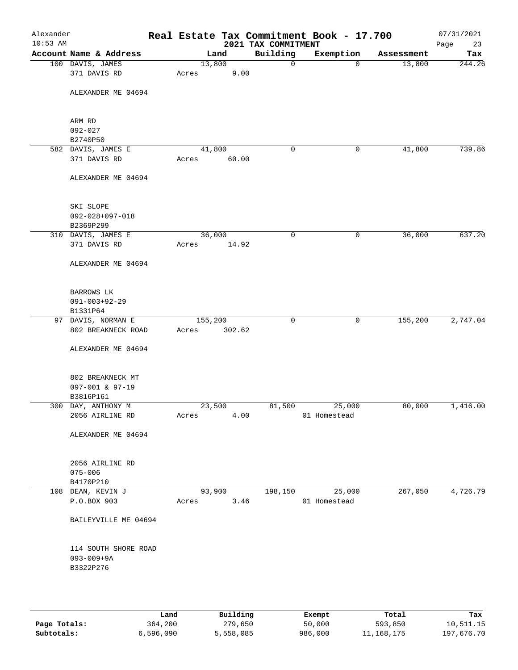| Alexander<br>$10:53$ AM |                                       |                 |        | 2021 TAX COMMITMENT | Real Estate Tax Commitment Book - 17.700 |            | 07/31/2021<br>Page<br>23 |
|-------------------------|---------------------------------------|-----------------|--------|---------------------|------------------------------------------|------------|--------------------------|
|                         | Account Name & Address                |                 | Land   | Building            | Exemption                                | Assessment | Tax                      |
|                         | 100 DAVIS, JAMES                      | 13,800          |        | 0                   | $\mathbf 0$                              | 13,800     | 244.26                   |
|                         | 371 DAVIS RD                          | Acres           | 9.00   |                     |                                          |            |                          |
|                         | ALEXANDER ME 04694                    |                 |        |                     |                                          |            |                          |
|                         | ARM RD                                |                 |        |                     |                                          |            |                          |
|                         | $092 - 027$                           |                 |        |                     |                                          |            |                          |
|                         | B2740P50                              |                 |        |                     |                                          |            |                          |
|                         | 582 DAVIS, JAMES E                    | 41,800          |        | 0                   | 0                                        | 41,800     | 739.86                   |
|                         | 371 DAVIS RD                          | Acres           | 60.00  |                     |                                          |            |                          |
|                         | ALEXANDER ME 04694                    |                 |        |                     |                                          |            |                          |
|                         | SKI SLOPE                             |                 |        |                     |                                          |            |                          |
|                         | $092 - 028 + 097 - 018$               |                 |        |                     |                                          |            |                          |
|                         | B2369P299                             |                 |        |                     |                                          |            |                          |
|                         | 310 DAVIS, JAMES E                    | 36,000          |        | 0                   | 0                                        | 36,000     | 637.20                   |
|                         | 371 DAVIS RD                          | Acres           | 14.92  |                     |                                          |            |                          |
|                         | ALEXANDER ME 04694                    |                 |        |                     |                                          |            |                          |
|                         | BARROWS LK                            |                 |        |                     |                                          |            |                          |
|                         | $091 - 003 + 92 - 29$                 |                 |        |                     |                                          |            |                          |
|                         | B1331P64                              |                 |        |                     |                                          |            |                          |
|                         | 97 DAVIS, NORMAN E                    | 155,200         |        | $\mathbf 0$         | 0                                        | 155,200    | 2,747.04                 |
|                         | 802 BREAKNECK ROAD                    | Acres           | 302.62 |                     |                                          |            |                          |
|                         | ALEXANDER ME 04694                    |                 |        |                     |                                          |            |                          |
|                         | 802 BREAKNECK MT                      |                 |        |                     |                                          |            |                          |
|                         | 097-001 & 97-19                       |                 |        |                     |                                          |            |                          |
|                         | B3816P161                             |                 |        |                     |                                          |            |                          |
|                         | 300 DAY, ANTHONY M<br>2056 AIRLINE RD | 23,500<br>Acres | 4.00   | 81,500              | 25,000<br>01 Homestead                   | 80,000     | 1,416.00                 |
|                         |                                       |                 |        |                     |                                          |            |                          |
|                         | ALEXANDER ME 04694                    |                 |        |                     |                                          |            |                          |
|                         | 2056 AIRLINE RD                       |                 |        |                     |                                          |            |                          |
|                         | $075 - 006$                           |                 |        |                     |                                          |            |                          |
|                         | B4170P210                             |                 |        |                     |                                          |            |                          |
|                         | 108 DEAN, KEVIN J                     | 93,900          |        | 198,150             | 25,000                                   | 267,050    | 4,726.79                 |
|                         | P.O.BOX 903                           | Acres           | 3.46   |                     | 01 Homestead                             |            |                          |
|                         | BAILEYVILLE ME 04694                  |                 |        |                     |                                          |            |                          |
|                         | 114 SOUTH SHORE ROAD                  |                 |        |                     |                                          |            |                          |
|                         | $093 - 009 + 9A$                      |                 |        |                     |                                          |            |                          |
|                         | B3322P276                             |                 |        |                     |                                          |            |                          |
|                         |                                       |                 |        |                     |                                          |            |                          |
|                         |                                       |                 |        |                     |                                          |            |                          |
|                         |                                       |                 |        |                     |                                          |            |                          |

|              | Land      | Building  | Exempt  | Total      | Tax        |
|--------------|-----------|-----------|---------|------------|------------|
| Page Totals: | 364,200   | 279,650   | 50,000  | 593,850    | 10,511.15  |
| Subtotals:   | 6,596,090 | 5,558,085 | 986,000 | 11,168,175 | 197,676.70 |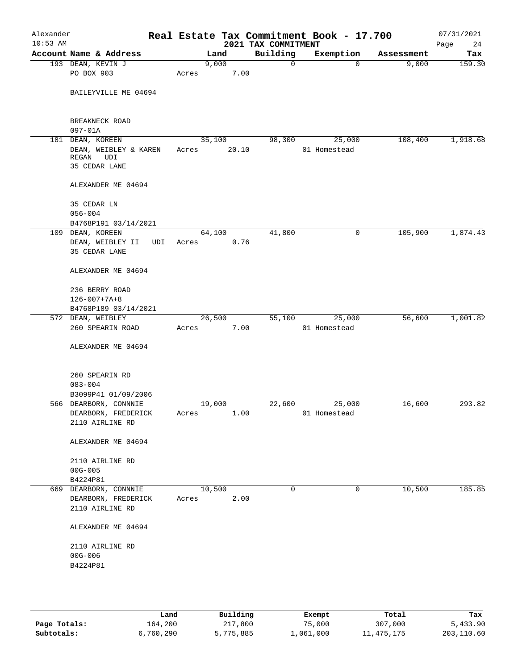| Alexander<br>$10:53$ AM |                                        |     |       |        |       | 2021 TAX COMMITMENT | Real Estate Tax Commitment Book - 17.700 |                       | 07/31/2021<br>Page<br>24 |
|-------------------------|----------------------------------------|-----|-------|--------|-------|---------------------|------------------------------------------|-----------------------|--------------------------|
|                         | Account Name & Address                 |     |       | Land   |       | Building            | Exemption                                | Assessment            | Tax                      |
|                         | 193 DEAN, KEVIN J                      |     |       | 9,000  |       | $\mathbf 0$         |                                          | 9,000<br>$\mathbf 0$  | 159.30                   |
|                         | PO BOX 903                             |     | Acres |        | 7.00  |                     |                                          |                       |                          |
|                         | BAILEYVILLE ME 04694                   |     |       |        |       |                     |                                          |                       |                          |
|                         | BREAKNECK ROAD<br>$097 - 01A$          |     |       |        |       |                     |                                          |                       |                          |
|                         | 181 DEAN, KOREEN                       |     |       | 35,100 |       | 98,300              | 25,000                                   | 108,400               | 1,918.68                 |
|                         | DEAN, WEIBLEY & KAREN<br>REGAN UDI     |     | Acres |        | 20.10 |                     | 01 Homestead                             |                       |                          |
|                         | 35 CEDAR LANE                          |     |       |        |       |                     |                                          |                       |                          |
|                         | ALEXANDER ME 04694                     |     |       |        |       |                     |                                          |                       |                          |
|                         | 35 CEDAR LN                            |     |       |        |       |                     |                                          |                       |                          |
|                         | $056 - 004$                            |     |       |        |       |                     |                                          |                       |                          |
|                         | B4768P191 03/14/2021                   |     |       |        |       |                     |                                          |                       |                          |
|                         | 109 DEAN, KOREEN                       |     |       | 64,100 |       | 41,800              |                                          | 105,900<br>0          | 1,874.43                 |
|                         | DEAN, WEIBLEY II<br>35 CEDAR LANE      | UDI | Acres |        | 0.76  |                     |                                          |                       |                          |
|                         | ALEXANDER ME 04694                     |     |       |        |       |                     |                                          |                       |                          |
|                         | 236 BERRY ROAD                         |     |       |        |       |                     |                                          |                       |                          |
|                         | $126 - 007 + 7A + 8$                   |     |       |        |       |                     |                                          |                       |                          |
|                         | B4768P189 03/14/2021                   |     |       |        |       |                     |                                          |                       |                          |
|                         | 572 DEAN, WEIBLEY                      |     |       | 26,500 |       | 55,100              | 25,000                                   | 56,600                | 1,001.82                 |
|                         | 260 SPEARIN ROAD                       |     | Acres |        | 7.00  |                     | 01 Homestead                             |                       |                          |
|                         | ALEXANDER ME 04694                     |     |       |        |       |                     |                                          |                       |                          |
|                         | 260 SPEARIN RD                         |     |       |        |       |                     |                                          |                       |                          |
|                         | $083 - 004$                            |     |       |        |       |                     |                                          |                       |                          |
|                         | B3099P41 01/09/2006                    |     |       |        |       |                     |                                          |                       |                          |
|                         | 566 DEARBORN, CONNNIE                  |     |       | 19,000 |       | 22,600              | 25,000                                   | 16,600                | 293.82                   |
|                         | DEARBORN, FREDERICK<br>2110 AIRLINE RD |     | Acres |        | 1.00  |                     | 01 Homestead                             |                       |                          |
|                         | ALEXANDER ME 04694                     |     |       |        |       |                     |                                          |                       |                          |
|                         | 2110 AIRLINE RD                        |     |       |        |       |                     |                                          |                       |                          |
|                         | $00G - 005$                            |     |       |        |       |                     |                                          |                       |                          |
|                         | B4224P81                               |     |       |        |       |                     |                                          |                       |                          |
|                         | 669 DEARBORN, CONNNIE                  |     |       | 10,500 |       | $\Omega$            |                                          | $\mathbf 0$<br>10,500 | 185.85                   |
|                         | DEARBORN, FREDERICK                    |     | Acres |        | 2.00  |                     |                                          |                       |                          |
|                         | 2110 AIRLINE RD                        |     |       |        |       |                     |                                          |                       |                          |
|                         | ALEXANDER ME 04694                     |     |       |        |       |                     |                                          |                       |                          |
|                         | 2110 AIRLINE RD                        |     |       |        |       |                     |                                          |                       |                          |
|                         | $00G - 006$                            |     |       |        |       |                     |                                          |                       |                          |
|                         | B4224P81                               |     |       |        |       |                     |                                          |                       |                          |
|                         |                                        |     |       |        |       |                     |                                          |                       |                          |
|                         |                                        |     |       |        |       |                     |                                          |                       |                          |
|                         |                                        |     |       |        |       |                     |                                          |                       |                          |

|              | Land      | Building  | Exempt    | Total      | Tax        |
|--------------|-----------|-----------|-----------|------------|------------|
| Page Totals: | 164,200   | 217,800   | 75,000    | 307,000    | 5,433.90   |
| Subtotals:   | 6,760,290 | 5,775,885 | 1,061,000 | 11,475,175 | 203,110.60 |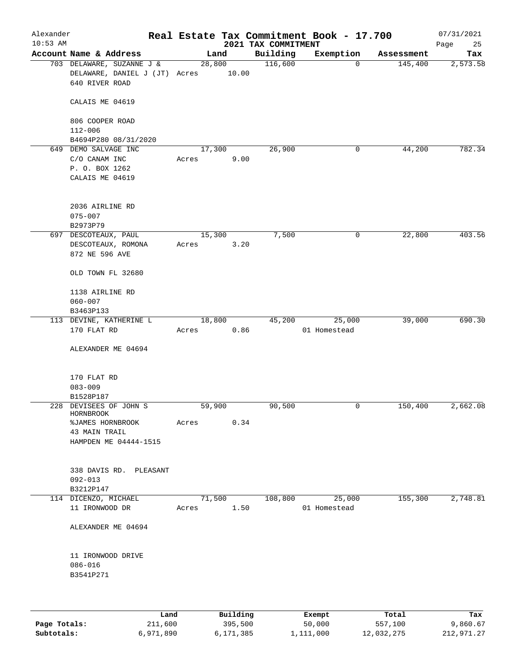| Alexander<br>$10:53$ AM |                                                                                    |        |                | 2021 TAX COMMITMENT | Real Estate Tax Commitment Book - 17.700 |            | 07/31/2021<br>Page<br>25 |
|-------------------------|------------------------------------------------------------------------------------|--------|----------------|---------------------|------------------------------------------|------------|--------------------------|
|                         | Account Name & Address                                                             |        | Land           | Building            | Exemption                                | Assessment | Tax                      |
|                         | 703 DELAWARE, SUZANNE J &<br>DELAWARE, DANIEL J (JT) Acres 10.00<br>640 RIVER ROAD |        | 28,800         | 116,600             | $\mathbf 0$                              | 145,400    | 2,573.58                 |
|                         | CALAIS ME 04619                                                                    |        |                |                     |                                          |            |                          |
|                         | 806 COOPER ROAD<br>$112 - 006$                                                     |        |                |                     |                                          |            |                          |
|                         | B4694P280 08/31/2020                                                               |        |                |                     |                                          |            |                          |
|                         | 649 DEMO SALVAGE INC                                                               |        | 17,300         | 26,900              | 0                                        | 44,200     | 782.34                   |
|                         | C/O CANAM INC                                                                      | Acres  | 9.00           |                     |                                          |            |                          |
|                         | P. O. BOX 1262<br>CALAIS ME 04619                                                  |        |                |                     |                                          |            |                          |
|                         | 2036 AIRLINE RD<br>$075 - 007$                                                     |        |                |                     |                                          |            |                          |
|                         | B2973P79                                                                           |        |                |                     |                                          |            |                          |
|                         | 697 DESCOTEAUX, PAUL<br>DESCOTEAUX, ROMONA<br>872 NE 596 AVE                       | Acres  | 15,300<br>3.20 | 7,500               | 0                                        | 22,800     | 403.56                   |
|                         | OLD TOWN FL 32680                                                                  |        |                |                     |                                          |            |                          |
|                         | 1138 AIRLINE RD<br>$060 - 007$                                                     |        |                |                     |                                          |            |                          |
|                         | B3463P133                                                                          |        |                |                     |                                          |            |                          |
|                         | 113 DEVINE, KATHERINE L                                                            |        | 18,800         | 45,200              | 25,000                                   | 39,000     | 690.30                   |
|                         | 170 FLAT RD                                                                        | Acres  | 0.86           |                     | 01 Homestead                             |            |                          |
|                         | ALEXANDER ME 04694                                                                 |        |                |                     |                                          |            |                          |
|                         | 170 FLAT RD                                                                        |        |                |                     |                                          |            |                          |
|                         | $083 - 009$                                                                        |        |                |                     |                                          |            |                          |
|                         | B1528P187<br>228 DEVISEES OF JOHN S                                                | 59,900 |                | 90,500              | 0                                        | 150,400    | 2,662.08                 |
|                         | HORNBROOK                                                                          |        |                |                     |                                          |            |                          |
|                         | %JAMES HORNBROOK<br>43 MAIN TRAIL                                                  | Acres  | 0.34           |                     |                                          |            |                          |
|                         | HAMPDEN ME 04444-1515                                                              |        |                |                     |                                          |            |                          |
|                         | 338 DAVIS RD. PLEASANT                                                             |        |                |                     |                                          |            |                          |
|                         | $092 - 013$                                                                        |        |                |                     |                                          |            |                          |
|                         | B3212P147                                                                          |        |                |                     |                                          |            |                          |
|                         | 114 DICENZO, MICHAEL<br>11 IRONWOOD DR                                             | Acres  | 71,500<br>1.50 | 108,800             | 25,000<br>01 Homestead                   | 155,300    | 2,748.81                 |
|                         | ALEXANDER ME 04694                                                                 |        |                |                     |                                          |            |                          |
|                         | 11 IRONWOOD DRIVE                                                                  |        |                |                     |                                          |            |                          |
|                         | $086 - 016$<br>B3541P271                                                           |        |                |                     |                                          |            |                          |
|                         |                                                                                    |        |                |                     |                                          |            |                          |
|                         |                                                                                    |        |                |                     |                                          |            |                          |

|              | Land      | Building  | Exempt    | Total      | Tax        |
|--------------|-----------|-----------|-----------|------------|------------|
| Page Totals: | 211,600   | 395,500   | 50,000    | 557,100    | 9,860.67   |
| Subtotals:   | 6,971,890 | 6,171,385 | 1,111,000 | 12,032,275 | 212,971.27 |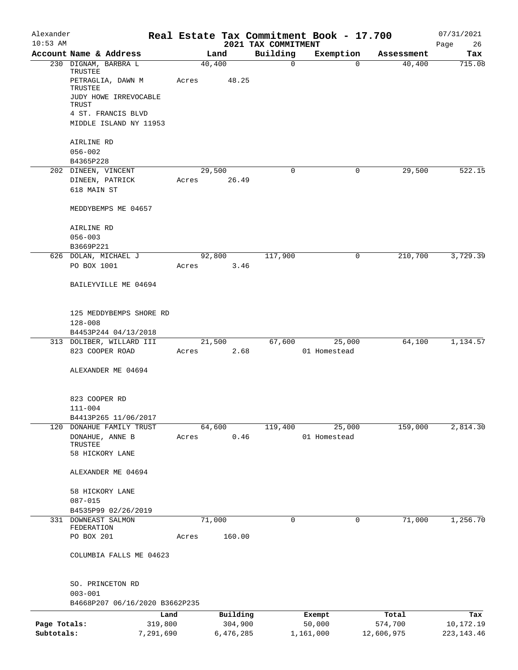| Alexander<br>$10:53$ AM |                                               |        |           |                                 | Real Estate Tax Commitment Book - 17.700 |            | 07/31/2021        |
|-------------------------|-----------------------------------------------|--------|-----------|---------------------------------|------------------------------------------|------------|-------------------|
|                         | Account Name & Address                        |        | Land      | 2021 TAX COMMITMENT<br>Building | Exemption                                | Assessment | 26<br>Page<br>Tax |
|                         | 230 DIGNAM, BARBRA L                          | 40,400 |           | $\mathbf 0$                     | 0                                        | 40,400     | 715.08            |
|                         | TRUSTEE<br>PETRAGLIA, DAWN M                  | Acres  | 48.25     |                                 |                                          |            |                   |
|                         | TRUSTEE<br>JUDY HOWE IRREVOCABLE<br>TRUST     |        |           |                                 |                                          |            |                   |
|                         | 4 ST. FRANCIS BLVD                            |        |           |                                 |                                          |            |                   |
|                         | MIDDLE ISLAND NY 11953                        |        |           |                                 |                                          |            |                   |
|                         | AIRLINE RD<br>$056 - 002$                     |        |           |                                 |                                          |            |                   |
|                         | B4365P228                                     |        |           |                                 |                                          |            |                   |
|                         | 202 DINEEN, VINCENT                           | 29,500 |           | 0                               | 0                                        | 29,500     | 522.15            |
|                         | DINEEN, PATRICK                               | Acres  | 26.49     |                                 |                                          |            |                   |
|                         | 618 MAIN ST                                   |        |           |                                 |                                          |            |                   |
|                         | MEDDYBEMPS ME 04657                           |        |           |                                 |                                          |            |                   |
|                         | AIRLINE RD                                    |        |           |                                 |                                          |            |                   |
|                         | $056 - 003$                                   |        |           |                                 |                                          |            |                   |
|                         | B3669P221<br>626 DOLAN, MICHAEL J             | 92,800 |           | 117,900                         | 0                                        | 210,700    | 3,729.39          |
|                         | PO BOX 1001                                   | Acres  | 3.46      |                                 |                                          |            |                   |
|                         | BAILEYVILLE ME 04694                          |        |           |                                 |                                          |            |                   |
|                         | 125 MEDDYBEMPS SHORE RD                       |        |           |                                 |                                          |            |                   |
|                         | $128 - 008$                                   |        |           |                                 |                                          |            |                   |
|                         | B4453P244 04/13/2018                          |        |           |                                 |                                          |            |                   |
|                         | 313 DOLIBER, WILLARD III                      |        | 21,500    | 67,600                          | 25,000                                   | 64,100     | 1,134.57          |
|                         | 823 COOPER ROAD                               | Acres  | 2.68      |                                 | 01 Homestead                             |            |                   |
|                         | ALEXANDER ME 04694                            |        |           |                                 |                                          |            |                   |
|                         | 823 COOPER RD                                 |        |           |                                 |                                          |            |                   |
|                         | $111 - 004$                                   |        |           |                                 |                                          |            |                   |
|                         | B4413P265 11/06/2017                          |        |           |                                 |                                          |            |                   |
|                         | 120 DONAHUE FAMILY TRUST<br>DONAHUE, ANNE B   | 64,600 | 0.46      | 119,400                         | 25,000<br>01 Homestead                   | 159,000    | 2,814.30          |
|                         | TRUSTEE                                       | Acres  |           |                                 |                                          |            |                   |
|                         | 58 HICKORY LANE                               |        |           |                                 |                                          |            |                   |
|                         | ALEXANDER ME 04694                            |        |           |                                 |                                          |            |                   |
|                         | 58 HICKORY LANE                               |        |           |                                 |                                          |            |                   |
|                         | $087 - 015$                                   |        |           |                                 |                                          |            |                   |
| 331                     | B4535P99 02/26/2019<br>DOWNEAST SALMON        | 71,000 |           | 0                               | 0                                        | 71,000     | 1,256.70          |
|                         | FEDERATION                                    |        |           |                                 |                                          |            |                   |
|                         | PO BOX 201                                    | Acres  | 160.00    |                                 |                                          |            |                   |
|                         | COLUMBIA FALLS ME 04623                       |        |           |                                 |                                          |            |                   |
|                         | SO. PRINCETON RD                              |        |           |                                 |                                          |            |                   |
|                         | $003 - 001$<br>B4668P207 06/16/2020 B3662P235 |        |           |                                 |                                          |            |                   |
|                         | Land                                          |        | Building  |                                 | Exempt                                   | Total      | Tax               |
| Page Totals:            | 319,800                                       |        | 304,900   |                                 | 50,000                                   | 574,700    | 10,172.19         |
| Subtotals:              | 7,291,690                                     |        | 6,476,285 |                                 | 1,161,000                                | 12,606,975 | 223, 143. 46      |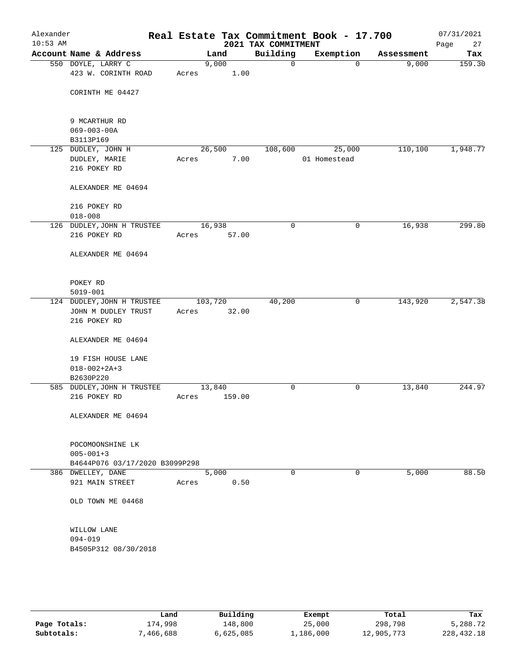| Alexander<br>$10:53$ AM |                                                   | Real Estate Tax Commitment Book - 17.700 | 2021 TAX COMMITMENT |              |            | 07/31/2021<br>Page<br>27 |
|-------------------------|---------------------------------------------------|------------------------------------------|---------------------|--------------|------------|--------------------------|
|                         | Account Name & Address                            | Land                                     | Building            | Exemption    | Assessment | Tax                      |
|                         | 550 DOYLE, LARRY C<br>423 W. CORINTH ROAD         | 9,000<br>1.00<br>Acres                   | $\mathbf 0$         | $\mathbf 0$  | 9,000      | 159.30                   |
|                         | CORINTH ME 04427                                  |                                          |                     |              |            |                          |
|                         | 9 MCARTHUR RD                                     |                                          |                     |              |            |                          |
|                         | $069 - 003 - 00A$<br>B3113P169                    |                                          |                     |              |            |                          |
|                         | 125 DUDLEY, JOHN H                                | 26,500                                   | 108,600             | 25,000       | 110, 100   | 1,948.77                 |
|                         | DUDLEY, MARIE                                     | 7.00<br>Acres                            |                     | 01 Homestead |            |                          |
|                         | 216 POKEY RD                                      |                                          |                     |              |            |                          |
|                         | ALEXANDER ME 04694                                |                                          |                     |              |            |                          |
|                         | 216 POKEY RD                                      |                                          |                     |              |            |                          |
|                         | $018 - 008$                                       |                                          |                     |              |            |                          |
|                         | 126 DUDLEY, JOHN H TRUSTEE                        | 16,938                                   | 0                   | 0            | 16,938     | 299.80                   |
|                         | 216 POKEY RD                                      | 57.00<br>Acres                           |                     |              |            |                          |
|                         | ALEXANDER ME 04694                                |                                          |                     |              |            |                          |
|                         | POKEY RD                                          |                                          |                     |              |            |                          |
|                         | $5019 - 001$                                      |                                          |                     |              |            |                          |
|                         | 124 DUDLEY, JOHN H TRUSTEE<br>JOHN M DUDLEY TRUST | 103,720<br>32.00<br>Acres                | 40,200              | $\mathsf{O}$ | 143,920    | 2,547.38                 |
|                         | 216 POKEY RD                                      |                                          |                     |              |            |                          |
|                         | ALEXANDER ME 04694                                |                                          |                     |              |            |                          |
|                         | 19 FISH HOUSE LANE                                |                                          |                     |              |            |                          |
|                         | $018 - 002 + 2A + 3$                              |                                          |                     |              |            |                          |
|                         | B2630P220                                         |                                          |                     |              |            |                          |
|                         | 585 DUDLEY, JOHN H TRUSTEE<br>216 POKEY RD        | 13,840<br>159.00<br>Acres                | 0                   | 0            | 13,840     | 244.97                   |
|                         |                                                   |                                          |                     |              |            |                          |
|                         | ALEXANDER ME 04694                                |                                          |                     |              |            |                          |
|                         | POCOMOONSHINE LK                                  |                                          |                     |              |            |                          |
|                         | $005 - 001 + 3$                                   |                                          |                     |              |            |                          |
|                         | B4644P076 03/17/2020 B3099P298                    |                                          |                     |              |            |                          |
|                         | 386 DWELLEY, DANE                                 | 5,000                                    | 0                   | 0            | 5,000      | 88.50                    |
|                         | 921 MAIN STREET                                   | 0.50<br>Acres                            |                     |              |            |                          |
|                         | OLD TOWN ME 04468                                 |                                          |                     |              |            |                          |
|                         | WILLOW LANE                                       |                                          |                     |              |            |                          |
|                         | 094-019                                           |                                          |                     |              |            |                          |
|                         | B4505P312 08/30/2018                              |                                          |                     |              |            |                          |
|                         |                                                   |                                          |                     |              |            |                          |
|                         |                                                   |                                          |                     |              |            |                          |
|                         |                                                   |                                          |                     |              |            |                          |

|              | Land     | Building  | Exempt    | Total      | Tax          |
|--------------|----------|-----------|-----------|------------|--------------|
| Page Totals: | 174,998  | 148,800   | 25,000    | 298,798    | 5,288.72     |
| Subtotals:   | .466.688 | 6,625,085 | 1,186,000 | 12,905,773 | 228, 432. 18 |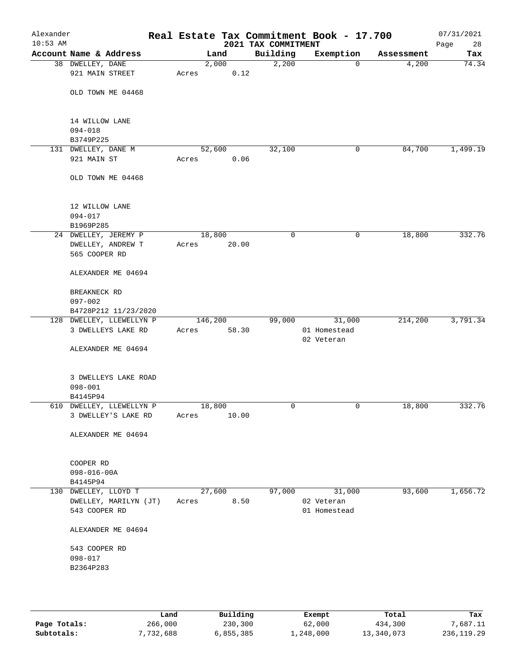| Alexander<br>$10:53$ AM |                                                  |         |               | 2021 TAX COMMITMENT | Real Estate Tax Commitment Book - 17.700 |            | 07/31/2021<br>Page<br>28 |
|-------------------------|--------------------------------------------------|---------|---------------|---------------------|------------------------------------------|------------|--------------------------|
|                         | Account Name & Address                           |         | Land          | Building            | Exemption                                | Assessment | Tax                      |
|                         | 38 DWELLEY, DANE<br>921 MAIN STREET              | Acres   | 2,000<br>0.12 | 2,200               | $\mathbf 0$                              | 4,200      | 74.34                    |
|                         | OLD TOWN ME 04468                                |         |               |                     |                                          |            |                          |
|                         | 14 WILLOW LANE                                   |         |               |                     |                                          |            |                          |
|                         | $094 - 018$<br>B3749P225                         |         |               |                     |                                          |            |                          |
|                         | 131 DWELLEY, DANE M                              | 52,600  |               | 32,100              | 0                                        | 84,700     | 1,499.19                 |
|                         | 921 MAIN ST                                      | Acres   | 0.06          |                     |                                          |            |                          |
|                         | OLD TOWN ME 04468                                |         |               |                     |                                          |            |                          |
|                         | 12 WILLOW LANE<br>094-017                        |         |               |                     |                                          |            |                          |
|                         | B1969P285                                        |         |               |                     |                                          |            |                          |
|                         | 24 DWELLEY, JEREMY P                             | 18,800  |               | 0                   | 0                                        | 18,800     | 332.76                   |
|                         | DWELLEY, ANDREW T<br>565 COOPER RD               | Acres   | 20.00         |                     |                                          |            |                          |
|                         | ALEXANDER ME 04694                               |         |               |                     |                                          |            |                          |
|                         | BREAKNECK RD                                     |         |               |                     |                                          |            |                          |
|                         | $097 - 002$                                      |         |               |                     |                                          |            |                          |
|                         | B4728P212 11/23/2020<br>128 DWELLEY, LLEWELLYN P | 146,200 |               | 99,000              | 31,000                                   | 214,200    | 3,791.34                 |
|                         | 3 DWELLEYS LAKE RD                               | Acres   | 58.30         |                     | 01 Homestead<br>02 Veteran               |            |                          |
|                         | ALEXANDER ME 04694                               |         |               |                     |                                          |            |                          |
|                         | 3 DWELLEYS LAKE ROAD                             |         |               |                     |                                          |            |                          |
|                         | $098 - 001$                                      |         |               |                     |                                          |            |                          |
|                         | B4145P94<br>610 DWELLEY, LLEWELLYN P             | 18,800  |               | 0                   | 0                                        | 18,800     | 332.76                   |
|                         | 3 DWELLEY'S LAKE RD                              | Acres   | 10.00         |                     |                                          |            |                          |
|                         | ALEXANDER ME 04694                               |         |               |                     |                                          |            |                          |
|                         | COOPER RD                                        |         |               |                     |                                          |            |                          |
|                         | $098 - 016 - 00A$<br>B4145P94                    |         |               |                     |                                          |            |                          |
|                         | 130 DWELLEY, LLOYD T                             | 27,600  |               | 97,000              | 31,000                                   | 93,600     | 1,656.72                 |
|                         | DWELLEY, MARILYN (JT)<br>543 COOPER RD           | Acres   | 8.50          |                     | 02 Veteran<br>01 Homestead               |            |                          |
|                         | ALEXANDER ME 04694                               |         |               |                     |                                          |            |                          |
|                         | 543 COOPER RD                                    |         |               |                     |                                          |            |                          |
|                         | $098 - 017$                                      |         |               |                     |                                          |            |                          |
|                         | B2364P283                                        |         |               |                     |                                          |            |                          |
|                         |                                                  |         |               |                     |                                          |            |                          |
|                         |                                                  |         |               |                     |                                          |            |                          |

|              | Land      | Building  | Exempt    | Total      | Tax         |
|--------------|-----------|-----------|-----------|------------|-------------|
| Page Totals: | 266,000   | 230,300   | 62,000    | 434,300    | 7.687.11    |
| Subtotals:   | 7,732,688 | 6,855,385 | 1,248,000 | 13,340,073 | 236, 119.29 |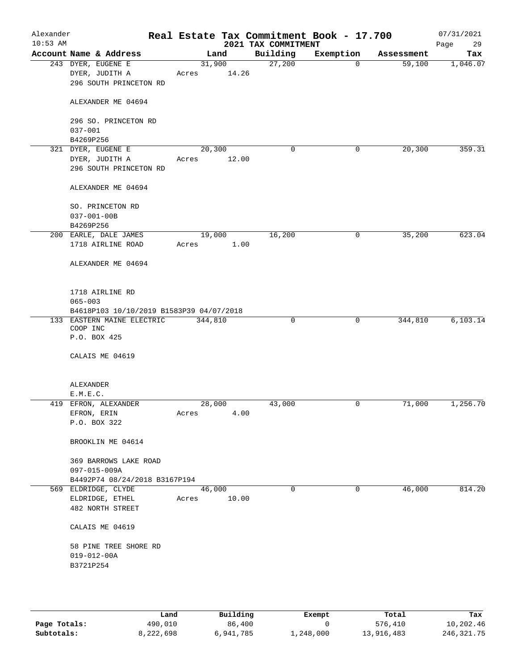| Alexander<br>$10:53$ AM |                                                                | Real Estate Tax Commitment Book - 17.700 | 2021 TAX COMMITMENT |             |            | 07/31/2021<br>Page<br>29 |
|-------------------------|----------------------------------------------------------------|------------------------------------------|---------------------|-------------|------------|--------------------------|
|                         | Account Name & Address                                         | Land                                     | Building            | Exemption   | Assessment | Tax                      |
|                         | 243 DYER, EUGENE E<br>DYER, JUDITH A<br>296 SOUTH PRINCETON RD | 31,900<br>14.26<br>Acres                 | 27,200              | $\mathbf 0$ | 59,100     | 1,046.07                 |
|                         | ALEXANDER ME 04694                                             |                                          |                     |             |            |                          |
|                         | 296 SO. PRINCETON RD<br>$037 - 001$                            |                                          |                     |             |            |                          |
|                         | B4269P256                                                      |                                          |                     |             |            |                          |
|                         | 321 DYER, EUGENE E                                             | 20,300                                   | 0                   | 0           | 20,300     | 359.31                   |
|                         | DYER, JUDITH A<br>296 SOUTH PRINCETON RD                       | 12.00<br>Acres                           |                     |             |            |                          |
|                         | ALEXANDER ME 04694                                             |                                          |                     |             |            |                          |
|                         | SO. PRINCETON RD<br>$037 - 001 - 00B$<br>B4269P256             |                                          |                     |             |            |                          |
|                         | 200 EARLE, DALE JAMES                                          | 19,000                                   | 16,200              | 0           | 35,200     | 623.04                   |
|                         | 1718 AIRLINE ROAD                                              | 1.00<br>Acres                            |                     |             |            |                          |
|                         | ALEXANDER ME 04694                                             |                                          |                     |             |            |                          |
|                         | 1718 AIRLINE RD<br>$065 - 003$                                 |                                          |                     |             |            |                          |
|                         | B4618P103 10/10/2019 B1583P39 04/07/2018                       |                                          |                     |             |            |                          |
|                         | 133 EASTERN MAINE ELECTRIC<br>COOP INC<br>P.O. BOX 425         | 344,810                                  | 0                   | 0           | 344,810    | 6, 103.14                |
|                         | CALAIS ME 04619                                                |                                          |                     |             |            |                          |
|                         | ALEXANDER<br>E.M.E.C.                                          |                                          |                     |             |            |                          |
|                         | 419 EFRON, ALEXANDER                                           | 28,000                                   | 43,000              | 0           | 71,000     | 1,256.70                 |
|                         | EFRON, ERIN<br>P.O. BOX 322                                    | 4.00<br>Acres                            |                     |             |            |                          |
|                         | BROOKLIN ME 04614                                              |                                          |                     |             |            |                          |
|                         | 369 BARROWS LAKE ROAD<br>097-015-009A                          |                                          |                     |             |            |                          |
|                         | B4492P74 08/24/2018 B3167P194                                  |                                          |                     |             |            |                          |
|                         | 569 ELDRIDGE, CLYDE<br>ELDRIDGE, ETHEL<br>482 NORTH STREET     | 46,000<br>10.00<br>Acres                 | $\Omega$            | 0           | 46,000     | 814.20                   |
|                         | CALAIS ME 04619                                                |                                          |                     |             |            |                          |
|                         | 58 PINE TREE SHORE RD<br>$019 - 012 - 00A$                     |                                          |                     |             |            |                          |
|                         | B3721P254                                                      |                                          |                     |             |            |                          |

|              | Land      | Building  | Exempt    | Total      | Tax          |
|--------------|-----------|-----------|-----------|------------|--------------|
| Page Totals: | 490,010   | 86,400    |           | 576,410    | 10,202.46    |
| Subtotals:   | 8,222,698 | 6,941,785 | 1,248,000 | 13,916,483 | 246, 321, 75 |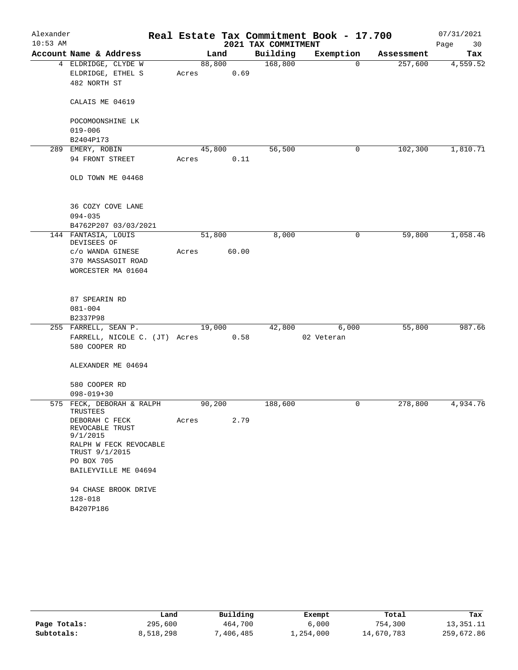| Alexander  |                                       |        |       |                     | Real Estate Tax Commitment Book - 17.700 |            | 07/31/2021 |
|------------|---------------------------------------|--------|-------|---------------------|------------------------------------------|------------|------------|
| $10:53$ AM |                                       |        |       | 2021 TAX COMMITMENT |                                          |            | Page<br>30 |
|            | Account Name & Address                |        | Land  | Building            | Exemption                                | Assessment | Tax        |
|            | 4 ELDRIDGE, CLYDE W                   | 88,800 |       | 168,800             | 0                                        | 257,600    | 4,559.52   |
|            | ELDRIDGE, ETHEL S                     | Acres  | 0.69  |                     |                                          |            |            |
|            | 482 NORTH ST                          |        |       |                     |                                          |            |            |
|            | CALAIS ME 04619                       |        |       |                     |                                          |            |            |
|            | POCOMOONSHINE LK                      |        |       |                     |                                          |            |            |
|            | $019 - 006$                           |        |       |                     |                                          |            |            |
|            | B2404P173                             |        |       |                     |                                          |            |            |
|            | 289 EMERY, ROBIN                      | 45,800 |       | 56,500              | 0                                        | 102,300    | 1,810.71   |
|            | 94 FRONT STREET                       | Acres  | 0.11  |                     |                                          |            |            |
|            | OLD TOWN ME 04468                     |        |       |                     |                                          |            |            |
|            | 36 COZY COVE LANE                     |        |       |                     |                                          |            |            |
|            | $094 - 035$                           |        |       |                     |                                          |            |            |
|            | B4762P207 03/03/2021                  |        |       |                     |                                          |            |            |
|            | 144 FANTASIA, LOUIS<br>DEVISEES OF    | 51,800 |       | 8,000               | 0                                        | 59,800     | 1,058.46   |
|            | c/o WANDA GINESE                      | Acres  | 60.00 |                     |                                          |            |            |
|            | 370 MASSASOIT ROAD                    |        |       |                     |                                          |            |            |
|            | WORCESTER MA 01604                    |        |       |                     |                                          |            |            |
|            |                                       |        |       |                     |                                          |            |            |
|            | 87 SPEARIN RD                         |        |       |                     |                                          |            |            |
|            | $081 - 004$                           |        |       |                     |                                          |            |            |
|            | B2337P98<br>255 FARRELL, SEAN P.      | 19,000 |       | 42,800              | 6,000                                    | 55,800     | 987.66     |
|            | FARRELL, NICOLE C. (JT) Acres         |        | 0.58  |                     | 02 Veteran                               |            |            |
|            | 580 COOPER RD                         |        |       |                     |                                          |            |            |
|            | ALEXANDER ME 04694                    |        |       |                     |                                          |            |            |
|            | 580 COOPER RD                         |        |       |                     |                                          |            |            |
|            | $098 - 019 + 30$                      |        |       |                     |                                          |            |            |
|            | 575 FECK, DEBORAH & RALPH<br>TRUSTEES | 90,200 |       | 188,600             | 0                                        | 278,800    | 4,934.76   |
|            | DEBORAH C FECK                        | Acres  | 2.79  |                     |                                          |            |            |
|            | REVOCABLE TRUST<br>9/1/2015           |        |       |                     |                                          |            |            |
|            | RALPH W FECK REVOCABLE                |        |       |                     |                                          |            |            |
|            | TRUST 9/1/2015                        |        |       |                     |                                          |            |            |
|            | PO BOX 705                            |        |       |                     |                                          |            |            |
|            | BAILEYVILLE ME 04694                  |        |       |                     |                                          |            |            |
|            | 94 CHASE BROOK DRIVE                  |        |       |                     |                                          |            |            |
|            | $128 - 018$                           |        |       |                     |                                          |            |            |
|            | B4207P186                             |        |       |                     |                                          |            |            |
|            |                                       |        |       |                     |                                          |            |            |

|              | úand      | Building   | Exempt    | Total      | Tax        |
|--------------|-----------|------------|-----------|------------|------------|
| Page Totals: | 295,600   | 464,700    | 6,000     | 754,300    | 13,351.11  |
| Subtotals:   | 8,518,298 | , 406, 485 | ⊥,254,000 | 14,670,783 | 259,672.86 |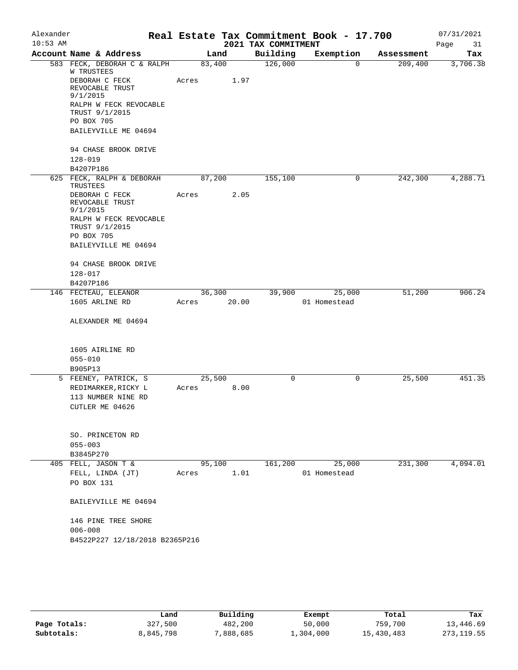| Alexander  |                                                        |        |       |                     | Real Estate Tax Commitment Book - 17.700 |            | 07/31/2021 |
|------------|--------------------------------------------------------|--------|-------|---------------------|------------------------------------------|------------|------------|
| $10:53$ AM |                                                        |        |       | 2021 TAX COMMITMENT |                                          |            | Page<br>31 |
|            | Account Name & Address                                 |        | Land  | Building            | Exemption                                | Assessment | Tax        |
|            | 583 FECK, DEBORAH C & RALPH<br>W TRUSTEES              | 83,400 |       | 126,000             | $\Omega$                                 | 209,400    | 3,706.38   |
|            | DEBORAH C FECK<br>REVOCABLE TRUST<br>9/1/2015          | Acres  | 1.97  |                     |                                          |            |            |
|            | RALPH W FECK REVOCABLE<br>TRUST 9/1/2015<br>PO BOX 705 |        |       |                     |                                          |            |            |
|            | BAILEYVILLE ME 04694                                   |        |       |                     |                                          |            |            |
|            | 94 CHASE BROOK DRIVE                                   |        |       |                     |                                          |            |            |
|            | $128 - 019$                                            |        |       |                     |                                          |            |            |
|            | B4207P186                                              |        |       |                     |                                          |            |            |
|            | 625 FECK, RALPH & DEBORAH<br>TRUSTEES                  | 87,200 |       | 155,100             | 0                                        | 242,300    | 4,288.71   |
|            | DEBORAH C FECK<br>REVOCABLE TRUST<br>9/1/2015          | Acres  | 2.05  |                     |                                          |            |            |
|            | RALPH W FECK REVOCABLE<br>TRUST 9/1/2015               |        |       |                     |                                          |            |            |
|            | PO BOX 705                                             |        |       |                     |                                          |            |            |
|            | BAILEYVILLE ME 04694                                   |        |       |                     |                                          |            |            |
|            | 94 CHASE BROOK DRIVE                                   |        |       |                     |                                          |            |            |
|            | $128 - 017$                                            |        |       |                     |                                          |            |            |
|            | B4207P186                                              |        |       |                     |                                          |            |            |
|            | 146 FECTEAU, ELEANOR                                   | 36,300 |       | 39,900              | 25,000                                   | 51,200     | 906.24     |
|            | 1605 ARLINE RD                                         | Acres  | 20.00 |                     | 01 Homestead                             |            |            |
|            | ALEXANDER ME 04694                                     |        |       |                     |                                          |            |            |
|            | 1605 AIRLINE RD                                        |        |       |                     |                                          |            |            |
|            | $055 - 010$                                            |        |       |                     |                                          |            |            |
|            | B905P13                                                |        |       |                     |                                          |            |            |
|            | 5 FEENEY, PATRICK, S                                   | 25,500 |       | 0                   | 0                                        | 25,500     | 451.35     |
|            | REDIMARKER, RICKY L                                    | Acres  | 8.00  |                     |                                          |            |            |
|            | 113 NUMBER NINE RD                                     |        |       |                     |                                          |            |            |
|            | CUTLER ME 04626                                        |        |       |                     |                                          |            |            |
|            | SO. PRINCETON RD                                       |        |       |                     |                                          |            |            |
|            | $055 - 003$                                            |        |       |                     |                                          |            |            |
|            | B3845P270                                              |        |       |                     |                                          |            |            |
|            | 405 FELL, JASON T &                                    | 95,100 |       | 161,200             | 25,000                                   | 231,300    | 4,094.01   |
|            | FELL, LINDA (JT)                                       | Acres  | 1.01  |                     | 01 Homestead                             |            |            |
|            | PO BOX 131                                             |        |       |                     |                                          |            |            |
|            | BAILEYVILLE ME 04694                                   |        |       |                     |                                          |            |            |
|            | 146 PINE TREE SHORE<br>$006 - 008$                     |        |       |                     |                                          |            |            |
|            | B4522P227 12/18/2018 B2365P216                         |        |       |                     |                                          |            |            |
|            |                                                        |        |       |                     |                                          |            |            |
|            |                                                        |        |       |                     |                                          |            |            |

|              | Land      | Building  | Exempt    | Total      | Tax         |
|--------------|-----------|-----------|-----------|------------|-------------|
| Page Totals: | 327,500   | 482,200   | 50,000    | 759,700    | 13,446.69   |
| Subtotals:   | 8,845,798 | 7,888,685 | 1,304,000 | 15,430,483 | 273, 119.55 |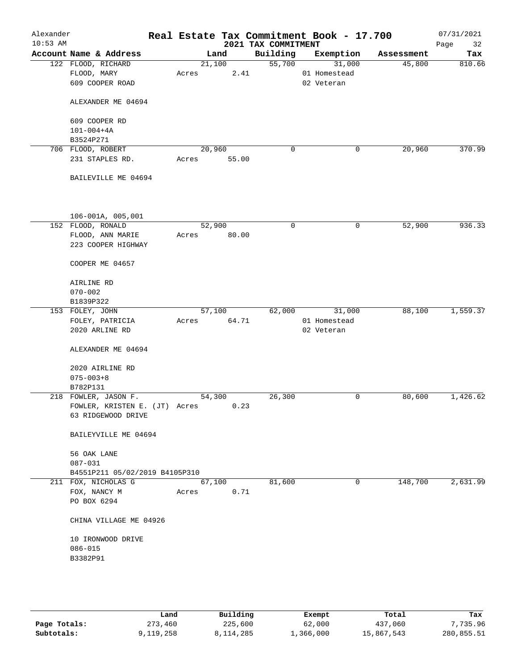| Alexander<br>$10:53$ AM |                                | Real Estate Tax Commitment Book - 17.700 | 2021 TAX COMMITMENT |              |            | 07/31/2021<br>32<br>Page |
|-------------------------|--------------------------------|------------------------------------------|---------------------|--------------|------------|--------------------------|
|                         | Account Name & Address         | Land                                     | Building            | Exemption    | Assessment | Tax                      |
|                         | 122 FLOOD, RICHARD             | 21,100                                   | 55,700              | 31,000       | 45,800     | 810.66                   |
|                         | FLOOD, MARY                    | 2.41<br>Acres                            |                     | 01 Homestead |            |                          |
|                         | 609 COOPER ROAD                |                                          |                     | 02 Veteran   |            |                          |
|                         | ALEXANDER ME 04694             |                                          |                     |              |            |                          |
|                         | 609 COOPER RD                  |                                          |                     |              |            |                          |
|                         | $101 - 004 + 4A$               |                                          |                     |              |            |                          |
|                         | B3524P271                      |                                          |                     |              |            |                          |
|                         | 706 FLOOD, ROBERT              | 20,960                                   | 0                   | 0            | 20,960     | 370.99                   |
|                         | 231 STAPLES RD.                | 55.00<br>Acres                           |                     |              |            |                          |
|                         | BAILEVILLE ME 04694            |                                          |                     |              |            |                          |
|                         | 106-001A, 005,001              |                                          |                     |              |            |                          |
|                         | 152 FLOOD, RONALD              | 52,900                                   | $\mathsf{O}$        | 0            | 52,900     | 936.33                   |
|                         | FLOOD, ANN MARIE               | 80.00<br>Acres                           |                     |              |            |                          |
|                         | 223 COOPER HIGHWAY             |                                          |                     |              |            |                          |
|                         | COOPER ME 04657                |                                          |                     |              |            |                          |
|                         | AIRLINE RD                     |                                          |                     |              |            |                          |
|                         | $070 - 002$                    |                                          |                     |              |            |                          |
|                         | B1839P322                      |                                          |                     |              |            |                          |
|                         | 153 FOLEY, JOHN                | 57,100                                   | 62,000              | 31,000       | 88,100     | 1,559.37                 |
|                         | FOLEY, PATRICIA                | 64.71<br>Acres                           |                     | 01 Homestead |            |                          |
|                         | 2020 ARLINE RD                 |                                          |                     | 02 Veteran   |            |                          |
|                         | ALEXANDER ME 04694             |                                          |                     |              |            |                          |
|                         | 2020 AIRLINE RD                |                                          |                     |              |            |                          |
|                         | $075 - 003 + 8$                |                                          |                     |              |            |                          |
|                         | B782P131                       |                                          |                     |              |            |                          |
|                         | 218 FOWLER, JASON F.           | 54,300                                   | 26,300              | 0            | 80,600     | 1,426.62                 |
|                         | FOWLER, KRISTEN E. (JT) Acres  | 0.23                                     |                     |              |            |                          |
|                         | 63 RIDGEWOOD DRIVE             |                                          |                     |              |            |                          |
|                         | BAILEYVILLE ME 04694           |                                          |                     |              |            |                          |
|                         | 56 OAK LANE                    |                                          |                     |              |            |                          |
|                         | 087-031                        |                                          |                     |              |            |                          |
|                         | B4551P211 05/02/2019 B4105P310 |                                          |                     |              |            |                          |
|                         | 211 FOX, NICHOLAS G            | 67,100                                   | 81,600              | 0            | 148,700    | 2,631.99                 |
|                         | FOX, NANCY M                   | 0.71<br>Acres                            |                     |              |            |                          |
|                         | PO BOX 6294                    |                                          |                     |              |            |                          |
|                         | CHINA VILLAGE ME 04926         |                                          |                     |              |            |                          |
|                         | 10 IRONWOOD DRIVE              |                                          |                     |              |            |                          |
|                         | $086 - 015$                    |                                          |                     |              |            |                          |
|                         | B3382P91                       |                                          |                     |              |            |                          |
|                         |                                |                                          |                     |              |            |                          |
|                         |                                |                                          |                     |              |            |                          |
|                         |                                |                                          |                     |              |            |                          |

|              | Land      | Building  | Exempt    | Total      | Tax        |
|--------------|-----------|-----------|-----------|------------|------------|
| Page Totals: | 273,460   | 225,600   | 62,000    | 437,060    | 7,735.96   |
| Subtotals:   | 9,119,258 | 8,114,285 | 1,366,000 | 15,867,543 | 280,855.51 |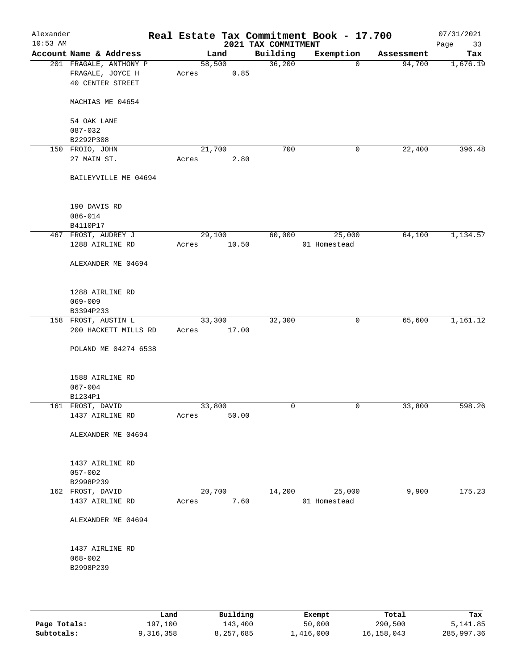| Alexander<br>$10:53$ AM |                                                                       | Real Estate Tax Commitment Book - 17.700 | 2021 TAX COMMITMENT |              |            | 07/31/2021<br>Page<br>33 |
|-------------------------|-----------------------------------------------------------------------|------------------------------------------|---------------------|--------------|------------|--------------------------|
|                         | Account Name & Address                                                | Land                                     | Building            | Exemption    | Assessment | Tax                      |
|                         | 201 FRAGALE, ANTHONY P<br>FRAGALE, JOYCE H<br><b>40 CENTER STREET</b> | 58,500<br>0.85<br>Acres                  | 36,200              | $\mathbf 0$  | 94,700     | 1,676.19                 |
|                         | MACHIAS ME 04654                                                      |                                          |                     |              |            |                          |
|                         | 54 OAK LANE<br>$087 - 032$                                            |                                          |                     |              |            |                          |
|                         | B2292P308                                                             |                                          |                     |              |            |                          |
|                         | 150 FROIO, JOHN                                                       | 21,700                                   | 700                 | 0            | 22,400     | 396.48                   |
|                         | 27 MAIN ST.                                                           | 2.80<br>Acres                            |                     |              |            |                          |
|                         | BAILEYVILLE ME 04694                                                  |                                          |                     |              |            |                          |
|                         | 190 DAVIS RD                                                          |                                          |                     |              |            |                          |
|                         | $086 - 014$                                                           |                                          |                     |              |            |                          |
|                         | B4110P17                                                              |                                          |                     |              |            |                          |
|                         | 467 FROST, AUDREY J                                                   | 29,100                                   | 60,000              | 25,000       | 64,100     | 1,134.57                 |
|                         | 1288 AIRLINE RD                                                       | Acres<br>10.50                           |                     | 01 Homestead |            |                          |
|                         | ALEXANDER ME 04694                                                    |                                          |                     |              |            |                          |
|                         | 1288 AIRLINE RD                                                       |                                          |                     |              |            |                          |
|                         | $069 - 009$                                                           |                                          |                     |              |            |                          |
|                         | B3394P233                                                             |                                          |                     |              |            |                          |
|                         | 158 FROST, AUSTIN L                                                   | 33,300                                   | 32,300              | $\mathsf{O}$ | 65,600     | 1,161.12                 |
|                         | 200 HACKETT MILLS RD                                                  | 17.00<br>Acres                           |                     |              |            |                          |
|                         | POLAND ME 04274 6538                                                  |                                          |                     |              |            |                          |
|                         | 1588 AIRLINE RD                                                       |                                          |                     |              |            |                          |
|                         | $067 - 004$                                                           |                                          |                     |              |            |                          |
|                         | B1234P1                                                               |                                          |                     |              |            |                          |
|                         | 161 FROST, DAVID                                                      | 33,800                                   | $\mathbf 0$         | 0            | 33,800     | 598.26                   |
|                         | 1437 AIRLINE RD                                                       | 50.00<br>Acres                           |                     |              |            |                          |
|                         | ALEXANDER ME 04694                                                    |                                          |                     |              |            |                          |
|                         | 1437 AIRLINE RD                                                       |                                          |                     |              |            |                          |
|                         | $057 - 002$                                                           |                                          |                     |              |            |                          |
|                         | B2998P239                                                             |                                          |                     |              |            |                          |
|                         | 162 FROST, DAVID                                                      | 20,700                                   | 14,200              | 25,000       | 9,900      | 175.23                   |
|                         | 1437 AIRLINE RD                                                       | 7.60<br>Acres                            |                     | 01 Homestead |            |                          |
|                         | ALEXANDER ME 04694                                                    |                                          |                     |              |            |                          |
|                         | 1437 AIRLINE RD                                                       |                                          |                     |              |            |                          |
|                         | $068 - 002$                                                           |                                          |                     |              |            |                          |
|                         | B2998P239                                                             |                                          |                     |              |            |                          |
|                         |                                                                       |                                          |                     |              |            |                          |
|                         |                                                                       |                                          |                     |              |            |                          |

|              | Land      | Building  | Exempt    | Total      | Tax        |
|--------------|-----------|-----------|-----------|------------|------------|
| Page Totals: | 197,100   | 143,400   | 50,000    | 290,500    | 5, 141, 85 |
| Subtotals:   | 9,316,358 | 8,257,685 | 1,416,000 | 16,158,043 | 285,997.36 |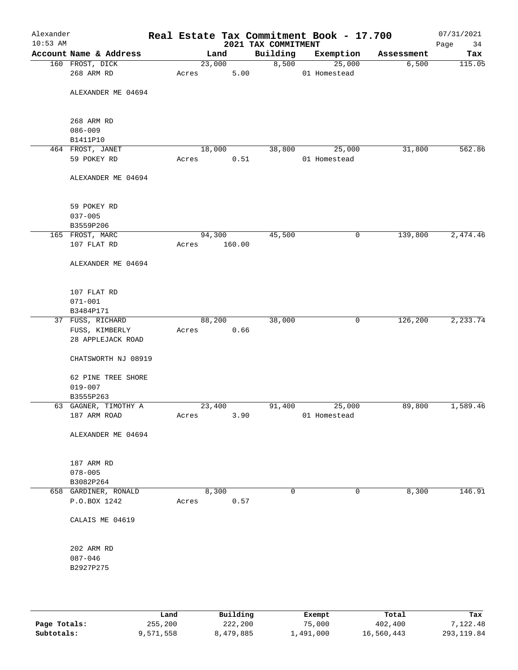| Alexander<br>$10:53$ AM |                                      |       |        |        |                                 | Real Estate Tax Commitment Book - 17.700 |            | 07/31/2021        |
|-------------------------|--------------------------------------|-------|--------|--------|---------------------------------|------------------------------------------|------------|-------------------|
|                         | Account Name & Address               |       | Land   |        | 2021 TAX COMMITMENT<br>Building | Exemption                                | Assessment | Page<br>34<br>Tax |
|                         | 160 FROST, DICK                      |       | 23,000 |        | 8,500                           | 25,000                                   | 6,500      | 115.05            |
|                         | 268 ARM RD                           | Acres |        | 5.00   |                                 | 01 Homestead                             |            |                   |
|                         | ALEXANDER ME 04694                   |       |        |        |                                 |                                          |            |                   |
|                         | 268 ARM RD                           |       |        |        |                                 |                                          |            |                   |
|                         | $086 - 009$                          |       |        |        |                                 |                                          |            |                   |
|                         | B1411P10                             |       |        |        |                                 |                                          |            |                   |
|                         | 464 FROST, JANET                     |       | 18,000 |        | 38,800                          | 25,000                                   | 31,800     | 562.86            |
|                         | 59 POKEY RD                          | Acres |        | 0.51   |                                 | 01 Homestead                             |            |                   |
|                         | ALEXANDER ME 04694                   |       |        |        |                                 |                                          |            |                   |
|                         |                                      |       |        |        |                                 |                                          |            |                   |
|                         | 59 POKEY RD                          |       |        |        |                                 |                                          |            |                   |
|                         | $037 - 005$<br>B3559P206             |       |        |        |                                 |                                          |            |                   |
|                         | 165 FROST, MARC                      |       | 94,300 |        | 45,500                          | 0                                        | 139,800    | 2,474.46          |
|                         | 107 FLAT RD                          | Acres |        | 160.00 |                                 |                                          |            |                   |
|                         |                                      |       |        |        |                                 |                                          |            |                   |
|                         | ALEXANDER ME 04694                   |       |        |        |                                 |                                          |            |                   |
|                         | 107 FLAT RD                          |       |        |        |                                 |                                          |            |                   |
|                         | $071 - 001$                          |       |        |        |                                 |                                          |            |                   |
|                         | B3484P171                            |       |        |        |                                 |                                          |            |                   |
|                         | 37 FUSS, RICHARD                     |       | 88,200 |        | 38,000                          | $\mathsf{O}$                             | 126,200    | 2,233.74          |
|                         | FUSS, KIMBERLY<br>28 APPLEJACK ROAD  | Acres |        | 0.66   |                                 |                                          |            |                   |
|                         | CHATSWORTH NJ 08919                  |       |        |        |                                 |                                          |            |                   |
|                         | 62 PINE TREE SHORE                   |       |        |        |                                 |                                          |            |                   |
|                         | $019 - 007$                          |       |        |        |                                 |                                          |            |                   |
|                         | B3555P263                            |       |        |        |                                 |                                          |            |                   |
|                         | 63 GAGNER, TIMOTHY A                 |       | 23,400 |        | 91,400                          | 25,000                                   | 89,800     | 1,589.46          |
|                         | 187 ARM ROAD                         | Acres |        | 3.90   |                                 | 01 Homestead                             |            |                   |
|                         | ALEXANDER ME 04694                   |       |        |        |                                 |                                          |            |                   |
|                         | 187 ARM RD                           |       |        |        |                                 |                                          |            |                   |
|                         | $078 - 005$                          |       |        |        |                                 |                                          |            |                   |
|                         | B3082P264                            |       |        |        |                                 |                                          |            |                   |
|                         | 658 GARDINER, RONALD<br>P.O.BOX 1242 | Acres | 8,300  | 0.57   | $\mathbf 0$                     | $\mathbf 0$                              | 8,300      | 146.91            |
|                         | CALAIS ME 04619                      |       |        |        |                                 |                                          |            |                   |
|                         | 202 ARM RD                           |       |        |        |                                 |                                          |            |                   |
|                         | $087 - 046$                          |       |        |        |                                 |                                          |            |                   |
|                         | B2927P275                            |       |        |        |                                 |                                          |            |                   |
|                         |                                      |       |        |        |                                 |                                          |            |                   |
|                         |                                      |       |        |        |                                 |                                          |            |                   |
|                         |                                      |       |        |        |                                 |                                          |            |                   |
|                         |                                      |       |        |        |                                 |                                          |            |                   |

|              | Land      | Building  | Exempt    | Total      | Tax         |
|--------------|-----------|-----------|-----------|------------|-------------|
| Page Totals: | 255,200   | 222,200   | 75,000    | 402,400    | 7.122.48    |
| Subtotals:   | 9,571,558 | 8,479,885 | 1,491,000 | 16,560,443 | 293, 119.84 |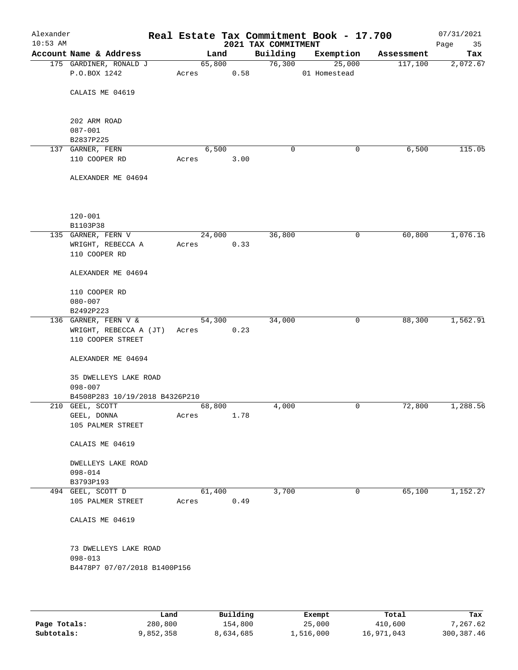| Alexander<br>$10:53$ AM |                                    |       |        | 2021 TAX COMMITMENT | Real Estate Tax Commitment Book - 17.700 |            | 07/31/2021<br>Page<br>35 |
|-------------------------|------------------------------------|-------|--------|---------------------|------------------------------------------|------------|--------------------------|
|                         | Account Name & Address             |       | Land   | Building            | Exemption                                | Assessment | Tax                      |
|                         | 175 GARDINER, RONALD J             |       | 65,800 | 76,300              | 25,000                                   | 117,100    | 2,072.67                 |
|                         | P.O.BOX 1242                       | Acres | 0.58   |                     | 01 Homestead                             |            |                          |
|                         | CALAIS ME 04619                    |       |        |                     |                                          |            |                          |
|                         | 202 ARM ROAD                       |       |        |                     |                                          |            |                          |
|                         | $087 - 001$                        |       |        |                     |                                          |            |                          |
|                         | B2837P225                          |       |        |                     |                                          |            |                          |
|                         | 137 GARNER, FERN                   |       | 6,500  | 0                   | 0                                        | 6,500      | 115.05                   |
|                         | 110 COOPER RD                      | Acres | 3.00   |                     |                                          |            |                          |
|                         | ALEXANDER ME 04694                 |       |        |                     |                                          |            |                          |
|                         | $120 - 001$                        |       |        |                     |                                          |            |                          |
|                         | B1103P38                           |       |        |                     |                                          |            |                          |
|                         | 135 GARNER, FERN V                 |       | 24,000 | 36,800              | 0                                        | 60,800     | 1,076.16                 |
|                         | WRIGHT, REBECCA A<br>110 COOPER RD | Acres | 0.33   |                     |                                          |            |                          |
|                         | ALEXANDER ME 04694                 |       |        |                     |                                          |            |                          |
|                         | 110 COOPER RD<br>$080 - 007$       |       |        |                     |                                          |            |                          |
|                         | B2492P223                          |       |        |                     |                                          |            |                          |
|                         | 136 GARNER, FERN V &               |       | 54,300 | 34,000              | 0                                        | 88,300     | 1,562.91                 |
|                         | WRIGHT, REBECCA A (JT)             | Acres | 0.23   |                     |                                          |            |                          |
|                         | 110 COOPER STREET                  |       |        |                     |                                          |            |                          |
|                         | ALEXANDER ME 04694                 |       |        |                     |                                          |            |                          |
|                         | 35 DWELLEYS LAKE ROAD              |       |        |                     |                                          |            |                          |
|                         | $098 - 007$                        |       |        |                     |                                          |            |                          |
|                         | B4508P283 10/19/2018 B4326P210     |       |        |                     |                                          |            |                          |
|                         | 210 GEEL, SCOTT                    |       | 68,800 | 4,000               | 0                                        | 72,800     | 1,288.56                 |
|                         | $\mathtt{GELL}$ , $\mathtt{DONNA}$ | Acres | 1.78   |                     |                                          |            |                          |
|                         | 105 PALMER STREET                  |       |        |                     |                                          |            |                          |
|                         | CALAIS ME 04619                    |       |        |                     |                                          |            |                          |
|                         | DWELLEYS LAKE ROAD                 |       |        |                     |                                          |            |                          |
|                         | $098 - 014$                        |       |        |                     |                                          |            |                          |
|                         | B3793P193                          |       |        |                     |                                          |            |                          |
|                         | 494 GEEL, SCOTT D                  |       | 61,400 | 3,700               | 0                                        | 65,100     | 1,152.27                 |
|                         | 105 PALMER STREET                  | Acres | 0.49   |                     |                                          |            |                          |
|                         | CALAIS ME 04619                    |       |        |                     |                                          |            |                          |
|                         | 73 DWELLEYS LAKE ROAD              |       |        |                     |                                          |            |                          |
|                         | $098 - 013$                        |       |        |                     |                                          |            |                          |
|                         | B4478P7 07/07/2018 B1400P156       |       |        |                     |                                          |            |                          |
|                         |                                    |       |        |                     |                                          |            |                          |
|                         |                                    |       |        |                     |                                          |            |                          |

|              | Land      | Building  | Exempt    | Total      | Tax        |
|--------------|-----------|-----------|-----------|------------|------------|
| Page Totals: | 280,800   | 154,800   | 25,000    | 410,600    | 7,267.62   |
| Subtotals:   | 9,852,358 | 8,634,685 | 1,516,000 | 16,971,043 | 300,387.46 |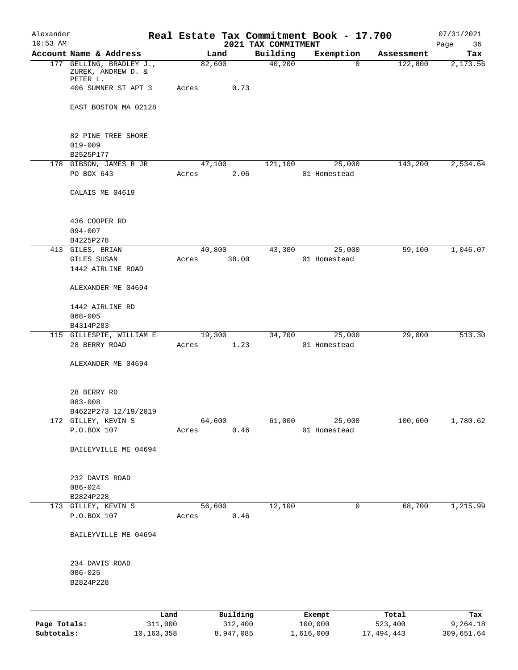| Alexander    |                                                |                         |                 |                     |                                 | Real Estate Tax Commitment Book - 17.700 |                       | 07/31/2021             |
|--------------|------------------------------------------------|-------------------------|-----------------|---------------------|---------------------------------|------------------------------------------|-----------------------|------------------------|
| $10:53$ AM   | Account Name & Address                         |                         |                 | Land                | 2021 TAX COMMITMENT<br>Building | Exemption                                | Assessment            | Page<br>36<br>Tax      |
|              | 177 GELLING, BRADLEY J.,<br>ZUREK, ANDREW D. & |                         | 82,600          |                     | 40,200                          | $\mathbf 0$                              | 122,800               | 2,173.56               |
|              | PETER L.<br>406 SUMNER ST APT 3                |                         | Acres           | 0.73                |                                 |                                          |                       |                        |
|              | EAST BOSTON MA 02128                           |                         |                 |                     |                                 |                                          |                       |                        |
|              | 82 PINE TREE SHORE<br>$019 - 009$<br>B2525P177 |                         |                 |                     |                                 |                                          |                       |                        |
|              | 178 GIBSON, JAMES R JR                         |                         | 47,100          |                     | 121,100                         | 25,000                                   | 143,200               | 2,534.64               |
|              | PO BOX 643                                     |                         | Acres           | 2.06                |                                 | 01 Homestead                             |                       |                        |
|              | CALAIS ME 04619                                |                         |                 |                     |                                 |                                          |                       |                        |
|              | 436 COOPER RD<br>$094 - 007$                   |                         |                 |                     |                                 |                                          |                       |                        |
|              | B4225P278                                      |                         |                 |                     |                                 |                                          |                       |                        |
|              | 413 GILES, BRIAN                               |                         | 40,800          |                     | 43,300                          | 25,000                                   | 59,100                | 1,046.07               |
|              | GILES SUSAN<br>1442 AIRLINE ROAD               |                         | Acres           | 38.00               |                                 | 01 Homestead                             |                       |                        |
|              | ALEXANDER ME 04694                             |                         |                 |                     |                                 |                                          |                       |                        |
|              | 1442 AIRLINE RD                                |                         |                 |                     |                                 |                                          |                       |                        |
|              | $068 - 005$                                    |                         |                 |                     |                                 |                                          |                       |                        |
|              | B4314P283<br>115 GILLESPIE, WILLIAM E          |                         |                 | 19,300              | 34,700                          | 25,000                                   | 29,000                | 513.30                 |
|              | 28 BERRY ROAD                                  |                         | Acres           | 1.23                |                                 | 01 Homestead                             |                       |                        |
|              | ALEXANDER ME 04694                             |                         |                 |                     |                                 |                                          |                       |                        |
|              | 28 BERRY RD<br>$083 - 008$                     |                         |                 |                     |                                 |                                          |                       |                        |
|              | B4622P273 12/19/2019                           |                         |                 |                     |                                 |                                          |                       |                        |
|              | 172 GILLEY, KEVIN S<br>P.O.BOX 107             |                         | 64,600<br>Acres | 0.46                | 61,000                          | 25,000<br>01 Homestead                   | 100,600               | 1,780.62               |
|              | BAILEYVILLE ME 04694                           |                         |                 |                     |                                 |                                          |                       |                        |
|              | 232 DAVIS ROAD                                 |                         |                 |                     |                                 |                                          |                       |                        |
|              | $086 - 024$<br>B2824P228                       |                         |                 |                     |                                 |                                          |                       |                        |
|              | 173 GILLEY, KEVIN S                            |                         | 56,600          |                     | 12,100                          | 0                                        | 68,700                | 1,215.99               |
|              | P.O.BOX 107                                    |                         | Acres           | $0.46\,$            |                                 |                                          |                       |                        |
|              | BAILEYVILLE ME 04694                           |                         |                 |                     |                                 |                                          |                       |                        |
|              | 234 DAVIS ROAD<br>$086 - 025$<br>B2824P228     |                         |                 |                     |                                 |                                          |                       |                        |
|              |                                                |                         |                 |                     |                                 |                                          |                       |                        |
| Page Totals: |                                                | Land                    |                 | Building<br>312,400 |                                 | Exempt<br>100,000                        | Total                 | Tax                    |
| Subtotals:   |                                                | 311,000<br>10, 163, 358 |                 | 8,947,085           |                                 | 1,616,000                                | 523,400<br>17,494,443 | 9,264.18<br>309,651.64 |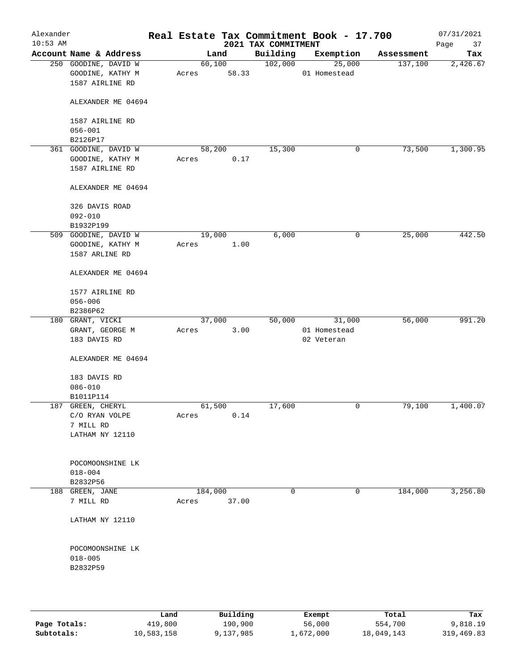| Alexander<br>$10:53$ AM |                                                             |       |                  | 2021 TAX COMMITMENT | Real Estate Tax Commitment Book - 17.700 |            | 07/31/2021<br>Page<br>37 |
|-------------------------|-------------------------------------------------------------|-------|------------------|---------------------|------------------------------------------|------------|--------------------------|
|                         | Account Name & Address                                      |       | Land             | Building            | Exemption                                | Assessment | Tax                      |
|                         | 250 GOODINE, DAVID W<br>GOODINE, KATHY M<br>1587 AIRLINE RD | Acres | 60,100<br>58.33  | 102,000             | 25,000<br>01 Homestead                   | 137,100    | 2,426.67                 |
|                         | ALEXANDER ME 04694                                          |       |                  |                     |                                          |            |                          |
|                         | 1587 AIRLINE RD<br>$056 - 001$                              |       |                  |                     |                                          |            |                          |
|                         | B2126P17                                                    |       |                  |                     |                                          |            |                          |
|                         | 361 GOODINE, DAVID W                                        |       | 58,200           | 15,300              | 0                                        | 73,500     | 1,300.95                 |
|                         | GOODINE, KATHY M<br>1587 AIRLINE RD                         | Acres | 0.17             |                     |                                          |            |                          |
|                         | ALEXANDER ME 04694                                          |       |                  |                     |                                          |            |                          |
|                         | 326 DAVIS ROAD                                              |       |                  |                     |                                          |            |                          |
|                         | $092 - 010$                                                 |       |                  |                     |                                          |            |                          |
|                         | B1932P199                                                   |       |                  |                     |                                          |            |                          |
|                         | 509 GOODINE, DAVID W                                        |       | 19,000           | 6,000               | $\mathsf{O}$                             | 25,000     | 442.50                   |
|                         | GOODINE, KATHY M                                            | Acres | 1.00             |                     |                                          |            |                          |
|                         | 1587 ARLINE RD                                              |       |                  |                     |                                          |            |                          |
|                         | ALEXANDER ME 04694                                          |       |                  |                     |                                          |            |                          |
|                         | 1577 AIRLINE RD                                             |       |                  |                     |                                          |            |                          |
|                         | $056 - 006$                                                 |       |                  |                     |                                          |            |                          |
|                         | B2386P62                                                    |       |                  |                     |                                          |            |                          |
|                         | 180 GRANT, VICKI                                            |       | 37,000           | 50,000              | 31,000                                   | 56,000     | 991.20                   |
|                         | GRANT, GEORGE M                                             | Acres | 3.00             |                     | 01 Homestead                             |            |                          |
|                         | 183 DAVIS RD                                                |       |                  |                     | 02 Veteran                               |            |                          |
|                         | ALEXANDER ME 04694                                          |       |                  |                     |                                          |            |                          |
|                         | 183 DAVIS RD                                                |       |                  |                     |                                          |            |                          |
|                         | $086 - 010$                                                 |       |                  |                     |                                          |            |                          |
|                         | B1011P114                                                   |       |                  |                     |                                          |            |                          |
|                         | 187 GREEN, CHERYL                                           |       | 61,500           | 17,600              | 0                                        | 79,100     | 1,400.07                 |
|                         | C/O RYAN VOLPE<br>7 MILL RD                                 | Acres | 0.14             |                     |                                          |            |                          |
|                         | LATHAM NY 12110                                             |       |                  |                     |                                          |            |                          |
|                         |                                                             |       |                  |                     |                                          |            |                          |
|                         | POCOMOONSHINE LK                                            |       |                  |                     |                                          |            |                          |
|                         | $018 - 004$                                                 |       |                  |                     |                                          |            |                          |
|                         | B2832P56                                                    |       |                  | $\mathbf 0$         | 0                                        | 184,000    | 3,256.80                 |
|                         | 188 GREEN, JANE<br>7 MILL RD                                | Acres | 184,000<br>37.00 |                     |                                          |            |                          |
|                         | LATHAM NY 12110                                             |       |                  |                     |                                          |            |                          |
|                         | POCOMOONSHINE LK                                            |       |                  |                     |                                          |            |                          |
|                         | $018 - 005$                                                 |       |                  |                     |                                          |            |                          |
|                         | B2832P59                                                    |       |                  |                     |                                          |            |                          |
|                         |                                                             |       |                  |                     |                                          |            |                          |
|                         |                                                             |       |                  |                     |                                          |            |                          |
|                         |                                                             |       |                  |                     |                                          |            |                          |

|              | Land       | Building  | Exempt    | Total      | Tax        |
|--------------|------------|-----------|-----------|------------|------------|
| Page Totals: | 419,800    | 190,900   | 56,000    | 554,700    | 9,818.19   |
| Subtotals:   | 10,583,158 | 9,137,985 | 1,672,000 | 18,049,143 | 319,469.83 |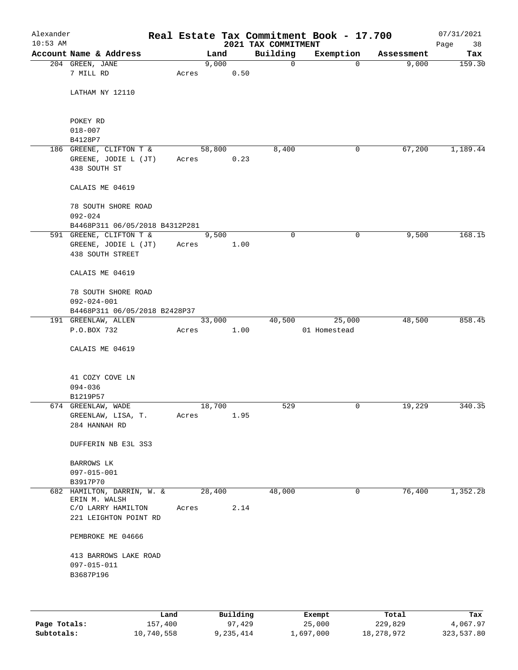| Alexander<br>$10:53$ AM |                                             |       |        |        | 2021 TAX COMMITMENT | Real Estate Tax Commitment Book - 17.700 |            | 07/31/2021<br>Page<br>38 |
|-------------------------|---------------------------------------------|-------|--------|--------|---------------------|------------------------------------------|------------|--------------------------|
|                         | Account Name & Address                      |       | Land   |        | Building            | Exemption                                | Assessment | Tax                      |
|                         | 204 GREEN, JANE                             |       | 9,000  |        | $\mathsf{O}$        | $\Omega$                                 | 9,000      | 159.30                   |
|                         | 7 MILL RD                                   | Acres |        | 0.50   |                     |                                          |            |                          |
|                         | LATHAM NY 12110                             |       |        |        |                     |                                          |            |                          |
|                         | POKEY RD                                    |       |        |        |                     |                                          |            |                          |
|                         | $018 - 007$                                 |       |        |        |                     |                                          |            |                          |
|                         | B4128P7                                     |       |        |        |                     |                                          |            |                          |
|                         | 186 GREENE, CLIFTON T &                     |       | 58,800 |        | 8,400               | 0                                        | 67,200     | 1,189.44                 |
|                         | GREENE, JODIE L (JT)                        |       | Acres  | 0.23   |                     |                                          |            |                          |
|                         | 438 SOUTH ST                                |       |        |        |                     |                                          |            |                          |
|                         | CALAIS ME 04619                             |       |        |        |                     |                                          |            |                          |
|                         | 78 SOUTH SHORE ROAD                         |       |        |        |                     |                                          |            |                          |
|                         | $092 - 024$                                 |       |        |        |                     |                                          |            |                          |
|                         | B4468P311 06/05/2018 B4312P281              |       |        |        |                     |                                          |            |                          |
|                         | 591 GREENE, CLIFTON T &                     |       | 9,500  |        | $\mathbf 0$         | $\mathbf 0$                              | 9,500      | 168.15                   |
|                         | GREENE, JODIE L (JT)                        | Acres |        | 1.00   |                     |                                          |            |                          |
|                         | 438 SOUTH STREET                            |       |        |        |                     |                                          |            |                          |
|                         | CALAIS ME 04619                             |       |        |        |                     |                                          |            |                          |
|                         | 78 SOUTH SHORE ROAD                         |       |        |        |                     |                                          |            |                          |
|                         | $092 - 024 - 001$                           |       |        |        |                     |                                          |            |                          |
|                         | B4468P311 06/05/2018 B2428P37               |       |        |        |                     |                                          |            |                          |
|                         | 191 GREENLAW, ALLEN                         |       |        | 33,000 | 40,500              | 25,000                                   | 48,500     | 858.45                   |
|                         | P.O.BOX 732                                 | Acres |        | 1.00   |                     | 01 Homestead                             |            |                          |
|                         | CALAIS ME 04619                             |       |        |        |                     |                                          |            |                          |
|                         | 41 COZY COVE LN                             |       |        |        |                     |                                          |            |                          |
|                         | $094 - 036$                                 |       |        |        |                     |                                          |            |                          |
|                         | B1219P57                                    |       |        |        |                     |                                          |            |                          |
|                         | 674 GREENLAW, WADE                          |       | 18,700 |        | 529                 | 0                                        | 19,229     | 340.35                   |
|                         | GREENLAW, LISA, T.                          | Acres |        | 1.95   |                     |                                          |            |                          |
|                         | 284 HANNAH RD                               |       |        |        |                     |                                          |            |                          |
|                         | DUFFERIN NB E3L 3S3                         |       |        |        |                     |                                          |            |                          |
|                         | BARROWS LK                                  |       |        |        |                     |                                          |            |                          |
|                         | 097-015-001                                 |       |        |        |                     |                                          |            |                          |
|                         | B3917P70                                    |       |        |        |                     |                                          |            |                          |
|                         | 682 HAMILTON, DARRIN, W. &<br>ERIN M. WALSH |       | 28,400 |        | 48,000              | 0                                        | 76,400     | 1,352.28                 |
|                         | C/O LARRY HAMILTON                          | Acres |        | 2.14   |                     |                                          |            |                          |
|                         | 221 LEIGHTON POINT RD                       |       |        |        |                     |                                          |            |                          |
|                         | PEMBROKE ME 04666                           |       |        |        |                     |                                          |            |                          |
|                         | 413 BARROWS LAKE ROAD                       |       |        |        |                     |                                          |            |                          |
|                         | 097-015-011                                 |       |        |        |                     |                                          |            |                          |
|                         | B3687P196                                   |       |        |        |                     |                                          |            |                          |
|                         |                                             |       |        |        |                     |                                          |            |                          |
|                         |                                             |       |        |        |                     |                                          |            |                          |
|                         |                                             |       |        |        |                     |                                          |            |                          |

|              | Land       | Building  | Exempt    | Total      | Tax        |
|--------------|------------|-----------|-----------|------------|------------|
| Page Totals: | 157,400    | 97,429    | 25,000    | 229,829    | 4,067.97   |
| Subtotals:   | 10,740,558 | 9,235,414 | 1,697,000 | 18,278,972 | 323,537.80 |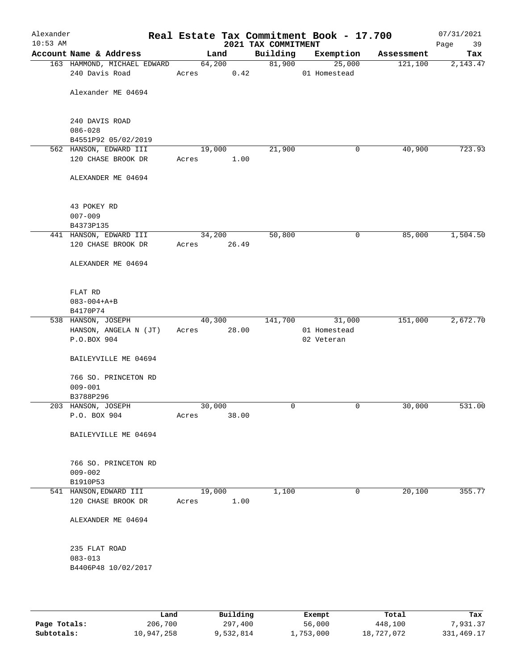| Alexander<br>$10:53$ AM |                                               |        |                 | 2021 TAX COMMITMENT | Real Estate Tax Commitment Book - 17.700 |            | 07/31/2021<br>39<br>Page |
|-------------------------|-----------------------------------------------|--------|-----------------|---------------------|------------------------------------------|------------|--------------------------|
|                         | Account Name & Address                        |        | Land            | Building            | Exemption                                | Assessment | Tax                      |
|                         | 163 HAMMOND, MICHAEL EDWARD<br>240 Davis Road | Acres  | 64,200<br>0.42  | 81,900              | 25,000<br>01 Homestead                   | 121,100    | 2,143.47                 |
|                         | Alexander ME 04694                            |        |                 |                     |                                          |            |                          |
|                         | 240 DAVIS ROAD<br>$086 - 028$                 |        |                 |                     |                                          |            |                          |
|                         | B4551P92 05/02/2019                           |        |                 |                     |                                          |            |                          |
|                         | 562 HANSON, EDWARD III                        | 19,000 |                 | 21,900              | 0                                        | 40,900     | 723.93                   |
|                         | 120 CHASE BROOK DR                            | Acres  | 1.00            |                     |                                          |            |                          |
|                         | ALEXANDER ME 04694                            |        |                 |                     |                                          |            |                          |
|                         | 43 POKEY RD                                   |        |                 |                     |                                          |            |                          |
|                         | $007 - 009$                                   |        |                 |                     |                                          |            |                          |
|                         | B4373P135                                     |        |                 |                     |                                          |            |                          |
|                         | 441 HANSON, EDWARD III                        |        | 34,200          | 50,800              | $\mathsf{O}$                             | 85,000     | 1,504.50                 |
|                         | 120 CHASE BROOK DR                            | Acres  | 26.49           |                     |                                          |            |                          |
|                         | ALEXANDER ME 04694                            |        |                 |                     |                                          |            |                          |
|                         | FLAT RD                                       |        |                 |                     |                                          |            |                          |
|                         | $083 - 004 + A + B$                           |        |                 |                     |                                          |            |                          |
|                         | B4170P74                                      |        |                 |                     |                                          |            |                          |
|                         | 538 HANSON, JOSEPH<br>HANSON, ANGELA N (JT)   | Acres  | 40,300<br>28.00 |                     | 141,700 31,000<br>01 Homestead           | 151,000    | 2,672.70                 |
|                         | P.O.BOX 904                                   |        |                 |                     | 02 Veteran                               |            |                          |
|                         | BAILEYVILLE ME 04694                          |        |                 |                     |                                          |            |                          |
|                         | 766 SO. PRINCETON RD                          |        |                 |                     |                                          |            |                          |
|                         | $009 - 001$                                   |        |                 |                     |                                          |            |                          |
|                         | B3788P296<br>203 HANSON, JOSEPH               | 30,000 |                 | $\mathbf 0$         | 0                                        | 30,000     | 531.00                   |
|                         | P.O. BOX 904                                  | Acres  | 38.00           |                     |                                          |            |                          |
|                         |                                               |        |                 |                     |                                          |            |                          |
|                         | BAILEYVILLE ME 04694                          |        |                 |                     |                                          |            |                          |
|                         | 766 SO. PRINCETON RD                          |        |                 |                     |                                          |            |                          |
|                         | $009 - 002$                                   |        |                 |                     |                                          |            |                          |
|                         | B1910P53                                      |        |                 |                     |                                          |            |                          |
|                         | 541 HANSON, EDWARD III                        | 19,000 |                 | 1,100               | 0                                        | 20,100     | 355.77                   |
|                         | 120 CHASE BROOK DR                            | Acres  | 1.00            |                     |                                          |            |                          |
|                         | ALEXANDER ME 04694                            |        |                 |                     |                                          |            |                          |
|                         | 235 FLAT ROAD                                 |        |                 |                     |                                          |            |                          |
|                         | $083 - 013$                                   |        |                 |                     |                                          |            |                          |
|                         | B4406P48 10/02/2017                           |        |                 |                     |                                          |            |                          |
|                         |                                               |        |                 |                     |                                          |            |                          |

|              | Land       | Building  | Exempt    | Total      | Tax          |
|--------------|------------|-----------|-----------|------------|--------------|
| Page Totals: | 206,700    | 297,400   | 56,000    | 448,100    | 7,931.37     |
| Subtotals:   | 10,947,258 | 9,532,814 | 1,753,000 | 18,727,072 | 331, 469. 17 |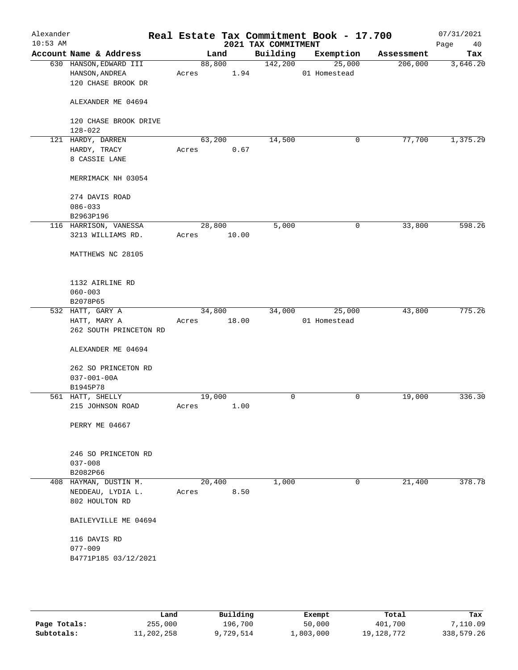| Alexander<br>$10:53$ AM |                                                                | Real Estate Tax Commitment Book - 17.700 | 2021 TAX COMMITMENT |                        |            | 07/31/2021<br>Page<br>40 |
|-------------------------|----------------------------------------------------------------|------------------------------------------|---------------------|------------------------|------------|--------------------------|
|                         | Account Name & Address                                         | Land                                     | Building            | Exemption              | Assessment | Tax                      |
|                         | 630 HANSON, EDWARD III<br>HANSON, ANDREA<br>120 CHASE BROOK DR | 88,800<br>1.94<br>Acres                  | 142,200             | 25,000<br>01 Homestead | 206,000    | 3,646.20                 |
|                         | ALEXANDER ME 04694                                             |                                          |                     |                        |            |                          |
|                         | 120 CHASE BROOK DRIVE<br>$128 - 022$                           |                                          |                     |                        |            |                          |
|                         | 121 HARDY, DARREN                                              | 63,200                                   | 14,500              | 0                      | 77,700     | 1,375.29                 |
|                         | HARDY, TRACY                                                   | 0.67<br>Acres                            |                     |                        |            |                          |
|                         | 8 CASSIE LANE                                                  |                                          |                     |                        |            |                          |
|                         | MERRIMACK NH 03054                                             |                                          |                     |                        |            |                          |
|                         | 274 DAVIS ROAD                                                 |                                          |                     |                        |            |                          |
|                         | $086 - 033$                                                    |                                          |                     |                        |            |                          |
|                         | B2963P196                                                      |                                          |                     |                        |            |                          |
|                         | 116 HARRISON, VANESSA                                          | 28,800                                   | 5,000               | 0                      | 33,800     | 598.26                   |
|                         | 3213 WILLIAMS RD.                                              | 10.00<br>Acres                           |                     |                        |            |                          |
|                         | MATTHEWS NC 28105                                              |                                          |                     |                        |            |                          |
|                         | 1132 AIRLINE RD                                                |                                          |                     |                        |            |                          |
|                         | $060 - 003$<br>B2078P65                                        |                                          |                     |                        |            |                          |
|                         | 532 HATT, GARY A                                               | 34,800                                   | 34,000              | 25,000                 | 43,800     | 775.26                   |
|                         | HATT, MARY A                                                   | 18.00<br>Acres                           |                     | 01 Homestead           |            |                          |
|                         | 262 SOUTH PRINCETON RD                                         |                                          |                     |                        |            |                          |
|                         | ALEXANDER ME 04694                                             |                                          |                     |                        |            |                          |
|                         | 262 SO PRINCETON RD                                            |                                          |                     |                        |            |                          |
|                         | $037 - 001 - 00A$                                              |                                          |                     |                        |            |                          |
|                         | B1945P78                                                       |                                          |                     |                        |            |                          |
|                         | 561 HATT, SHELLY                                               | 19,000                                   | 0                   | 0                      | 19,000     | 336.30                   |
|                         | 215 JOHNSON ROAD                                               | Acres<br>1.00                            |                     |                        |            |                          |
|                         | PERRY ME 04667                                                 |                                          |                     |                        |            |                          |
|                         | 246 SO PRINCETON RD                                            |                                          |                     |                        |            |                          |
|                         | $037 - 008$                                                    |                                          |                     |                        |            |                          |
|                         | B2082P66                                                       |                                          |                     |                        |            |                          |
|                         | 408 HAYMAN, DUSTIN M.                                          | 20,400                                   | 1,000               | $\mathbf 0$            | 21,400     | 378.78                   |
|                         | NEDDEAU, LYDIA L.                                              | 8.50<br>Acres                            |                     |                        |            |                          |
|                         | 802 HOULTON RD                                                 |                                          |                     |                        |            |                          |
|                         | BAILEYVILLE ME 04694                                           |                                          |                     |                        |            |                          |
|                         | 116 DAVIS RD                                                   |                                          |                     |                        |            |                          |
|                         | $077 - 009$                                                    |                                          |                     |                        |            |                          |
|                         | B4771P185 03/12/2021                                           |                                          |                     |                        |            |                          |
|                         |                                                                |                                          |                     |                        |            |                          |

|              | Land       | Building  | Exempt    | Total        | Tax        |
|--------------|------------|-----------|-----------|--------------|------------|
| Page Totals: | 255,000    | 196,700   | 50,000    | 401,700      | 7,110.09   |
| Subtotals:   | 11,202,258 | 9,729,514 | ⊥,803,000 | 19, 128, 772 | 338,579.26 |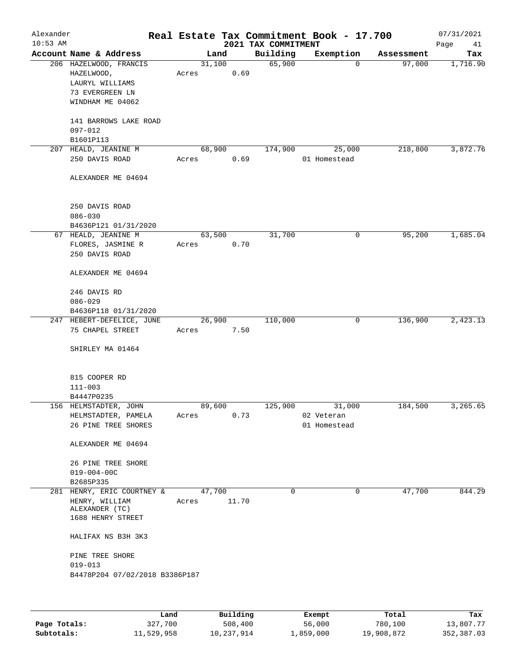| Alexander<br>$10:53$ AM |                                                                                     |                 |       | 2021 TAX COMMITMENT | Real Estate Tax Commitment Book - 17.700 |            | 07/31/2021<br>Page<br>41 |
|-------------------------|-------------------------------------------------------------------------------------|-----------------|-------|---------------------|------------------------------------------|------------|--------------------------|
|                         | Account Name & Address                                                              |                 | Land  | Building            | Exemption                                | Assessment | Tax                      |
|                         | 206 HAZELWOOD, FRANCIS<br>HAZELWOOD,<br>LAURYL WILLIAMS<br>73 EVERGREEN LN          | 31,100<br>Acres | 0.69  | 65,900              | $\mathbf 0$                              | 97,000     | 1,716.90                 |
|                         | WINDHAM ME 04062<br>141 BARROWS LAKE ROAD<br>$097 - 012$                            |                 |       |                     |                                          |            |                          |
|                         | B1601P113                                                                           |                 |       |                     |                                          |            |                          |
|                         | 207 HEALD, JEANINE M                                                                | 68,900          |       | 174,900             | 25,000                                   | 218,800    | 3,872.76                 |
|                         | 250 DAVIS ROAD                                                                      | Acres           | 0.69  |                     | 01 Homestead                             |            |                          |
|                         | ALEXANDER ME 04694                                                                  |                 |       |                     |                                          |            |                          |
|                         | 250 DAVIS ROAD<br>$086 - 030$                                                       |                 |       |                     |                                          |            |                          |
|                         | B4636P121 01/31/2020<br>67 HEALD, JEANINE M                                         | 63,500          |       | 31,700              | 0                                        | 95,200     | 1,685.04                 |
|                         | FLORES, JASMINE R<br>250 DAVIS ROAD                                                 | Acres           | 0.70  |                     |                                          |            |                          |
|                         | ALEXANDER ME 04694                                                                  |                 |       |                     |                                          |            |                          |
|                         | 246 DAVIS RD<br>$086 - 029$                                                         |                 |       |                     |                                          |            |                          |
|                         | B4636P118 01/31/2020                                                                |                 |       |                     |                                          |            |                          |
|                         | 247 HEBERT-DEFELICE, JUNE                                                           | 26,900          |       | 110,000             | 0                                        | 136,900    | 2,423.13                 |
|                         | 75 CHAPEL STREET                                                                    | Acres           | 7.50  |                     |                                          |            |                          |
|                         | SHIRLEY MA 01464                                                                    |                 |       |                     |                                          |            |                          |
|                         | 815 COOPER RD<br>$111 - 003$                                                        |                 |       |                     |                                          |            |                          |
|                         | B4447P0235                                                                          |                 |       |                     |                                          |            |                          |
|                         | 156 HELMSTADTER, JOHN                                                               | 89,600          |       | 125,900             | 31,000                                   | 184,500    | 3,265.65                 |
|                         | HELMSTADTER, PAMELA<br>26 PINE TREE SHORES                                          | Acres           | 0.73  |                     | 02 Veteran<br>01 Homestead               |            |                          |
|                         |                                                                                     |                 |       |                     |                                          |            |                          |
|                         | ALEXANDER ME 04694                                                                  |                 |       |                     |                                          |            |                          |
|                         | 26 PINE TREE SHORE                                                                  |                 |       |                     |                                          |            |                          |
|                         | $019 - 004 - 00C$<br>B2685P335                                                      |                 |       |                     |                                          |            |                          |
|                         | 281 HENRY, ERIC COURTNEY &<br>HENRY, WILLIAM<br>ALEXANDER (TC)<br>1688 HENRY STREET | 47,700<br>Acres | 11.70 | 0                   | 0                                        | 47,700     | 844.29                   |
|                         | HALIFAX NS B3H 3K3                                                                  |                 |       |                     |                                          |            |                          |
|                         | PINE TREE SHORE<br>$019 - 013$                                                      |                 |       |                     |                                          |            |                          |
|                         | B4478P204 07/02/2018 B3386P187                                                      |                 |       |                     |                                          |            |                          |
|                         |                                                                                     |                 |       |                     |                                          |            |                          |
|                         |                                                                                     |                 |       |                     |                                          |            |                          |

|              | Land       | Building   | Exempt    | Total      | Tax        |
|--------------|------------|------------|-----------|------------|------------|
| Page Totals: | 327,700    | 508,400    | 56,000    | 780,100    | 13,807.77  |
| Subtotals:   | 11,529,958 | 10,237,914 | 1,859,000 | 19,908,872 | 352,387.03 |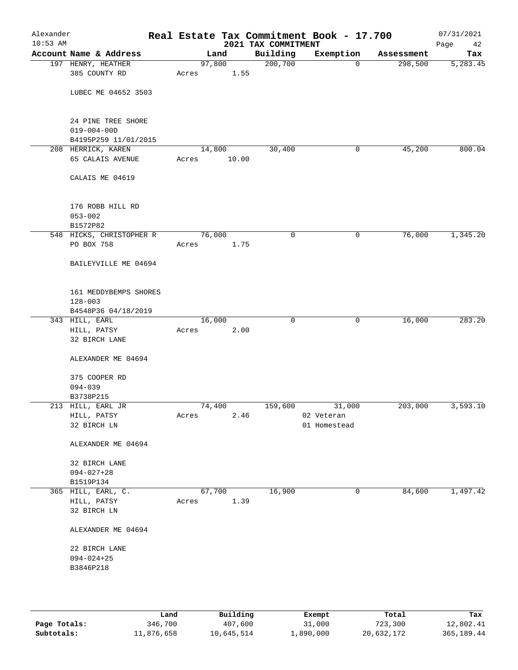| Alexander<br>$10:53$ AM |                                                                 |        |       | 2021 TAX COMMITMENT | Real Estate Tax Commitment Book - 17.700 |            | 07/31/2021<br>Page<br>42 |
|-------------------------|-----------------------------------------------------------------|--------|-------|---------------------|------------------------------------------|------------|--------------------------|
|                         | Account Name & Address                                          |        | Land  | Building            | Exemption                                | Assessment | Tax                      |
|                         | 197 HENRY, HEATHER                                              | 97,800 |       | 200,700             | $\mathbf 0$                              | 298,500    | 5,283.45                 |
|                         | 385 COUNTY RD                                                   | Acres  | 1.55  |                     |                                          |            |                          |
|                         | LUBEC ME 04652 3503                                             |        |       |                     |                                          |            |                          |
|                         | 24 PINE TREE SHORE<br>$019 - 004 - 00D$<br>B4195P259 11/01/2015 |        |       |                     |                                          |            |                          |
|                         | 208 HERRICK, KAREN                                              | 14,800 |       | 30,400              | 0                                        | 45,200     | 800.04                   |
|                         | 65 CALAIS AVENUE                                                | Acres  | 10.00 |                     |                                          |            |                          |
|                         | CALAIS ME 04619                                                 |        |       |                     |                                          |            |                          |
|                         | 176 ROBB HILL RD<br>$053 - 002$<br>B1572P82                     |        |       |                     |                                          |            |                          |
|                         | 548 HICKS, CHRISTOPHER R                                        | 76,000 |       | 0                   | 0                                        | 76,000     | 1,345.20                 |
|                         | PO BOX 758                                                      | Acres  | 1.75  |                     |                                          |            |                          |
|                         | BAILEYVILLE ME 04694                                            |        |       |                     |                                          |            |                          |
|                         | 161 MEDDYBEMPS SHORES<br>$128 - 003$                            |        |       |                     |                                          |            |                          |
|                         | B4548P36 04/18/2019                                             |        |       | $\mathbf 0$         |                                          |            |                          |
|                         | 343 HILL, EARL<br>HILL, PATSY                                   | 16,000 | 2.00  |                     | 0                                        | 16,000     | 283.20                   |
|                         | 32 BIRCH LANE                                                   | Acres  |       |                     |                                          |            |                          |
|                         | ALEXANDER ME 04694                                              |        |       |                     |                                          |            |                          |
|                         | 375 COOPER RD                                                   |        |       |                     |                                          |            |                          |
|                         | $094 - 039$                                                     |        |       |                     |                                          |            |                          |
|                         | B3738P215<br>213 HILL, EARL JR                                  | 74,400 |       | 159,600             | 31,000                                   | 203,000    | 3,593.10                 |
|                         | HILL, PATSY                                                     | Acres  | 2.46  |                     | 02 Veteran                               |            |                          |
|                         | 32 BIRCH LN                                                     |        |       |                     | 01 Homestead                             |            |                          |
|                         | ALEXANDER ME 04694                                              |        |       |                     |                                          |            |                          |
|                         | 32 BIRCH LANE<br>$094 - 027 + 28$<br>B1519P134                  |        |       |                     |                                          |            |                          |
|                         | 365 HILL, EARL, C.                                              | 67,700 |       | 16,900              | 0                                        | 84,600     | 1,497.42                 |
|                         | HILL, PATSY<br>32 BIRCH LN                                      | Acres  | 1.39  |                     |                                          |            |                          |
|                         | ALEXANDER ME 04694                                              |        |       |                     |                                          |            |                          |
|                         | 22 BIRCH LANE                                                   |        |       |                     |                                          |            |                          |
|                         | $094 - 024 + 25$                                                |        |       |                     |                                          |            |                          |
|                         | B3846P218                                                       |        |       |                     |                                          |            |                          |
|                         |                                                                 |        |       |                     |                                          |            |                          |
|                         |                                                                 |        |       |                     |                                          |            |                          |

|              | Land       | Building   | Exempt    | Total      | Tax        |
|--------------|------------|------------|-----------|------------|------------|
| Page Totals: | 346,700    | 407,600    | 31,000    | 723,300    | 12,802.41  |
| Subtotals:   | 11,876,658 | 10,645,514 | 1,890,000 | 20,632,172 | 365,189.44 |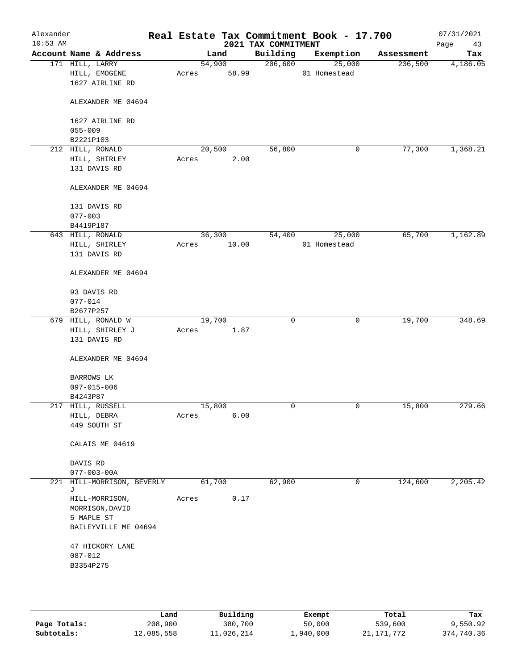| Alexander<br>$10:53$ AM |                                                     |       |                 | 2021 TAX COMMITMENT | Real Estate Tax Commitment Book - 17.700 |            | 07/31/2021<br>Page<br>43 |
|-------------------------|-----------------------------------------------------|-------|-----------------|---------------------|------------------------------------------|------------|--------------------------|
|                         | Account Name & Address                              |       | Land            | Building            | Exemption                                | Assessment | Tax                      |
|                         | 171 HILL, LARRY<br>HILL, EMOGENE<br>1627 AIRLINE RD | Acres | 54,900<br>58.99 | 206,600             | 25,000<br>01 Homestead                   | 236,500    | 4,186.05                 |
|                         | ALEXANDER ME 04694                                  |       |                 |                     |                                          |            |                          |
|                         | 1627 AIRLINE RD<br>$055 - 009$                      |       |                 |                     |                                          |            |                          |
|                         | B2221P103                                           |       |                 |                     |                                          |            |                          |
|                         | 212 HILL, RONALD                                    |       | 20,500          | 56,800              | 0                                        | 77,300     | 1,368.21                 |
|                         | HILL, SHIRLEY                                       | Acres | 2.00            |                     |                                          |            |                          |
|                         | 131 DAVIS RD                                        |       |                 |                     |                                          |            |                          |
|                         | ALEXANDER ME 04694                                  |       |                 |                     |                                          |            |                          |
|                         | 131 DAVIS RD                                        |       |                 |                     |                                          |            |                          |
|                         | $077 - 003$                                         |       |                 |                     |                                          |            |                          |
|                         | B4419P187                                           |       |                 |                     |                                          |            |                          |
|                         | 643 HILL, RONALD                                    |       | 36,300          | 54,400              | 25,000                                   | 65,700     | 1,162.89                 |
|                         | HILL, SHIRLEY<br>131 DAVIS RD                       | Acres | 10.00           |                     | 01 Homestead                             |            |                          |
|                         | ALEXANDER ME 04694                                  |       |                 |                     |                                          |            |                          |
|                         | 93 DAVIS RD                                         |       |                 |                     |                                          |            |                          |
|                         | $077 - 014$                                         |       |                 |                     |                                          |            |                          |
|                         | B2677P257                                           |       |                 |                     |                                          |            | 348.69                   |
|                         | 679 HILL, RONALD W                                  |       | 19,700          | $\mathbf 0$         | 0                                        | 19,700     |                          |
|                         | HILL, SHIRLEY J<br>131 DAVIS RD                     | Acres | 1.87            |                     |                                          |            |                          |
|                         | ALEXANDER ME 04694                                  |       |                 |                     |                                          |            |                          |
|                         | BARROWS LK                                          |       |                 |                     |                                          |            |                          |
|                         | 097-015-006                                         |       |                 |                     |                                          |            |                          |
|                         | B4243P87                                            |       |                 |                     |                                          |            |                          |
|                         | 217 HILL, RUSSELL                                   |       | 15,800          | $\mathbf 0$         | 0                                        | 15,800     | 279.66                   |
|                         | HILL, DEBRA<br>449 SOUTH ST                         | Acres | 6.00            |                     |                                          |            |                          |
|                         | CALAIS ME 04619                                     |       |                 |                     |                                          |            |                          |
|                         | DAVIS RD                                            |       |                 |                     |                                          |            |                          |
|                         | $077 - 003 - 00A$                                   |       |                 |                     |                                          |            |                          |
|                         | 221 HILL-MORRISON, BEVERLY<br>J                     |       | 61,700          | 62,900              | 0                                        | 124,600    | 2,205.42                 |
|                         | HILL-MORRISON,<br>MORRISON, DAVID                   | Acres | 0.17            |                     |                                          |            |                          |
|                         | 5 MAPLE ST<br>BAILEYVILLE ME 04694                  |       |                 |                     |                                          |            |                          |
|                         | 47 HICKORY LANE                                     |       |                 |                     |                                          |            |                          |
|                         | $087 - 012$                                         |       |                 |                     |                                          |            |                          |
|                         | B3354P275                                           |       |                 |                     |                                          |            |                          |
|                         |                                                     |       |                 |                     |                                          |            |                          |
|                         |                                                     |       |                 |                     |                                          |            |                          |
|                         |                                                     |       |                 |                     |                                          |            |                          |

|              | Land       | Building   | Exempt    | Total      | Tax        |
|--------------|------------|------------|-----------|------------|------------|
| Page Totals: | 208,900    | 380,700    | 50,000    | 539,600    | 9,550.92   |
| Subtotals:   | 12,085,558 | 11,026,214 | ⊥,940,000 | 21,171,772 | 374,740.36 |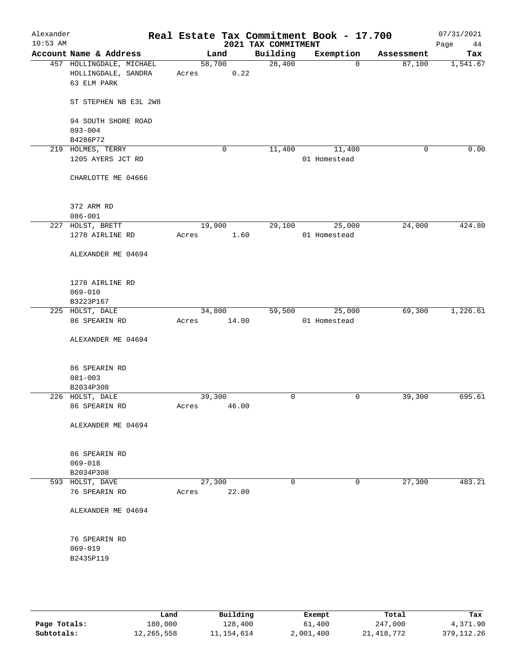| Alexander<br>$10:53$ AM |                                                                |       |                 | 2021 TAX COMMITMENT | Real Estate Tax Commitment Book - 17.700 |            | 07/31/2021<br>Page<br>44 |
|-------------------------|----------------------------------------------------------------|-------|-----------------|---------------------|------------------------------------------|------------|--------------------------|
|                         | Account Name & Address                                         |       | Land            | Building            | Exemption                                | Assessment | Tax                      |
|                         | 457 HOLLINGDALE, MICHAEL<br>HOLLINGDALE, SANDRA<br>63 ELM PARK | Acres | 58,700<br>0.22  | 28,400              | 0                                        | 87,100     | 1,541.67                 |
|                         | ST STEPHEN NB E3L 2W8                                          |       |                 |                     |                                          |            |                          |
|                         | 94 SOUTH SHORE ROAD<br>$093 - 004$                             |       |                 |                     |                                          |            |                          |
|                         | B4286P72                                                       |       |                 |                     |                                          |            |                          |
|                         | 219 HOLMES, TERRY<br>1205 AYERS JCT RD                         |       | 0               | 11,400              | 11,400<br>01 Homestead                   | 0          | 0.00                     |
|                         | CHARLOTTE ME 04666                                             |       |                 |                     |                                          |            |                          |
|                         | 372 ARM RD                                                     |       |                 |                     |                                          |            |                          |
|                         | $086 - 001$                                                    |       |                 |                     |                                          |            |                          |
|                         | 227 HOLST, BRETT<br>1278 AIRLINE RD                            | Acres | 19,900<br>1.60  | 29,100              | 25,000<br>01 Homestead                   | 24,000     | 424.80                   |
|                         | ALEXANDER ME 04694                                             |       |                 |                     |                                          |            |                          |
|                         | 1278 AIRLINE RD<br>$069 - 010$                                 |       |                 |                     |                                          |            |                          |
|                         | B3223P167                                                      |       |                 |                     |                                          |            |                          |
|                         | 225 HOLST, DALE                                                |       | 34,800          | 59,500              | 25,000                                   | 69,300     | 1,226.61                 |
|                         | 86 SPEARIN RD<br>ALEXANDER ME 04694                            | Acres | 14.00           |                     | 01 Homestead                             |            |                          |
|                         | 86 SPEARIN RD                                                  |       |                 |                     |                                          |            |                          |
|                         | $081 - 003$                                                    |       |                 |                     |                                          |            |                          |
|                         | B2034P308                                                      |       |                 |                     |                                          |            |                          |
|                         | 226 HOLST, DALE<br>86 SPEARIN RD                               | Acres | 39,300<br>46.00 | $\mathsf{O}$        | 0                                        | 39,300     | 695.61                   |
|                         | ALEXANDER ME 04694                                             |       |                 |                     |                                          |            |                          |
|                         | 86 SPEARIN RD<br>$069 - 018$                                   |       |                 |                     |                                          |            |                          |
|                         | B2034P308                                                      |       |                 |                     |                                          |            |                          |
|                         | 593 HOLST, DAVE                                                |       | 27,300          | $\mathbf 0$         | 0                                        | 27,300     | 483.21                   |
|                         | 76 SPEARIN RD                                                  | Acres | 22.00           |                     |                                          |            |                          |
|                         | ALEXANDER ME 04694                                             |       |                 |                     |                                          |            |                          |
|                         | 76 SPEARIN RD                                                  |       |                 |                     |                                          |            |                          |
|                         | $069 - 019$                                                    |       |                 |                     |                                          |            |                          |
|                         | B2435P119                                                      |       |                 |                     |                                          |            |                          |
|                         |                                                                |       |                 |                     |                                          |            |                          |

|              | Land       | Building   | Exempt    | Total        | Tax          |
|--------------|------------|------------|-----------|--------------|--------------|
| Page Totals: | 180,000    | 128,400    | 61,400    | 247,000      | 4,371.90     |
| Subtotals:   | 12,265,558 | 11,154,614 | 2,001,400 | 21, 418, 772 | 379, 112, 26 |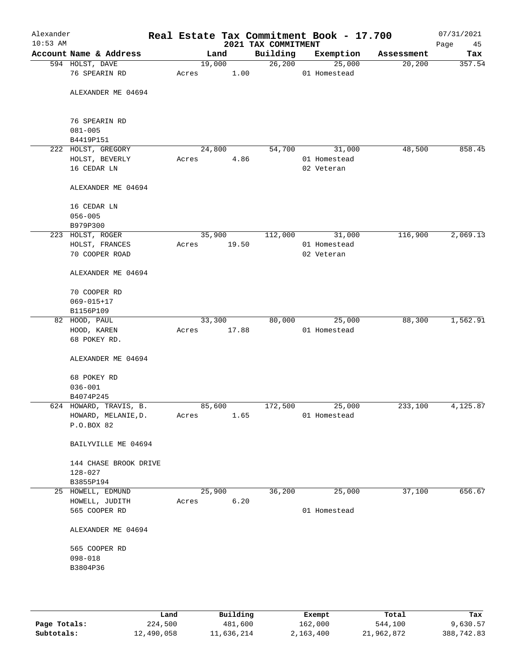| Alexander<br>$10:53$ AM |                                      |        |       | 2021 TAX COMMITMENT | Real Estate Tax Commitment Book - 17.700 |            | 07/31/2021<br>Page<br>45 |
|-------------------------|--------------------------------------|--------|-------|---------------------|------------------------------------------|------------|--------------------------|
|                         | Account Name & Address               |        | Land  | Building            | Exemption                                | Assessment | Tax                      |
|                         | 594 HOLST, DAVE                      | 19,000 |       | 26,200              | 25,000                                   | 20,200     | 357.54                   |
|                         | 76 SPEARIN RD                        | Acres  | 1.00  |                     | 01 Homestead                             |            |                          |
|                         | ALEXANDER ME 04694                   |        |       |                     |                                          |            |                          |
|                         | 76 SPEARIN RD                        |        |       |                     |                                          |            |                          |
|                         | $081 - 005$                          |        |       |                     |                                          |            |                          |
|                         | B4419P151                            |        |       |                     |                                          |            |                          |
|                         | 222 HOLST, GREGORY                   | 24,800 |       | 54,700              | 31,000                                   | 48,500     | 858.45                   |
|                         | HOLST, BEVERLY                       | Acres  | 4.86  |                     | 01 Homestead                             |            |                          |
|                         | 16 CEDAR LN                          |        |       |                     | 02 Veteran                               |            |                          |
|                         | ALEXANDER ME 04694                   |        |       |                     |                                          |            |                          |
|                         | 16 CEDAR LN                          |        |       |                     |                                          |            |                          |
|                         | $056 - 005$                          |        |       |                     |                                          |            |                          |
|                         | B979P300                             |        |       |                     |                                          |            |                          |
|                         | 223 HOLST, ROGER                     | 35,900 |       | 112,000             | 31,000                                   | 116,900    | 2,069.13                 |
|                         | HOLST, FRANCES                       | Acres  | 19.50 |                     | 01 Homestead                             |            |                          |
|                         | 70 COOPER ROAD                       |        |       |                     | 02 Veteran                               |            |                          |
|                         | ALEXANDER ME 04694                   |        |       |                     |                                          |            |                          |
|                         | 70 COOPER RD                         |        |       |                     |                                          |            |                          |
|                         | $069 - 015 + 17$                     |        |       |                     |                                          |            |                          |
|                         | B1156P109                            |        |       |                     |                                          |            |                          |
|                         | 82 HOOD, PAUL                        | 33,300 |       | 80,000              | 25,000                                   | 88,300     | 1,562.91                 |
|                         | HOOD, KAREN                          | Acres  | 17.88 |                     | 01 Homestead                             |            |                          |
|                         | 68 POKEY RD.                         |        |       |                     |                                          |            |                          |
|                         | ALEXANDER ME 04694                   |        |       |                     |                                          |            |                          |
|                         | 68 POKEY RD                          |        |       |                     |                                          |            |                          |
|                         | $036 - 001$                          |        |       |                     |                                          |            |                          |
|                         | B4074P245                            |        |       |                     |                                          |            |                          |
|                         | 624 HOWARD, TRAVIS, B.               | 85,600 |       | 172,500             | 25,000                                   | 233,100    | 4,125.87                 |
|                         | HOWARD, MELANIE, D.                  | Acres  | 1.65  |                     | 01 Homestead                             |            |                          |
|                         | P.O.BOX 82                           |        |       |                     |                                          |            |                          |
|                         | BAILYVILLE ME 04694                  |        |       |                     |                                          |            |                          |
|                         | 144 CHASE BROOK DRIVE<br>$128 - 027$ |        |       |                     |                                          |            |                          |
|                         | B3855P194                            |        |       |                     |                                          |            |                          |
|                         | 25 HOWELL, EDMUND                    | 25,900 |       | 36,200              | 25,000                                   | 37,100     | 656.67                   |
|                         | HOWELL, JUDITH                       | Acres  | 6.20  |                     |                                          |            |                          |
|                         | 565 COOPER RD                        |        |       |                     | 01 Homestead                             |            |                          |
|                         |                                      |        |       |                     |                                          |            |                          |
|                         | ALEXANDER ME 04694                   |        |       |                     |                                          |            |                          |
|                         | 565 COOPER RD                        |        |       |                     |                                          |            |                          |
|                         | $098 - 018$                          |        |       |                     |                                          |            |                          |
|                         | B3804P36                             |        |       |                     |                                          |            |                          |
|                         |                                      |        |       |                     |                                          |            |                          |
|                         |                                      |        |       |                     |                                          |            |                          |
|                         |                                      |        |       |                     |                                          |            |                          |

|              | Land       | Building   | Exempt    | Total      | Tax        |
|--------------|------------|------------|-----------|------------|------------|
| Page Totals: | 224,500    | 481,600    | 162,000   | 544,100    | 9,630.57   |
| Subtotals:   | 12,490,058 | 11,636,214 | 2,163,400 | 21,962,872 | 388,742.83 |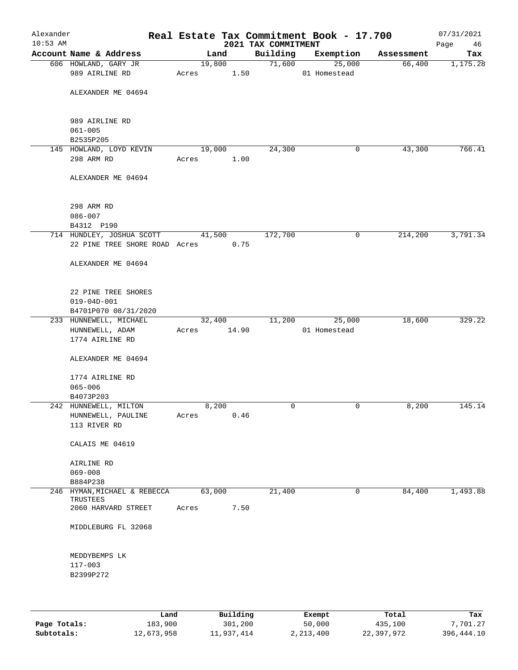| Alexander<br>$10:53$ AM |                                                                  |             |        |      | 2021 TAX COMMITMENT | Real Estate Tax Commitment Book - 17.700 |            | 07/31/2021        |
|-------------------------|------------------------------------------------------------------|-------------|--------|------|---------------------|------------------------------------------|------------|-------------------|
|                         | Account Name & Address                                           |             | Land   |      | Building            | Exemption                                | Assessment | Page<br>46<br>Tax |
|                         | 606 HOWLAND, GARY JR                                             |             | 19,800 |      | 71,600              | 25,000                                   | 66,400     | 1,175.28          |
|                         | 989 AIRLINE RD                                                   | Acres       | 1.50   |      |                     | 01 Homestead                             |            |                   |
|                         | ALEXANDER ME 04694                                               |             |        |      |                     |                                          |            |                   |
|                         | 989 AIRLINE RD<br>$061 - 005$<br>B2535P205                       |             |        |      |                     |                                          |            |                   |
|                         | 145 HOWLAND, LOYD KEVIN                                          |             | 19,000 |      | 24,300              | 0                                        | 43,300     | 766.41            |
|                         | 298 ARM RD                                                       | Acres       |        | 1.00 |                     |                                          |            |                   |
|                         | ALEXANDER ME 04694                                               |             |        |      |                     |                                          |            |                   |
|                         | 298 ARM RD<br>$086 - 007$<br>B4312 P190                          |             |        |      |                     |                                          |            |                   |
|                         | 714 HUNDLEY, JOSHUA SCOTT 41,500                                 |             |        |      | 172,700             | 0                                        | 214,200    | 3,791.34          |
|                         | 22 PINE TREE SHORE ROAD Acres 0.75                               |             |        |      |                     |                                          |            |                   |
|                         | ALEXANDER ME 04694                                               |             |        |      |                     |                                          |            |                   |
|                         | 22 PINE TREE SHORES<br>$019 - 04D - 001$<br>B4701P070 08/31/2020 |             |        |      |                     |                                          |            |                   |
|                         | 233 HUNNEWELL, MICHAEL                                           |             | 32,400 |      | 11,200              | 25,000                                   | 18,600     | 329.22            |
|                         | HUNNEWELL, ADAM<br>1774 AIRLINE RD                               | Acres 14.90 |        |      |                     | 01 Homestead                             |            |                   |
|                         | ALEXANDER ME 04694                                               |             |        |      |                     |                                          |            |                   |
|                         | 1774 AIRLINE RD<br>$065 - 006$                                   |             |        |      |                     |                                          |            |                   |
|                         | B4073P203<br>242 HUNNEWELL, MILTON                               |             | 8,200  |      | 0                   | 0                                        | 8,200      | 145.14            |
|                         | HUNNEWELL, PAULINE<br>113 RIVER RD                               | Acres       |        | 0.46 |                     |                                          |            |                   |
|                         | CALAIS ME 04619                                                  |             |        |      |                     |                                          |            |                   |
|                         | AIRLINE RD                                                       |             |        |      |                     |                                          |            |                   |
|                         | $069 - 008$<br>B884P238                                          |             |        |      |                     |                                          |            |                   |
|                         | 246 HYMAN, MICHAEL & REBECCA                                     |             | 63,000 |      | 21,400              | $\mathbf 0$                              | 84,400     | 1,493.88          |
|                         | TRUSTEES<br>2060 HARVARD STREET                                  | Acres       |        | 7.50 |                     |                                          |            |                   |
|                         | MIDDLEBURG FL 32068                                              |             |        |      |                     |                                          |            |                   |
|                         | MEDDYBEMPS LK                                                    |             |        |      |                     |                                          |            |                   |
|                         | 117-003<br>B2399P272                                             |             |        |      |                     |                                          |            |                   |
|                         |                                                                  |             |        |      |                     |                                          |            |                   |
|                         |                                                                  |             |        |      |                     |                                          |            |                   |

|              | Land       | Building   | Exempt    | Total      | Tax        |
|--------------|------------|------------|-----------|------------|------------|
| Page Totals: | 183,900    | 301,200    | 50,000    | 435,100    | 7,701.27   |
| Subtotals:   | 12,673,958 | 11,937,414 | 2,213,400 | 22,397,972 | 396,444.10 |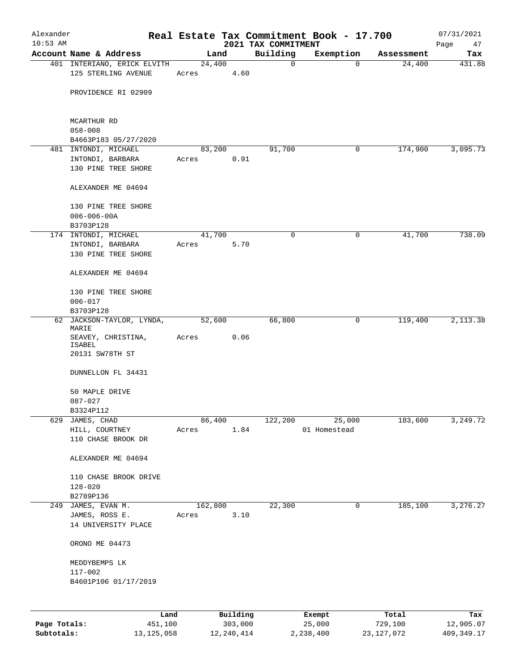| Alexander<br>$10:53$ AM |                                          |       |         |                     |                                 | Real Estate Tax Commitment Book - 17.700 |                  | 07/31/2021        |
|-------------------------|------------------------------------------|-------|---------|---------------------|---------------------------------|------------------------------------------|------------------|-------------------|
|                         | Account Name & Address                   |       | Land    |                     | 2021 TAX COMMITMENT<br>Building | Exemption                                | Assessment       | Page<br>47<br>Tax |
|                         | 401 INTERIANO, ERICK ELVITH              |       | 24,400  |                     | 0                               | 0                                        | 24,400           | 431.88            |
|                         | 125 STERLING AVENUE                      | Acres |         | 4.60                |                                 |                                          |                  |                   |
|                         | PROVIDENCE RI 02909                      |       |         |                     |                                 |                                          |                  |                   |
|                         | MCARTHUR RD                              |       |         |                     |                                 |                                          |                  |                   |
|                         | $058 - 008$<br>B4663P183 05/27/2020      |       |         |                     |                                 |                                          |                  |                   |
|                         | 481 INTONDI, MICHAEL                     |       | 83,200  |                     | 91,700                          | 0                                        | 174,900          | 3,095.73          |
|                         | INTONDI, BARBARA<br>130 PINE TREE SHORE  | Acres |         | 0.91                |                                 |                                          |                  |                   |
|                         | ALEXANDER ME 04694                       |       |         |                     |                                 |                                          |                  |                   |
|                         | 130 PINE TREE SHORE<br>$006 - 006 - 00A$ |       |         |                     |                                 |                                          |                  |                   |
|                         | B3703P128                                |       |         |                     |                                 |                                          |                  |                   |
|                         | 174 INTONDI, MICHAEL                     |       | 41,700  |                     | 0                               | 0                                        | 41,700           | 738.09            |
|                         | INTONDI, BARBARA<br>130 PINE TREE SHORE  | Acres |         | 5.70                |                                 |                                          |                  |                   |
|                         | ALEXANDER ME 04694                       |       |         |                     |                                 |                                          |                  |                   |
|                         | 130 PINE TREE SHORE                      |       |         |                     |                                 |                                          |                  |                   |
|                         | $006 - 017$<br>B3703P128                 |       |         |                     |                                 |                                          |                  |                   |
|                         | 62 JACKSON-TAYLOR, LYNDA,<br>MARIE       |       | 52,600  |                     | 66,800                          | 0                                        | 119,400          | 2,113.38          |
|                         | SEAVEY, CHRISTINA,<br>ISABEL             | Acres |         | 0.06                |                                 |                                          |                  |                   |
|                         | 20131 SW78TH ST                          |       |         |                     |                                 |                                          |                  |                   |
|                         | DUNNELLON FL 34431                       |       |         |                     |                                 |                                          |                  |                   |
|                         | 50 MAPLE DRIVE                           |       |         |                     |                                 |                                          |                  |                   |
|                         | $087 - 027$                              |       |         |                     |                                 |                                          |                  |                   |
| 629                     | B3324P112<br>JAMES, CHAD                 |       | 86,400  |                     | 122,200                         | 25,000                                   | 183,600          | 3,249.72          |
|                         | HILL, COURTNEY                           | Acres |         | 1.84                |                                 | 01 Homestead                             |                  |                   |
|                         | 110 CHASE BROOK DR                       |       |         |                     |                                 |                                          |                  |                   |
|                         | ALEXANDER ME 04694                       |       |         |                     |                                 |                                          |                  |                   |
|                         | 110 CHASE BROOK DRIVE                    |       |         |                     |                                 |                                          |                  |                   |
|                         | 128-020                                  |       |         |                     |                                 |                                          |                  |                   |
|                         | B2789P136<br>249 JAMES, EVAN M.          |       | 162,800 |                     | 22,300                          | 0                                        | 185,100          | 3,276.27          |
|                         | JAMES, ROSS E.                           | Acres |         | 3.10                |                                 |                                          |                  |                   |
|                         | 14 UNIVERSITY PLACE                      |       |         |                     |                                 |                                          |                  |                   |
|                         | ORONO ME 04473                           |       |         |                     |                                 |                                          |                  |                   |
|                         | MEDDYBEMPS LK                            |       |         |                     |                                 |                                          |                  |                   |
|                         | $117 - 002$                              |       |         |                     |                                 |                                          |                  |                   |
|                         | B4601P106 01/17/2019                     |       |         |                     |                                 |                                          |                  |                   |
|                         |                                          |       |         |                     |                                 |                                          |                  |                   |
| Page Totals:            | Land<br>451,100                          |       |         | Building<br>303,000 |                                 | Exempt<br>25,000                         | Total<br>729,100 | Tax<br>12,905.07  |

**Subtotals:** 13,125,058 12,240,414 2,238,400 23,127,072 409,349.17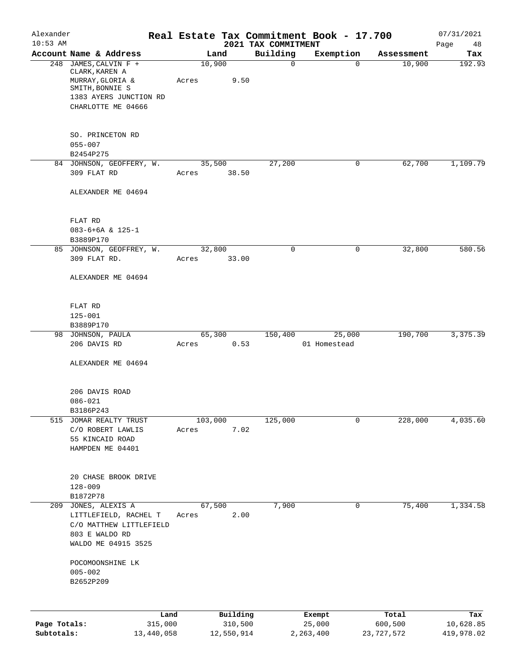| Alexander                  |                                              |         |                 |                                 | Real Estate Tax Commitment Book - 17.700 |                         | 07/31/2021              |
|----------------------------|----------------------------------------------|---------|-----------------|---------------------------------|------------------------------------------|-------------------------|-------------------------|
| $10:53$ AM                 | Account Name & Address                       |         | Land            | 2021 TAX COMMITMENT<br>Building | Exemption                                | Assessment              | Page<br>48<br>Tax       |
|                            | 248 JAMES, CALVIN F +<br>CLARK, KAREN A      |         | 10,900          | $\mathbf 0$                     | $\mathbf 0$                              | 10,900                  | 192.93                  |
|                            | MURRAY, GLORIA &<br>SMITH, BONNIE S          | Acres   | 9.50            |                                 |                                          |                         |                         |
|                            | 1383 AYERS JUNCTION RD<br>CHARLOTTE ME 04666 |         |                 |                                 |                                          |                         |                         |
|                            | SO. PRINCETON RD<br>$055 - 007$              |         |                 |                                 |                                          |                         |                         |
|                            | B2454P275                                    |         |                 |                                 |                                          |                         |                         |
|                            | 84 JOHNSON, GEOFFERY, W.<br>309 FLAT RD      | Acres   | 35,500<br>38.50 | 27,200                          | 0                                        | 62,700                  | 1,109.79                |
|                            | ALEXANDER ME 04694                           |         |                 |                                 |                                          |                         |                         |
|                            | FLAT RD                                      |         |                 |                                 |                                          |                         |                         |
|                            | $083-6+6A & 125-1$<br>B3889P170              |         |                 |                                 |                                          |                         |                         |
|                            | 85 JOHNSON, GEOFFREY, W.                     |         | 32,800          | $\mathbf 0$                     | $\mathbf 0$                              | 32,800                  | 580.56                  |
|                            | 309 FLAT RD.                                 | Acres   | 33.00           |                                 |                                          |                         |                         |
|                            | ALEXANDER ME 04694                           |         |                 |                                 |                                          |                         |                         |
|                            | FLAT RD                                      |         |                 |                                 |                                          |                         |                         |
|                            | $125 - 001$<br>B3889P170                     |         |                 |                                 |                                          |                         |                         |
|                            | 98 JOHNSON, PAULA                            |         | 65,300          | 150,400                         | 25,000                                   | 190,700                 | 3, 375.39               |
|                            | 206 DAVIS RD                                 | Acres   | 0.53            |                                 | 01 Homestead                             |                         |                         |
|                            | ALEXANDER ME 04694                           |         |                 |                                 |                                          |                         |                         |
|                            | 206 DAVIS ROAD                               |         |                 |                                 |                                          |                         |                         |
|                            | $086 - 021$                                  |         |                 |                                 |                                          |                         |                         |
| 515                        | B3186P243<br>JOMAR REALTY TRUST              |         | 103,000         | 125,000                         | 0                                        | 228,000                 | 4,035.60                |
|                            | C/O ROBERT LAWLIS                            | Acres   | 7.02            |                                 |                                          |                         |                         |
|                            | 55 KINCAID ROAD                              |         |                 |                                 |                                          |                         |                         |
|                            | HAMPDEN ME 04401                             |         |                 |                                 |                                          |                         |                         |
|                            | 20 CHASE BROOK DRIVE                         |         |                 |                                 |                                          |                         |                         |
|                            | $128 - 009$                                  |         |                 |                                 |                                          |                         |                         |
| 209                        | B1872P78<br>JONES, ALEXIS A                  |         | 67,500          | 7,900                           | 0                                        | 75,400                  | 1,334.58                |
|                            | LITTLEFIELD, RACHEL T                        | Acres   | 2.00            |                                 |                                          |                         |                         |
|                            | C/O MATTHEW LITTLEFIELD                      |         |                 |                                 |                                          |                         |                         |
|                            | 803 E WALDO RD<br>WALDO ME 04915 3525        |         |                 |                                 |                                          |                         |                         |
|                            | POCOMOONSHINE LK                             |         |                 |                                 |                                          |                         |                         |
|                            | $005 - 002$                                  |         |                 |                                 |                                          |                         |                         |
|                            | B2652P209                                    |         |                 |                                 |                                          |                         |                         |
|                            |                                              | Land    | Building        |                                 | Exempt                                   | Total                   | Tax                     |
| Page Totals:<br>Subtotals: | 13,440,058                                   | 315,000 | 310,500         |                                 | 25,000                                   | 600,500<br>23, 727, 572 | 10,628.85<br>419,978.02 |
|                            |                                              |         | 12,550,914      |                                 | 2, 263, 400                              |                         |                         |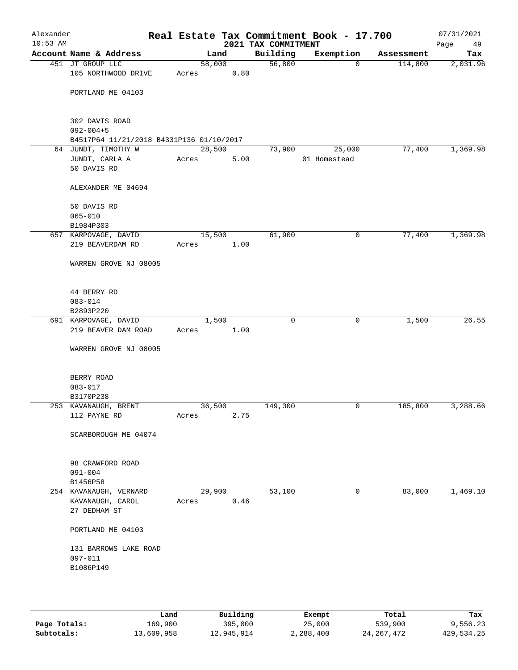| Alexander<br>$10:53$ AM |                                          |       |        | 2021 TAX COMMITMENT | Real Estate Tax Commitment Book - 17.700 |            | 07/31/2021<br>Page<br>49 |
|-------------------------|------------------------------------------|-------|--------|---------------------|------------------------------------------|------------|--------------------------|
|                         | Account Name & Address                   |       | Land   | Building            | Exemption                                | Assessment | Tax                      |
|                         | 451 JT GROUP LLC                         |       | 58,000 | 56,800              | $\mathbf 0$                              | 114,800    | 2,031.96                 |
|                         | 105 NORTHWOOD DRIVE                      | Acres | 0.80   |                     |                                          |            |                          |
|                         | PORTLAND ME 04103                        |       |        |                     |                                          |            |                          |
|                         |                                          |       |        |                     |                                          |            |                          |
|                         | 302 DAVIS ROAD<br>$092 - 004 + 5$        |       |        |                     |                                          |            |                          |
|                         | B4517P64 11/21/2018 B4331P136 01/10/2017 |       |        |                     |                                          |            |                          |
|                         | 64 JUNDT, TIMOTHY W                      |       | 28,500 | 73,900              | 25,000                                   | 77,400     | 1,369.98                 |
|                         | JUNDT, CARLA A<br>50 DAVIS RD            | Acres | 5.00   |                     | 01 Homestead                             |            |                          |
|                         |                                          |       |        |                     |                                          |            |                          |
|                         | ALEXANDER ME 04694                       |       |        |                     |                                          |            |                          |
|                         | 50 DAVIS RD                              |       |        |                     |                                          |            |                          |
|                         | $065 - 010$                              |       |        |                     |                                          |            |                          |
|                         | B1984P303                                |       |        |                     |                                          |            |                          |
|                         | 657 KARPOVAGE, DAVID                     |       | 15,500 | 61,900              | 0                                        | 77,400     | 1,369.98                 |
|                         | 219 BEAVERDAM RD                         | Acres | 1.00   |                     |                                          |            |                          |
|                         | WARREN GROVE NJ 08005                    |       |        |                     |                                          |            |                          |
|                         | 44 BERRY RD                              |       |        |                     |                                          |            |                          |
|                         | $083 - 014$                              |       |        |                     |                                          |            |                          |
|                         | B2893P220                                |       |        |                     |                                          |            |                          |
|                         | 691 KARPOVAGE, DAVID                     |       | 1,500  |                     | $\mathbf 0$<br>0                         | 1,500      | 26.55                    |
|                         | 219 BEAVER DAM ROAD                      | Acres | 1.00   |                     |                                          |            |                          |
|                         | WARREN GROVE NJ 08005                    |       |        |                     |                                          |            |                          |
|                         | BERRY ROAD                               |       |        |                     |                                          |            |                          |
|                         | $083 - 017$                              |       |        |                     |                                          |            |                          |
|                         | B3170P238                                |       |        |                     |                                          |            |                          |
|                         | 253 KAVANAUGH, BRENT                     |       | 36,500 | 149,300             | 0                                        | 185,800    | 3,288.66                 |
|                         | 112 PAYNE RD                             | Acres | 2.75   |                     |                                          |            |                          |
|                         | SCARBOROUGH ME 04074                     |       |        |                     |                                          |            |                          |
|                         | 98 CRAWFORD ROAD                         |       |        |                     |                                          |            |                          |
|                         | $091 - 004$                              |       |        |                     |                                          |            |                          |
|                         | B1456P58                                 |       |        |                     |                                          |            |                          |
|                         | 254 KAVANAUGH, VERNARD                   |       | 29,900 | 53,100              | 0                                        | 83,000     | 1,469.10                 |
|                         | KAVANAUGH, CAROL                         | Acres | 0.46   |                     |                                          |            |                          |
|                         | 27 DEDHAM ST                             |       |        |                     |                                          |            |                          |
|                         | PORTLAND ME 04103                        |       |        |                     |                                          |            |                          |
|                         | 131 BARROWS LAKE ROAD                    |       |        |                     |                                          |            |                          |
|                         | 097-011                                  |       |        |                     |                                          |            |                          |
|                         | B1086P149                                |       |        |                     |                                          |            |                          |
|                         |                                          |       |        |                     |                                          |            |                          |
|                         |                                          |       |        |                     |                                          |            |                          |

|              | Land       | Building   | Exempt    | Total      | Tax        |
|--------------|------------|------------|-----------|------------|------------|
| Page Totals: | 169,900    | 395,000    | 25,000    | 539,900    | 9,556.23   |
| Subtotals:   | 13,609,958 | 12,945,914 | 2,288,400 | 24,267,472 | 429,534.25 |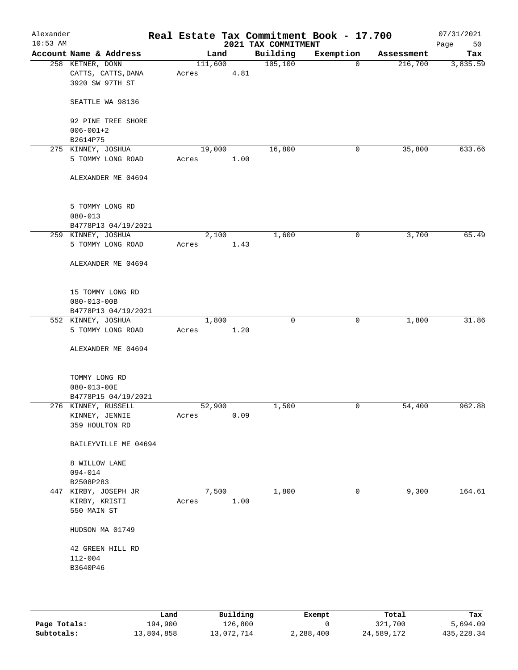| Alexander<br>$10:53$ AM |                        |       |         |      | 2021 TAX COMMITMENT | Real Estate Tax Commitment Book - 17.700 |            | 07/31/2021<br>Page<br>50 |
|-------------------------|------------------------|-------|---------|------|---------------------|------------------------------------------|------------|--------------------------|
|                         | Account Name & Address |       | Land    |      | Building            | Exemption                                | Assessment | Tax                      |
|                         | 258 KETNER, DONN       |       | 111,600 |      | 105, 100            | $\overline{0}$                           | 216,700    | 3,835.59                 |
|                         | CATTS, CATTS, DANA     | Acres |         | 4.81 |                     |                                          |            |                          |
|                         | 3920 SW 97TH ST        |       |         |      |                     |                                          |            |                          |
|                         | SEATTLE WA 98136       |       |         |      |                     |                                          |            |                          |
|                         | 92 PINE TREE SHORE     |       |         |      |                     |                                          |            |                          |
|                         | $006 - 001 + 2$        |       |         |      |                     |                                          |            |                          |
|                         | B2614P75               |       |         |      |                     |                                          |            |                          |
|                         | 275 KINNEY, JOSHUA     |       | 19,000  |      | 16,800              | 0                                        | 35,800     | 633.66                   |
|                         | 5 TOMMY LONG ROAD      | Acres |         | 1.00 |                     |                                          |            |                          |
|                         | ALEXANDER ME 04694     |       |         |      |                     |                                          |            |                          |
|                         | 5 TOMMY LONG RD        |       |         |      |                     |                                          |            |                          |
|                         | $080 - 013$            |       |         |      |                     |                                          |            |                          |
|                         | B4778P13 04/19/2021    |       |         |      |                     |                                          |            |                          |
|                         | 259 KINNEY, JOSHUA     |       | 2,100   |      | 1,600               | 0                                        | 3,700      | 65.49                    |
|                         | 5 TOMMY LONG ROAD      | Acres |         | 1.43 |                     |                                          |            |                          |
|                         |                        |       |         |      |                     |                                          |            |                          |
|                         | ALEXANDER ME 04694     |       |         |      |                     |                                          |            |                          |
|                         | 15 TOMMY LONG RD       |       |         |      |                     |                                          |            |                          |
|                         | $080 - 013 - 00B$      |       |         |      |                     |                                          |            |                          |
|                         | B4778P13 04/19/2021    |       |         |      |                     |                                          |            |                          |
|                         | 552 KINNEY, JOSHUA     |       | 1,800   |      | $\mathbf 0$         | $\mathbf 0$                              | 1,800      | 31.86                    |
|                         | 5 TOMMY LONG ROAD      | Acres |         | 1.20 |                     |                                          |            |                          |
|                         |                        |       |         |      |                     |                                          |            |                          |
|                         | ALEXANDER ME 04694     |       |         |      |                     |                                          |            |                          |
|                         | TOMMY LONG RD          |       |         |      |                     |                                          |            |                          |
|                         | $080 - 013 - 00E$      |       |         |      |                     |                                          |            |                          |
|                         | B4778P15 04/19/2021    |       |         |      |                     |                                          |            |                          |
|                         | 276 KINNEY, RUSSELL    |       | 52,900  |      | 1,500               | 0                                        | 54,400     | 962.88                   |
|                         | KINNEY, JENNIE         | Acres |         | 0.09 |                     |                                          |            |                          |
|                         | 359 HOULTON RD         |       |         |      |                     |                                          |            |                          |
|                         | BAILEYVILLE ME 04694   |       |         |      |                     |                                          |            |                          |
|                         | 8 WILLOW LANE          |       |         |      |                     |                                          |            |                          |
|                         | $094 - 014$            |       |         |      |                     |                                          |            |                          |
|                         | B2508P283              |       |         |      |                     |                                          |            |                          |
|                         | 447 KIRBY, JOSEPH JR   |       | 7,500   |      | 1,800               | 0                                        | 9,300      | 164.61                   |
|                         | KIRBY, KRISTI          | Acres |         | 1.00 |                     |                                          |            |                          |
|                         | 550 MAIN ST            |       |         |      |                     |                                          |            |                          |
|                         | HUDSON MA 01749        |       |         |      |                     |                                          |            |                          |
|                         | 42 GREEN HILL RD       |       |         |      |                     |                                          |            |                          |
|                         | $112 - 004$            |       |         |      |                     |                                          |            |                          |
|                         | B3640P46               |       |         |      |                     |                                          |            |                          |
|                         |                        |       |         |      |                     |                                          |            |                          |
|                         |                        |       |         |      |                     |                                          |            |                          |
|                         |                        |       |         |      |                     |                                          |            |                          |
|                         |                        |       |         |      |                     |                                          |            |                          |

|              | Land       | Building   | Exempt    | Total      | Tax          |
|--------------|------------|------------|-----------|------------|--------------|
| Page Totals: | 194,900    | 126,800    |           | 321,700    | 5,694.09     |
| Subtotals:   | 13,804,858 | 13,072,714 | 2,288,400 | 24,589,172 | 435, 228, 34 |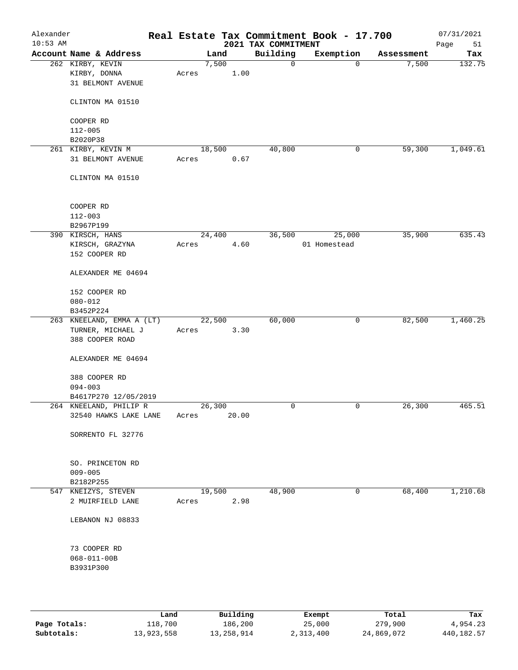| Alexander<br>$10:53$ AM |                           |        |       |      | 2021 TAX COMMITMENT | Real Estate Tax Commitment Book - 17.700 |            | 07/31/2021<br>Page<br>51 |
|-------------------------|---------------------------|--------|-------|------|---------------------|------------------------------------------|------------|--------------------------|
|                         | Account Name & Address    |        | Land  |      | Building            | Exemption                                | Assessment | Tax                      |
|                         | 262 KIRBY, KEVIN          |        | 7,500 |      | $\mathsf{O}$        | $\mathbf 0$                              | 7,500      | 132.75                   |
|                         | KIRBY, DONNA              | Acres  |       | 1.00 |                     |                                          |            |                          |
|                         | 31 BELMONT AVENUE         |        |       |      |                     |                                          |            |                          |
|                         |                           |        |       |      |                     |                                          |            |                          |
|                         | CLINTON MA 01510          |        |       |      |                     |                                          |            |                          |
|                         |                           |        |       |      |                     |                                          |            |                          |
|                         | COOPER RD                 |        |       |      |                     |                                          |            |                          |
|                         | $112 - 005$               |        |       |      |                     |                                          |            |                          |
|                         | B2020P38                  |        |       |      |                     |                                          |            |                          |
|                         | 261 KIRBY, KEVIN M        | 18,500 |       |      | 40,800              | 0                                        | 59,300     | 1,049.61                 |
|                         | 31 BELMONT AVENUE         | Acres  |       | 0.67 |                     |                                          |            |                          |
|                         | CLINTON MA 01510          |        |       |      |                     |                                          |            |                          |
|                         |                           |        |       |      |                     |                                          |            |                          |
|                         | COOPER RD                 |        |       |      |                     |                                          |            |                          |
|                         | $112 - 003$               |        |       |      |                     |                                          |            |                          |
|                         | B2967P199                 |        |       |      |                     |                                          |            |                          |
|                         | 390 KIRSCH, HANS          | 24,400 |       |      | 36,500              | 25,000                                   | 35,900     | 635.43                   |
|                         | KIRSCH, GRAZYNA           | Acres  |       | 4.60 |                     | 01 Homestead                             |            |                          |
|                         | 152 COOPER RD             |        |       |      |                     |                                          |            |                          |
|                         | ALEXANDER ME 04694        |        |       |      |                     |                                          |            |                          |
|                         | 152 COOPER RD             |        |       |      |                     |                                          |            |                          |
|                         | $080 - 012$               |        |       |      |                     |                                          |            |                          |
|                         | B3452P224                 |        |       |      |                     |                                          |            |                          |
|                         | 263 KNEELAND, EMMA A (LT) | 22,500 |       |      | 60,000              | $\mathsf{O}$                             | 82,500     | 1,460.25                 |
|                         | TURNER, MICHAEL J         | Acres  |       | 3.30 |                     |                                          |            |                          |
|                         | 388 COOPER ROAD           |        |       |      |                     |                                          |            |                          |
|                         | ALEXANDER ME 04694        |        |       |      |                     |                                          |            |                          |
|                         | 388 COOPER RD             |        |       |      |                     |                                          |            |                          |
|                         | $094 - 003$               |        |       |      |                     |                                          |            |                          |
|                         | B4617P270 12/05/2019      |        |       |      |                     |                                          |            |                          |
|                         | 264 KNEELAND, PHILIP R    | 26,300 |       |      | $\mathbf 0$         | 0                                        | 26,300     | 465.51                   |
|                         | 32540 HAWKS LAKE LANE     | Acres  | 20.00 |      |                     |                                          |            |                          |
|                         |                           |        |       |      |                     |                                          |            |                          |
|                         | SORRENTO FL 32776         |        |       |      |                     |                                          |            |                          |
|                         | SO. PRINCETON RD          |        |       |      |                     |                                          |            |                          |
|                         | $009 - 005$               |        |       |      |                     |                                          |            |                          |
|                         | B2182P255                 |        |       |      |                     |                                          |            |                          |
|                         | 547 KNEIZYS, STEVEN       | 19,500 |       |      | 48,900              | 0                                        | 68,400     | 1,210.68                 |
|                         | 2 MUIRFIELD LANE          | Acres  |       | 2.98 |                     |                                          |            |                          |
|                         |                           |        |       |      |                     |                                          |            |                          |
|                         | LEBANON NJ 08833          |        |       |      |                     |                                          |            |                          |
|                         | 73 COOPER RD              |        |       |      |                     |                                          |            |                          |
|                         | $068 - 011 - 00B$         |        |       |      |                     |                                          |            |                          |
|                         | B3931P300                 |        |       |      |                     |                                          |            |                          |
|                         |                           |        |       |      |                     |                                          |            |                          |
|                         |                           |        |       |      |                     |                                          |            |                          |
|                         |                           |        |       |      |                     |                                          |            |                          |
|                         |                           |        |       |      |                     |                                          |            |                          |

|              | Land       | Building   | Exempt    | Total      | Tax        |
|--------------|------------|------------|-----------|------------|------------|
| Page Totals: | 118,700    | 186,200    | 25,000    | 279,900    | 4,954.23   |
| Subtotals:   | 13,923,558 | 13,258,914 | 2,313,400 | 24,869,072 | 440,182.57 |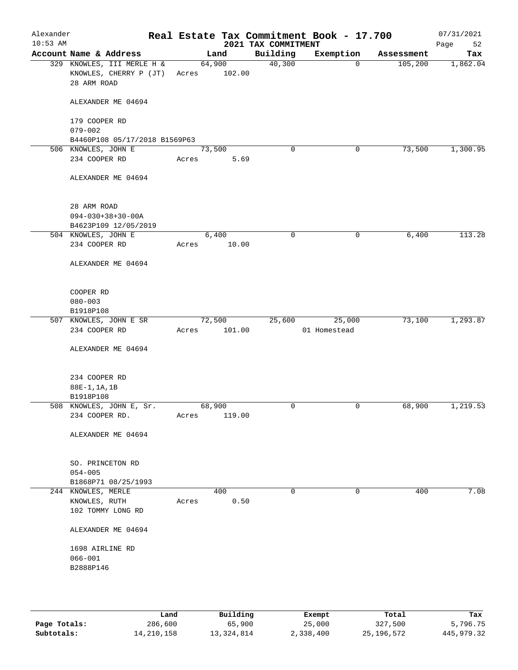| Alexander<br>$10:53$ AM |                                                                     |       |                  | 2021 TAX COMMITMENT | Real Estate Tax Commitment Book - 17.700 |            | 07/31/2021<br>Page<br>52 |
|-------------------------|---------------------------------------------------------------------|-------|------------------|---------------------|------------------------------------------|------------|--------------------------|
|                         | Account Name & Address                                              |       | Land             | Building            | Exemption                                | Assessment | Tax                      |
|                         | 329 KNOWLES, III MERLE H &<br>KNOWLES, CHERRY P (JT)<br>28 ARM ROAD | Acres | 64,900<br>102.00 | 40,300              | $\mathbf 0$                              | 105,200    | 1,862.04                 |
|                         | ALEXANDER ME 04694                                                  |       |                  |                     |                                          |            |                          |
|                         | 179 COOPER RD<br>$079 - 002$                                        |       |                  |                     |                                          |            |                          |
|                         | B4460P108 05/17/2018 B1569P63                                       |       |                  |                     |                                          |            |                          |
|                         | 506 KNOWLES, JOHN E                                                 |       | 73,500           | $\mathbf 0$         | 0                                        | 73,500     | 1,300.95                 |
|                         | 234 COOPER RD                                                       | Acres | 5.69             |                     |                                          |            |                          |
|                         | ALEXANDER ME 04694                                                  |       |                  |                     |                                          |            |                          |
|                         | 28 ARM ROAD<br>$094 - 030 + 38 + 30 - 00A$<br>B4623P109 12/05/2019  |       |                  |                     |                                          |            |                          |
|                         | 504 KNOWLES, JOHN E                                                 |       | 6,400            | 0                   | 0                                        | 6,400      | 113.28                   |
|                         | 234 COOPER RD                                                       | Acres | 10.00            |                     |                                          |            |                          |
|                         | ALEXANDER ME 04694                                                  |       |                  |                     |                                          |            |                          |
|                         | COOPER RD                                                           |       |                  |                     |                                          |            |                          |
|                         | $080 - 003$                                                         |       |                  |                     |                                          |            |                          |
|                         | B1918P108                                                           |       |                  |                     |                                          |            |                          |
|                         | 507 KNOWLES, JOHN E SR<br>234 COOPER RD                             | Acres | 72,500<br>101.00 | 25,600              | 25,000<br>01 Homestead                   | 73,100     | 1,293.87                 |
|                         | ALEXANDER ME 04694                                                  |       |                  |                     |                                          |            |                          |
|                         | 234 COOPER RD                                                       |       |                  |                     |                                          |            |                          |
|                         | 88E-1, 1A, 1B                                                       |       |                  |                     |                                          |            |                          |
|                         | B1918P108                                                           |       |                  |                     |                                          |            |                          |
|                         | 508 KNOWLES, JOHN E, Sr.                                            |       | 68,900           | $\mathbf 0$         | 0                                        | 68,900     | 1,219.53                 |
|                         | 234 COOPER RD.                                                      | Acres | 119.00           |                     |                                          |            |                          |
|                         | ALEXANDER ME 04694                                                  |       |                  |                     |                                          |            |                          |
|                         | SO. PRINCETON RD<br>$054 - 005$                                     |       |                  |                     |                                          |            |                          |
|                         | B1868P71 08/25/1993                                                 |       |                  |                     |                                          |            | 7.08                     |
|                         | 244 KNOWLES, MERLE<br>KNOWLES, RUTH<br>102 TOMMY LONG RD            | Acres | 400<br>0.50      | $\mathbf 0$         | 0                                        | 400        |                          |
|                         | ALEXANDER ME 04694                                                  |       |                  |                     |                                          |            |                          |
|                         |                                                                     |       |                  |                     |                                          |            |                          |
|                         | 1698 AIRLINE RD                                                     |       |                  |                     |                                          |            |                          |
|                         | $066 - 001$                                                         |       |                  |                     |                                          |            |                          |
|                         | B2888P146                                                           |       |                  |                     |                                          |            |                          |
|                         |                                                                     |       |                  |                     |                                          |            |                          |
|                         |                                                                     |       |                  |                     |                                          |            |                          |

|              | Land       | Building     | Exempt    | Total      | Tax        |
|--------------|------------|--------------|-----------|------------|------------|
| Page Totals: | 286,600    | 65,900       | 25,000    | 327,500    | 5,796.75   |
| Subtotals:   | 14,210,158 | 13, 324, 814 | 2,338,400 | 25,196,572 | 445,979.32 |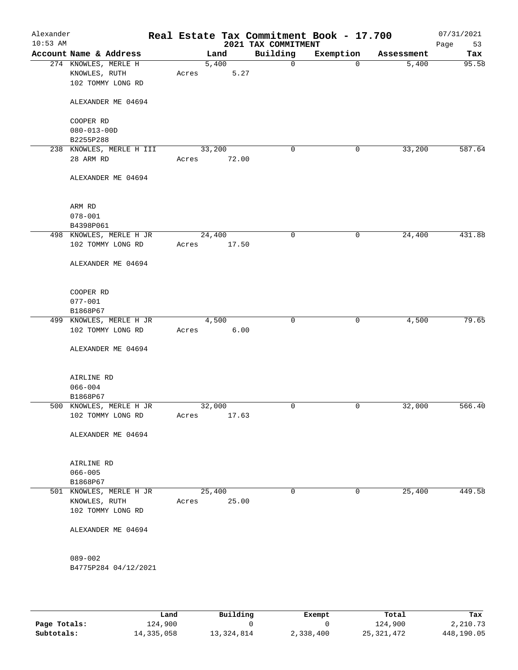| Building<br>Account Name & Address<br>Land<br>Exemption<br>Assessment<br>274 KNOWLES, MERLE H<br>5,400<br>$\mathbf 0$<br>5,400<br>$\mathbf 0$<br>5.27<br>KNOWLES, RUTH<br>Acres<br>102 TOMMY LONG RD<br>ALEXANDER ME 04694<br>COOPER RD<br>$080 - 013 - 00D$<br>B2255P288<br>33,200<br>238 KNOWLES, MERLE H III<br>33,200<br>0<br>0<br>28 ARM RD<br>Acres<br>72.00<br>ALEXANDER ME 04694<br>ARM RD<br>$078 - 001$<br>B4398P061<br>24,400<br>0<br>24,400<br>498 KNOWLES, MERLE H JR<br>0<br>102 TOMMY LONG RD<br>17.50<br>Acres<br>ALEXANDER ME 04694<br>COOPER RD<br>$077 - 001$<br>B1868P67<br>4,500<br>$\mathbf 0$<br>$\mathbf 0$<br>4,500<br>499 KNOWLES, MERLE H JR<br>6.00<br>102 TOMMY LONG RD<br>Acres<br>ALEXANDER ME 04694<br>AIRLINE RD<br>$066 - 004$<br>B1868P67<br>32,000<br>0<br>0<br>32,000<br>500 KNOWLES, MERLE H JR<br>17.63<br>102 TOMMY LONG RD<br>Acres<br>ALEXANDER ME 04694<br>AIRLINE RD<br>$066 - 005$<br>B1868P67<br>25,400<br>0<br>25,400<br>501 KNOWLES, MERLE H JR<br>0<br>KNOWLES, RUTH<br>25.00<br>Acres<br>102 TOMMY LONG RD<br>ALEXANDER ME 04694<br>$089 - 002$<br>B4775P284 04/12/2021 | Alexander<br>$10:53$ AM |  | 2021 TAX COMMITMENT | Real Estate Tax Commitment Book - 17.700 | 07/31/2021<br>Page<br>53 |
|---------------------------------------------------------------------------------------------------------------------------------------------------------------------------------------------------------------------------------------------------------------------------------------------------------------------------------------------------------------------------------------------------------------------------------------------------------------------------------------------------------------------------------------------------------------------------------------------------------------------------------------------------------------------------------------------------------------------------------------------------------------------------------------------------------------------------------------------------------------------------------------------------------------------------------------------------------------------------------------------------------------------------------------------------------------------------------------------------------------------------|-------------------------|--|---------------------|------------------------------------------|--------------------------|
|                                                                                                                                                                                                                                                                                                                                                                                                                                                                                                                                                                                                                                                                                                                                                                                                                                                                                                                                                                                                                                                                                                                           |                         |  |                     |                                          | Tax                      |
|                                                                                                                                                                                                                                                                                                                                                                                                                                                                                                                                                                                                                                                                                                                                                                                                                                                                                                                                                                                                                                                                                                                           |                         |  |                     |                                          | 95.58                    |
|                                                                                                                                                                                                                                                                                                                                                                                                                                                                                                                                                                                                                                                                                                                                                                                                                                                                                                                                                                                                                                                                                                                           |                         |  |                     |                                          |                          |
|                                                                                                                                                                                                                                                                                                                                                                                                                                                                                                                                                                                                                                                                                                                                                                                                                                                                                                                                                                                                                                                                                                                           |                         |  |                     |                                          |                          |
|                                                                                                                                                                                                                                                                                                                                                                                                                                                                                                                                                                                                                                                                                                                                                                                                                                                                                                                                                                                                                                                                                                                           |                         |  |                     |                                          |                          |
|                                                                                                                                                                                                                                                                                                                                                                                                                                                                                                                                                                                                                                                                                                                                                                                                                                                                                                                                                                                                                                                                                                                           |                         |  |                     |                                          |                          |
|                                                                                                                                                                                                                                                                                                                                                                                                                                                                                                                                                                                                                                                                                                                                                                                                                                                                                                                                                                                                                                                                                                                           |                         |  |                     |                                          |                          |
|                                                                                                                                                                                                                                                                                                                                                                                                                                                                                                                                                                                                                                                                                                                                                                                                                                                                                                                                                                                                                                                                                                                           |                         |  |                     |                                          |                          |
|                                                                                                                                                                                                                                                                                                                                                                                                                                                                                                                                                                                                                                                                                                                                                                                                                                                                                                                                                                                                                                                                                                                           |                         |  |                     |                                          | 587.64                   |
|                                                                                                                                                                                                                                                                                                                                                                                                                                                                                                                                                                                                                                                                                                                                                                                                                                                                                                                                                                                                                                                                                                                           |                         |  |                     |                                          |                          |
|                                                                                                                                                                                                                                                                                                                                                                                                                                                                                                                                                                                                                                                                                                                                                                                                                                                                                                                                                                                                                                                                                                                           |                         |  |                     |                                          |                          |
|                                                                                                                                                                                                                                                                                                                                                                                                                                                                                                                                                                                                                                                                                                                                                                                                                                                                                                                                                                                                                                                                                                                           |                         |  |                     |                                          |                          |
|                                                                                                                                                                                                                                                                                                                                                                                                                                                                                                                                                                                                                                                                                                                                                                                                                                                                                                                                                                                                                                                                                                                           |                         |  |                     |                                          |                          |
|                                                                                                                                                                                                                                                                                                                                                                                                                                                                                                                                                                                                                                                                                                                                                                                                                                                                                                                                                                                                                                                                                                                           |                         |  |                     |                                          |                          |
|                                                                                                                                                                                                                                                                                                                                                                                                                                                                                                                                                                                                                                                                                                                                                                                                                                                                                                                                                                                                                                                                                                                           |                         |  |                     |                                          | 431.88                   |
|                                                                                                                                                                                                                                                                                                                                                                                                                                                                                                                                                                                                                                                                                                                                                                                                                                                                                                                                                                                                                                                                                                                           |                         |  |                     |                                          |                          |
|                                                                                                                                                                                                                                                                                                                                                                                                                                                                                                                                                                                                                                                                                                                                                                                                                                                                                                                                                                                                                                                                                                                           |                         |  |                     |                                          |                          |
|                                                                                                                                                                                                                                                                                                                                                                                                                                                                                                                                                                                                                                                                                                                                                                                                                                                                                                                                                                                                                                                                                                                           |                         |  |                     |                                          |                          |
|                                                                                                                                                                                                                                                                                                                                                                                                                                                                                                                                                                                                                                                                                                                                                                                                                                                                                                                                                                                                                                                                                                                           |                         |  |                     |                                          |                          |
|                                                                                                                                                                                                                                                                                                                                                                                                                                                                                                                                                                                                                                                                                                                                                                                                                                                                                                                                                                                                                                                                                                                           |                         |  |                     |                                          |                          |
|                                                                                                                                                                                                                                                                                                                                                                                                                                                                                                                                                                                                                                                                                                                                                                                                                                                                                                                                                                                                                                                                                                                           |                         |  |                     |                                          | 79.65                    |
|                                                                                                                                                                                                                                                                                                                                                                                                                                                                                                                                                                                                                                                                                                                                                                                                                                                                                                                                                                                                                                                                                                                           |                         |  |                     |                                          |                          |
|                                                                                                                                                                                                                                                                                                                                                                                                                                                                                                                                                                                                                                                                                                                                                                                                                                                                                                                                                                                                                                                                                                                           |                         |  |                     |                                          |                          |
|                                                                                                                                                                                                                                                                                                                                                                                                                                                                                                                                                                                                                                                                                                                                                                                                                                                                                                                                                                                                                                                                                                                           |                         |  |                     |                                          |                          |
|                                                                                                                                                                                                                                                                                                                                                                                                                                                                                                                                                                                                                                                                                                                                                                                                                                                                                                                                                                                                                                                                                                                           |                         |  |                     |                                          |                          |
|                                                                                                                                                                                                                                                                                                                                                                                                                                                                                                                                                                                                                                                                                                                                                                                                                                                                                                                                                                                                                                                                                                                           |                         |  |                     |                                          |                          |
|                                                                                                                                                                                                                                                                                                                                                                                                                                                                                                                                                                                                                                                                                                                                                                                                                                                                                                                                                                                                                                                                                                                           |                         |  |                     |                                          | 566.40                   |
|                                                                                                                                                                                                                                                                                                                                                                                                                                                                                                                                                                                                                                                                                                                                                                                                                                                                                                                                                                                                                                                                                                                           |                         |  |                     |                                          |                          |
|                                                                                                                                                                                                                                                                                                                                                                                                                                                                                                                                                                                                                                                                                                                                                                                                                                                                                                                                                                                                                                                                                                                           |                         |  |                     |                                          |                          |
|                                                                                                                                                                                                                                                                                                                                                                                                                                                                                                                                                                                                                                                                                                                                                                                                                                                                                                                                                                                                                                                                                                                           |                         |  |                     |                                          |                          |
|                                                                                                                                                                                                                                                                                                                                                                                                                                                                                                                                                                                                                                                                                                                                                                                                                                                                                                                                                                                                                                                                                                                           |                         |  |                     |                                          |                          |
|                                                                                                                                                                                                                                                                                                                                                                                                                                                                                                                                                                                                                                                                                                                                                                                                                                                                                                                                                                                                                                                                                                                           |                         |  |                     |                                          |                          |
|                                                                                                                                                                                                                                                                                                                                                                                                                                                                                                                                                                                                                                                                                                                                                                                                                                                                                                                                                                                                                                                                                                                           |                         |  |                     |                                          | 449.58                   |
|                                                                                                                                                                                                                                                                                                                                                                                                                                                                                                                                                                                                                                                                                                                                                                                                                                                                                                                                                                                                                                                                                                                           |                         |  |                     |                                          |                          |
|                                                                                                                                                                                                                                                                                                                                                                                                                                                                                                                                                                                                                                                                                                                                                                                                                                                                                                                                                                                                                                                                                                                           |                         |  |                     |                                          |                          |
|                                                                                                                                                                                                                                                                                                                                                                                                                                                                                                                                                                                                                                                                                                                                                                                                                                                                                                                                                                                                                                                                                                                           |                         |  |                     |                                          |                          |
|                                                                                                                                                                                                                                                                                                                                                                                                                                                                                                                                                                                                                                                                                                                                                                                                                                                                                                                                                                                                                                                                                                                           |                         |  |                     |                                          |                          |
|                                                                                                                                                                                                                                                                                                                                                                                                                                                                                                                                                                                                                                                                                                                                                                                                                                                                                                                                                                                                                                                                                                                           |                         |  |                     |                                          |                          |

|              | Land       | Building   | Exempt    | Total        | Tax        |
|--------------|------------|------------|-----------|--------------|------------|
| Page Totals: | 124,900    |            |           | 124,900      | 2,210.73   |
| Subtotals:   | 14,335,058 | 13,324,814 | 2,338,400 | 25, 321, 472 | 448,190.05 |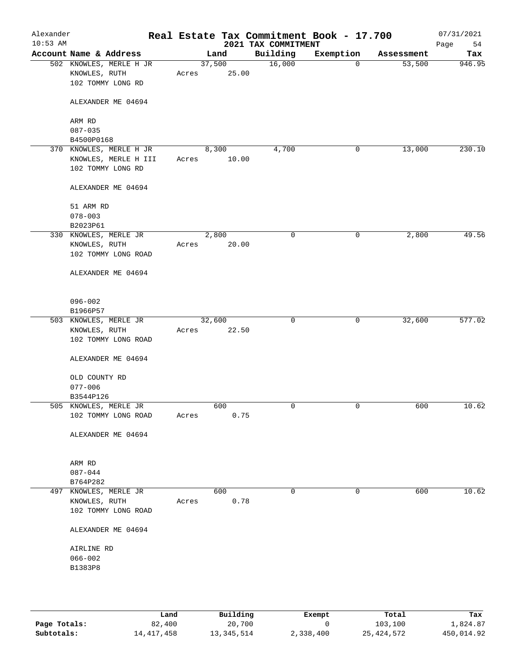| Alexander<br>$10:53$ AM |                                                                      |       |                 | 2021 TAX COMMITMENT | Real Estate Tax Commitment Book - 17.700 |            | 07/31/2021<br>Page<br>54 |
|-------------------------|----------------------------------------------------------------------|-------|-----------------|---------------------|------------------------------------------|------------|--------------------------|
|                         | Account Name & Address                                               |       | Land            | Building            | Exemption                                | Assessment | Tax                      |
|                         | 502 KNOWLES, MERLE H JR<br>KNOWLES, RUTH<br>102 TOMMY LONG RD        | Acres | 37,500<br>25.00 | 16,000              | $\mathbf 0$                              | 53,500     | 946.95                   |
|                         | ALEXANDER ME 04694                                                   |       |                 |                     |                                          |            |                          |
|                         | ARM RD<br>$087 - 035$                                                |       |                 |                     |                                          |            |                          |
|                         | B4500P0168                                                           |       |                 |                     |                                          |            |                          |
|                         | 370 KNOWLES, MERLE H JR<br>KNOWLES, MERLE H III<br>102 TOMMY LONG RD | Acres | 8,300<br>10.00  | 4,700               | 0                                        | 13,000     | 230.10                   |
|                         | ALEXANDER ME 04694                                                   |       |                 |                     |                                          |            |                          |
|                         | 51 ARM RD<br>$078 - 003$<br>B2023P61                                 |       |                 |                     |                                          |            |                          |
|                         | 330 KNOWLES, MERLE JR<br>KNOWLES, RUTH<br>102 TOMMY LONG ROAD        | Acres | 2,800<br>20.00  | 0                   | 0                                        | 2,800      | 49.56                    |
|                         | ALEXANDER ME 04694                                                   |       |                 |                     |                                          |            |                          |
|                         | $096 - 002$<br>B1966P57                                              |       |                 |                     |                                          |            |                          |
|                         | 503 KNOWLES, MERLE JR                                                |       | 32,600          | $\mathbf 0$         | $\mathsf{O}$                             | 32,600     | 577.02                   |
|                         | KNOWLES, RUTH<br>102 TOMMY LONG ROAD                                 | Acres | 22.50           |                     |                                          |            |                          |
|                         | ALEXANDER ME 04694                                                   |       |                 |                     |                                          |            |                          |
|                         | OLD COUNTY RD<br>$077 - 006$                                         |       |                 |                     |                                          |            |                          |
|                         | B3544P126                                                            |       |                 |                     |                                          |            |                          |
|                         | 505 KNOWLES, MERLE JR<br>102 TOMMY LONG ROAD                         | Acres | 600<br>0.75     | 0                   | 0                                        | 600        | 10.62                    |
|                         | ALEXANDER ME 04694                                                   |       |                 |                     |                                          |            |                          |
|                         | ARM RD<br>$087 - 044$                                                |       |                 |                     |                                          |            |                          |
|                         | B764P282                                                             |       |                 |                     |                                          |            |                          |
| 497                     | KNOWLES, MERLE JR                                                    |       | 600             | 0                   | 0                                        | 600        | 10.62                    |
|                         | KNOWLES, RUTH<br>102 TOMMY LONG ROAD                                 | Acres | 0.78            |                     |                                          |            |                          |
|                         | ALEXANDER ME 04694                                                   |       |                 |                     |                                          |            |                          |
|                         | AIRLINE RD                                                           |       |                 |                     |                                          |            |                          |
|                         | $066 - 002$                                                          |       |                 |                     |                                          |            |                          |
|                         | B1383P8                                                              |       |                 |                     |                                          |            |                          |
|                         |                                                                      |       |                 |                     |                                          |            |                          |
|                         |                                                                      |       |                 |                     |                                          |            |                          |

|              | Land         | Building   | Exempt    | Total        | Tax        |
|--------------|--------------|------------|-----------|--------------|------------|
| Page Totals: | 82,400       | 20,700     |           | 103,100      | 1,824.87   |
| Subtotals:   | 14, 417, 458 | 13,345,514 | 2,338,400 | 25, 424, 572 | 450,014.92 |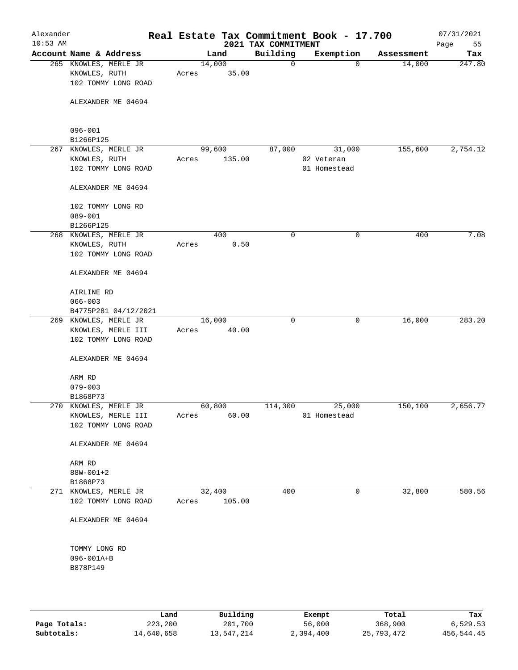| Alexander<br>$10:53$ AM |                                                               |                 |        | 2021 TAX COMMITMENT | Real Estate Tax Commitment Book - 17.700 |            | 07/31/2021<br>Page<br>55 |
|-------------------------|---------------------------------------------------------------|-----------------|--------|---------------------|------------------------------------------|------------|--------------------------|
|                         | Account Name & Address                                        | Land            |        | Building            | Exemption                                | Assessment | Tax                      |
|                         | 265 KNOWLES, MERLE JR<br>KNOWLES, RUTH<br>102 TOMMY LONG ROAD | 14,000<br>Acres | 35.00  | $\mathbf 0$         | 0                                        | 14,000     | 247.80                   |
|                         | ALEXANDER ME 04694                                            |                 |        |                     |                                          |            |                          |
|                         | $096 - 001$                                                   |                 |        |                     |                                          |            |                          |
|                         | B1266P125                                                     |                 |        |                     |                                          |            |                          |
|                         | 267 KNOWLES, MERLE JR<br>KNOWLES, RUTH                        | 99,600<br>Acres | 135.00 | 87,000              | 31,000<br>02 Veteran                     | 155,600    | 2,754.12                 |
|                         | 102 TOMMY LONG ROAD                                           |                 |        |                     | 01 Homestead                             |            |                          |
|                         | ALEXANDER ME 04694                                            |                 |        |                     |                                          |            |                          |
|                         | 102 TOMMY LONG RD                                             |                 |        |                     |                                          |            |                          |
|                         | $089 - 001$<br>B1266P125                                      |                 |        |                     |                                          |            |                          |
|                         | 268 KNOWLES, MERLE JR                                         |                 | 400    | $\mathbf 0$         | 0                                        | 400        | 7.08                     |
|                         | KNOWLES, RUTH                                                 | Acres           | 0.50   |                     |                                          |            |                          |
|                         | 102 TOMMY LONG ROAD                                           |                 |        |                     |                                          |            |                          |
|                         | ALEXANDER ME 04694                                            |                 |        |                     |                                          |            |                          |
|                         | AIRLINE RD                                                    |                 |        |                     |                                          |            |                          |
|                         | $066 - 003$                                                   |                 |        |                     |                                          |            |                          |
|                         | B4775P281 04/12/2021                                          |                 |        |                     |                                          |            |                          |
|                         | 269 KNOWLES, MERLE JR<br>KNOWLES, MERLE III                   | 16,000<br>Acres | 40.00  | $\mathbf 0$         | 0                                        | 16,000     | 283.20                   |
|                         | 102 TOMMY LONG ROAD                                           |                 |        |                     |                                          |            |                          |
|                         | ALEXANDER ME 04694                                            |                 |        |                     |                                          |            |                          |
|                         | ARM RD                                                        |                 |        |                     |                                          |            |                          |
|                         | $079 - 003$                                                   |                 |        |                     |                                          |            |                          |
|                         | B1868P73                                                      |                 |        |                     |                                          |            |                          |
|                         | 270 KNOWLES, MERLE JR                                         | 60,800          |        | 114,300             | 25,000                                   | 150,100    | 2,656.77                 |
|                         | KNOWLES, MERLE III<br>102 TOMMY LONG ROAD                     | Acres           | 60.00  |                     | 01 Homestead                             |            |                          |
|                         | ALEXANDER ME 04694                                            |                 |        |                     |                                          |            |                          |
|                         | ARM RD                                                        |                 |        |                     |                                          |            |                          |
|                         | $88W - 001 + 2$                                               |                 |        |                     |                                          |            |                          |
|                         | B1868P73                                                      |                 |        |                     |                                          |            |                          |
|                         | 271 KNOWLES, MERLE JR                                         | 32,400          |        | 400                 | 0                                        | 32,800     | 580.56                   |
|                         | 102 TOMMY LONG ROAD                                           | Acres           | 105.00 |                     |                                          |            |                          |
|                         | ALEXANDER ME 04694                                            |                 |        |                     |                                          |            |                          |
|                         | TOMMY LONG RD                                                 |                 |        |                     |                                          |            |                          |
|                         | 096-001A+B                                                    |                 |        |                     |                                          |            |                          |
|                         | B878P149                                                      |                 |        |                     |                                          |            |                          |
|                         |                                                               |                 |        |                     |                                          |            |                          |
|                         |                                                               |                 |        |                     |                                          |            |                          |

|              | Land       | Building   | Exempt    | Total      | Tax        |
|--------------|------------|------------|-----------|------------|------------|
| Page Totals: | 223,200    | 201,700    | 56,000    | 368,900    | 6.529.53   |
| Subtotals:   | 14,640,658 | 13,547,214 | 2,394,400 | 25,793,472 | 456,544.45 |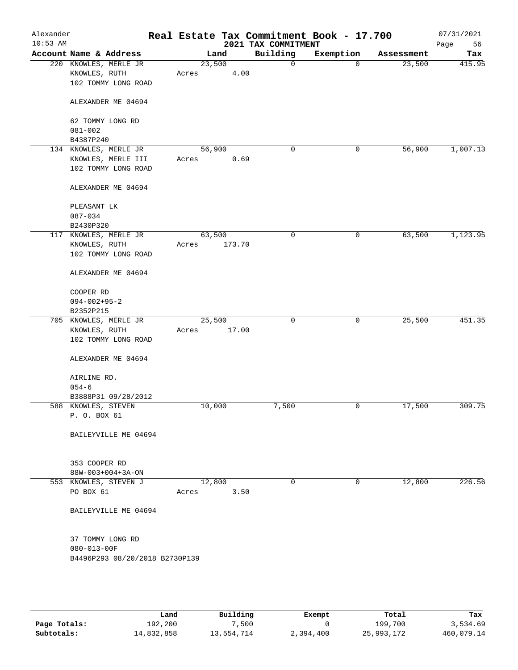| Alexander<br>$10:53$ AM |                                |        |        | 2021 TAX COMMITMENT | Real Estate Tax Commitment Book - 17.700 |            | 07/31/2021<br>Page<br>56 |
|-------------------------|--------------------------------|--------|--------|---------------------|------------------------------------------|------------|--------------------------|
|                         | Account Name & Address         |        | Land   | Building            | Exemption                                | Assessment | Tax                      |
|                         | 220 KNOWLES, MERLE JR          | 23,500 |        | $\mathbf 0$         | $\mathbf 0$                              | 23,500     | 415.95                   |
|                         | KNOWLES, RUTH                  | Acres  | 4.00   |                     |                                          |            |                          |
|                         | 102 TOMMY LONG ROAD            |        |        |                     |                                          |            |                          |
|                         | ALEXANDER ME 04694             |        |        |                     |                                          |            |                          |
|                         | 62 TOMMY LONG RD               |        |        |                     |                                          |            |                          |
|                         | $081 - 002$                    |        |        |                     |                                          |            |                          |
|                         | B4387P240                      |        |        |                     |                                          |            |                          |
|                         | 134 KNOWLES, MERLE JR          | 56,900 |        | 0                   | 0                                        | 56,900     | 1,007.13                 |
|                         | KNOWLES, MERLE III             | Acres  | 0.69   |                     |                                          |            |                          |
|                         | 102 TOMMY LONG ROAD            |        |        |                     |                                          |            |                          |
|                         | ALEXANDER ME 04694             |        |        |                     |                                          |            |                          |
|                         | PLEASANT LK                    |        |        |                     |                                          |            |                          |
|                         | $087 - 034$                    |        |        |                     |                                          |            |                          |
|                         | B2430P320                      |        |        |                     |                                          |            |                          |
|                         | 117 KNOWLES, MERLE JR          | 63,500 |        | 0                   | 0                                        | 63,500     | 1,123.95                 |
|                         | KNOWLES, RUTH                  | Acres  | 173.70 |                     |                                          |            |                          |
|                         | 102 TOMMY LONG ROAD            |        |        |                     |                                          |            |                          |
|                         | ALEXANDER ME 04694             |        |        |                     |                                          |            |                          |
|                         | COOPER RD                      |        |        |                     |                                          |            |                          |
|                         | $094 - 002 + 95 - 2$           |        |        |                     |                                          |            |                          |
|                         | B2352P215                      |        |        |                     |                                          |            |                          |
|                         | 705 KNOWLES, MERLE JR          | 25,500 |        | $\mathbf 0$         | $\mathbf 0$                              | 25,500     | 451.35                   |
|                         | KNOWLES, RUTH                  | Acres  | 17.00  |                     |                                          |            |                          |
|                         | 102 TOMMY LONG ROAD            |        |        |                     |                                          |            |                          |
|                         | ALEXANDER ME 04694             |        |        |                     |                                          |            |                          |
|                         | AIRLINE RD.                    |        |        |                     |                                          |            |                          |
|                         | $054 - 6$                      |        |        |                     |                                          |            |                          |
|                         | B3888P31 09/28/2012            |        |        |                     |                                          |            |                          |
|                         | 588 KNOWLES, STEVEN            | 10,000 |        | 7,500               | 0                                        | 17,500     | 309.75                   |
|                         | P. O. BOX 61                   |        |        |                     |                                          |            |                          |
|                         | BAILEYVILLE ME 04694           |        |        |                     |                                          |            |                          |
|                         |                                |        |        |                     |                                          |            |                          |
|                         | 353 COOPER RD                  |        |        |                     |                                          |            |                          |
|                         | 88W-003+004+3A-ON              |        |        |                     |                                          |            |                          |
|                         | 553 KNOWLES, STEVEN J          | 12,800 |        | $\Omega$            | $\mathbf 0$                              | 12,800     | 226.56                   |
|                         | PO BOX 61                      | Acres  | 3.50   |                     |                                          |            |                          |
|                         |                                |        |        |                     |                                          |            |                          |
|                         | BAILEYVILLE ME 04694           |        |        |                     |                                          |            |                          |
|                         | 37 TOMMY LONG RD               |        |        |                     |                                          |            |                          |
|                         | 080-013-00F                    |        |        |                     |                                          |            |                          |
|                         | B4496P293 08/20/2018 B2730P139 |        |        |                     |                                          |            |                          |
|                         |                                |        |        |                     |                                          |            |                          |
|                         |                                |        |        |                     |                                          |            |                          |
|                         |                                |        |        |                     |                                          |            |                          |

|              | Land       | Building   | Exempt    | Total      | Tax        |
|--------------|------------|------------|-----------|------------|------------|
| Page Totals: | 192,200    | 7,500      |           | 199,700    | 3,534.69   |
| Subtotals:   | 14,832,858 | 13,554,714 | 2,394,400 | 25,993,172 | 460,079.14 |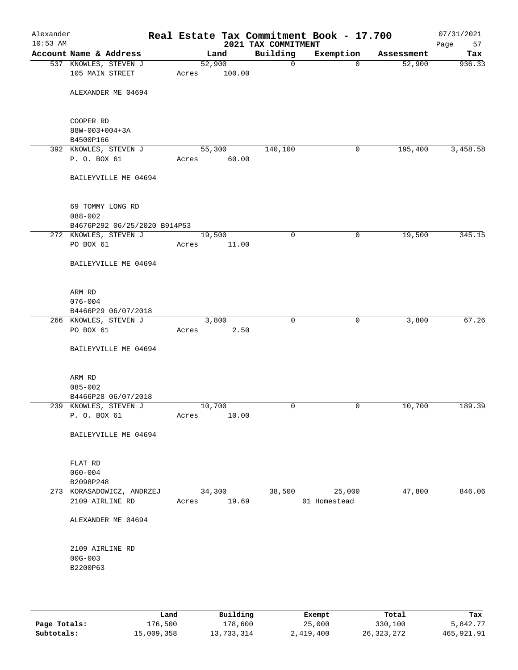| Alexander<br>$10:53$ AM |                                                                 |                 |        | 2021 TAX COMMITMENT | Real Estate Tax Commitment Book - 17.700 |            | 07/31/2021<br>Page<br>57 |
|-------------------------|-----------------------------------------------------------------|-----------------|--------|---------------------|------------------------------------------|------------|--------------------------|
|                         | Account Name & Address                                          | Land            |        | Building            | Exemption                                | Assessment | Tax                      |
|                         | 537 KNOWLES, STEVEN J<br>105 MAIN STREET                        | 52,900<br>Acres | 100.00 | $\mathbf 0$         | $\mathbf 0$                              | 52,900     | 936.33                   |
|                         | ALEXANDER ME 04694                                              |                 |        |                     |                                          |            |                          |
|                         | COOPER RD<br>88W-003+004+3A<br>B4500P166                        |                 |        |                     |                                          |            |                          |
|                         | 392 KNOWLES, STEVEN J                                           | 55,300          |        | 140,100             | 0                                        | 195,400    | 3,458.58                 |
|                         | P. O. BOX 61                                                    | Acres           | 60.00  |                     |                                          |            |                          |
|                         | BAILEYVILLE ME 04694                                            |                 |        |                     |                                          |            |                          |
|                         | 69 TOMMY LONG RD<br>$088 - 002$<br>B4676P292 06/25/2020 B914P53 |                 |        |                     |                                          |            |                          |
|                         | 272 KNOWLES, STEVEN J                                           | 19,500          |        | $\mathbf 0$         | 0                                        | 19,500     | 345.15                   |
|                         | PO BOX 61                                                       | Acres           | 11.00  |                     |                                          |            |                          |
|                         | BAILEYVILLE ME 04694                                            |                 |        |                     |                                          |            |                          |
|                         | ARM RD<br>$076 - 004$<br>B4466P29 06/07/2018                    |                 |        |                     |                                          |            |                          |
|                         | 266 KNOWLES, STEVEN J                                           | 3,800           |        | $\mathbf 0$         | $\mathbf 0$                              | 3,800      | 67.26                    |
|                         | PO BOX 61                                                       | Acres           | 2.50   |                     |                                          |            |                          |
|                         | BAILEYVILLE ME 04694                                            |                 |        |                     |                                          |            |                          |
|                         | ARM RD<br>$085 - 002$                                           |                 |        |                     |                                          |            |                          |
|                         | B4466P28 06/07/2018                                             |                 |        |                     |                                          |            |                          |
|                         | 239 KNOWLES, STEVEN J                                           | 10,700          |        | 0                   | 0                                        | 10,700     | 189.39                   |
|                         | P. O. BOX 61                                                    | Acres           | 10.00  |                     |                                          |            |                          |
|                         | BAILEYVILLE ME 04694                                            |                 |        |                     |                                          |            |                          |
|                         | FLAT RD<br>$060 - 004$                                          |                 |        |                     |                                          |            |                          |
|                         | B2098P248                                                       |                 |        |                     |                                          |            |                          |
|                         | 273 KORASADOWICZ, ANDRZEJ<br>2109 AIRLINE RD                    | 34,300<br>Acres | 19.69  | 38,500              | 25,000<br>01 Homestead                   | 47,800     | 846.06                   |
|                         | ALEXANDER ME 04694                                              |                 |        |                     |                                          |            |                          |
|                         | 2109 AIRLINE RD<br>$00G - 003$<br>B2200P63                      |                 |        |                     |                                          |            |                          |
|                         |                                                                 |                 |        |                     |                                          |            |                          |

|              | Land       | Building   | Exempt    | Total        | Tax          |
|--------------|------------|------------|-----------|--------------|--------------|
| Page Totals: | 176,500    | 178,600    | 25,000    | 330,100      | 5,842.77     |
| Subtotals:   | 15,009,358 | 13,733,314 | 2,419,400 | 26, 323, 272 | 465, 921, 91 |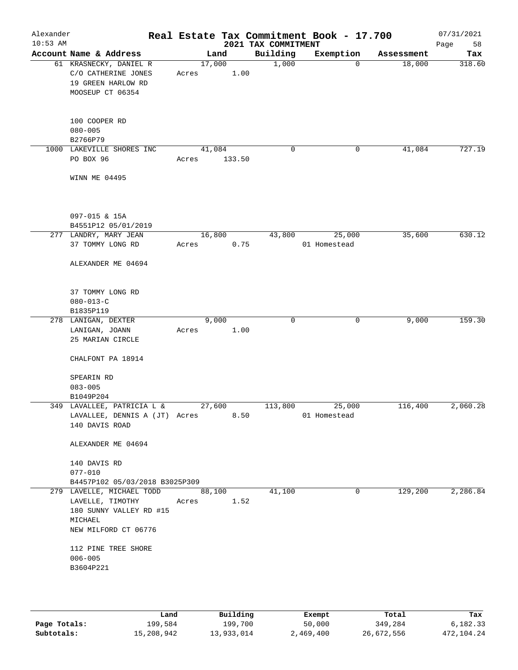| Alexander<br>$10:53$ AM |                                                                                                                    |                 |        | 2021 TAX COMMITMENT | Real Estate Tax Commitment Book - 17.700 |            | 07/31/2021<br>Page<br>58 |
|-------------------------|--------------------------------------------------------------------------------------------------------------------|-----------------|--------|---------------------|------------------------------------------|------------|--------------------------|
|                         | Account Name & Address                                                                                             | Land            |        | Building            | Exemption                                | Assessment | Tax                      |
|                         | 61 KRASNECKY, DANIEL R<br>C/O CATHERINE JONES<br>19 GREEN HARLOW RD<br>MOOSEUP CT 06354                            | 17,000<br>Acres | 1.00   | 1,000               | $\overline{0}$                           | 18,000     | 318.60                   |
|                         | 100 COOPER RD<br>$080 - 005$<br>B2766P79                                                                           |                 |        |                     |                                          |            |                          |
|                         | 1000 LAKEVILLE SHORES INC<br>PO BOX 96                                                                             | 41,084<br>Acres | 133.50 | 0                   | 0                                        | 41,084     | 727.19                   |
|                         | WINN ME 04495                                                                                                      |                 |        |                     |                                          |            |                          |
|                         | 097-015 & 15A<br>B4551P12 05/01/2019                                                                               |                 |        |                     |                                          |            |                          |
|                         | 277 LANDRY, MARY JEAN<br>37 TOMMY LONG RD                                                                          | 16,800<br>Acres | 0.75   | 43,800              | 25,000<br>01 Homestead                   | 35,600     | 630.12                   |
|                         | ALEXANDER ME 04694                                                                                                 |                 |        |                     |                                          |            |                          |
|                         | 37 TOMMY LONG RD<br>$080 - 013 - C$<br>B1835P119                                                                   |                 |        |                     |                                          |            |                          |
|                         | 278 LANIGAN, DEXTER                                                                                                | 9,000           |        | 0                   | 0                                        | 9,000      | 159.30                   |
|                         | LANIGAN, JOANN<br>25 MARIAN CIRCLE<br>CHALFONT PA 18914                                                            | Acres           | 1.00   |                     |                                          |            |                          |
|                         | SPEARIN RD<br>$083 - 005$                                                                                          |                 |        |                     |                                          |            |                          |
|                         | B1049P204<br>349 LAVALLEE, PATRICIA L &                                                                            | 27,600          |        | 113,800             | 25,000                                   | 116,400    | 2,060.28                 |
|                         | LAVALLEE, DENNIS A (JT) Acres<br>140 DAVIS ROAD                                                                    |                 | 8.50   |                     | 01 Homestead                             |            |                          |
|                         | ALEXANDER ME 04694                                                                                                 |                 |        |                     |                                          |            |                          |
|                         | 140 DAVIS RD                                                                                                       |                 |        |                     |                                          |            |                          |
|                         | $077 - 010$                                                                                                        |                 |        |                     |                                          |            |                          |
|                         | B4457P102 05/03/2018 B3025P309                                                                                     |                 |        |                     |                                          |            |                          |
|                         | 279 LAVELLE, MICHAEL TODD 88,100<br>LAVELLE, TIMOTHY<br>180 SUNNY VALLEY RD #15<br>MICHAEL<br>NEW MILFORD CT 06776 | Acres 1.52      |        | 41,100              | $\mathbf 0$                              | 129,200    | 2,286.84                 |
|                         | 112 PINE TREE SHORE<br>$006 - 005$<br>B3604P221                                                                    |                 |        |                     |                                          |            |                          |
|                         |                                                                                                                    |                 |        |                     |                                          |            |                          |

|              | Land       | Building   | Exempt    | Total      | Tax        |
|--------------|------------|------------|-----------|------------|------------|
| Page Totals: | 199,584    | 199,700    | 50,000    | 349,284    | 6,182.33   |
| Subtotals:   | 15,208,942 | 13,933,014 | 2,469,400 | 26,672,556 | 472,104.24 |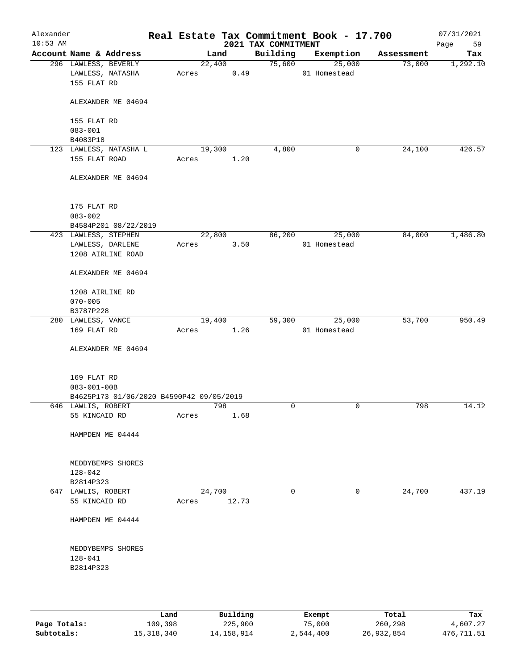| Alexander<br>$10:53$ AM |                                                               |       |                | 2021 TAX COMMITMENT | Real Estate Tax Commitment Book - 17.700 |            | 07/31/2021<br>Page<br>59 |
|-------------------------|---------------------------------------------------------------|-------|----------------|---------------------|------------------------------------------|------------|--------------------------|
|                         | Account Name & Address                                        |       | Land           | Building            | Exemption                                | Assessment | Tax                      |
|                         | 296 LAWLESS, BEVERLY<br>LAWLESS, NATASHA<br>155 FLAT RD       | Acres | 22,400<br>0.49 | 75,600              | 25,000<br>01 Homestead                   | 73,000     | 1,292.10                 |
|                         | ALEXANDER ME 04694                                            |       |                |                     |                                          |            |                          |
|                         | 155 FLAT RD<br>$083 - 001$                                    |       |                |                     |                                          |            |                          |
|                         | B4083P18                                                      |       |                |                     |                                          |            |                          |
|                         | 123 LAWLESS, NATASHA L<br>155 FLAT ROAD                       | Acres | 19,300<br>1.20 | 4,800               | 0                                        | 24,100     | 426.57                   |
|                         | ALEXANDER ME 04694                                            |       |                |                     |                                          |            |                          |
|                         | 175 FLAT RD<br>$083 - 002$                                    |       |                |                     |                                          |            |                          |
|                         | B4584P201 08/22/2019<br>423 LAWLESS, STEPHEN                  |       | 22,800         | 86,200              | 25,000                                   | 84,000     | 1,486.80                 |
|                         | LAWLESS, DARLENE                                              | Acres | 3.50           |                     | 01 Homestead                             |            |                          |
|                         | 1208 AIRLINE ROAD                                             |       |                |                     |                                          |            |                          |
|                         | ALEXANDER ME 04694                                            |       |                |                     |                                          |            |                          |
|                         | 1208 AIRLINE RD<br>$070 - 005$                                |       |                |                     |                                          |            |                          |
|                         | B3787P228<br>280 LAWLESS, VANCE                               |       | 19,400         | 59,300              | 25,000                                   | 53,700     | 950.49                   |
|                         | 169 FLAT RD                                                   | Acres | 1.26           |                     | 01 Homestead                             |            |                          |
|                         | ALEXANDER ME 04694                                            |       |                |                     |                                          |            |                          |
|                         | 169 FLAT RD                                                   |       |                |                     |                                          |            |                          |
|                         | $083 - 001 - 00B$<br>B4625P173 01/06/2020 B4590P42 09/05/2019 |       |                |                     |                                          |            |                          |
|                         | 646 LAWLIS, ROBERT                                            |       | 798            | 0                   | 0                                        | 798        | 14.12                    |
|                         | 55 KINCAID RD                                                 | Acres | 1.68           |                     |                                          |            |                          |
|                         | HAMPDEN ME 04444                                              |       |                |                     |                                          |            |                          |
|                         | MEDDYBEMPS SHORES<br>128-042                                  |       |                |                     |                                          |            |                          |
|                         | B2814P323                                                     |       |                |                     |                                          |            |                          |
|                         | 647 LAWLIS, ROBERT                                            |       | 24,700         | 0                   | 0                                        | 24,700     | 437.19                   |
|                         | 55 KINCAID RD                                                 | Acres | 12.73          |                     |                                          |            |                          |
|                         | HAMPDEN ME 04444                                              |       |                |                     |                                          |            |                          |
|                         | MEDDYBEMPS SHORES<br>$128 - 041$                              |       |                |                     |                                          |            |                          |
|                         | B2814P323                                                     |       |                |                     |                                          |            |                          |
|                         |                                                               |       |                |                     |                                          |            |                          |

|              | Land       | Building   | Exempt    | Total      | Tax        |
|--------------|------------|------------|-----------|------------|------------|
| Page Totals: | 109,398    | 225,900    | 75,000    | 260,298    | 4,607.27   |
| Subtotals:   | 15,318,340 | 14,158,914 | 2,544,400 | 26,932,854 | 476,711.51 |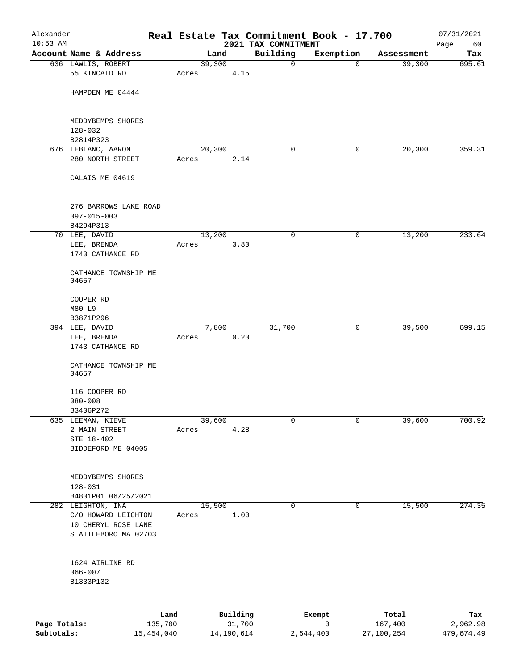| Alexander                  |                                            |                       |       |            |          | Real Estate Tax Commitment Book - 17.700 |                |                       | 07/31/2021             |
|----------------------------|--------------------------------------------|-----------------------|-------|------------|----------|------------------------------------------|----------------|-----------------------|------------------------|
| $10:53$ AM                 | Account Name & Address                     |                       |       | Land       |          | 2021 TAX COMMITMENT<br>Building          | Exemption      | Assessment            | Page<br>60<br>Tax      |
|                            | 636 LAWLIS, ROBERT                         |                       |       | 39,300     |          | $\mathbf 0$                              | $\mathbf 0$    | 39,300                | 695.61                 |
|                            | 55 KINCAID RD                              |                       | Acres |            | 4.15     |                                          |                |                       |                        |
|                            | HAMPDEN ME 04444                           |                       |       |            |          |                                          |                |                       |                        |
|                            | MEDDYBEMPS SHORES                          |                       |       |            |          |                                          |                |                       |                        |
|                            | $128 - 032$<br>B2814P323                   |                       |       |            |          |                                          |                |                       |                        |
|                            | 676 LEBLANC, AARON                         |                       |       | 20,300     |          | 0                                        | 0              | 20,300                | 359.31                 |
|                            | 280 NORTH STREET                           |                       | Acres |            | 2.14     |                                          |                |                       |                        |
|                            | CALAIS ME 04619                            |                       |       |            |          |                                          |                |                       |                        |
|                            | 276 BARROWS LAKE ROAD<br>$097 - 015 - 003$ |                       |       |            |          |                                          |                |                       |                        |
|                            | B4294P313                                  |                       |       |            |          |                                          |                |                       |                        |
|                            | 70 LEE, DAVID                              |                       |       | 13,200     |          | $\mathbf 0$                              | $\mathsf{O}$   | 13,200                | 233.64                 |
|                            | LEE, BRENDA                                |                       | Acres |            | 3.80     |                                          |                |                       |                        |
|                            | 1743 CATHANCE RD                           |                       |       |            |          |                                          |                |                       |                        |
|                            | CATHANCE TOWNSHIP ME<br>04657              |                       |       |            |          |                                          |                |                       |                        |
|                            | COOPER RD                                  |                       |       |            |          |                                          |                |                       |                        |
|                            | M80 L9                                     |                       |       |            |          |                                          |                |                       |                        |
|                            | B3871P296                                  |                       |       |            |          |                                          |                |                       |                        |
|                            | 394 LEE, DAVID                             |                       |       | 7,800      |          | 31,700                                   | 0              | 39,500                | 699.15                 |
|                            | LEE, BRENDA<br>1743 CATHANCE RD            |                       | Acres |            | 0.20     |                                          |                |                       |                        |
|                            | CATHANCE TOWNSHIP ME<br>04657              |                       |       |            |          |                                          |                |                       |                        |
|                            | 116 COOPER RD                              |                       |       |            |          |                                          |                |                       |                        |
|                            | $080 - 008$                                |                       |       |            |          |                                          |                |                       |                        |
|                            | B3406P272                                  |                       |       |            |          |                                          |                |                       |                        |
| 635                        | LEEMAN, KIEVE                              |                       |       | 39,600     |          | 0                                        | $\mathsf{O}$   | 39,600                | 700.92                 |
|                            | 2 MAIN STREET                              |                       | Acres |            | 4.28     |                                          |                |                       |                        |
|                            | STE 18-402<br>BIDDEFORD ME 04005           |                       |       |            |          |                                          |                |                       |                        |
|                            |                                            |                       |       |            |          |                                          |                |                       |                        |
|                            | MEDDYBEMPS SHORES                          |                       |       |            |          |                                          |                |                       |                        |
|                            | $128 - 031$                                |                       |       |            |          |                                          |                |                       |                        |
|                            | B4801P01 06/25/2021                        |                       |       |            |          |                                          |                |                       |                        |
|                            | 282 LEIGHTON, INA<br>C/O HOWARD LEIGHTON   |                       | Acres | 15,500     | 1.00     | 0                                        | $\mathsf{O}$   | 15,500                | 274.35                 |
|                            | 10 CHERYL ROSE LANE                        |                       |       |            |          |                                          |                |                       |                        |
|                            | S ATTLEBORO MA 02703                       |                       |       |            |          |                                          |                |                       |                        |
|                            |                                            |                       |       |            |          |                                          |                |                       |                        |
|                            | 1624 AIRLINE RD                            |                       |       |            |          |                                          |                |                       |                        |
|                            | $066 - 007$<br>B1333P132                   |                       |       |            |          |                                          |                |                       |                        |
|                            |                                            |                       |       |            |          |                                          |                |                       |                        |
|                            |                                            | Land                  |       |            | Building |                                          | Exempt         | Total                 | Tax                    |
| Page Totals:<br>Subtotals: |                                            | 135,700<br>15,454,040 |       | 14,190,614 | 31,700   |                                          | 0<br>2,544,400 | 167,400<br>27,100,254 | 2,962.98<br>479,674.49 |
|                            |                                            |                       |       |            |          |                                          |                |                       |                        |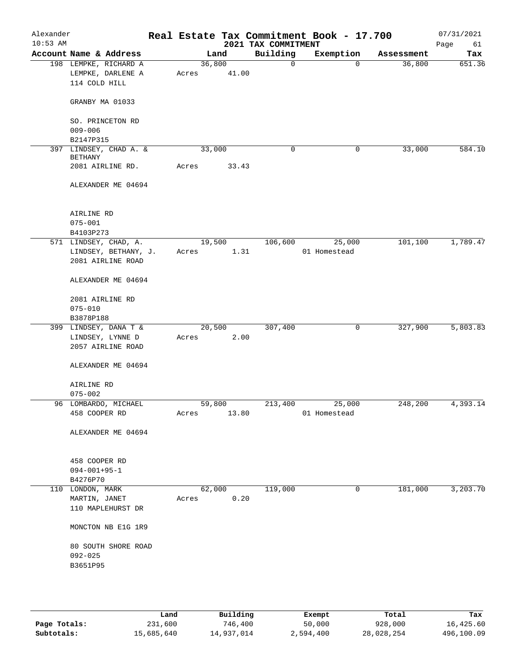| Alexander<br>$10:53$ AM |                                                             | Real Estate Tax Commitment Book - 17.700 | 2021 TAX COMMITMENT |              |            | 07/31/2021<br>Page<br>61 |
|-------------------------|-------------------------------------------------------------|------------------------------------------|---------------------|--------------|------------|--------------------------|
|                         | Account Name & Address                                      | Land                                     | Building            | Exemption    | Assessment | Tax                      |
|                         | 198 LEMPKE, RICHARD A<br>LEMPKE, DARLENE A<br>114 COLD HILL | 36,800<br>41.00<br>Acres                 | 0                   | $\mathbf 0$  | 36,800     | 651.36                   |
|                         | GRANBY MA 01033                                             |                                          |                     |              |            |                          |
|                         | SO. PRINCETON RD<br>$009 - 006$                             |                                          |                     |              |            |                          |
|                         | B2147P315<br>397 LINDSEY, CHAD A. &                         | 33,000                                   | 0                   | 0            | 33,000     | 584.10                   |
|                         | <b>BETHANY</b>                                              |                                          |                     |              |            |                          |
|                         | 2081 AIRLINE RD.                                            | 33.43<br>Acres                           |                     |              |            |                          |
|                         | ALEXANDER ME 04694                                          |                                          |                     |              |            |                          |
|                         | AIRLINE RD                                                  |                                          |                     |              |            |                          |
|                         | $075 - 001$<br>B4103P273                                    |                                          |                     |              |            |                          |
|                         | 571 LINDSEY, CHAD, A.                                       | 19,500                                   | 106,600             | 25,000       | 101,100    | 1,789.47                 |
|                         | LINDSEY, BETHANY, J.                                        | 1.31<br>Acres                            |                     | 01 Homestead |            |                          |
|                         | 2081 AIRLINE ROAD                                           |                                          |                     |              |            |                          |
|                         | ALEXANDER ME 04694                                          |                                          |                     |              |            |                          |
|                         | 2081 AIRLINE RD                                             |                                          |                     |              |            |                          |
|                         | $075 - 010$                                                 |                                          |                     |              |            |                          |
|                         | B3878P188                                                   |                                          |                     |              |            |                          |
|                         | 399 LINDSEY, DANA T &                                       | 20,500                                   | 307,400             | 0            | 327,900    | 5,803.83                 |
|                         | LINDSEY, LYNNE D<br>2057 AIRLINE ROAD                       | 2.00<br>Acres                            |                     |              |            |                          |
|                         | ALEXANDER ME 04694                                          |                                          |                     |              |            |                          |
|                         | AIRLINE RD<br>$075 - 002$                                   |                                          |                     |              |            |                          |
|                         | 96 LOMBARDO, MICHAEL                                        | 59,800                                   | 213,400             | 25,000       | 248,200    | 4,393.14                 |
|                         | 458 COOPER RD                                               | 13.80<br>Acres                           |                     | 01 Homestead |            |                          |
|                         | ALEXANDER ME 04694                                          |                                          |                     |              |            |                          |
|                         | 458 COOPER RD                                               |                                          |                     |              |            |                          |
|                         | $094 - 001 + 95 - 1$<br>B4276P70                            |                                          |                     |              |            |                          |
|                         | 110 LONDON, MARK                                            | 62,000                                   | 119,000             | 0            | 181,000    | 3,203.70                 |
|                         | MARTIN, JANET                                               | 0.20<br>Acres                            |                     |              |            |                          |
|                         | 110 MAPLEHURST DR                                           |                                          |                     |              |            |                          |
|                         | MONCTON NB E1G 1R9                                          |                                          |                     |              |            |                          |
|                         | 80 SOUTH SHORE ROAD                                         |                                          |                     |              |            |                          |
|                         | $092 - 025$                                                 |                                          |                     |              |            |                          |
|                         | B3651P95                                                    |                                          |                     |              |            |                          |
|                         |                                                             |                                          |                     |              |            |                          |
|                         |                                                             |                                          |                     |              |            |                          |

|              | Land       | Building   | Exempt    | Total      | Tax        |
|--------------|------------|------------|-----------|------------|------------|
| Page Totals: | 231,600    | 746,400    | 50,000    | 928,000    | 16,425.60  |
| Subtotals:   | 15,685,640 | 14,937,014 | 2,594,400 | 28,028,254 | 496,100.09 |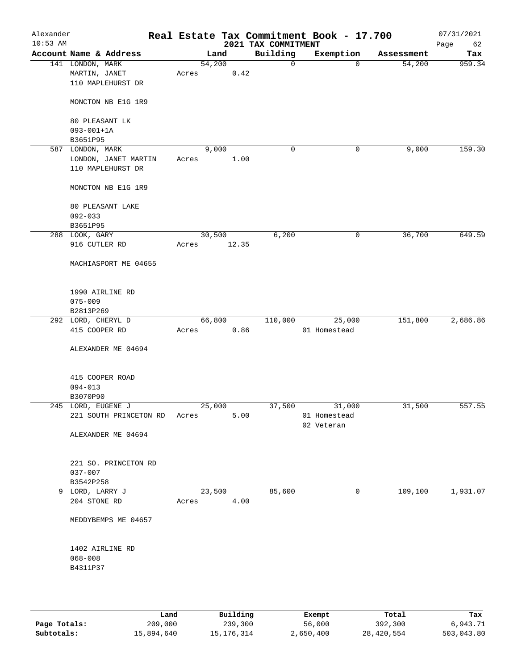| Alexander<br>$10:53$ AM |                                                        |       |                | 2021 TAX COMMITMENT | Real Estate Tax Commitment Book - 17.700 |            | 07/31/2021<br>Page<br>62 |
|-------------------------|--------------------------------------------------------|-------|----------------|---------------------|------------------------------------------|------------|--------------------------|
|                         | Account Name & Address                                 |       | Land           | Building            | Exemption                                | Assessment | Tax                      |
|                         | 141 LONDON, MARK<br>MARTIN, JANET<br>110 MAPLEHURST DR | Acres | 54,200<br>0.42 | $\mathbf 0$         | $\Omega$                                 | 54,200     | 959.34                   |
|                         | MONCTON NB E1G 1R9                                     |       |                |                     |                                          |            |                          |
|                         | 80 PLEASANT LK<br>$093 - 001 + 1A$                     |       |                |                     |                                          |            |                          |
|                         | B3651P95                                               |       |                |                     |                                          |            |                          |
|                         | 587 LONDON, MARK                                       |       | 9,000          | 0                   | 0                                        | 9,000      | 159.30                   |
|                         | LONDON, JANET MARTIN<br>110 MAPLEHURST DR              | Acres | 1.00           |                     |                                          |            |                          |
|                         | MONCTON NB E1G 1R9                                     |       |                |                     |                                          |            |                          |
|                         | 80 PLEASANT LAKE                                       |       |                |                     |                                          |            |                          |
|                         | $092 - 033$                                            |       |                |                     |                                          |            |                          |
|                         | B3651P95                                               |       |                |                     |                                          |            |                          |
|                         | 288 LOOK, GARY                                         |       | 30,500         | 6,200               | $\mathsf{O}$                             | 36,700     | 649.59                   |
|                         | 916 CUTLER RD                                          | Acres | 12.35          |                     |                                          |            |                          |
|                         | MACHIASPORT ME 04655                                   |       |                |                     |                                          |            |                          |
|                         | 1990 AIRLINE RD                                        |       |                |                     |                                          |            |                          |
|                         | $075 - 009$                                            |       |                |                     |                                          |            |                          |
|                         | B2813P269                                              |       |                |                     |                                          |            |                          |
|                         | 292 LORD, CHERYL D                                     |       | 66,800         | 110,000             | 25,000                                   | 151,800    | 2,686.86                 |
|                         | 415 COOPER RD                                          | Acres | 0.86           |                     | 01 Homestead                             |            |                          |
|                         | ALEXANDER ME 04694                                     |       |                |                     |                                          |            |                          |
|                         | 415 COOPER ROAD                                        |       |                |                     |                                          |            |                          |
|                         | $094 - 013$                                            |       |                |                     |                                          |            |                          |
|                         | B3070P90                                               |       |                |                     |                                          |            |                          |
|                         | 245 LORD, EUGENE J                                     |       | 25,000         | 37,500              | 31,000                                   | 31,500     | 557.55                   |
|                         | 221 SOUTH PRINCETON RD                                 | Acres | 5.00           |                     | 01 Homestead<br>02 Veteran               |            |                          |
|                         | ALEXANDER ME 04694                                     |       |                |                     |                                          |            |                          |
|                         | 221 SO. PRINCETON RD                                   |       |                |                     |                                          |            |                          |
|                         | $037 - 007$                                            |       |                |                     |                                          |            |                          |
|                         | B3542P258                                              |       |                |                     |                                          |            |                          |
|                         | 9 LORD, LARRY J                                        |       | 23,500         | 85,600              | 0                                        | 109,100    | 1,931.07                 |
|                         | 204 STONE RD                                           | Acres | 4.00           |                     |                                          |            |                          |
|                         | MEDDYBEMPS ME 04657                                    |       |                |                     |                                          |            |                          |
|                         | 1402 AIRLINE RD                                        |       |                |                     |                                          |            |                          |
|                         | $068 - 008$                                            |       |                |                     |                                          |            |                          |
|                         | B4311P37                                               |       |                |                     |                                          |            |                          |
|                         |                                                        |       |                |                     |                                          |            |                          |
|                         |                                                        |       |                |                     |                                          |            |                          |
|                         |                                                        |       |                |                     |                                          |            |                          |

|              | Land       | Building   | Exempt    | Total      | Tax        |
|--------------|------------|------------|-----------|------------|------------|
| Page Totals: | 209,000    | 239,300    | 56,000    | 392,300    | 6,943.71   |
| Subtotals:   | 15,894,640 | 15,176,314 | 2,650,400 | 28,420,554 | 503,043.80 |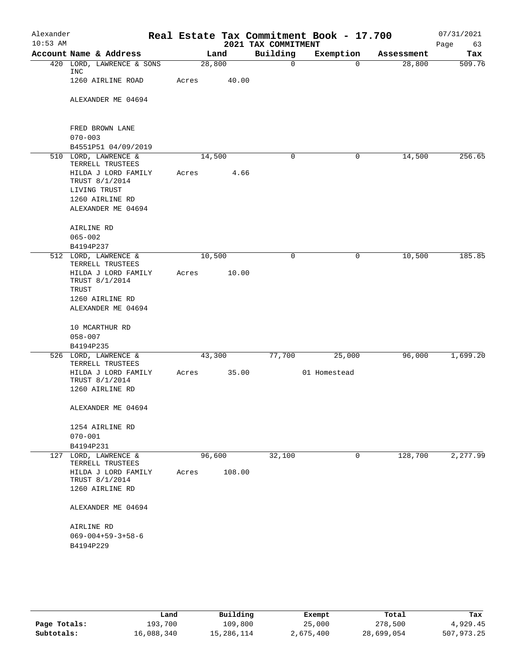| Alexander<br>$10:53$ AM |                                                |        |        | 2021 TAX COMMITMENT | Real Estate Tax Commitment Book - 17.700 |            | 07/31/2021<br>Page<br>63 |
|-------------------------|------------------------------------------------|--------|--------|---------------------|------------------------------------------|------------|--------------------------|
|                         | Account Name & Address                         |        | Land   | Building            | Exemption                                | Assessment | Tax                      |
|                         | 420 LORD, LAWRENCE & SONS<br>INC               | 28,800 |        | 0                   | $\Omega$                                 | 28,800     | 509.76                   |
|                         | 1260 AIRLINE ROAD                              | Acres  | 40.00  |                     |                                          |            |                          |
|                         | ALEXANDER ME 04694                             |        |        |                     |                                          |            |                          |
|                         | FRED BROWN LANE                                |        |        |                     |                                          |            |                          |
|                         | $070 - 003$                                    |        |        |                     |                                          |            |                          |
|                         | B4551P51 04/09/2019<br>510 LORD, LAWRENCE &    | 14,500 |        | 0                   | 0                                        | 14,500     | 256.65                   |
|                         | TERRELL TRUSTEES                               |        |        |                     |                                          |            |                          |
|                         | HILDA J LORD FAMILY                            | Acres  | 4.66   |                     |                                          |            |                          |
|                         | TRUST 8/1/2014<br>LIVING TRUST                 |        |        |                     |                                          |            |                          |
|                         | 1260 AIRLINE RD                                |        |        |                     |                                          |            |                          |
|                         | ALEXANDER ME 04694                             |        |        |                     |                                          |            |                          |
|                         | AIRLINE RD                                     |        |        |                     |                                          |            |                          |
|                         | $065 - 002$                                    |        |        |                     |                                          |            |                          |
|                         | B4194P237                                      |        |        |                     |                                          |            |                          |
|                         | 512 LORD, LAWRENCE &<br>TERRELL TRUSTEES       | 10,500 |        | 0                   | 0                                        | 10,500     | 185.85                   |
|                         | HILDA J LORD FAMILY<br>TRUST 8/1/2014<br>TRUST | Acres  | 10.00  |                     |                                          |            |                          |
|                         | 1260 AIRLINE RD                                |        |        |                     |                                          |            |                          |
|                         | ALEXANDER ME 04694                             |        |        |                     |                                          |            |                          |
|                         | 10 MCARTHUR RD                                 |        |        |                     |                                          |            |                          |
|                         | $058 - 007$                                    |        |        |                     |                                          |            |                          |
|                         | B4194P235                                      |        |        |                     |                                          |            |                          |
|                         | 526 LORD, LAWRENCE &<br>TERRELL TRUSTEES       | 43,300 |        | 77,700              | 25,000                                   | 96,000     | 1,699.20                 |
|                         | HILDA J LORD FAMILY<br>TRUST 8/1/2014          | Acres  | 35.00  |                     | 01 Homestead                             |            |                          |
|                         | 1260 AIRLINE RD                                |        |        |                     |                                          |            |                          |
|                         | ALEXANDER ME 04694                             |        |        |                     |                                          |            |                          |
|                         | 1254 AIRLINE RD                                |        |        |                     |                                          |            |                          |
|                         | $070 - 001$                                    |        |        |                     |                                          |            |                          |
|                         | B4194P231                                      |        |        |                     | $\mathbf 0$                              |            |                          |
|                         | 127 LORD, LAWRENCE &<br>TERRELL TRUSTEES       | 96,600 |        | 32,100              |                                          | 128,700    | 2,277.99                 |
|                         | HILDA J LORD FAMILY<br>TRUST 8/1/2014          | Acres  | 108.00 |                     |                                          |            |                          |
|                         | 1260 AIRLINE RD                                |        |        |                     |                                          |            |                          |
|                         | ALEXANDER ME 04694                             |        |        |                     |                                          |            |                          |
|                         | AIRLINE RD                                     |        |        |                     |                                          |            |                          |
|                         | $069 - 004 + 59 - 3 + 58 - 6$                  |        |        |                     |                                          |            |                          |
|                         | B4194P229                                      |        |        |                     |                                          |            |                          |
|                         |                                                |        |        |                     |                                          |            |                          |
|                         |                                                |        |        |                     |                                          |            |                          |

|              | Land       | Building   | Exempt    | Total      | Tax        |
|--------------|------------|------------|-----------|------------|------------|
| Page Totals: | 193,700    | 109,800    | 25,000    | 278,500    | 4,929.45   |
| Subtotals:   | 16,088,340 | 15,286,114 | 2,675,400 | 28,699,054 | 507,973.25 |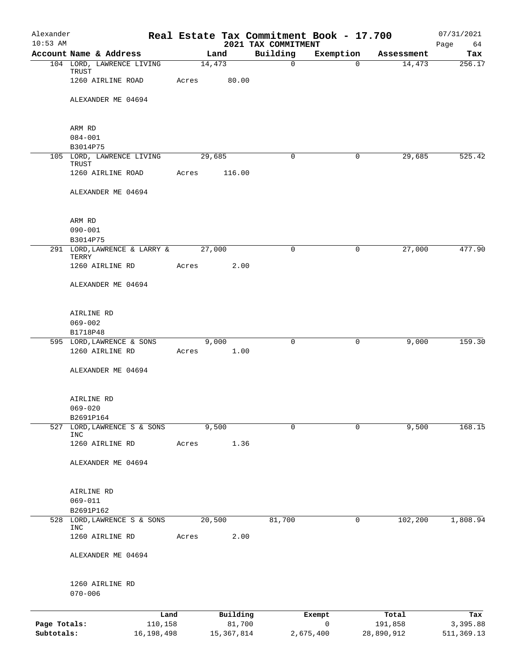| Alexander    |                                                          |            |       |                |                                 | Real Estate Tax Commitment Book - 17.700 |            | 07/31/2021        |
|--------------|----------------------------------------------------------|------------|-------|----------------|---------------------------------|------------------------------------------|------------|-------------------|
| $10:53$ AM   | Account Name & Address                                   |            |       | Land           | 2021 TAX COMMITMENT<br>Building | Exemption                                | Assessment | Page<br>64<br>Tax |
|              | 104 LORD, LAWRENCE LIVING                                |            |       | 14,473         | $\mathsf{O}$                    | $\Omega$                                 | 14,473     | 256.17            |
|              | TRUST<br>1260 AIRLINE ROAD                               |            | Acres | 80.00          |                                 |                                          |            |                   |
|              | ALEXANDER ME 04694                                       |            |       |                |                                 |                                          |            |                   |
|              | ARM RD                                                   |            |       |                |                                 |                                          |            |                   |
|              | $084 - 001$                                              |            |       |                |                                 |                                          |            |                   |
|              | B3014P75                                                 |            |       |                |                                 |                                          |            |                   |
|              | 105 LORD, LAWRENCE LIVING<br>TRUST                       |            |       | 29,685         | $\mathbf 0$                     | $\mathbf 0$                              | 29,685     | 525.42            |
|              | 1260 AIRLINE ROAD                                        |            | Acres | 116.00         |                                 |                                          |            |                   |
|              | ALEXANDER ME 04694                                       |            |       |                |                                 |                                          |            |                   |
|              | ARM RD                                                   |            |       |                |                                 |                                          |            |                   |
|              | $090 - 001$                                              |            |       |                |                                 |                                          |            |                   |
|              | B3014P75                                                 |            |       |                |                                 |                                          | 27,000     | 477.90            |
|              | 291 LORD, LAWRENCE & LARRY &<br>TERRY<br>1260 AIRLINE RD |            | Acres | 27,000<br>2.00 | $\Omega$                        | $\mathbf 0$                              |            |                   |
|              | ALEXANDER ME 04694                                       |            |       |                |                                 |                                          |            |                   |
|              |                                                          |            |       |                |                                 |                                          |            |                   |
|              | AIRLINE RD                                               |            |       |                |                                 |                                          |            |                   |
|              | $069 - 002$                                              |            |       |                |                                 |                                          |            |                   |
|              | B1718P48<br>595 LORD, LAWRENCE & SONS                    |            |       | 9,000          | $\mathbf 0$                     | $\mathbf 0$                              | 9,000      | 159.30            |
|              | 1260 AIRLINE RD                                          |            | Acres | 1.00           |                                 |                                          |            |                   |
|              | ALEXANDER ME 04694                                       |            |       |                |                                 |                                          |            |                   |
|              | AIRLINE RD                                               |            |       |                |                                 |                                          |            |                   |
|              | $069 - 020$                                              |            |       |                |                                 |                                          |            |                   |
|              | B2691P164                                                |            |       | 9,500          |                                 |                                          | 9,500      |                   |
|              | 527 LORD, LAWRENCE S & SONS<br><b>INC</b>                |            |       |                | $\mathbf 0$                     | $\mathbf 0$                              |            | 168.15            |
|              | 1260 AIRLINE RD                                          |            | Acres | 1.36           |                                 |                                          |            |                   |
|              | ALEXANDER ME 04694                                       |            |       |                |                                 |                                          |            |                   |
|              | AIRLINE RD                                               |            |       |                |                                 |                                          |            |                   |
|              | $069 - 011$                                              |            |       |                |                                 |                                          |            |                   |
|              | B2691P162                                                |            |       |                |                                 |                                          |            |                   |
|              | 528 LORD, LAWRENCE S & SONS<br><b>INC</b>                |            |       | 20,500         | 81,700                          | 0                                        | 102,200    | 1,808.94          |
|              | 1260 AIRLINE RD                                          |            | Acres | 2.00           |                                 |                                          |            |                   |
|              | ALEXANDER ME 04694                                       |            |       |                |                                 |                                          |            |                   |
|              | 1260 AIRLINE RD<br>$070 - 006$                           |            |       |                |                                 |                                          |            |                   |
|              |                                                          | Land       |       | Building       |                                 | Exempt                                   | Total      | Tax               |
| Page Totals: |                                                          | 110,158    |       | 81,700         |                                 | $\mathsf{O}$                             | 191,858    | 3,395.88          |
| Subtotals:   |                                                          | 16,198,498 |       | 15, 367, 814   |                                 | 2,675,400                                | 28,890,912 | 511,369.13        |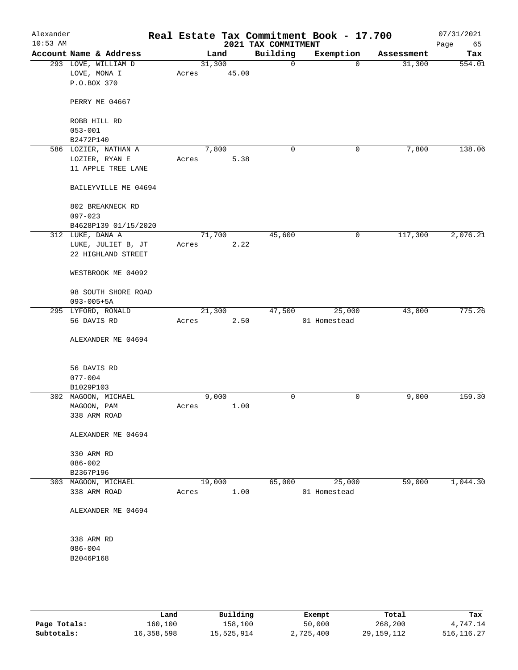| Alexander<br>$10:53$ AM |                                   |       |        | 2021 TAX COMMITMENT | Real Estate Tax Commitment Book - 17.700 |            | 07/31/2021<br>Page<br>65 |
|-------------------------|-----------------------------------|-------|--------|---------------------|------------------------------------------|------------|--------------------------|
|                         | Account Name & Address            |       | Land   | Building            | Exemption                                | Assessment | Tax                      |
|                         | 293 LOVE, WILLIAM D               |       | 31,300 | 0                   | $\mathbf 0$                              | 31,300     | 554.01                   |
|                         | LOVE, MONA I                      | Acres | 45.00  |                     |                                          |            |                          |
|                         | P.O.BOX 370                       |       |        |                     |                                          |            |                          |
|                         |                                   |       |        |                     |                                          |            |                          |
|                         | PERRY ME 04667                    |       |        |                     |                                          |            |                          |
|                         |                                   |       |        |                     |                                          |            |                          |
|                         | ROBB HILL RD                      |       |        |                     |                                          |            |                          |
|                         | $053 - 001$                       |       |        |                     |                                          |            |                          |
|                         | B2472P140                         |       |        |                     |                                          |            |                          |
|                         | 586 LOZIER, NATHAN A              |       | 7,800  | 0                   | 0                                        | 7,800      | 138.06                   |
|                         | LOZIER, RYAN E                    | Acres | 5.38   |                     |                                          |            |                          |
|                         | 11 APPLE TREE LANE                |       |        |                     |                                          |            |                          |
|                         |                                   |       |        |                     |                                          |            |                          |
|                         | BAILEYVILLE ME 04694              |       |        |                     |                                          |            |                          |
|                         |                                   |       |        |                     |                                          |            |                          |
|                         | 802 BREAKNECK RD                  |       |        |                     |                                          |            |                          |
|                         | $097 - 023$                       |       |        |                     |                                          |            |                          |
|                         | B4628P139 01/15/2020              |       |        |                     |                                          |            |                          |
|                         | 312 LUKE, DANA A                  |       | 71,700 | 45,600              | 0                                        | 117,300    | 2,076.21                 |
|                         | LUKE, JULIET B, JT                | Acres | 2.22   |                     |                                          |            |                          |
|                         | 22 HIGHLAND STREET                |       |        |                     |                                          |            |                          |
|                         |                                   |       |        |                     |                                          |            |                          |
|                         | WESTBROOK ME 04092                |       |        |                     |                                          |            |                          |
|                         |                                   |       |        |                     |                                          |            |                          |
|                         | 98 SOUTH SHORE ROAD               |       |        |                     |                                          |            |                          |
|                         | $093 - 005 + 5A$                  |       | 21,300 | 47,500              | 25,000                                   | 43,800     | 775.26                   |
|                         | 295 LYFORD, RONALD<br>56 DAVIS RD | Acres | 2.50   |                     | 01 Homestead                             |            |                          |
|                         |                                   |       |        |                     |                                          |            |                          |
|                         | ALEXANDER ME 04694                |       |        |                     |                                          |            |                          |
|                         |                                   |       |        |                     |                                          |            |                          |
|                         |                                   |       |        |                     |                                          |            |                          |
|                         | 56 DAVIS RD                       |       |        |                     |                                          |            |                          |
|                         | $077 - 004$                       |       |        |                     |                                          |            |                          |
|                         | B1029P103                         |       |        |                     |                                          |            |                          |
|                         | 302 MAGOON, MICHAEL               |       | 9,000  | 0                   | 0                                        | 9,000      | 159.30                   |
|                         | MAGOON, PAM                       | Acres | 1.00   |                     |                                          |            |                          |
|                         | 338 ARM ROAD                      |       |        |                     |                                          |            |                          |
|                         |                                   |       |        |                     |                                          |            |                          |
|                         | ALEXANDER ME 04694                |       |        |                     |                                          |            |                          |
|                         |                                   |       |        |                     |                                          |            |                          |
|                         | 330 ARM RD                        |       |        |                     |                                          |            |                          |
|                         | $086 - 002$                       |       |        |                     |                                          |            |                          |
|                         | B2367P196                         |       |        |                     |                                          |            |                          |
|                         | 303 MAGOON, MICHAEL               |       | 19,000 | 65,000              | 25,000                                   | 59,000     | 1,044.30                 |
|                         | 338 ARM ROAD                      | Acres | 1.00   |                     | 01 Homestead                             |            |                          |
|                         |                                   |       |        |                     |                                          |            |                          |
|                         | ALEXANDER ME 04694                |       |        |                     |                                          |            |                          |
|                         |                                   |       |        |                     |                                          |            |                          |
|                         |                                   |       |        |                     |                                          |            |                          |
|                         | 338 ARM RD                        |       |        |                     |                                          |            |                          |
|                         | $086 - 004$                       |       |        |                     |                                          |            |                          |
|                         | B2046P168                         |       |        |                     |                                          |            |                          |
|                         |                                   |       |        |                     |                                          |            |                          |
|                         |                                   |       |        |                     |                                          |            |                          |
|                         |                                   |       |        |                     |                                          |            |                          |

|              | Land       | Building   | Exempt    | Total        | Tax          |
|--------------|------------|------------|-----------|--------------|--------------|
| Page Totals: | 160,100    | 158,100    | 50,000    | 268,200      | 4,747.14     |
| Subtotals:   | 16,358,598 | 15,525,914 | 2,725,400 | 29, 159, 112 | 516, 116. 27 |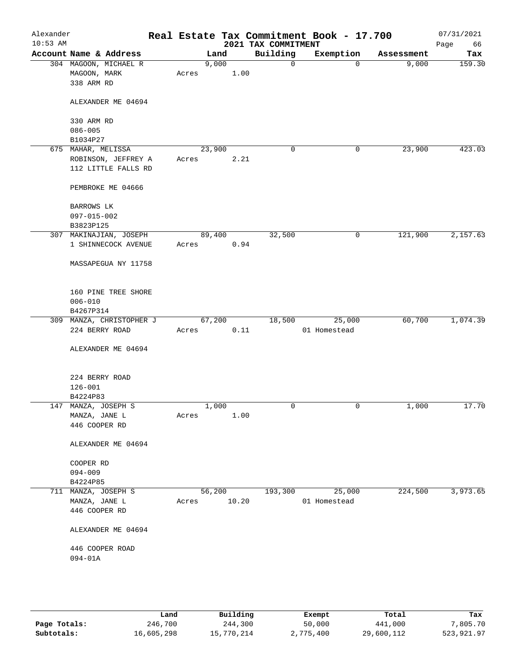| Alexander<br>$10:53$ AM |                                                       |       |        |       | 2021 TAX COMMITMENT | Real Estate Tax Commitment Book - 17.700 |            | 07/31/2021<br>Page<br>66 |
|-------------------------|-------------------------------------------------------|-------|--------|-------|---------------------|------------------------------------------|------------|--------------------------|
|                         | Account Name & Address                                |       | Land   |       | Building            | Exemption                                | Assessment | Tax                      |
|                         | 304 MAGOON, MICHAEL R<br>MAGOON, MARK<br>338 ARM RD   | Acres | 9,000  | 1.00  | $\mathbf 0$         | $\mathbf 0$                              | 9,000      | 159.30                   |
|                         | ALEXANDER ME 04694                                    |       |        |       |                     |                                          |            |                          |
|                         | 330 ARM RD                                            |       |        |       |                     |                                          |            |                          |
|                         | $086 - 005$<br>B1034P27                               |       |        |       |                     |                                          |            |                          |
|                         | 675 MAHAR, MELISSA                                    |       | 23,900 |       | 0                   | 0                                        | 23,900     | 423.03                   |
|                         | ROBINSON, JEFFREY A                                   | Acres |        | 2.21  |                     |                                          |            |                          |
|                         | 112 LITTLE FALLS RD                                   |       |        |       |                     |                                          |            |                          |
|                         | PEMBROKE ME 04666                                     |       |        |       |                     |                                          |            |                          |
|                         | BARROWS LK                                            |       |        |       |                     |                                          |            |                          |
|                         | 097-015-002                                           |       |        |       |                     |                                          |            |                          |
|                         | B3823P125                                             |       |        |       |                     |                                          |            |                          |
|                         | 307 MAKINAJIAN, JOSEPH<br>1 SHINNECOCK AVENUE         | Acres | 89,400 | 0.94  | 32,500              | 0                                        | 121,900    | 2,157.63                 |
|                         | MASSAPEGUA NY 11758                                   |       |        |       |                     |                                          |            |                          |
|                         | 160 PINE TREE SHORE<br>$006 - 010$<br>B4267P314       |       |        |       |                     |                                          |            |                          |
|                         | 309 MANZA, CHRISTOPHER J                              |       | 67,200 |       | 18,500              | 25,000                                   | 60,700     | 1,074.39                 |
|                         | 224 BERRY ROAD                                        | Acres |        | 0.11  |                     | 01 Homestead                             |            |                          |
|                         | ALEXANDER ME 04694                                    |       |        |       |                     |                                          |            |                          |
|                         | 224 BERRY ROAD<br>$126 - 001$                         |       |        |       |                     |                                          |            |                          |
|                         | B4224P83                                              |       |        |       | 0                   | 0                                        | 1,000      | 17.70                    |
|                         | 147 MANZA, JOSEPH S<br>MANZA, JANE L<br>446 COOPER RD | Acres | 1,000  | 1.00  |                     |                                          |            |                          |
|                         | ALEXANDER ME 04694                                    |       |        |       |                     |                                          |            |                          |
|                         | COOPER RD                                             |       |        |       |                     |                                          |            |                          |
|                         | $094 - 009$                                           |       |        |       |                     |                                          |            |                          |
|                         | B4224P85                                              |       |        |       |                     |                                          |            |                          |
|                         | 711 MANZA, JOSEPH S                                   |       | 56,200 |       | 193,300             | 25,000                                   | 224,500    | 3,973.65                 |
|                         | MANZA, JANE L<br>446 COOPER RD                        | Acres |        | 10.20 |                     | 01 Homestead                             |            |                          |
|                         | ALEXANDER ME 04694                                    |       |        |       |                     |                                          |            |                          |
|                         | 446 COOPER ROAD<br>$094 - 01A$                        |       |        |       |                     |                                          |            |                          |
|                         |                                                       |       |        |       |                     |                                          |            |                          |

|              | Land       | Building   | Exempt    | Total      | Tax        |
|--------------|------------|------------|-----------|------------|------------|
| Page Totals: | 246,700    | 244,300    | 50,000    | 441,000    | 7,805.70   |
| Subtotals:   | 16,605,298 | 15,770,214 | 2,775,400 | 29,600,112 | 523,921.97 |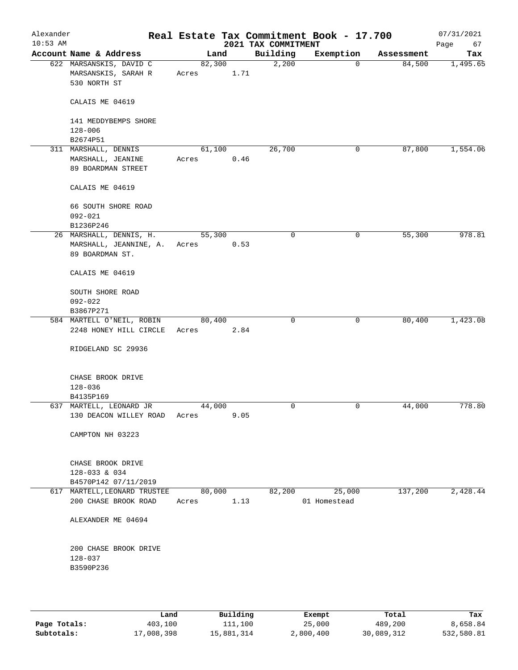| Alexander<br>$10:53$ AM                                                                         |                                                                |                 |        | 2021 TAX COMMITMENT | Real Estate Tax Commitment Book - 17.700 |            | 07/31/2021<br>Page<br>67 |
|-------------------------------------------------------------------------------------------------|----------------------------------------------------------------|-----------------|--------|---------------------|------------------------------------------|------------|--------------------------|
|                                                                                                 | Account Name & Address                                         |                 | Land   | Building            | Exemption                                | Assessment | Tax                      |
|                                                                                                 | 622 MARSANSKIS, DAVID C<br>MARSANSKIS, SARAH R<br>530 NORTH ST | 82,300<br>Acres | 1.71   | 2,200               | $\mathbf 0$                              | 84,500     | 1,495.65                 |
|                                                                                                 | CALAIS ME 04619                                                |                 |        |                     |                                          |            |                          |
|                                                                                                 | 141 MEDDYBEMPS SHORE<br>$128 - 006$<br>B2674P51                |                 |        |                     |                                          |            |                          |
|                                                                                                 | 311 MARSHALL, DENNIS                                           | 61,100          |        | 26,700              | 0                                        | 87,800     | 1,554.06                 |
|                                                                                                 | MARSHALL, JEANINE<br>89 BOARDMAN STREET                        | Acres           | 0.46   |                     |                                          |            |                          |
|                                                                                                 | CALAIS ME 04619                                                |                 |        |                     |                                          |            |                          |
|                                                                                                 | 66 SOUTH SHORE ROAD<br>$092 - 021$                             |                 |        |                     |                                          |            |                          |
|                                                                                                 | B1236P246                                                      |                 |        |                     |                                          |            |                          |
| 55,300<br>26 MARSHALL, DENNIS, H.<br>MARSHALL, JEANNINE, A.<br>0.53<br>Acres<br>89 BOARDMAN ST. | $\mathbf 0$                                                    | 0               | 55,300 | 978.81              |                                          |            |                          |
|                                                                                                 | CALAIS ME 04619                                                |                 |        |                     |                                          |            |                          |
|                                                                                                 | SOUTH SHORE ROAD<br>$092 - 022$                                |                 |        |                     |                                          |            |                          |
|                                                                                                 | B3867P271                                                      |                 |        |                     |                                          |            |                          |
|                                                                                                 | 584 MARTELL O'NEIL, ROBIN<br>2248 HONEY HILL CIRCLE            | 80,400<br>Acres | 2.84   | $\mathbf 0$         | 0                                        | 80,400     | 1,423.08                 |
|                                                                                                 | RIDGELAND SC 29936                                             |                 |        |                     |                                          |            |                          |
|                                                                                                 | CHASE BROOK DRIVE<br>$128 - 036$                               |                 |        |                     |                                          |            |                          |
|                                                                                                 | B4135P169                                                      |                 |        |                     |                                          |            |                          |
|                                                                                                 | 637 MARTELL, LEONARD JR                                        | 44,000          |        | $\mathbf 0$         | 0                                        | 44,000     | 778.80                   |
|                                                                                                 | 130 DEACON WILLEY ROAD                                         | Acres           | 9.05   |                     |                                          |            |                          |
|                                                                                                 | CAMPTON NH 03223                                               |                 |        |                     |                                          |            |                          |
|                                                                                                 | CHASE BROOK DRIVE<br>128-033 & 034                             |                 |        |                     |                                          |            |                          |
|                                                                                                 | B4570P142 07/11/2019                                           |                 |        |                     |                                          |            |                          |
|                                                                                                 | 617 MARTELL, LEONARD TRUSTEE<br>200 CHASE BROOK ROAD           | 80,000<br>Acres | 1.13   | 82,200              | 25,000<br>01 Homestead                   | 137,200    | 2,428.44                 |
|                                                                                                 | ALEXANDER ME 04694                                             |                 |        |                     |                                          |            |                          |
|                                                                                                 | 200 CHASE BROOK DRIVE<br>128-037<br>B3590P236                  |                 |        |                     |                                          |            |                          |
|                                                                                                 |                                                                |                 |        |                     |                                          |            |                          |

|              | Land       | Building   | Exempt    | Total      | Tax        |
|--------------|------------|------------|-----------|------------|------------|
| Page Totals: | 403,100    | 111,100    | 25,000    | 489,200    | 8,658.84   |
| Subtotals:   | 17,008,398 | 15,881,314 | 2,800,400 | 30,089,312 | 532,580.81 |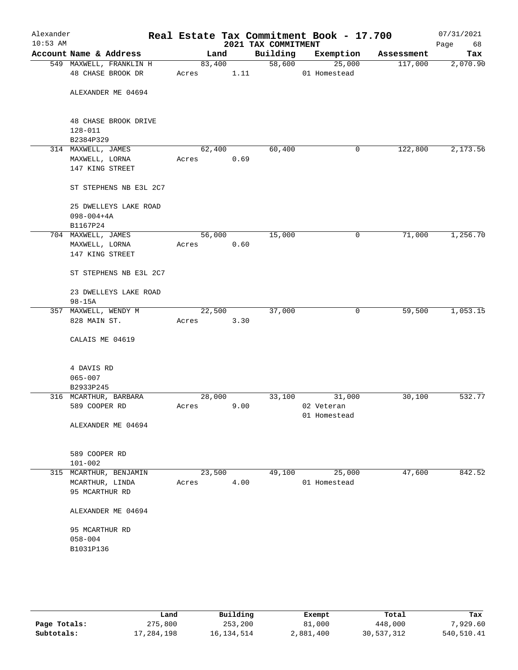| Alexander<br>$10:53$ AM |                                                       |        |                | 2021 TAX COMMITMENT | Real Estate Tax Commitment Book - 17.700 |            | 07/31/2021<br>Page<br>68 |
|-------------------------|-------------------------------------------------------|--------|----------------|---------------------|------------------------------------------|------------|--------------------------|
|                         | Account Name & Address                                | Land   |                | Building            | Exemption                                | Assessment | Tax                      |
|                         | 549 MAXWELL, FRANKLIN H<br>48 CHASE BROOK DR          | Acres  | 83,400<br>1.11 |                     | 58,600<br>25,000<br>01 Homestead         | 117,000    | 2,070.90                 |
|                         | ALEXANDER ME 04694                                    |        |                |                     |                                          |            |                          |
|                         | 48 CHASE BROOK DRIVE<br>$128 - 011$                   |        |                |                     |                                          |            |                          |
|                         | B2384P329                                             |        |                |                     |                                          |            |                          |
|                         | 314 MAXWELL, JAMES                                    | 62,400 |                | 60,400              | 0                                        | 122,800    | 2,173.56                 |
|                         | MAXWELL, LORNA<br>147 KING STREET                     | Acres  | 0.69           |                     |                                          |            |                          |
|                         | ST STEPHENS NB E3L 2C7                                |        |                |                     |                                          |            |                          |
|                         | 25 DWELLEYS LAKE ROAD<br>$098 - 004 + 4A$<br>B1167P24 |        |                |                     |                                          |            |                          |
|                         | 704 MAXWELL, JAMES                                    | 56,000 |                | 15,000              | 0                                        | 71,000     | 1,256.70                 |
|                         | MAXWELL, LORNA                                        | Acres  | 0.60           |                     |                                          |            |                          |
|                         | 147 KING STREET                                       |        |                |                     |                                          |            |                          |
|                         | ST STEPHENS NB E3L 2C7                                |        |                |                     |                                          |            |                          |
|                         | 23 DWELLEYS LAKE ROAD<br>$98 - 15A$                   |        |                |                     |                                          |            |                          |
|                         | 357 MAXWELL, WENDY M                                  | 22,500 |                | 37,000              | 0                                        | 59,500     | 1,053.15                 |
|                         | 828 MAIN ST.                                          | Acres  | 3.30           |                     |                                          |            |                          |
|                         | CALAIS ME 04619                                       |        |                |                     |                                          |            |                          |
|                         | 4 DAVIS RD<br>$065 - 007$<br>B2933P245                |        |                |                     |                                          |            |                          |
|                         | 316 MCARTHUR, BARBARA                                 | 28,000 |                | 33,100              | 31,000                                   | 30,100     | 532.77                   |
|                         | 589 COOPER RD                                         | Acres  | 9.00           |                     | 02 Veteran                               |            |                          |
|                         |                                                       |        |                |                     | 01 Homestead                             |            |                          |
|                         | ALEXANDER ME 04694                                    |        |                |                     |                                          |            |                          |
|                         | 589 COOPER RD                                         |        |                |                     |                                          |            |                          |
|                         | $101 - 002$                                           |        |                |                     |                                          |            |                          |
|                         | 315 MCARTHUR, BENJAMIN                                | 23,500 |                | 49,100              | 25,000                                   | 47,600     | 842.52                   |
|                         | MCARTHUR, LINDA                                       | Acres  | 4.00           |                     | 01 Homestead                             |            |                          |
|                         | 95 MCARTHUR RD                                        |        |                |                     |                                          |            |                          |
|                         | ALEXANDER ME 04694                                    |        |                |                     |                                          |            |                          |
|                         | 95 MCARTHUR RD                                        |        |                |                     |                                          |            |                          |
|                         | $058 - 004$<br>B1031P136                              |        |                |                     |                                          |            |                          |
|                         |                                                       |        |                |                     |                                          |            |                          |

|              | Land       | Building   | Exempt    | Total      | Tax        |
|--------------|------------|------------|-----------|------------|------------|
| Page Totals: | 275,800    | 253,200    | 81,000    | 448,000    | 7,929.60   |
| Subtotals:   | 17,284,198 | 16,134,514 | 2,881,400 | 30,537,312 | 540,510.41 |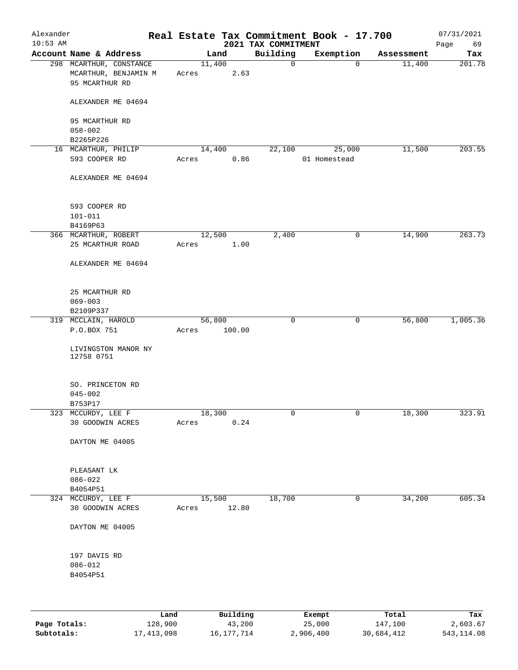| Alexander<br>$10:53$ AM |                                                                   |       |                  | 2021 TAX COMMITMENT | Real Estate Tax Commitment Book - 17.700 |            | 07/31/2021<br>Page<br>69 |
|-------------------------|-------------------------------------------------------------------|-------|------------------|---------------------|------------------------------------------|------------|--------------------------|
|                         | Account Name & Address                                            |       | Land             | Building            | Exemption                                | Assessment | Tax                      |
|                         | 298 MCARTHUR, CONSTANCE<br>MCARTHUR, BENJAMIN M<br>95 MCARTHUR RD | Acres | 11,400<br>2.63   | $\mathbf 0$         | 0                                        | 11,400     | 201.78                   |
|                         | ALEXANDER ME 04694                                                |       |                  |                     |                                          |            |                          |
|                         | 95 MCARTHUR RD                                                    |       |                  |                     |                                          |            |                          |
|                         | $058 - 002$<br>B2265P226                                          |       |                  |                     |                                          |            |                          |
|                         | 16 MCARTHUR, PHILIP                                               |       | 14,400           | 22,100              | 25,000                                   | 11,500     | 203.55                   |
|                         | 593 COOPER RD                                                     | Acres | 0.86             |                     | 01 Homestead                             |            |                          |
|                         | ALEXANDER ME 04694                                                |       |                  |                     |                                          |            |                          |
|                         | 593 COOPER RD                                                     |       |                  |                     |                                          |            |                          |
|                         | $101 - 011$                                                       |       |                  |                     |                                          |            |                          |
|                         | B4169P63                                                          |       |                  |                     |                                          |            |                          |
|                         | 366 MCARTHUR, ROBERT                                              |       | 12,500           | 2,400               | 0                                        | 14,900     | 263.73                   |
|                         | 25 MCARTHUR ROAD                                                  | Acres | 1.00             |                     |                                          |            |                          |
|                         | ALEXANDER ME 04694                                                |       |                  |                     |                                          |            |                          |
|                         | 25 MCARTHUR RD                                                    |       |                  |                     |                                          |            |                          |
|                         | $069 - 003$                                                       |       |                  |                     |                                          |            |                          |
|                         | B2109P337                                                         |       |                  |                     |                                          | 56,800     |                          |
|                         | 319 MCCLAIN, HAROLD<br>P.O.BOX 751                                | Acres | 56,800<br>100.00 | $\mathbf 0$         | 0                                        |            | 1,005.36                 |
|                         | LIVINGSTON MANOR NY<br>12758 0751                                 |       |                  |                     |                                          |            |                          |
|                         | SO. PRINCETON RD                                                  |       |                  |                     |                                          |            |                          |
|                         | $045 - 002$                                                       |       |                  |                     |                                          |            |                          |
|                         | B753P17                                                           |       |                  |                     |                                          |            |                          |
|                         | 323 MCCURDY, LEE F                                                |       | 18,300           | 0                   | 0                                        | 18,300     | 323.91                   |
|                         | 30 GOODWIN ACRES                                                  | Acres | 0.24             |                     |                                          |            |                          |
|                         | DAYTON ME 04005                                                   |       |                  |                     |                                          |            |                          |
|                         | PLEASANT LK                                                       |       |                  |                     |                                          |            |                          |
|                         | $086 - 022$                                                       |       |                  |                     |                                          |            |                          |
|                         | B4054P51                                                          |       |                  |                     |                                          |            |                          |
|                         | 324 MCCURDY, LEE F                                                |       | 15,500           | 18,700              | 0                                        | 34,200     | 605.34                   |
|                         | 30 GOODWIN ACRES                                                  | Acres | 12.80            |                     |                                          |            |                          |
|                         | DAYTON ME 04005                                                   |       |                  |                     |                                          |            |                          |
|                         | 197 DAVIS RD                                                      |       |                  |                     |                                          |            |                          |
|                         | $086 - 012$                                                       |       |                  |                     |                                          |            |                          |
|                         | B4054P51                                                          |       |                  |                     |                                          |            |                          |
|                         |                                                                   |       |                  |                     |                                          |            |                          |
|                         |                                                                   | Land  | Building         |                     | Exempt                                   | Total      | Tax                      |

|              | Land         | Building   | Exempt    | Total      | Tax        |
|--------------|--------------|------------|-----------|------------|------------|
| Page Totals: | 128,900      | 43,200     | 25,000    | 147,100    | 2,603.67   |
| Subtotals:   | 17, 413, 098 | 16,177,714 | 2,906,400 | 30,684,412 | 543,114.08 |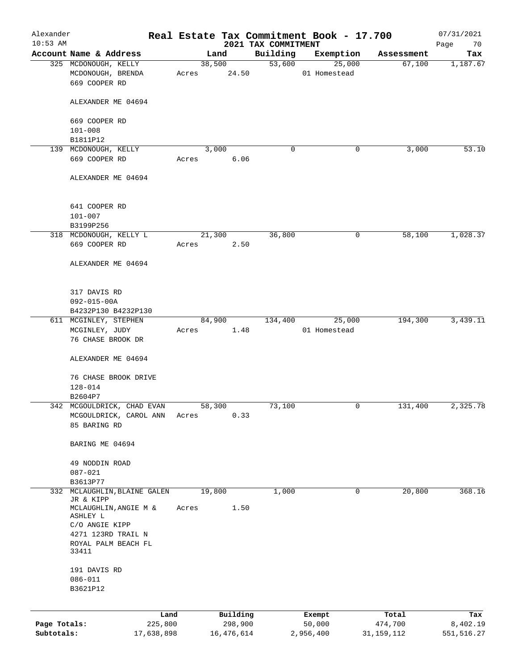| Alexander<br>$10:53$ AM |                                              |       |            | 2021 TAX COMMITMENT | Real Estate Tax Commitment Book - 17.700 |              | 07/31/2021<br>Page<br>70 |
|-------------------------|----------------------------------------------|-------|------------|---------------------|------------------------------------------|--------------|--------------------------|
|                         | Account Name & Address                       |       | Land       | Building            | Exemption                                | Assessment   | Tax                      |
|                         | 325 MCDONOUGH, KELLY                         |       | 38,500     |                     | 53,600<br>25,000                         | 67,100       | 1,187.67                 |
|                         | MCDONOUGH, BRENDA                            | Acres | 24.50      |                     | 01 Homestead                             |              |                          |
|                         | 669 COOPER RD                                |       |            |                     |                                          |              |                          |
|                         |                                              |       |            |                     |                                          |              |                          |
|                         | ALEXANDER ME 04694                           |       |            |                     |                                          |              |                          |
|                         |                                              |       |            |                     |                                          |              |                          |
|                         | 669 COOPER RD                                |       |            |                     |                                          |              |                          |
|                         | $101 - 008$                                  |       |            |                     |                                          |              |                          |
|                         | B1811P12                                     |       |            |                     |                                          |              |                          |
|                         | 139 MCDONOUGH, KELLY                         |       | 3,000      | 0                   | 0                                        | 3,000        | 53.10                    |
|                         | 669 COOPER RD                                | Acres | 6.06       |                     |                                          |              |                          |
|                         |                                              |       |            |                     |                                          |              |                          |
|                         | ALEXANDER ME 04694                           |       |            |                     |                                          |              |                          |
|                         |                                              |       |            |                     |                                          |              |                          |
|                         |                                              |       |            |                     |                                          |              |                          |
|                         | 641 COOPER RD                                |       |            |                     |                                          |              |                          |
|                         | $101 - 007$                                  |       |            |                     |                                          |              |                          |
|                         |                                              |       |            |                     |                                          |              |                          |
|                         | B3199P256<br>318 MCDONOUGH, KELLY L          |       |            | 36,800              | 0                                        | 58,100       | 1,028.37                 |
|                         |                                              |       | 21,300     |                     |                                          |              |                          |
|                         | 669 COOPER RD                                | Acres | 2.50       |                     |                                          |              |                          |
|                         |                                              |       |            |                     |                                          |              |                          |
|                         | ALEXANDER ME 04694                           |       |            |                     |                                          |              |                          |
|                         |                                              |       |            |                     |                                          |              |                          |
|                         |                                              |       |            |                     |                                          |              |                          |
|                         | 317 DAVIS RD                                 |       |            |                     |                                          |              |                          |
|                         | $092 - 015 - 00A$                            |       |            |                     |                                          |              |                          |
|                         | B4232P130 B4232P130                          |       |            |                     |                                          |              |                          |
|                         | 611 MCGINLEY, STEPHEN                        |       | 84,900     | 134,400             | 25,000                                   | 194,300      | 3,439.11                 |
|                         | MCGINLEY, JUDY                               | Acres | 1.48       |                     | 01 Homestead                             |              |                          |
|                         | 76 CHASE BROOK DR                            |       |            |                     |                                          |              |                          |
|                         |                                              |       |            |                     |                                          |              |                          |
|                         | ALEXANDER ME 04694                           |       |            |                     |                                          |              |                          |
|                         |                                              |       |            |                     |                                          |              |                          |
|                         | 76 CHASE BROOK DRIVE                         |       |            |                     |                                          |              |                          |
|                         | 128-014                                      |       |            |                     |                                          |              |                          |
|                         | B2604P7                                      |       |            |                     |                                          |              |                          |
|                         | 342 MCGOULDRICK, CHAD EVAN                   |       | 58,300     | 73,100              | 0                                        | 131,400      | 2,325.78                 |
|                         | MCGOULDRICK, CAROL ANN                       | Acres | 0.33       |                     |                                          |              |                          |
|                         | 85 BARING RD                                 |       |            |                     |                                          |              |                          |
|                         |                                              |       |            |                     |                                          |              |                          |
|                         | BARING ME 04694                              |       |            |                     |                                          |              |                          |
|                         |                                              |       |            |                     |                                          |              |                          |
|                         | 49 NODDIN ROAD                               |       |            |                     |                                          |              |                          |
|                         | $087 - 021$                                  |       |            |                     |                                          |              |                          |
|                         | B3613P77                                     |       |            |                     |                                          |              |                          |
| 332                     | MCLAUGHLIN, BLAINE GALEN                     |       | 19,800     | 1,000               | 0                                        | 20,800       | 368.16                   |
|                         | JR & KIPP                                    |       |            |                     |                                          |              |                          |
|                         | $\texttt{MCLAUGHLIN}$ , ANGIE $\texttt{M}$ & | Acres | 1.50       |                     |                                          |              |                          |
|                         | ASHLEY L                                     |       |            |                     |                                          |              |                          |
|                         | C/O ANGIE KIPP                               |       |            |                     |                                          |              |                          |
|                         | 4271 123RD TRAIL N                           |       |            |                     |                                          |              |                          |
|                         | ROYAL PALM BEACH FL                          |       |            |                     |                                          |              |                          |
|                         | 33411                                        |       |            |                     |                                          |              |                          |
|                         |                                              |       |            |                     |                                          |              |                          |
|                         | 191 DAVIS RD                                 |       |            |                     |                                          |              |                          |
|                         | $086 - 011$                                  |       |            |                     |                                          |              |                          |
|                         | B3621P12                                     |       |            |                     |                                          |              |                          |
|                         |                                              |       |            |                     |                                          |              |                          |
|                         |                                              | Land  | Building   |                     | Exempt                                   | Total        | Tax                      |
| Page Totals:            | 225,800                                      |       | 298,900    |                     | 50,000                                   | 474,700      | 8,402.19                 |
| Subtotals:              | 17,638,898                                   |       | 16,476,614 |                     | 2,956,400                                | 31, 159, 112 | 551,516.27               |
|                         |                                              |       |            |                     |                                          |              |                          |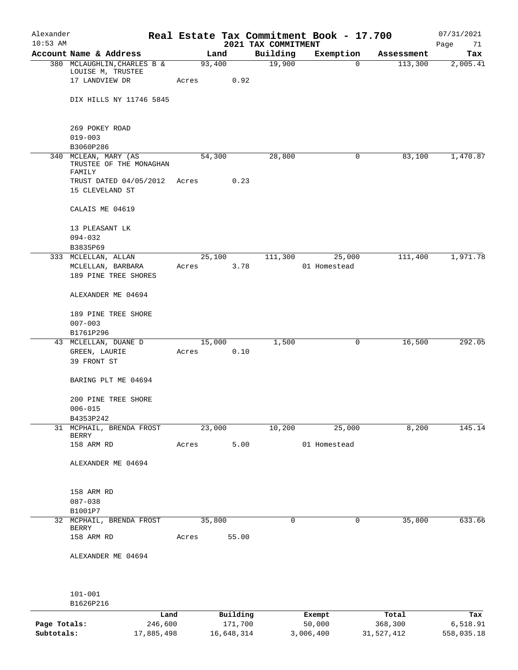| Alexander    |                                          |       |                |                     | Real Estate Tax Commitment Book - 17.700 |                       | 07/31/2021      |
|--------------|------------------------------------------|-------|----------------|---------------------|------------------------------------------|-----------------------|-----------------|
| $10:53$ AM   | Account Name & Address                   |       |                | 2021 TAX COMMITMENT |                                          |                       | Page<br>71      |
|              | 380 MCLAUGHLIN, CHARLES B &              |       | Land<br>93,400 | Building<br>19,900  | Exemption<br>$\mathbf 0$                 | Assessment<br>113,300 | Tax<br>2,005.41 |
|              | LOUISE M, TRUSTEE                        |       |                |                     |                                          |                       |                 |
|              | 17 LANDVIEW DR                           | Acres | 0.92           |                     |                                          |                       |                 |
|              |                                          |       |                |                     |                                          |                       |                 |
|              | DIX HILLS NY 11746 5845                  |       |                |                     |                                          |                       |                 |
|              |                                          |       |                |                     |                                          |                       |                 |
|              | 269 POKEY ROAD                           |       |                |                     |                                          |                       |                 |
|              | $019 - 003$                              |       |                |                     |                                          |                       |                 |
| 340          | B3060P286<br>MCLEAN, MARY (AS            |       | 54,300         | 28,800              | 0                                        | 83,100                | 1,470.87        |
|              | TRUSTEE OF THE MONAGHAN                  |       |                |                     |                                          |                       |                 |
|              | FAMILY                                   |       |                |                     |                                          |                       |                 |
|              | TRUST DATED 04/05/2012                   | Acres | 0.23           |                     |                                          |                       |                 |
|              | 15 CLEVELAND ST                          |       |                |                     |                                          |                       |                 |
|              | CALAIS ME 04619                          |       |                |                     |                                          |                       |                 |
|              | 13 PLEASANT LK                           |       |                |                     |                                          |                       |                 |
|              | $094 - 032$                              |       |                |                     |                                          |                       |                 |
|              | B3835P69                                 |       |                |                     |                                          |                       |                 |
|              | 333 MCLELLAN, ALLAN                      |       | 25,100         | 111,300             | 25,000                                   | 111,400               | 1,971.78        |
|              | MCLELLAN, BARBARA                        | Acres | 3.78           |                     | 01 Homestead                             |                       |                 |
|              | 189 PINE TREE SHORES                     |       |                |                     |                                          |                       |                 |
|              | ALEXANDER ME 04694                       |       |                |                     |                                          |                       |                 |
|              | 189 PINE TREE SHORE                      |       |                |                     |                                          |                       |                 |
|              | $007 - 003$                              |       |                |                     |                                          |                       |                 |
|              | B1761P296                                |       |                |                     |                                          |                       |                 |
|              | 43 MCLELLAN, DUANE D                     |       | 15,000         | 1,500               | 0                                        | 16,500                | 292.05          |
|              | GREEN, LAURIE                            | Acres | 0.10           |                     |                                          |                       |                 |
|              | 39 FRONT ST                              |       |                |                     |                                          |                       |                 |
|              | BARING PLT ME 04694                      |       |                |                     |                                          |                       |                 |
|              |                                          |       |                |                     |                                          |                       |                 |
|              | 200 PINE TREE SHORE                      |       |                |                     |                                          |                       |                 |
|              | $006 - 015$                              |       |                |                     |                                          |                       |                 |
|              | B4353P242                                |       |                |                     |                                          |                       |                 |
|              | 31 MCPHAIL, BRENDA FROST<br><b>BERRY</b> |       | 23,000         | 10,200              | 25,000                                   | 8,200                 | 145.14          |
|              | 158 ARM RD                               | Acres | 5.00           |                     | 01 Homestead                             |                       |                 |
|              |                                          |       |                |                     |                                          |                       |                 |
|              | ALEXANDER ME 04694                       |       |                |                     |                                          |                       |                 |
|              |                                          |       |                |                     |                                          |                       |                 |
|              | 158 ARM RD                               |       |                |                     |                                          |                       |                 |
|              | $087 - 038$                              |       |                |                     |                                          |                       |                 |
|              | B1001P7                                  |       |                |                     |                                          |                       |                 |
|              | 32 MCPHAIL, BRENDA FROST<br>BERRY        |       | 35,800         | 0                   | 0                                        | 35,800                | 633.66          |
|              | 158 ARM RD                               | Acres | 55.00          |                     |                                          |                       |                 |
|              |                                          |       |                |                     |                                          |                       |                 |
|              | ALEXANDER ME 04694                       |       |                |                     |                                          |                       |                 |
|              |                                          |       |                |                     |                                          |                       |                 |
|              | $101 - 001$                              |       |                |                     |                                          |                       |                 |
|              | B1626P216                                |       |                |                     |                                          |                       |                 |
|              | Land                                     |       | Building       |                     | Exempt                                   | Total                 | Tax             |
| Page Totals: | 246,600                                  |       | 171,700        |                     | 50,000                                   | 368,300               | 6,518.91        |
| Subtotals:   | 17,885,498                               |       | 16,648,314     |                     | 3,006,400                                | 31,527,412            | 558,035.18      |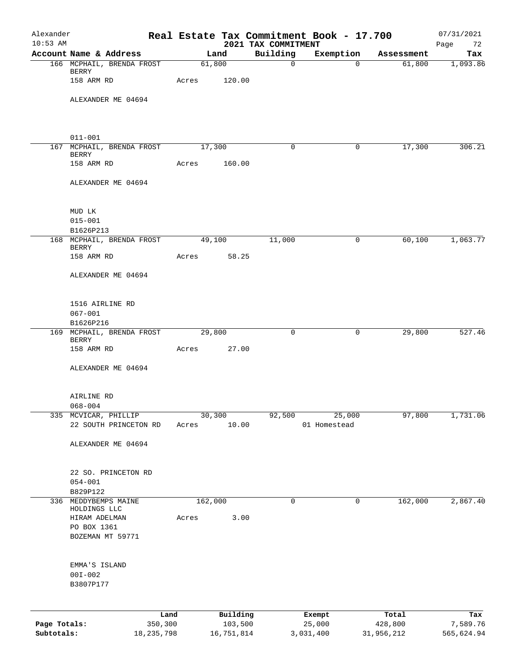| Alexander<br>$10:53$ AM |                                           |         |            |                                 | Real Estate Tax Commitment Book - 17.700 |            | 07/31/2021        |
|-------------------------|-------------------------------------------|---------|------------|---------------------------------|------------------------------------------|------------|-------------------|
|                         | Account Name & Address                    |         | Land       | 2021 TAX COMMITMENT<br>Building | Exemption                                | Assessment | Page<br>72<br>Tax |
|                         | 166 MCPHAIL, BRENDA FROST                 |         | 61,800     | $\mathbf 0$                     | $\Omega$                                 | 61,800     | 1,093.86          |
|                         | BERRY<br>158 ARM RD                       | Acres   | 120.00     |                                 |                                          |            |                   |
|                         | ALEXANDER ME 04694                        |         |            |                                 |                                          |            |                   |
|                         |                                           |         |            |                                 |                                          |            |                   |
|                         | $011 - 001$                               |         |            |                                 |                                          |            |                   |
|                         | 167 MCPHAIL, BRENDA FROST<br><b>BERRY</b> |         | 17,300     | 0                               | 0                                        | 17,300     | 306.21            |
|                         | 158 ARM RD                                | Acres   | 160.00     |                                 |                                          |            |                   |
|                         | ALEXANDER ME 04694                        |         |            |                                 |                                          |            |                   |
|                         | MUD LK                                    |         |            |                                 |                                          |            |                   |
|                         | $015 - 001$<br>B1626P213                  |         |            |                                 |                                          |            |                   |
|                         | 168 MCPHAIL, BRENDA FROST                 |         | 49,100     | 11,000                          | 0                                        | 60,100     | 1,063.77          |
|                         | <b>BERRY</b><br>158 ARM RD                | Acres   | 58.25      |                                 |                                          |            |                   |
|                         | ALEXANDER ME 04694                        |         |            |                                 |                                          |            |                   |
|                         | 1516 AIRLINE RD                           |         |            |                                 |                                          |            |                   |
|                         | $067 - 001$<br>B1626P216                  |         |            |                                 |                                          |            |                   |
|                         | 169 MCPHAIL, BRENDA FROST                 |         | 29,800     | 0                               | 0                                        | 29,800     | 527.46            |
|                         | BERRY<br>158 ARM RD                       | Acres   | 27.00      |                                 |                                          |            |                   |
|                         | ALEXANDER ME 04694                        |         |            |                                 |                                          |            |                   |
|                         | AIRLINE RD                                |         |            |                                 |                                          |            |                   |
|                         | $068 - 004$<br>335 MCVICAR, PHILLIP       |         | 30,300     | 92,500                          | 25,000                                   | 97,800     | 1,731.06          |
|                         | 22 SOUTH PRINCETON RD                     | Acres   | 10.00      |                                 | 01 Homestead                             |            |                   |
|                         | ALEXANDER ME 04694                        |         |            |                                 |                                          |            |                   |
|                         | 22 SO. PRINCETON RD                       |         |            |                                 |                                          |            |                   |
|                         | $054 - 001$<br>B829P122                   |         |            |                                 |                                          |            |                   |
| 336                     | MEDDYBEMPS MAINE<br>HOLDINGS LLC          | 162,000 |            | 0                               | 0                                        | 162,000    | 2,867.40          |
|                         | HIRAM ADELMAN                             | Acres   | 3.00       |                                 |                                          |            |                   |
|                         | PO BOX 1361<br>BOZEMAN MT 59771           |         |            |                                 |                                          |            |                   |
|                         | EMMA'S ISLAND                             |         |            |                                 |                                          |            |                   |
|                         | $00I - 002$<br>B3807P177                  |         |            |                                 |                                          |            |                   |
|                         | Land                                      |         | Building   |                                 | Exempt                                   | Total      | Tax               |
| Page Totals:            | 350,300                                   |         | 103,500    |                                 | 25,000                                   | 428,800    | 7,589.76          |
| Subtotals:              | 18, 235, 798                              |         | 16,751,814 |                                 | 3,031,400                                | 31,956,212 | 565,624.94        |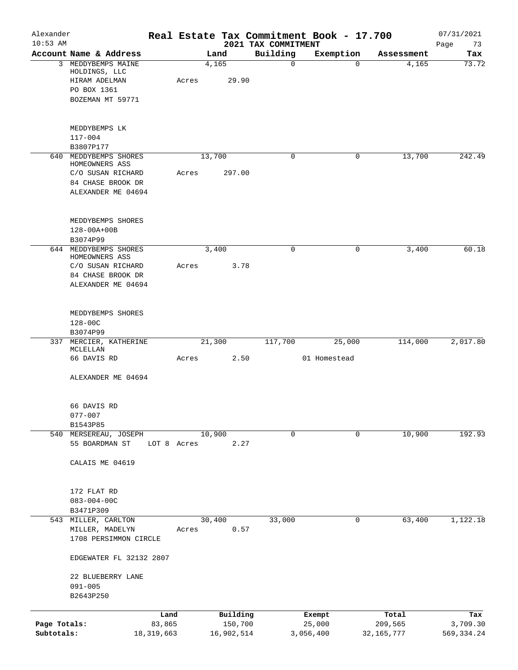| Alexander<br>$10:53$ AM |                                          |                |       |        |                     | 2021 TAX COMMITMENT | Real Estate Tax Commitment Book - 17.700 |                  | 07/31/2021        |
|-------------------------|------------------------------------------|----------------|-------|--------|---------------------|---------------------|------------------------------------------|------------------|-------------------|
|                         | Account Name & Address                   |                |       | Land   |                     | Building            | Exemption                                | Assessment       | Page<br>73<br>Tax |
|                         | 3 MEDDYBEMPS MAINE<br>HOLDINGS, LLC      |                |       | 4,165  |                     | $\mathbf 0$         | 0                                        | 4,165            | 73.72             |
|                         | HIRAM ADELMAN<br>PO BOX 1361             |                | Acres |        | 29.90               |                     |                                          |                  |                   |
|                         | BOZEMAN MT 59771                         |                |       |        |                     |                     |                                          |                  |                   |
|                         | MEDDYBEMPS LK                            |                |       |        |                     |                     |                                          |                  |                   |
|                         | $117 - 004$                              |                |       |        |                     |                     |                                          |                  |                   |
| 640                     | B3807P177<br>MEDDYBEMPS SHORES           |                |       |        |                     | $\mathbf 0$         | $\mathbf 0$                              | 13,700           | 242.49            |
|                         | HOMEOWNERS ASS                           |                |       | 13,700 |                     |                     |                                          |                  |                   |
|                         | C/O SUSAN RICHARD<br>84 CHASE BROOK DR   |                | Acres |        | 297.00              |                     |                                          |                  |                   |
|                         | ALEXANDER ME 04694                       |                |       |        |                     |                     |                                          |                  |                   |
|                         | MEDDYBEMPS SHORES                        |                |       |        |                     |                     |                                          |                  |                   |
|                         | $128 - 00A + 00B$<br>B3074P99            |                |       |        |                     |                     |                                          |                  |                   |
|                         | 644 MEDDYBEMPS SHORES<br>HOMEOWNERS ASS  |                |       | 3,400  |                     | 0                   | 0                                        | 3,400            | 60.18             |
|                         | C/O SUSAN RICHARD                        |                | Acres |        | 3.78                |                     |                                          |                  |                   |
|                         | 84 CHASE BROOK DR<br>ALEXANDER ME 04694  |                |       |        |                     |                     |                                          |                  |                   |
|                         | MEDDYBEMPS SHORES                        |                |       |        |                     |                     |                                          |                  |                   |
|                         | $128 - 00C$                              |                |       |        |                     |                     |                                          |                  |                   |
|                         | B3074P99                                 |                |       |        |                     |                     |                                          |                  |                   |
|                         | 337 MERCIER, KATHERINE<br>MCLELLAN       |                |       | 21,300 |                     | 117,700             | 25,000                                   | 114,000          | 2,017.80          |
|                         | 66 DAVIS RD                              |                | Acres |        | 2.50                |                     | 01 Homestead                             |                  |                   |
|                         | ALEXANDER ME 04694                       |                |       |        |                     |                     |                                          |                  |                   |
|                         | 66 DAVIS RD                              |                |       |        |                     |                     |                                          |                  |                   |
|                         | $077 - 007$<br>B1543P85                  |                |       |        |                     |                     |                                          |                  |                   |
|                         | 540 MERSEREAU, JOSEPH                    |                |       | 10,900 |                     | $\mathbf 0$         | 0                                        | 10,900           | 192.93            |
|                         | 55 BOARDMAN ST                           | LOT 8 Acres    |       |        | 2.27                |                     |                                          |                  |                   |
|                         | CALAIS ME 04619                          |                |       |        |                     |                     |                                          |                  |                   |
|                         | 172 FLAT RD                              |                |       |        |                     |                     |                                          |                  |                   |
|                         | $083 - 004 - 00C$<br>B3471P309           |                |       |        |                     |                     |                                          |                  |                   |
|                         | 543 MILLER, CARLTON                      |                |       | 30,400 |                     | 33,000              | 0                                        | 63,400           | 1,122.18          |
|                         | MILLER, MADELYN<br>1708 PERSIMMON CIRCLE |                | Acres |        | 0.57                |                     |                                          |                  |                   |
|                         | EDGEWATER FL 32132 2807                  |                |       |        |                     |                     |                                          |                  |                   |
|                         | 22 BLUEBERRY LANE<br>$091 - 005$         |                |       |        |                     |                     |                                          |                  |                   |
|                         | B2643P250                                |                |       |        |                     |                     |                                          |                  |                   |
| Page Totals:            |                                          | Land<br>83,865 |       |        | Building<br>150,700 |                     | Exempt<br>25,000                         | Total<br>209,565 | Tax<br>3,709.30   |
| Subtotals:              |                                          | 18, 319, 663   |       |        | 16,902,514          |                     | 3,056,400                                | 32, 165, 777     | 569, 334.24       |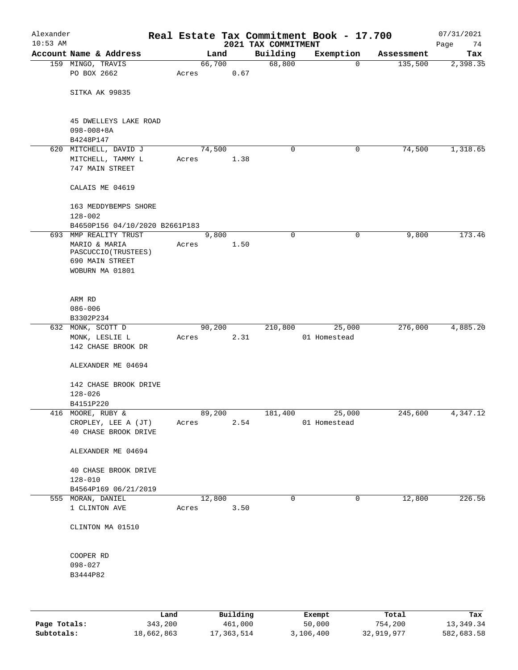| Alexander  |                                          |      |       |        |          | Real Estate Tax Commitment Book - 17.700 |                        |             |            | 07/31/2021 |
|------------|------------------------------------------|------|-------|--------|----------|------------------------------------------|------------------------|-------------|------------|------------|
| $10:53$ AM |                                          |      |       |        |          | 2021 TAX COMMITMENT                      |                        |             |            | Page<br>74 |
|            | Account Name & Address                   |      |       | Land   |          | Building                                 |                        | Exemption   | Assessment | Tax        |
|            | 159 MINGO, TRAVIS<br>PO BOX 2662         |      | Acres | 66,700 | 0.67     | 68,800                                   |                        | $\mathbf 0$ | 135,500    | 2,398.35   |
|            |                                          |      |       |        |          |                                          |                        |             |            |            |
|            | SITKA AK 99835                           |      |       |        |          |                                          |                        |             |            |            |
|            |                                          |      |       |        |          |                                          |                        |             |            |            |
|            |                                          |      |       |        |          |                                          |                        |             |            |            |
|            | 45 DWELLEYS LAKE ROAD                    |      |       |        |          |                                          |                        |             |            |            |
|            | $098 - 008 + 8A$                         |      |       |        |          |                                          |                        |             |            |            |
|            | B4248P147                                |      |       |        |          |                                          |                        |             |            |            |
|            | 620 MITCHELL, DAVID J                    |      |       | 74,500 |          | 0                                        |                        | 0           | 74,500     | 1,318.65   |
|            | MITCHELL, TAMMY L                        |      | Acres |        | 1.38     |                                          |                        |             |            |            |
|            | 747 MAIN STREET                          |      |       |        |          |                                          |                        |             |            |            |
|            | CALAIS ME 04619                          |      |       |        |          |                                          |                        |             |            |            |
|            |                                          |      |       |        |          |                                          |                        |             |            |            |
|            | 163 MEDDYBEMPS SHORE                     |      |       |        |          |                                          |                        |             |            |            |
|            | $128 - 002$                              |      |       |        |          |                                          |                        |             |            |            |
|            | B4650P156 04/10/2020 B2661P183           |      |       |        |          |                                          |                        |             |            |            |
|            | 693 MMP REALITY TRUST                    |      |       | 9,800  |          | 0                                        |                        | 0           | 9,800      | 173.46     |
|            | MARIO & MARIA                            |      | Acres |        | 1.50     |                                          |                        |             |            |            |
|            | PASCUCCIO (TRUSTEES)                     |      |       |        |          |                                          |                        |             |            |            |
|            | 690 MAIN STREET                          |      |       |        |          |                                          |                        |             |            |            |
|            | WOBURN MA 01801                          |      |       |        |          |                                          |                        |             |            |            |
|            |                                          |      |       |        |          |                                          |                        |             |            |            |
|            | ARM RD                                   |      |       |        |          |                                          |                        |             |            |            |
|            | $086 - 006$                              |      |       |        |          |                                          |                        |             |            |            |
|            | B3302P234                                |      |       |        |          |                                          |                        |             |            |            |
|            | 632 MONK, SCOTT D                        |      |       | 90,200 |          | 210,800                                  |                        | 25,000      | 276,000    | 4,885.20   |
|            | MONK, LESLIE L                           |      | Acres |        | 2.31     |                                          | 01 Homestead           |             |            |            |
|            | 142 CHASE BROOK DR                       |      |       |        |          |                                          |                        |             |            |            |
|            |                                          |      |       |        |          |                                          |                        |             |            |            |
|            | ALEXANDER ME 04694                       |      |       |        |          |                                          |                        |             |            |            |
|            |                                          |      |       |        |          |                                          |                        |             |            |            |
|            | 142 CHASE BROOK DRIVE                    |      |       |        |          |                                          |                        |             |            |            |
|            | $128 - 026$                              |      |       |        |          |                                          |                        |             |            |            |
|            | B4151P220                                |      |       | 89,200 |          |                                          |                        |             | 245,600    |            |
|            | 416 MOORE, RUBY &<br>CROPLEY, LEE A (JT) |      | Acres |        | 2.54     | 181,400                                  | 25,000<br>01 Homestead |             |            | 4,347.12   |
|            | 40 CHASE BROOK DRIVE                     |      |       |        |          |                                          |                        |             |            |            |
|            |                                          |      |       |        |          |                                          |                        |             |            |            |
|            | ALEXANDER ME 04694                       |      |       |        |          |                                          |                        |             |            |            |
|            |                                          |      |       |        |          |                                          |                        |             |            |            |
|            | 40 CHASE BROOK DRIVE                     |      |       |        |          |                                          |                        |             |            |            |
|            | $128 - 010$                              |      |       |        |          |                                          |                        |             |            |            |
|            | B4564P169 06/21/2019                     |      |       |        |          |                                          |                        |             |            |            |
|            | 555 MORAN, DANIEL                        |      |       | 12,800 |          | 0                                        |                        | 0           | 12,800     | 226.56     |
|            | 1 CLINTON AVE                            |      |       | Acres  | 3.50     |                                          |                        |             |            |            |
|            |                                          |      |       |        |          |                                          |                        |             |            |            |
|            | CLINTON MA 01510                         |      |       |        |          |                                          |                        |             |            |            |
|            |                                          |      |       |        |          |                                          |                        |             |            |            |
|            | COOPER RD                                |      |       |        |          |                                          |                        |             |            |            |
|            | $098 - 027$                              |      |       |        |          |                                          |                        |             |            |            |
|            | B3444P82                                 |      |       |        |          |                                          |                        |             |            |            |
|            |                                          |      |       |        |          |                                          |                        |             |            |            |
|            |                                          |      |       |        |          |                                          |                        |             |            |            |
|            |                                          |      |       |        |          |                                          |                        |             |            |            |
|            |                                          | Land |       |        | Building |                                          | Exempt                 |             | Total      | Tax        |

|              | Land       | Building   | Exempt    | Total      | Tax        |
|--------------|------------|------------|-----------|------------|------------|
| Page Totals: | 343,200    | 461,000    | 50,000    | 754,200    | 13,349.34  |
| Subtotals:   | 18,662,863 | 17,363,514 | 3,106,400 | 32,919,977 | 582,683.58 |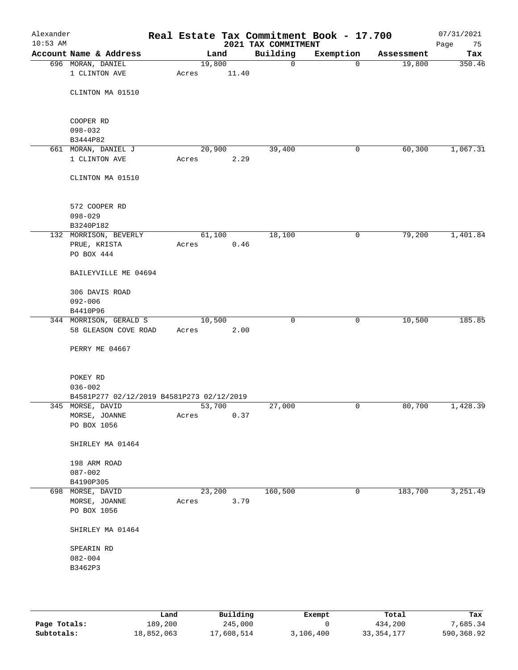| Alexander<br>$10:53$ AM |                                           |       |        |      | Real Estate Tax Commitment Book - 17.700<br>2021 TAX COMMITMENT |              |            | 07/31/2021<br>Page<br>75 |
|-------------------------|-------------------------------------------|-------|--------|------|-----------------------------------------------------------------|--------------|------------|--------------------------|
|                         | Account Name & Address                    |       | Land   |      | Building                                                        | Exemption    | Assessment | Tax                      |
|                         | 696 MORAN, DANIEL                         |       | 19,800 |      | 0                                                               | 0            | 19,800     | 350.46                   |
|                         | 1 CLINTON AVE                             | Acres | 11.40  |      |                                                                 |              |            |                          |
|                         | CLINTON MA 01510                          |       |        |      |                                                                 |              |            |                          |
|                         | COOPER RD                                 |       |        |      |                                                                 |              |            |                          |
|                         | $098 - 032$                               |       |        |      |                                                                 |              |            |                          |
|                         | B3444P82                                  |       |        |      |                                                                 |              |            |                          |
|                         | 661 MORAN, DANIEL J<br>1 CLINTON AVE      |       | 20,900 |      | 39,400                                                          | 0            | 60,300     | 1,067.31                 |
|                         |                                           | Acres |        | 2.29 |                                                                 |              |            |                          |
|                         | CLINTON MA 01510                          |       |        |      |                                                                 |              |            |                          |
|                         | 572 COOPER RD                             |       |        |      |                                                                 |              |            |                          |
|                         | $098 - 029$                               |       |        |      |                                                                 |              |            |                          |
|                         | B3240P182                                 |       |        |      |                                                                 |              |            |                          |
|                         | 132 MORRISON, BEVERLY<br>PRUE, KRISTA     | Acres | 61,100 | 0.46 | 18,100                                                          | $\mathsf{O}$ | 79,200     | 1,401.84                 |
|                         | PO BOX 444                                |       |        |      |                                                                 |              |            |                          |
|                         | BAILEYVILLE ME 04694                      |       |        |      |                                                                 |              |            |                          |
|                         | 306 DAVIS ROAD                            |       |        |      |                                                                 |              |            |                          |
|                         | $092 - 006$<br>B4410P96                   |       |        |      |                                                                 |              |            |                          |
|                         | 344 MORRISON, GERALD S                    |       | 10,500 |      | $\mathbf 0$                                                     | 0            | 10,500     | 185.85                   |
|                         | 58 GLEASON COVE ROAD                      | Acres |        | 2.00 |                                                                 |              |            |                          |
|                         | PERRY ME 04667                            |       |        |      |                                                                 |              |            |                          |
|                         | POKEY RD                                  |       |        |      |                                                                 |              |            |                          |
|                         | $036 - 002$                               |       |        |      |                                                                 |              |            |                          |
|                         | B4581P277 02/12/2019 B4581P273 02/12/2019 |       |        |      |                                                                 |              |            |                          |
|                         | 345 MORSE, DAVID                          |       | 53,700 |      | 27,000                                                          | 0            | 80,700     | 1,428.39                 |
|                         | MORSE, JOANNE<br>PO BOX 1056              | Acres |        | 0.37 |                                                                 |              |            |                          |
|                         |                                           |       |        |      |                                                                 |              |            |                          |
|                         | SHIRLEY MA 01464                          |       |        |      |                                                                 |              |            |                          |
|                         | 198 ARM ROAD                              |       |        |      |                                                                 |              |            |                          |
|                         | $087 - 002$                               |       |        |      |                                                                 |              |            |                          |
|                         | B4190P305                                 |       |        |      |                                                                 |              |            |                          |
|                         | 698 MORSE, DAVID                          |       | 23,200 |      | 160,500                                                         | 0            | 183,700    | 3,251.49                 |
|                         | MORSE, JOANNE                             | Acres |        | 3.79 |                                                                 |              |            |                          |
|                         | PO BOX 1056                               |       |        |      |                                                                 |              |            |                          |
|                         | SHIRLEY MA 01464                          |       |        |      |                                                                 |              |            |                          |
|                         | SPEARIN RD                                |       |        |      |                                                                 |              |            |                          |
|                         | $082 - 004$                               |       |        |      |                                                                 |              |            |                          |
|                         | B3462P3                                   |       |        |      |                                                                 |              |            |                          |
|                         |                                           |       |        |      |                                                                 |              |            |                          |
|                         |                                           |       |        |      |                                                                 |              |            |                          |

|              | Land       | Building   | Exempt    | Total        | Tax        |
|--------------|------------|------------|-----------|--------------|------------|
| Page Totals: | 189,200    | 245,000    |           | 434,200      | 7.685.34   |
| Subtotals:   | 18,852,063 | 17,608,514 | 3,106,400 | 33, 354, 177 | 590,368.92 |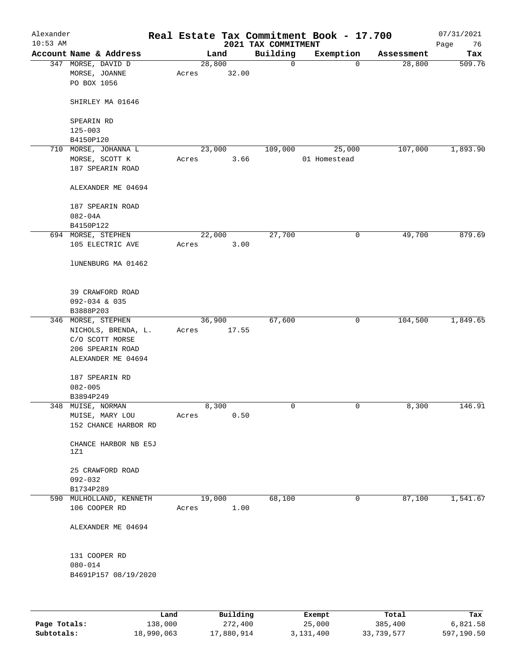| Alexander<br>$10:53$ AM |                                                                                                        |      |       |        |          | 2021 TAX COMMITMENT | Real Estate Tax Commitment Book - 17.700 |            | 07/31/2021<br>76<br>Page |
|-------------------------|--------------------------------------------------------------------------------------------------------|------|-------|--------|----------|---------------------|------------------------------------------|------------|--------------------------|
|                         | Account Name & Address                                                                                 |      |       | Land   |          | Building            | Exemption                                | Assessment | Tax                      |
|                         | 347 MORSE, DAVID D<br>MORSE, JOANNE<br>PO BOX 1056                                                     |      | Acres | 28,800 | 32.00    | $\mathbf 0$         | 0                                        | 28,800     | 509.76                   |
|                         | SHIRLEY MA 01646                                                                                       |      |       |        |          |                     |                                          |            |                          |
|                         | SPEARIN RD                                                                                             |      |       |        |          |                     |                                          |            |                          |
|                         | $125 - 003$                                                                                            |      |       |        |          |                     |                                          |            |                          |
|                         | B4150P120<br>710 MORSE, JOHANNA L                                                                      |      |       | 23,000 |          | 109,000             | 25,000                                   | 107,000    | 1,893.90                 |
|                         | MORSE, SCOTT K                                                                                         |      | Acres |        | 3.66     |                     | 01 Homestead                             |            |                          |
|                         | 187 SPEARIN ROAD                                                                                       |      |       |        |          |                     |                                          |            |                          |
|                         | ALEXANDER ME 04694                                                                                     |      |       |        |          |                     |                                          |            |                          |
|                         | 187 SPEARIN ROAD                                                                                       |      |       |        |          |                     |                                          |            |                          |
|                         | $082 - 04A$                                                                                            |      |       |        |          |                     |                                          |            |                          |
|                         | B4150P122                                                                                              |      |       |        |          |                     |                                          |            |                          |
|                         | 694 MORSE, STEPHEN                                                                                     |      |       | 22,000 |          | 27,700              | 0                                        | 49,700     | 879.69                   |
|                         | 105 ELECTRIC AVE                                                                                       |      | Acres |        | 3.00     |                     |                                          |            |                          |
|                         | lUNENBURG MA 01462                                                                                     |      |       |        |          |                     |                                          |            |                          |
|                         | 39 CRAWFORD ROAD<br>092-034 & 035                                                                      |      |       |        |          |                     |                                          |            |                          |
|                         | B3888P203                                                                                              |      |       |        |          |                     |                                          |            |                          |
|                         | 346 MORSE, STEPHEN<br>NICHOLS, BRENDA, L.<br>C/O SCOTT MORSE<br>206 SPEARIN ROAD<br>ALEXANDER ME 04694 |      | Acres | 36,900 | 17.55    | 67,600              | 0                                        | 104,500    | 1,849.65                 |
|                         | 187 SPEARIN RD                                                                                         |      |       |        |          |                     |                                          |            |                          |
|                         | $082 - 005$                                                                                            |      |       |        |          |                     |                                          |            |                          |
|                         | B3894P249                                                                                              |      |       |        |          |                     |                                          |            |                          |
|                         | 348 MUISE, NORMAN                                                                                      |      |       | 8,300  |          | 0                   | 0                                        | 8,300      | 146.91                   |
|                         | MUISE, MARY LOU<br>152 CHANCE HARBOR RD                                                                |      | Acres |        | 0.50     |                     |                                          |            |                          |
|                         | CHANCE HARBOR NB E5J<br>1Z1                                                                            |      |       |        |          |                     |                                          |            |                          |
|                         | 25 CRAWFORD ROAD<br>$092 - 032$                                                                        |      |       |        |          |                     |                                          |            |                          |
|                         | B1734P289                                                                                              |      |       |        |          |                     |                                          |            |                          |
|                         | 590 MULHOLLAND, KENNETH                                                                                |      |       | 19,000 |          | 68,100              | 0                                        | 87,100     | 1,541.67                 |
|                         | 106 COOPER RD                                                                                          |      | Acres |        | 1.00     |                     |                                          |            |                          |
|                         | ALEXANDER ME 04694                                                                                     |      |       |        |          |                     |                                          |            |                          |
|                         | 131 COOPER RD                                                                                          |      |       |        |          |                     |                                          |            |                          |
|                         | $080 - 014$                                                                                            |      |       |        |          |                     |                                          |            |                          |
|                         | B4691P157 08/19/2020                                                                                   |      |       |        |          |                     |                                          |            |                          |
|                         |                                                                                                        |      |       |        |          |                     |                                          |            |                          |
|                         |                                                                                                        | Land |       |        | Building |                     | <b>Ryomnt</b>                            | $T0+21$    | Tav                      |

|              | Land       | Building   | Exempt    | Total      | Tax        |
|--------------|------------|------------|-----------|------------|------------|
| Page Totals: | 138,000    | 272,400    | 25,000    | 385,400    | 6,821.58   |
| Subtotals:   | 18,990,063 | 17,880,914 | 3,131,400 | 33,739,577 | 597,190.50 |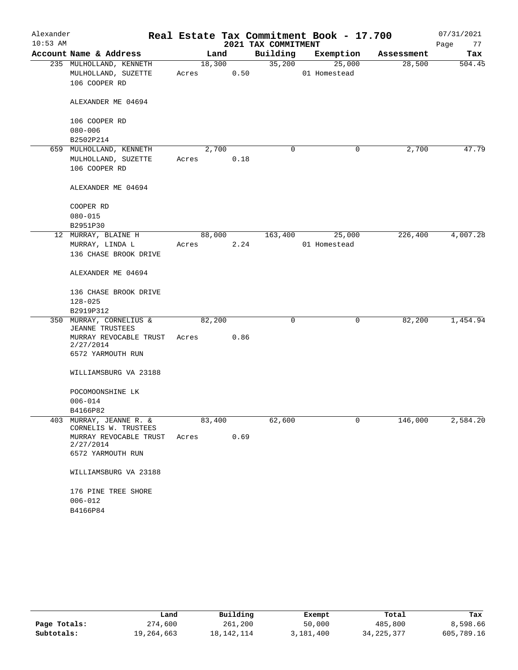| Alexander  |                                                   |        |        |                     | Real Estate Tax Commitment Book - 17.700 |            | 07/31/2021 |
|------------|---------------------------------------------------|--------|--------|---------------------|------------------------------------------|------------|------------|
| $10:53$ AM |                                                   |        |        | 2021 TAX COMMITMENT |                                          |            | Page<br>77 |
|            | Account Name & Address                            | Land   |        | Building            | Exemption                                | Assessment | Tax        |
|            | 235 MULHOLLAND, KENNETH                           |        | 18,300 | 35,200              | 25,000                                   | 28,500     | 504.45     |
|            | MULHOLLAND, SUZETTE                               | Acres  | 0.50   |                     | 01 Homestead                             |            |            |
|            | 106 COOPER RD                                     |        |        |                     |                                          |            |            |
|            | ALEXANDER ME 04694                                |        |        |                     |                                          |            |            |
|            | 106 COOPER RD                                     |        |        |                     |                                          |            |            |
|            | $080 - 006$                                       |        |        |                     |                                          |            |            |
|            | B2502P214                                         |        |        |                     |                                          |            |            |
|            | 659 MULHOLLAND, KENNETH                           | 2,700  |        | 0                   | 0                                        | 2,700      | 47.79      |
|            | MULHOLLAND, SUZETTE                               | Acres  | 0.18   |                     |                                          |            |            |
|            | 106 COOPER RD                                     |        |        |                     |                                          |            |            |
|            | ALEXANDER ME 04694                                |        |        |                     |                                          |            |            |
|            |                                                   |        |        |                     |                                          |            |            |
|            | COOPER RD<br>$080 - 015$                          |        |        |                     |                                          |            |            |
|            | B2951P30                                          |        |        |                     |                                          |            |            |
|            | 12 MURRAY, BLAINE H                               | 88,000 |        | 163,400             | 25,000                                   | 226,400    | 4,007.28   |
|            | MURRAY, LINDA L                                   | Acres  | 2.24   |                     | 01 Homestead                             |            |            |
|            | 136 CHASE BROOK DRIVE                             |        |        |                     |                                          |            |            |
|            |                                                   |        |        |                     |                                          |            |            |
|            | ALEXANDER ME 04694                                |        |        |                     |                                          |            |            |
|            | 136 CHASE BROOK DRIVE                             |        |        |                     |                                          |            |            |
|            | $128 - 025$                                       |        |        |                     |                                          |            |            |
|            | B2919P312                                         |        |        |                     |                                          |            |            |
|            | 350 MURRAY, CORNELIUS &<br><b>JEANNE TRUSTEES</b> | 82,200 |        | 0                   | $\mathbf 0$                              | 82,200     | 1,454.94   |
|            | MURRAY REVOCABLE TRUST<br>2/27/2014               | Acres  | 0.86   |                     |                                          |            |            |
|            | 6572 YARMOUTH RUN                                 |        |        |                     |                                          |            |            |
|            | WILLIAMSBURG VA 23188                             |        |        |                     |                                          |            |            |
|            | POCOMOONSHINE LK                                  |        |        |                     |                                          |            |            |
|            | $006 - 014$                                       |        |        |                     |                                          |            |            |
|            | B4166P82                                          |        |        |                     |                                          |            |            |
|            | 403 MURRAY, JEANNE R. &<br>CORNELIS W. TRUSTEES   | 83,400 |        | 62,600              | 0                                        | 146,000    | 2,584.20   |
|            | MURRAY REVOCABLE TRUST                            | Acres  | 0.69   |                     |                                          |            |            |
|            | 2/27/2014                                         |        |        |                     |                                          |            |            |
|            | 6572 YARMOUTH RUN                                 |        |        |                     |                                          |            |            |
|            | WILLIAMSBURG VA 23188                             |        |        |                     |                                          |            |            |
|            | 176 PINE TREE SHORE                               |        |        |                     |                                          |            |            |
|            | $006 - 012$                                       |        |        |                     |                                          |            |            |
|            | B4166P84                                          |        |        |                     |                                          |            |            |

|              | Land       | Building   | Exempt    | Total        | Tax        |
|--------------|------------|------------|-----------|--------------|------------|
| Page Totals: | 274,600    | 261,200    | 50,000    | 485,800      | 8,598.66   |
| Subtotals:   | 19,264,663 | 18,142,114 | 3,181,400 | 34, 225, 377 | 605,789.16 |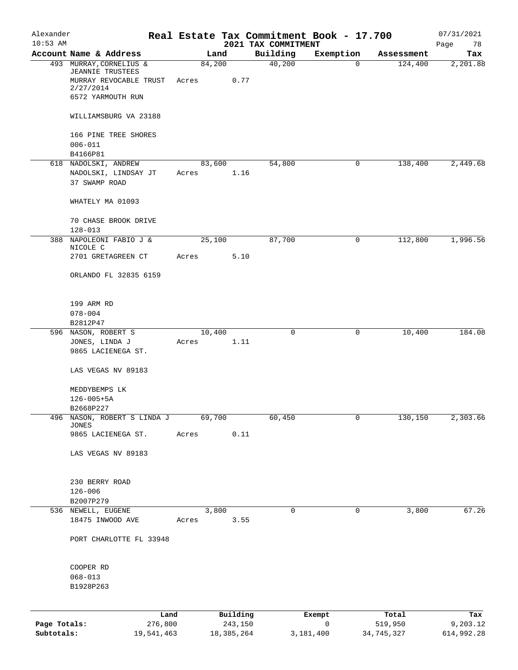| Alexander    |                                                                |       |                |                                 | Real Estate Tax Commitment Book - 17.700 |            | 07/31/2021        |
|--------------|----------------------------------------------------------------|-------|----------------|---------------------------------|------------------------------------------|------------|-------------------|
| $10:53$ AM   | Account Name & Address                                         |       | Land           | 2021 TAX COMMITMENT<br>Building | Exemption                                | Assessment | Page<br>78<br>Tax |
|              | 493 MURRAY, CORNELIUS &                                        |       | 84,200         | 40,200                          | $\mathbf 0$                              | 124,400    | 2,201.88          |
|              | <b>JEANNIE TRUSTEES</b><br>MURRAY REVOCABLE TRUST<br>2/27/2014 | Acres | 0.77           |                                 |                                          |            |                   |
|              | 6572 YARMOUTH RUN                                              |       |                |                                 |                                          |            |                   |
|              | WILLIAMSBURG VA 23188                                          |       |                |                                 |                                          |            |                   |
|              | 166 PINE TREE SHORES<br>$006 - 011$                            |       |                |                                 |                                          |            |                   |
|              | B4166P81                                                       |       |                |                                 |                                          |            |                   |
|              | 618 NADOLSKI, ANDREW<br>NADOLSKI, LINDSAY JT<br>37 SWAMP ROAD  | Acres | 83,600<br>1.16 | 54,800                          | 0                                        | 138,400    | 2,449.68          |
|              | WHATELY MA 01093                                               |       |                |                                 |                                          |            |                   |
|              | 70 CHASE BROOK DRIVE<br>$128 - 013$                            |       |                |                                 |                                          |            |                   |
|              | 388 NAPOLEONI FABIO J &                                        |       | 25,100         | 87,700                          | 0                                        | 112,800    | 1,996.56          |
|              | NICOLE C<br>2701 GRETAGREEN CT                                 | Acres | 5.10           |                                 |                                          |            |                   |
|              | ORLANDO FL 32835 6159                                          |       |                |                                 |                                          |            |                   |
|              | 199 ARM RD                                                     |       |                |                                 |                                          |            |                   |
|              | $078 - 004$                                                    |       |                |                                 |                                          |            |                   |
|              | B2812P47<br>596 NASON, ROBERT S                                |       | 10,400         | 0                               | 0                                        | 10,400     | 184.08            |
|              | JONES, LINDA J                                                 | Acres | 1.11           |                                 |                                          |            |                   |
|              | 9865 LACIENEGA ST.                                             |       |                |                                 |                                          |            |                   |
|              | LAS VEGAS NV 89183                                             |       |                |                                 |                                          |            |                   |
|              | MEDDYBEMPS LK                                                  |       |                |                                 |                                          |            |                   |
|              | $126 - 005 + 5A$                                               |       |                |                                 |                                          |            |                   |
|              | B2668P227                                                      |       |                |                                 |                                          |            |                   |
| 496          | NASON, ROBERT S LINDA J<br>JONES                               |       | 69,700         | 60,450                          | 0                                        | 130,150    | 2,303.66          |
|              | 9865 LACIENEGA ST.                                             | Acres | 0.11           |                                 |                                          |            |                   |
|              | LAS VEGAS NV 89183                                             |       |                |                                 |                                          |            |                   |
|              | 230 BERRY ROAD                                                 |       |                |                                 |                                          |            |                   |
|              | $126 - 006$                                                    |       |                |                                 |                                          |            |                   |
|              | B2007P279                                                      |       |                |                                 |                                          |            |                   |
|              | 536 NEWELL, EUGENE<br>18475 INWOOD AVE                         | Acres | 3,800<br>3.55  | 0                               | 0                                        | 3,800      | 67.26             |
|              | PORT CHARLOTTE FL 33948                                        |       |                |                                 |                                          |            |                   |
|              | COOPER RD                                                      |       |                |                                 |                                          |            |                   |
|              | $068 - 013$                                                    |       |                |                                 |                                          |            |                   |
|              | B1928P263                                                      |       |                |                                 |                                          |            |                   |
|              |                                                                | Land  | Building       |                                 | Exempt                                   | Total      | Tax               |
| Page Totals: | 276,800                                                        |       | 243,150        |                                 | 0                                        | 519,950    | 9,203.12          |
| Subtotals:   | 19,541,463                                                     |       | 18,385,264     |                                 | 3,181,400                                | 34,745,327 | 614,992.28        |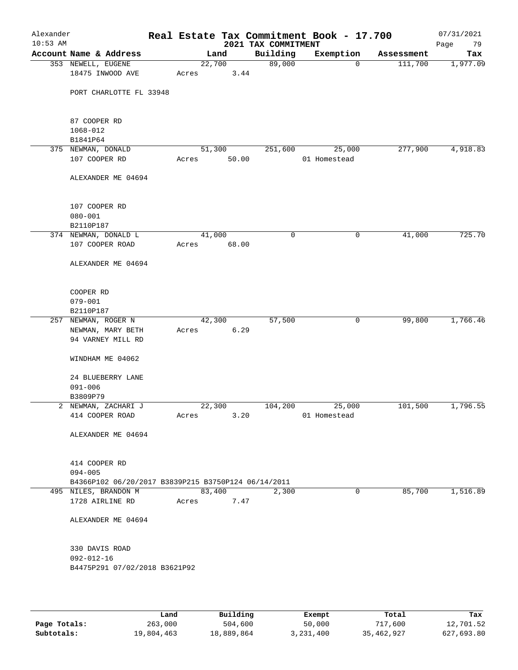| Alexander<br>$10:53$ AM |                                                     |       |                | 2021 TAX COMMITMENT | Real Estate Tax Commitment Book - 17.700 |            | 07/31/2021<br>Page<br>79 |
|-------------------------|-----------------------------------------------------|-------|----------------|---------------------|------------------------------------------|------------|--------------------------|
|                         | Account Name & Address                              |       | Land           | Building            | Exemption                                | Assessment | Tax                      |
|                         | 353 NEWELL, EUGENE<br>18475 INWOOD AVE              | Acres | 22,700<br>3.44 | 89,000              | $\mathbf 0$                              | 111,700    | 1,977.09                 |
|                         | PORT CHARLOTTE FL 33948                             |       |                |                     |                                          |            |                          |
|                         | 87 COOPER RD<br>1068-012                            |       |                |                     |                                          |            |                          |
|                         | B1841P64                                            |       |                |                     |                                          |            |                          |
|                         | 375 NEWMAN, DONALD                                  |       | 51,300         | 251,600             | 25,000                                   | 277,900    | 4,918.83                 |
|                         | 107 COOPER RD                                       | Acres | 50.00          |                     | 01 Homestead                             |            |                          |
|                         | ALEXANDER ME 04694                                  |       |                |                     |                                          |            |                          |
|                         | 107 COOPER RD                                       |       |                |                     |                                          |            |                          |
|                         | $080 - 001$                                         |       |                |                     |                                          |            |                          |
|                         | B2110P187                                           |       |                |                     |                                          |            |                          |
|                         | 374 NEWMAN, DONALD L                                |       | 41,000         | 0                   | 0                                        | 41,000     | 725.70                   |
|                         | 107 COOPER ROAD                                     | Acres | 68.00          |                     |                                          |            |                          |
|                         | ALEXANDER ME 04694                                  |       |                |                     |                                          |            |                          |
|                         | COOPER RD                                           |       |                |                     |                                          |            |                          |
|                         | $079 - 001$                                         |       |                |                     |                                          |            |                          |
|                         | B2110P187<br>257 NEWMAN, ROGER N                    |       | 42,300         | 57,500              | 0                                        | 99,800     | 1,766.46                 |
|                         | NEWMAN, MARY BETH                                   | Acres | 6.29           |                     |                                          |            |                          |
|                         | 94 VARNEY MILL RD                                   |       |                |                     |                                          |            |                          |
|                         | WINDHAM ME 04062                                    |       |                |                     |                                          |            |                          |
|                         | 24 BLUEBERRY LANE                                   |       |                |                     |                                          |            |                          |
|                         | $091 - 006$                                         |       |                |                     |                                          |            |                          |
|                         | B3809P79                                            |       |                |                     |                                          |            |                          |
|                         | 2 NEWMAN, ZACHARI J                                 |       | 22,300         | 104,200             | 25,000                                   | 101,500    | 1,796.55                 |
|                         | 414 COOPER ROAD                                     | Acres | 3.20           |                     | 01 Homestead                             |            |                          |
|                         | ALEXANDER ME 04694                                  |       |                |                     |                                          |            |                          |
|                         | 414 COOPER RD                                       |       |                |                     |                                          |            |                          |
|                         | $094 - 005$                                         |       |                |                     |                                          |            |                          |
|                         | B4366P102 06/20/2017 B3839P215 B3750P124 06/14/2011 |       |                |                     |                                          |            |                          |
|                         | 495 NILES, BRANDON M                                |       | 83,400         | 2,300               | 0                                        | 85,700     | 1,516.89                 |
|                         | 1728 AIRLINE RD                                     | Acres | 7.47           |                     |                                          |            |                          |
|                         | ALEXANDER ME 04694                                  |       |                |                     |                                          |            |                          |
|                         | 330 DAVIS ROAD                                      |       |                |                     |                                          |            |                          |
|                         | $092 - 012 - 16$                                    |       |                |                     |                                          |            |                          |
|                         | B4475P291 07/02/2018 B3621P92                       |       |                |                     |                                          |            |                          |
|                         |                                                     |       |                |                     |                                          |            |                          |

|              | Land       | Building   | Exempt    | Total      | Tax        |
|--------------|------------|------------|-----------|------------|------------|
| Page Totals: | 263,000    | 504,600    | 50,000    | 717,600    | 12,701.52  |
| Subtotals:   | 19,804,463 | 18,889,864 | 3,231,400 | 35,462,927 | 627,693.80 |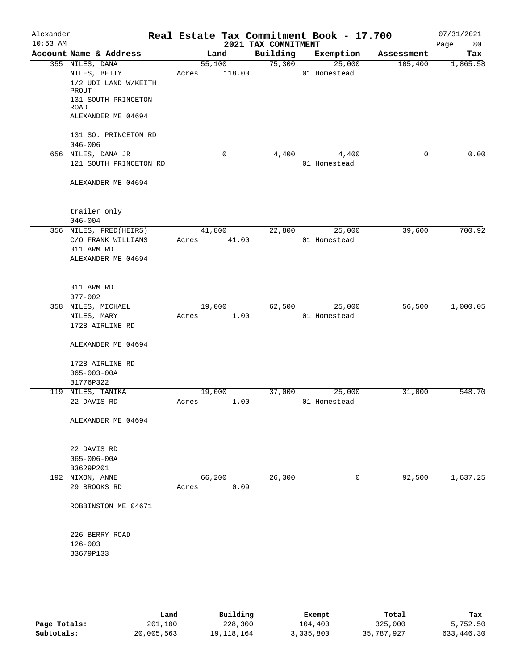| Alexander<br>$10:53$ AM |                             |        |             | 2021 TAX COMMITMENT | Real Estate Tax Commitment Book - 17.700 |             | 07/31/2021<br>80<br>Page |
|-------------------------|-----------------------------|--------|-------------|---------------------|------------------------------------------|-------------|--------------------------|
|                         | Account Name & Address      | Land   |             | Building            | Exemption                                | Assessment  | Tax                      |
|                         | 355 NILES, DANA             | 55,100 |             | 75,300              | 25,000                                   | 105,400     | 1,865.58                 |
|                         | NILES, BETTY                | Acres  | 118.00      |                     | 01 Homestead                             |             |                          |
|                         | 1/2 UDI LAND W/KEITH        |        |             |                     |                                          |             |                          |
|                         | PROUT                       |        |             |                     |                                          |             |                          |
|                         | 131 SOUTH PRINCETON<br>ROAD |        |             |                     |                                          |             |                          |
|                         | ALEXANDER ME 04694          |        |             |                     |                                          |             |                          |
|                         |                             |        |             |                     |                                          |             |                          |
|                         | 131 SO. PRINCETON RD        |        |             |                     |                                          |             |                          |
|                         | $046 - 006$                 |        |             |                     |                                          |             |                          |
|                         | 656 NILES, DANA JR          |        | $\mathbf 0$ | 4,400               | 4,400                                    | $\mathbf 0$ | 0.00                     |
|                         | 121 SOUTH PRINCETON RD      |        |             |                     | 01 Homestead                             |             |                          |
|                         |                             |        |             |                     |                                          |             |                          |
|                         | ALEXANDER ME 04694          |        |             |                     |                                          |             |                          |
|                         |                             |        |             |                     |                                          |             |                          |
|                         |                             |        |             |                     |                                          |             |                          |
|                         | trailer only                |        |             |                     |                                          |             |                          |
|                         | $046 - 004$                 |        |             |                     |                                          |             |                          |
|                         | 356 NILES, FRED(HEIRS)      | 41,800 |             | 22,800              | 25,000                                   | 39,600      | 700.92                   |
|                         | C/O FRANK WILLIAMS          | Acres  | 41.00       |                     | 01 Homestead                             |             |                          |
|                         | 311 ARM RD                  |        |             |                     |                                          |             |                          |
|                         | ALEXANDER ME 04694          |        |             |                     |                                          |             |                          |
|                         |                             |        |             |                     |                                          |             |                          |
|                         | 311 ARM RD                  |        |             |                     |                                          |             |                          |
|                         | $077 - 002$                 |        |             |                     |                                          |             |                          |
|                         | 358 NILES, MICHAEL          | 19,000 |             | 62,500              | 25,000                                   | 56,500      | 1,000.05                 |
|                         | NILES, MARY                 | Acres  | 1.00        |                     | 01 Homestead                             |             |                          |
|                         | 1728 AIRLINE RD             |        |             |                     |                                          |             |                          |
|                         |                             |        |             |                     |                                          |             |                          |
|                         | ALEXANDER ME 04694          |        |             |                     |                                          |             |                          |
|                         |                             |        |             |                     |                                          |             |                          |
|                         | 1728 AIRLINE RD             |        |             |                     |                                          |             |                          |
|                         | $065 - 003 - 00A$           |        |             |                     |                                          |             |                          |
|                         | B1776P322                   |        |             |                     |                                          |             |                          |
|                         | 119 NILES, TANIKA           | 19,000 |             | 37,000              | 25,000                                   | 31,000      | 548.70                   |
|                         | 22 DAVIS RD                 | Acres  | 1.00        |                     | 01 Homestead                             |             |                          |
|                         |                             |        |             |                     |                                          |             |                          |
|                         | ALEXANDER ME 04694          |        |             |                     |                                          |             |                          |
|                         |                             |        |             |                     |                                          |             |                          |
|                         | 22 DAVIS RD                 |        |             |                     |                                          |             |                          |
|                         | $065 - 006 - 00A$           |        |             |                     |                                          |             |                          |
|                         | B3629P201                   |        |             |                     |                                          |             |                          |
|                         | 192 NIXON, ANNE             | 66,200 |             | 26,300              | $\mathbf 0$                              | 92,500      | 1,637.25                 |
|                         | 29 BROOKS RD                | Acres  | 0.09        |                     |                                          |             |                          |
|                         |                             |        |             |                     |                                          |             |                          |
|                         | ROBBINSTON ME 04671         |        |             |                     |                                          |             |                          |
|                         |                             |        |             |                     |                                          |             |                          |
|                         |                             |        |             |                     |                                          |             |                          |
|                         | 226 BERRY ROAD              |        |             |                     |                                          |             |                          |
|                         | $126 - 003$                 |        |             |                     |                                          |             |                          |
|                         | B3679P133                   |        |             |                     |                                          |             |                          |
|                         |                             |        |             |                     |                                          |             |                          |
|                         |                             |        |             |                     |                                          |             |                          |
|                         |                             |        |             |                     |                                          |             |                          |

|              | Land       | Building   | Exempt    | Total      | Tax        |
|--------------|------------|------------|-----------|------------|------------|
| Page Totals: | 201,100    | 228,300    | 104,400   | 325,000    | 5,752.50   |
| Subtotals:   | 20,005,563 | 19,118,164 | 3,335,800 | 35,787,927 | 633,446.30 |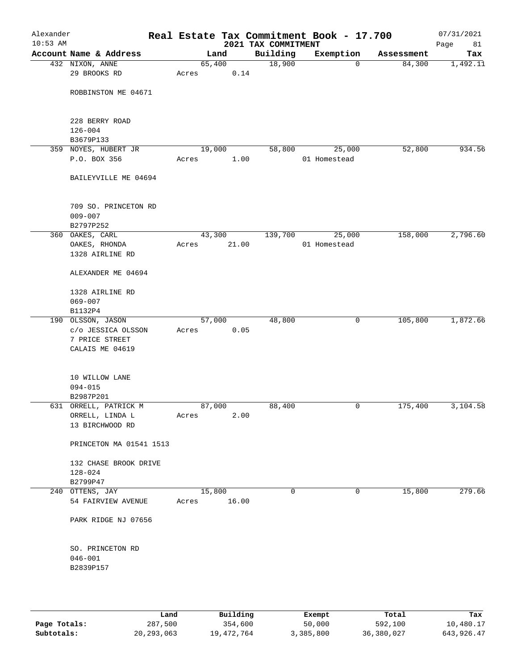| Alexander<br>$10:53$ AM |                                                  |       |        | 2021 TAX COMMITMENT | Real Estate Tax Commitment Book - 17.700 |            | 07/31/2021<br>Page<br>81 |
|-------------------------|--------------------------------------------------|-------|--------|---------------------|------------------------------------------|------------|--------------------------|
|                         | Account Name & Address                           |       | Land   | Building            | Exemption                                | Assessment | Tax                      |
|                         | 432 NIXON, ANNE                                  |       | 65,400 | 18,900              | $\mathbf 0$                              | 84,300     | 1,492.11                 |
|                         | 29 BROOKS RD                                     | Acres | 0.14   |                     |                                          |            |                          |
|                         | ROBBINSTON ME 04671                              |       |        |                     |                                          |            |                          |
|                         | 228 BERRY ROAD                                   |       |        |                     |                                          |            |                          |
|                         | $126 - 004$<br>B3679P133                         |       |        |                     |                                          |            |                          |
|                         | 359 NOYES, HUBERT JR                             |       | 19,000 | 58,800              | 25,000                                   | 52,800     | 934.56                   |
|                         | P.O. BOX 356                                     | Acres | 1.00   |                     | 01 Homestead                             |            |                          |
|                         | BAILEYVILLE ME 04694                             |       |        |                     |                                          |            |                          |
|                         | 709 SO. PRINCETON RD<br>$009 - 007$<br>B2797P252 |       |        |                     |                                          |            |                          |
|                         | 360 OAKES, CARL                                  |       | 43,300 | 139,700             | 25,000                                   | 158,000    | 2,796.60                 |
|                         | OAKES, RHONDA                                    | Acres | 21.00  |                     | 01 Homestead                             |            |                          |
|                         | 1328 AIRLINE RD                                  |       |        |                     |                                          |            |                          |
|                         | ALEXANDER ME 04694                               |       |        |                     |                                          |            |                          |
|                         | 1328 AIRLINE RD                                  |       |        |                     |                                          |            |                          |
|                         | $069 - 007$<br>B1132P4                           |       |        |                     |                                          |            |                          |
|                         | 190 OLSSON, JASON                                |       | 57,000 | 48,800              | 0                                        | 105,800    | 1,872.66                 |
|                         | c/o JESSICA OLSSON                               | Acres | 0.05   |                     |                                          |            |                          |
|                         | 7 PRICE STREET                                   |       |        |                     |                                          |            |                          |
|                         | CALAIS ME 04619                                  |       |        |                     |                                          |            |                          |
|                         |                                                  |       |        |                     |                                          |            |                          |
|                         | 10 WILLOW LANE                                   |       |        |                     |                                          |            |                          |
|                         | $094 - 015$                                      |       |        |                     |                                          |            |                          |
|                         | B2987P201                                        |       |        |                     |                                          |            |                          |
|                         | 631 ORRELL, PATRICK M                            |       | 87,000 | 88,400              | 0                                        | 175,400    | 3,104.58                 |
|                         | ORRELL, LINDA L                                  | Acres | 2.00   |                     |                                          |            |                          |
|                         | 13 BIRCHWOOD RD                                  |       |        |                     |                                          |            |                          |
|                         | PRINCETON MA 01541 1513                          |       |        |                     |                                          |            |                          |
|                         | 132 CHASE BROOK DRIVE                            |       |        |                     |                                          |            |                          |
|                         | $128 - 024$                                      |       |        |                     |                                          |            |                          |
|                         | B2799P47                                         |       |        |                     |                                          |            |                          |
|                         | 240 OTTENS, JAY                                  |       | 15,800 | $\mathbf 0$         | 0                                        | 15,800     | 279.66                   |
|                         | 54 FAIRVIEW AVENUE                               | Acres | 16.00  |                     |                                          |            |                          |
|                         | PARK RIDGE NJ 07656                              |       |        |                     |                                          |            |                          |
|                         | SO. PRINCETON RD                                 |       |        |                     |                                          |            |                          |
|                         | $046 - 001$                                      |       |        |                     |                                          |            |                          |
|                         | B2839P157                                        |       |        |                     |                                          |            |                          |
|                         |                                                  |       |        |                     |                                          |            |                          |
|                         |                                                  |       |        |                     |                                          |            |                          |

|              | Land         | Building   | Exempt    | Total      | Tax          |
|--------------|--------------|------------|-----------|------------|--------------|
| Page Totals: | 287,500      | 354,600    | 50,000    | 592,100    | 10,480.17    |
| Subtotals:   | 20, 293, 063 | 19,472,764 | 3,385,800 | 36,380,027 | 643, 926, 47 |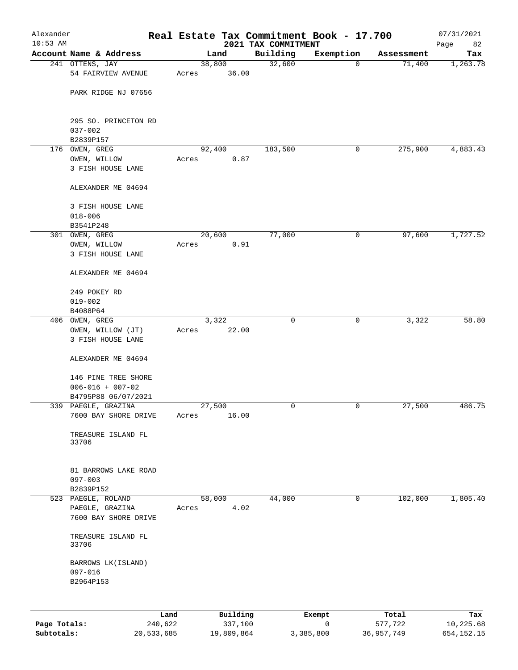| 2021 TAX COMMITMENT<br>Account Name & Address<br>Building<br>Exemption<br>Land<br>Assessment<br>Tax<br>241 OTTENS, JAY<br>38,800<br>32,600<br>71,400<br>1,263.78<br>$\mathbf 0$<br>54 FAIRVIEW AVENUE<br>36.00<br>Acres<br>PARK RIDGE NJ 07656<br>295 SO. PRINCETON RD<br>$037 - 002$<br>B2839P157<br>183,500<br>275,900<br>4,883.43<br>176 OWEN, GREG<br>92,400<br>0<br>OWEN, WILLOW<br>0.87<br>Acres<br>3 FISH HOUSE LANE<br>ALEXANDER ME 04694<br>3 FISH HOUSE LANE<br>$018 - 006$<br>B3541P248<br>1,727.52<br>301 OWEN, GREG<br>20,600<br>77,000<br>97,600<br>0<br>0.91<br>OWEN, WILLOW<br>Acres<br>3 FISH HOUSE LANE<br>ALEXANDER ME 04694<br>249 POKEY RD<br>$019 - 002$<br>B4088P64<br>406 OWEN, GREG<br>$\mathbf 0$<br>$\mathbf 0$<br>3,322<br>3,322<br>OWEN, WILLOW (JT)<br>22.00<br>Acres<br>3 FISH HOUSE LANE<br>ALEXANDER ME 04694<br>146 PINE TREE SHORE<br>$006 - 016 + 007 - 02$<br>B4795P88 06/07/2021<br>339 PAEGLE, GRAZINA<br>27,500<br>27,500<br>486.75<br>0<br>0<br>16.00<br>7600 BAY SHORE DRIVE<br>Acres<br>TREASURE ISLAND FL<br>33706<br>81 BARROWS LAKE ROAD<br>$097 - 003$<br>B2839P152<br>44,000<br>0<br>102,000<br>523 PAEGLE, ROLAND<br>58,000<br>1,805.40<br>4.02<br>PAEGLE, GRAZINA<br>Acres<br>7600 BAY SHORE DRIVE<br>TREASURE ISLAND FL<br>33706<br>BARROWS LK (ISLAND)<br>$097 - 016$<br>B2964P153<br>Building<br>Land<br>Total<br>Exempt<br>Page Totals:<br>240,622<br>337,100<br>0<br>577,722 | Alexander  |  | Real Estate Tax Commitment Book - 17.700 |  | 07/31/2021       |
|-------------------------------------------------------------------------------------------------------------------------------------------------------------------------------------------------------------------------------------------------------------------------------------------------------------------------------------------------------------------------------------------------------------------------------------------------------------------------------------------------------------------------------------------------------------------------------------------------------------------------------------------------------------------------------------------------------------------------------------------------------------------------------------------------------------------------------------------------------------------------------------------------------------------------------------------------------------------------------------------------------------------------------------------------------------------------------------------------------------------------------------------------------------------------------------------------------------------------------------------------------------------------------------------------------------------------------------------------------------------------------------------------------------------------------------|------------|--|------------------------------------------|--|------------------|
|                                                                                                                                                                                                                                                                                                                                                                                                                                                                                                                                                                                                                                                                                                                                                                                                                                                                                                                                                                                                                                                                                                                                                                                                                                                                                                                                                                                                                                     | $10:53$ AM |  |                                          |  | 82<br>Page       |
|                                                                                                                                                                                                                                                                                                                                                                                                                                                                                                                                                                                                                                                                                                                                                                                                                                                                                                                                                                                                                                                                                                                                                                                                                                                                                                                                                                                                                                     |            |  |                                          |  |                  |
|                                                                                                                                                                                                                                                                                                                                                                                                                                                                                                                                                                                                                                                                                                                                                                                                                                                                                                                                                                                                                                                                                                                                                                                                                                                                                                                                                                                                                                     |            |  |                                          |  |                  |
|                                                                                                                                                                                                                                                                                                                                                                                                                                                                                                                                                                                                                                                                                                                                                                                                                                                                                                                                                                                                                                                                                                                                                                                                                                                                                                                                                                                                                                     |            |  |                                          |  |                  |
|                                                                                                                                                                                                                                                                                                                                                                                                                                                                                                                                                                                                                                                                                                                                                                                                                                                                                                                                                                                                                                                                                                                                                                                                                                                                                                                                                                                                                                     |            |  |                                          |  |                  |
|                                                                                                                                                                                                                                                                                                                                                                                                                                                                                                                                                                                                                                                                                                                                                                                                                                                                                                                                                                                                                                                                                                                                                                                                                                                                                                                                                                                                                                     |            |  |                                          |  |                  |
|                                                                                                                                                                                                                                                                                                                                                                                                                                                                                                                                                                                                                                                                                                                                                                                                                                                                                                                                                                                                                                                                                                                                                                                                                                                                                                                                                                                                                                     |            |  |                                          |  |                  |
|                                                                                                                                                                                                                                                                                                                                                                                                                                                                                                                                                                                                                                                                                                                                                                                                                                                                                                                                                                                                                                                                                                                                                                                                                                                                                                                                                                                                                                     |            |  |                                          |  |                  |
|                                                                                                                                                                                                                                                                                                                                                                                                                                                                                                                                                                                                                                                                                                                                                                                                                                                                                                                                                                                                                                                                                                                                                                                                                                                                                                                                                                                                                                     |            |  |                                          |  |                  |
|                                                                                                                                                                                                                                                                                                                                                                                                                                                                                                                                                                                                                                                                                                                                                                                                                                                                                                                                                                                                                                                                                                                                                                                                                                                                                                                                                                                                                                     |            |  |                                          |  |                  |
|                                                                                                                                                                                                                                                                                                                                                                                                                                                                                                                                                                                                                                                                                                                                                                                                                                                                                                                                                                                                                                                                                                                                                                                                                                                                                                                                                                                                                                     |            |  |                                          |  |                  |
|                                                                                                                                                                                                                                                                                                                                                                                                                                                                                                                                                                                                                                                                                                                                                                                                                                                                                                                                                                                                                                                                                                                                                                                                                                                                                                                                                                                                                                     |            |  |                                          |  |                  |
|                                                                                                                                                                                                                                                                                                                                                                                                                                                                                                                                                                                                                                                                                                                                                                                                                                                                                                                                                                                                                                                                                                                                                                                                                                                                                                                                                                                                                                     |            |  |                                          |  |                  |
|                                                                                                                                                                                                                                                                                                                                                                                                                                                                                                                                                                                                                                                                                                                                                                                                                                                                                                                                                                                                                                                                                                                                                                                                                                                                                                                                                                                                                                     |            |  |                                          |  |                  |
|                                                                                                                                                                                                                                                                                                                                                                                                                                                                                                                                                                                                                                                                                                                                                                                                                                                                                                                                                                                                                                                                                                                                                                                                                                                                                                                                                                                                                                     |            |  |                                          |  |                  |
|                                                                                                                                                                                                                                                                                                                                                                                                                                                                                                                                                                                                                                                                                                                                                                                                                                                                                                                                                                                                                                                                                                                                                                                                                                                                                                                                                                                                                                     |            |  |                                          |  |                  |
|                                                                                                                                                                                                                                                                                                                                                                                                                                                                                                                                                                                                                                                                                                                                                                                                                                                                                                                                                                                                                                                                                                                                                                                                                                                                                                                                                                                                                                     |            |  |                                          |  |                  |
|                                                                                                                                                                                                                                                                                                                                                                                                                                                                                                                                                                                                                                                                                                                                                                                                                                                                                                                                                                                                                                                                                                                                                                                                                                                                                                                                                                                                                                     |            |  |                                          |  |                  |
|                                                                                                                                                                                                                                                                                                                                                                                                                                                                                                                                                                                                                                                                                                                                                                                                                                                                                                                                                                                                                                                                                                                                                                                                                                                                                                                                                                                                                                     |            |  |                                          |  |                  |
|                                                                                                                                                                                                                                                                                                                                                                                                                                                                                                                                                                                                                                                                                                                                                                                                                                                                                                                                                                                                                                                                                                                                                                                                                                                                                                                                                                                                                                     |            |  |                                          |  |                  |
|                                                                                                                                                                                                                                                                                                                                                                                                                                                                                                                                                                                                                                                                                                                                                                                                                                                                                                                                                                                                                                                                                                                                                                                                                                                                                                                                                                                                                                     |            |  |                                          |  | 58.80            |
|                                                                                                                                                                                                                                                                                                                                                                                                                                                                                                                                                                                                                                                                                                                                                                                                                                                                                                                                                                                                                                                                                                                                                                                                                                                                                                                                                                                                                                     |            |  |                                          |  |                  |
|                                                                                                                                                                                                                                                                                                                                                                                                                                                                                                                                                                                                                                                                                                                                                                                                                                                                                                                                                                                                                                                                                                                                                                                                                                                                                                                                                                                                                                     |            |  |                                          |  |                  |
|                                                                                                                                                                                                                                                                                                                                                                                                                                                                                                                                                                                                                                                                                                                                                                                                                                                                                                                                                                                                                                                                                                                                                                                                                                                                                                                                                                                                                                     |            |  |                                          |  |                  |
|                                                                                                                                                                                                                                                                                                                                                                                                                                                                                                                                                                                                                                                                                                                                                                                                                                                                                                                                                                                                                                                                                                                                                                                                                                                                                                                                                                                                                                     |            |  |                                          |  |                  |
|                                                                                                                                                                                                                                                                                                                                                                                                                                                                                                                                                                                                                                                                                                                                                                                                                                                                                                                                                                                                                                                                                                                                                                                                                                                                                                                                                                                                                                     |            |  |                                          |  |                  |
|                                                                                                                                                                                                                                                                                                                                                                                                                                                                                                                                                                                                                                                                                                                                                                                                                                                                                                                                                                                                                                                                                                                                                                                                                                                                                                                                                                                                                                     |            |  |                                          |  |                  |
|                                                                                                                                                                                                                                                                                                                                                                                                                                                                                                                                                                                                                                                                                                                                                                                                                                                                                                                                                                                                                                                                                                                                                                                                                                                                                                                                                                                                                                     |            |  |                                          |  |                  |
|                                                                                                                                                                                                                                                                                                                                                                                                                                                                                                                                                                                                                                                                                                                                                                                                                                                                                                                                                                                                                                                                                                                                                                                                                                                                                                                                                                                                                                     |            |  |                                          |  |                  |
|                                                                                                                                                                                                                                                                                                                                                                                                                                                                                                                                                                                                                                                                                                                                                                                                                                                                                                                                                                                                                                                                                                                                                                                                                                                                                                                                                                                                                                     |            |  |                                          |  |                  |
|                                                                                                                                                                                                                                                                                                                                                                                                                                                                                                                                                                                                                                                                                                                                                                                                                                                                                                                                                                                                                                                                                                                                                                                                                                                                                                                                                                                                                                     |            |  |                                          |  |                  |
|                                                                                                                                                                                                                                                                                                                                                                                                                                                                                                                                                                                                                                                                                                                                                                                                                                                                                                                                                                                                                                                                                                                                                                                                                                                                                                                                                                                                                                     |            |  |                                          |  |                  |
|                                                                                                                                                                                                                                                                                                                                                                                                                                                                                                                                                                                                                                                                                                                                                                                                                                                                                                                                                                                                                                                                                                                                                                                                                                                                                                                                                                                                                                     |            |  |                                          |  |                  |
|                                                                                                                                                                                                                                                                                                                                                                                                                                                                                                                                                                                                                                                                                                                                                                                                                                                                                                                                                                                                                                                                                                                                                                                                                                                                                                                                                                                                                                     |            |  |                                          |  |                  |
|                                                                                                                                                                                                                                                                                                                                                                                                                                                                                                                                                                                                                                                                                                                                                                                                                                                                                                                                                                                                                                                                                                                                                                                                                                                                                                                                                                                                                                     |            |  |                                          |  |                  |
|                                                                                                                                                                                                                                                                                                                                                                                                                                                                                                                                                                                                                                                                                                                                                                                                                                                                                                                                                                                                                                                                                                                                                                                                                                                                                                                                                                                                                                     |            |  |                                          |  |                  |
|                                                                                                                                                                                                                                                                                                                                                                                                                                                                                                                                                                                                                                                                                                                                                                                                                                                                                                                                                                                                                                                                                                                                                                                                                                                                                                                                                                                                                                     |            |  |                                          |  |                  |
|                                                                                                                                                                                                                                                                                                                                                                                                                                                                                                                                                                                                                                                                                                                                                                                                                                                                                                                                                                                                                                                                                                                                                                                                                                                                                                                                                                                                                                     |            |  |                                          |  |                  |
|                                                                                                                                                                                                                                                                                                                                                                                                                                                                                                                                                                                                                                                                                                                                                                                                                                                                                                                                                                                                                                                                                                                                                                                                                                                                                                                                                                                                                                     |            |  |                                          |  |                  |
|                                                                                                                                                                                                                                                                                                                                                                                                                                                                                                                                                                                                                                                                                                                                                                                                                                                                                                                                                                                                                                                                                                                                                                                                                                                                                                                                                                                                                                     |            |  |                                          |  |                  |
|                                                                                                                                                                                                                                                                                                                                                                                                                                                                                                                                                                                                                                                                                                                                                                                                                                                                                                                                                                                                                                                                                                                                                                                                                                                                                                                                                                                                                                     |            |  |                                          |  |                  |
|                                                                                                                                                                                                                                                                                                                                                                                                                                                                                                                                                                                                                                                                                                                                                                                                                                                                                                                                                                                                                                                                                                                                                                                                                                                                                                                                                                                                                                     |            |  |                                          |  |                  |
|                                                                                                                                                                                                                                                                                                                                                                                                                                                                                                                                                                                                                                                                                                                                                                                                                                                                                                                                                                                                                                                                                                                                                                                                                                                                                                                                                                                                                                     |            |  |                                          |  | Tax<br>10,225.68 |

**Subtotals:** 20,533,685 19,809,864 3,385,800 36,957,749 654,152.15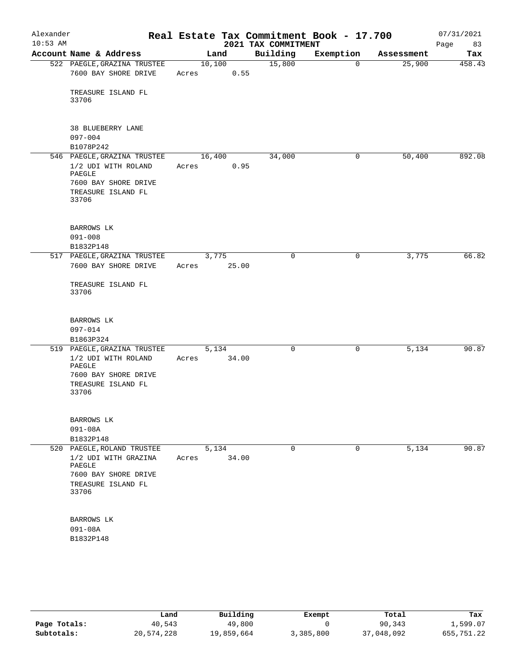| Alexander<br>$10:53$ AM |                                                              |       |                | 2021 TAX COMMITMENT | Real Estate Tax Commitment Book - 17.700 |            | 07/31/2021<br>83<br>Page |
|-------------------------|--------------------------------------------------------------|-------|----------------|---------------------|------------------------------------------|------------|--------------------------|
|                         | Account Name & Address                                       |       | Land           | Building            | Exemption                                | Assessment | Tax                      |
|                         | 522 PAEGLE, GRAZINA TRUSTEE<br>7600 BAY SHORE DRIVE          | Acres | 10,100<br>0.55 | 15,800              | $\mathbf 0$                              | 25,900     | 458.43                   |
|                         | TREASURE ISLAND FL<br>33706                                  |       |                |                     |                                          |            |                          |
|                         | 38 BLUEBERRY LANE                                            |       |                |                     |                                          |            |                          |
|                         | $097 - 004$<br>B1078P242                                     |       |                |                     |                                          |            |                          |
|                         | 546 PAEGLE, GRAZINA TRUSTEE<br>1/2 UDI WITH ROLAND<br>PAEGLE | Acres | 16,400<br>0.95 | 34,000              | 0                                        | 50,400     | 892.08                   |
|                         | 7600 BAY SHORE DRIVE<br>TREASURE ISLAND FL<br>33706          |       |                |                     |                                          |            |                          |
|                         | BARROWS LK<br>$091 - 008$                                    |       |                |                     |                                          |            |                          |
|                         | B1832P148                                                    |       |                |                     |                                          |            |                          |
|                         | 517 PAEGLE, GRAZINA TRUSTEE<br>7600 BAY SHORE DRIVE          | Acres | 3,775<br>25.00 | $\mathbf 0$         | 0                                        | 3,775      | 66.82                    |
|                         | TREASURE ISLAND FL<br>33706                                  |       |                |                     |                                          |            |                          |
|                         | BARROWS LK<br>$097 - 014$                                    |       |                |                     |                                          |            |                          |
|                         | B1863P324                                                    |       |                |                     |                                          |            |                          |
|                         | 519 PAEGLE, GRAZINA TRUSTEE<br>1/2 UDI WITH ROLAND<br>PAEGLE | Acres | 5,134<br>34.00 | $\mathbf 0$         | $\mathbf 0$                              | 5,134      | 90.87                    |
|                         | 7600 BAY SHORE DRIVE<br>TREASURE ISLAND FL                   |       |                |                     |                                          |            |                          |
|                         | 33706                                                        |       |                |                     |                                          |            |                          |
|                         | BARROWS LK<br>$091 - 08A$                                    |       |                |                     |                                          |            |                          |
|                         | B1832P148                                                    |       |                |                     |                                          |            |                          |
|                         | 520 PAEGLE, ROLAND TRUSTEE                                   |       | 5,134          | 0                   | 0                                        | 5,134      | 90.87                    |
|                         | 1/2 UDI WITH GRAZINA<br>PAEGLE<br>7600 BAY SHORE DRIVE       | Acres | 34.00          |                     |                                          |            |                          |
|                         | TREASURE ISLAND FL<br>33706                                  |       |                |                     |                                          |            |                          |
|                         | BARROWS LK                                                   |       |                |                     |                                          |            |                          |
|                         | $091 - 08A$<br>B1832P148                                     |       |                |                     |                                          |            |                          |
|                         |                                                              |       |                |                     |                                          |            |                          |

|              | Land       | Building   | Exempt    | Total      | Tax        |
|--------------|------------|------------|-----------|------------|------------|
| Page Totals: | 40,543     | 49,800     |           | 90,343     | 1,599.07   |
| Subtotals:   | 20,574,228 | 19,859,664 | 3,385,800 | 37,048,092 | 655,751.22 |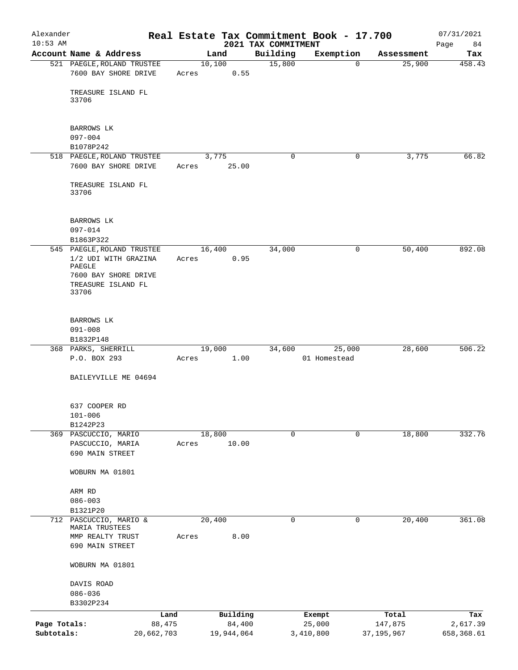| Alexander    |                                          |            |                 |            |                                 | Real Estate Tax Commitment Book - 17.700 |              | 07/31/2021        |
|--------------|------------------------------------------|------------|-----------------|------------|---------------------------------|------------------------------------------|--------------|-------------------|
| $10:53$ AM   | Account Name & Address                   |            | Land            |            | 2021 TAX COMMITMENT<br>Building | Exemption                                | Assessment   | Page<br>84<br>Tax |
|              | 521 PAEGLE, ROLAND TRUSTEE               |            | 10,100          |            | 15,800                          | $\mathbf 0$                              | 25,900       | 458.43            |
|              | 7600 BAY SHORE DRIVE                     |            | Acres           | 0.55       |                                 |                                          |              |                   |
|              | TREASURE ISLAND FL<br>33706              |            |                 |            |                                 |                                          |              |                   |
|              | BARROWS LK                               |            |                 |            |                                 |                                          |              |                   |
|              | $097 - 004$                              |            |                 |            |                                 |                                          |              |                   |
|              | B1078P242                                |            |                 |            |                                 |                                          |              |                   |
|              | 518 PAEGLE, ROLAND TRUSTEE               |            | 3,775           |            | $\mathbf 0$                     | $\mathbf 0$                              | 3,775        | 66.82             |
|              | 7600 BAY SHORE DRIVE                     |            | Acres           | 25.00      |                                 |                                          |              |                   |
|              | TREASURE ISLAND FL<br>33706              |            |                 |            |                                 |                                          |              |                   |
|              | BARROWS LK                               |            |                 |            |                                 |                                          |              |                   |
|              | $097 - 014$                              |            |                 |            |                                 |                                          |              |                   |
|              | B1863P322                                |            |                 |            |                                 |                                          |              |                   |
|              | 545 PAEGLE, ROLAND TRUSTEE               |            | 16,400          |            | 34,000                          | 0                                        | 50,400       | 892.08            |
|              | 1/2 UDI WITH GRAZINA<br>PAEGLE           |            | Acres           | 0.95       |                                 |                                          |              |                   |
|              | 7600 BAY SHORE DRIVE                     |            |                 |            |                                 |                                          |              |                   |
|              | TREASURE ISLAND FL<br>33706              |            |                 |            |                                 |                                          |              |                   |
|              |                                          |            |                 |            |                                 |                                          |              |                   |
|              | BARROWS LK<br>$091 - 008$                |            |                 |            |                                 |                                          |              |                   |
|              | B1832P148                                |            |                 |            |                                 |                                          |              |                   |
|              | 368 PARKS, SHERRILL                      |            | 19,000          |            | 34,600                          | 25,000                                   | 28,600       | 506.22            |
|              | P.O. BOX 293                             |            | Acres           | 1.00       |                                 | 01 Homestead                             |              |                   |
|              | BAILEYVILLE ME 04694                     |            |                 |            |                                 |                                          |              |                   |
|              | 637 COOPER RD                            |            |                 |            |                                 |                                          |              |                   |
|              | $101 - 006$                              |            |                 |            |                                 |                                          |              |                   |
|              | B1242P23                                 |            |                 |            |                                 |                                          |              |                   |
|              | 369 PASCUCCIO, MARIO<br>PASCUCCIO, MARIA |            | 18,800<br>Acres | 10.00      | 0                               | 0                                        | 18,800       | 332.76            |
|              | 690 MAIN STREET                          |            |                 |            |                                 |                                          |              |                   |
|              |                                          |            |                 |            |                                 |                                          |              |                   |
|              | WOBURN MA 01801                          |            |                 |            |                                 |                                          |              |                   |
|              | ARM RD                                   |            |                 |            |                                 |                                          |              |                   |
|              | $086 - 003$                              |            |                 |            |                                 |                                          |              |                   |
|              | B1321P20                                 |            |                 |            |                                 |                                          |              |                   |
| 712          | PASCUCCIO, MARIO &<br>MARIA TRUSTEES     |            | 20,400          |            | 0                               | 0                                        | 20,400       | 361.08            |
|              | MMP REALTY TRUST                         |            | Acres           | 8.00       |                                 |                                          |              |                   |
|              | 690 MAIN STREET                          |            |                 |            |                                 |                                          |              |                   |
|              | WOBURN MA 01801                          |            |                 |            |                                 |                                          |              |                   |
|              | DAVIS ROAD                               |            |                 |            |                                 |                                          |              |                   |
|              | $086 - 036$                              |            |                 |            |                                 |                                          |              |                   |
|              | B3302P234                                |            |                 |            |                                 |                                          |              |                   |
|              |                                          | Land       |                 | Building   |                                 | Exempt                                   | Total        | Tax               |
| Page Totals: |                                          | 88,475     |                 | 84,400     |                                 | 25,000                                   | 147,875      | 2,617.39          |
| Subtotals:   |                                          | 20,662,703 |                 | 19,944,064 |                                 | 3,410,800                                | 37, 195, 967 | 658,368.61        |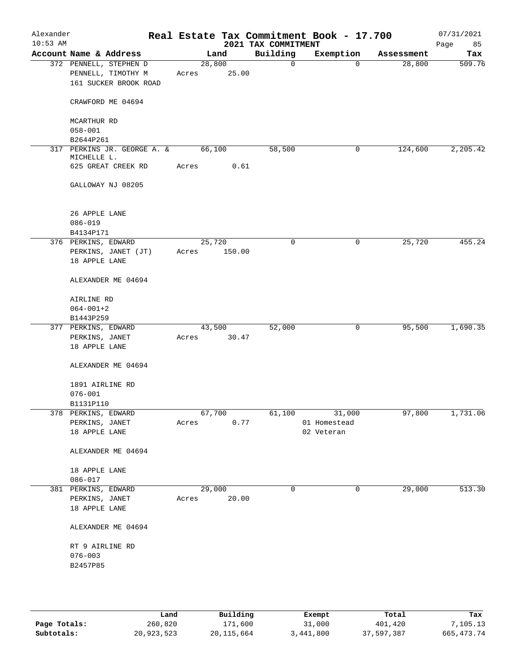| Alexander<br>$10:53$ AM         |                                                                       |                 |        | 2021 TAX COMMITMENT | Real Estate Tax Commitment Book - 17.700 |            | 07/31/2021<br>85<br>Page |
|---------------------------------|-----------------------------------------------------------------------|-----------------|--------|---------------------|------------------------------------------|------------|--------------------------|
|                                 | Account Name & Address                                                | Land            |        | Building            | Exemption                                | Assessment | Tax                      |
|                                 | 372 PENNELL, STEPHEN D<br>PENNELL, TIMOTHY M<br>161 SUCKER BROOK ROAD | 28,800<br>Acres | 25.00  | $\mathbf 0$         | $\Omega$                                 | 28,800     | 509.76                   |
|                                 | CRAWFORD ME 04694                                                     |                 |        |                     |                                          |            |                          |
|                                 | MCARTHUR RD<br>$058 - 001$                                            |                 |        |                     |                                          |            |                          |
|                                 | B2644P261                                                             |                 |        |                     |                                          |            |                          |
|                                 | 317 PERKINS JR. GEORGE A. &<br>MICHELLE L.                            | 66,100          |        | 58,500              | 0                                        | 124,600    | 2,205.42                 |
|                                 | 625 GREAT CREEK RD                                                    | Acres           | 0.61   |                     |                                          |            |                          |
|                                 | GALLOWAY NJ 08205                                                     |                 |        |                     |                                          |            |                          |
|                                 | 26 APPLE LANE<br>$086 - 019$                                          |                 |        |                     |                                          |            |                          |
|                                 | B4134P171                                                             |                 |        |                     |                                          |            |                          |
|                                 | 376 PERKINS, EDWARD<br>PERKINS, JANET (JT)<br>18 APPLE LANE           | 25,720<br>Acres | 150.00 | $\mathbf 0$         | 0                                        | 25,720     | 455.24                   |
|                                 | ALEXANDER ME 04694                                                    |                 |        |                     |                                          |            |                          |
|                                 | AIRLINE RD<br>$064 - 001 + 2$                                         |                 |        |                     |                                          |            |                          |
|                                 | B1443P259                                                             |                 |        |                     |                                          |            |                          |
|                                 | 377 PERKINS, EDWARD<br>PERKINS, JANET<br>18 APPLE LANE                | 43,500<br>Acres | 30.47  | 52,000              | 0                                        | 95,500     | 1,690.35                 |
|                                 | ALEXANDER ME 04694                                                    |                 |        |                     |                                          |            |                          |
|                                 | 1891 AIRLINE RD<br>$076 - 001$                                        |                 |        |                     |                                          |            |                          |
|                                 | B1131P110                                                             |                 |        |                     |                                          |            |                          |
|                                 | 378 PERKINS, EDWARD<br>PERKINS, JANET                                 | 67,700<br>Acres | 0.77   | 61,100              | 31,000<br>01 Homestead                   | 97,800     | 1,731.06                 |
|                                 | 18 APPLE LANE                                                         |                 |        |                     | 02 Veteran                               |            |                          |
|                                 | ALEXANDER ME 04694                                                    |                 |        |                     |                                          |            |                          |
|                                 | 18 APPLE LANE<br>$086 - 017$                                          |                 |        |                     |                                          |            |                          |
|                                 | PERKINS, JANET<br>18 APPLE LANE                                       | 29,000<br>Acres | 20.00  | 0                   | 0                                        | 29,000     | 513.30                   |
|                                 | ALEXANDER ME 04694                                                    |                 |        |                     |                                          |            |                          |
|                                 | RT 9 AIRLINE RD<br>$076 - 003$                                        |                 |        |                     |                                          |            |                          |
| 381 PERKINS, EDWARD<br>B2457P85 |                                                                       |                 |        |                     |                                          |            |                          |

|              | Land       | Building   | Exempt    | Total      | Tax          |
|--------------|------------|------------|-----------|------------|--------------|
| Page Totals: | 260,820    | 171,600    | 31,000    | 401,420    | 7,105.13     |
| Subtotals:   | 20,923,523 | 20,115,664 | 3,441,800 | 37,597,387 | 665, 473. 74 |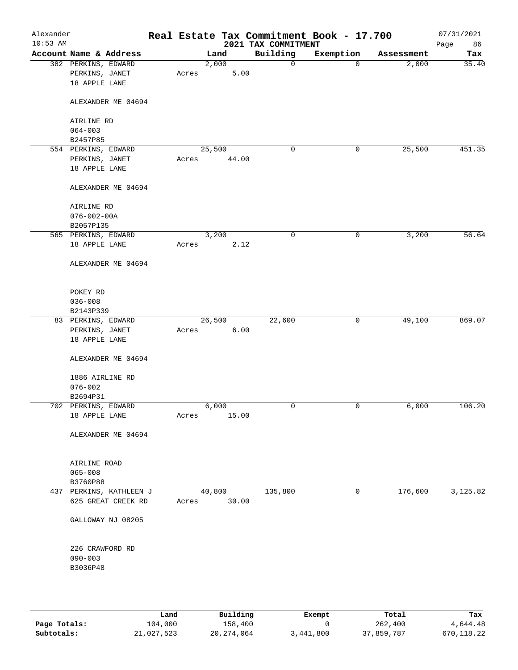| Alexander<br>$10:53$ AM |                                                        |       |        |       | 2021 TAX COMMITMENT | Real Estate Tax Commitment Book - 17.700 |            | 07/31/2021<br>86<br>Page |
|-------------------------|--------------------------------------------------------|-------|--------|-------|---------------------|------------------------------------------|------------|--------------------------|
|                         | Account Name & Address                                 |       | Land   |       | Building            | Exemption                                | Assessment | Tax                      |
|                         | 382 PERKINS, EDWARD<br>PERKINS, JANET<br>18 APPLE LANE | Acres | 2,000  | 5.00  | 0                   | $\mathbf 0$                              | 2,000      | 35.40                    |
|                         | ALEXANDER ME 04694                                     |       |        |       |                     |                                          |            |                          |
|                         | AIRLINE RD                                             |       |        |       |                     |                                          |            |                          |
|                         | $064 - 003$<br>B2457P85                                |       |        |       |                     |                                          |            |                          |
|                         | 554 PERKINS, EDWARD                                    |       | 25,500 |       | 0                   | 0                                        | 25,500     | 451.35                   |
|                         | PERKINS, JANET                                         | Acres |        | 44.00 |                     |                                          |            |                          |
|                         | 18 APPLE LANE                                          |       |        |       |                     |                                          |            |                          |
|                         | ALEXANDER ME 04694                                     |       |        |       |                     |                                          |            |                          |
|                         | AIRLINE RD                                             |       |        |       |                     |                                          |            |                          |
|                         | $076 - 002 - 00A$                                      |       |        |       |                     |                                          |            |                          |
|                         | B2057P135                                              |       |        |       |                     |                                          |            |                          |
|                         | 565 PERKINS, EDWARD                                    |       | 3,200  |       | 0                   | 0                                        | 3,200      | 56.64                    |
|                         | 18 APPLE LANE                                          | Acres |        | 2.12  |                     |                                          |            |                          |
|                         | ALEXANDER ME 04694                                     |       |        |       |                     |                                          |            |                          |
|                         | POKEY RD                                               |       |        |       |                     |                                          |            |                          |
|                         | $036 - 008$                                            |       |        |       |                     |                                          |            |                          |
|                         | B2143P339                                              |       |        |       |                     |                                          |            |                          |
|                         | 83 PERKINS, EDWARD                                     |       | 26,500 |       | 22,600              | 0                                        | 49,100     | 869.07                   |
|                         | PERKINS, JANET                                         | Acres |        | 6.00  |                     |                                          |            |                          |
|                         | 18 APPLE LANE                                          |       |        |       |                     |                                          |            |                          |
|                         | ALEXANDER ME 04694                                     |       |        |       |                     |                                          |            |                          |
|                         | 1886 AIRLINE RD                                        |       |        |       |                     |                                          |            |                          |
|                         | $076 - 002$                                            |       |        |       |                     |                                          |            |                          |
|                         | B2694P31                                               |       |        |       |                     |                                          |            |                          |
|                         | 702 PERKINS, EDWARD                                    |       | 6,000  |       | $\mathbf 0$         | $\mathsf{O}$                             | 6,000      | 106.20                   |
|                         | 18 APPLE LANE                                          | Acres |        | 15.00 |                     |                                          |            |                          |
|                         | ALEXANDER ME 04694                                     |       |        |       |                     |                                          |            |                          |
|                         | AIRLINE ROAD                                           |       |        |       |                     |                                          |            |                          |
|                         | $065 - 008$                                            |       |        |       |                     |                                          |            |                          |
|                         | B3760P88                                               |       |        |       |                     |                                          |            |                          |
|                         | 437 PERKINS, KATHLEEN J                                |       | 40,800 |       | 135,800             | 0                                        | 176,600    | 3,125.82                 |
|                         | 625 GREAT CREEK RD                                     | Acres |        | 30.00 |                     |                                          |            |                          |
|                         | GALLOWAY NJ 08205                                      |       |        |       |                     |                                          |            |                          |
|                         | 226 CRAWFORD RD                                        |       |        |       |                     |                                          |            |                          |
|                         | $090 - 003$                                            |       |        |       |                     |                                          |            |                          |
|                         | B3036P48                                               |       |        |       |                     |                                          |            |                          |
|                         |                                                        |       |        |       |                     |                                          |            |                          |
|                         |                                                        |       |        |       |                     |                                          |            |                          |

|              | Land       | Building   | Exempt    | Total      | Tax        |
|--------------|------------|------------|-----------|------------|------------|
| Page Totals: | 104,000    | 158,400    |           | 262,400    | 4,644.48   |
| Subtotals:   | 21,027,523 | 20,274,064 | 3,441,800 | 37,859,787 | 670,118.22 |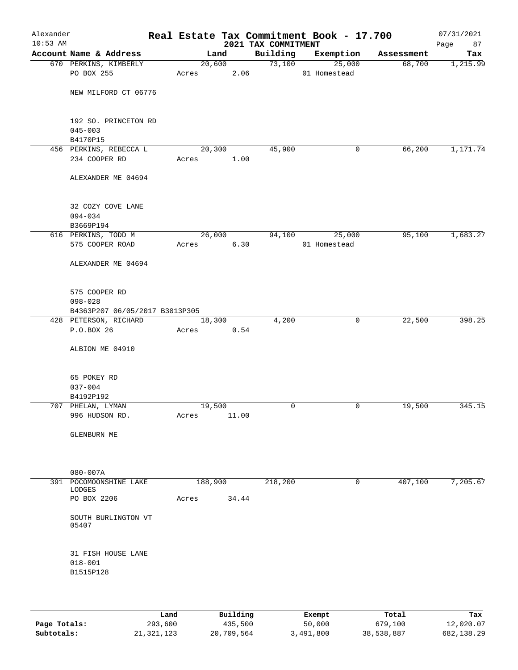| Alexander<br>$10:53$ AM |                                                 |       |         |                | 2021 TAX COMMITMENT | Real Estate Tax Commitment Book - 17.700 |            | 07/31/2021<br>Page<br>87 |
|-------------------------|-------------------------------------------------|-------|---------|----------------|---------------------|------------------------------------------|------------|--------------------------|
|                         | Account Name & Address                          |       | Land    |                | Building            | Exemption                                | Assessment | Tax                      |
|                         | 670 PERKINS, KIMBERLY<br>PO BOX 255             | Acres |         | 20,600<br>2.06 | 73,100              | 25,000<br>01 Homestead                   | 68,700     | 1,215.99                 |
|                         | NEW MILFORD CT 06776                            |       |         |                |                     |                                          |            |                          |
|                         | 192 SO. PRINCETON RD<br>$045 - 003$<br>B4170P15 |       |         |                |                     |                                          |            |                          |
|                         | 456 PERKINS, REBECCA L                          |       | 20,300  |                | 45,900              | 0                                        | 66,200     | 1,171.74                 |
|                         | 234 COOPER RD                                   | Acres |         | 1.00           |                     |                                          |            |                          |
|                         | ALEXANDER ME 04694                              |       |         |                |                     |                                          |            |                          |
|                         | 32 COZY COVE LANE<br>$094 - 034$<br>B3669P194   |       |         |                |                     |                                          |            |                          |
|                         | 616 PERKINS, TODD M                             |       | 26,000  |                | 94,100              | 25,000                                   | 95,100     | 1,683.27                 |
|                         | 575 COOPER ROAD                                 | Acres |         | 6.30           |                     | 01 Homestead                             |            |                          |
|                         | ALEXANDER ME 04694                              |       |         |                |                     |                                          |            |                          |
|                         | 575 COOPER RD<br>$098 - 028$                    |       |         |                |                     |                                          |            |                          |
|                         | B4363P207 06/05/2017 B3013P305                  |       |         |                |                     |                                          |            |                          |
|                         | 428 PETERSON, RICHARD<br>P.O.BOX 26             |       | 18,300  | 0.54           | 4,200               | 0                                        | 22,500     | 398.25                   |
|                         |                                                 | Acres |         |                |                     |                                          |            |                          |
|                         | ALBION ME 04910                                 |       |         |                |                     |                                          |            |                          |
|                         | 65 POKEY RD                                     |       |         |                |                     |                                          |            |                          |
|                         | $037 - 004$<br>B4192P192                        |       |         |                |                     |                                          |            |                          |
|                         | 707 PHELAN, LYMAN                               |       | 19,500  |                | $\mathbf 0$         | 0                                        | 19,500     | 345.15                   |
|                         | 996 HUDSON RD.                                  | Acres |         | 11.00          |                     |                                          |            |                          |
|                         | GLENBURN ME                                     |       |         |                |                     |                                          |            |                          |
|                         |                                                 |       |         |                |                     |                                          |            |                          |
|                         | $080 - 007A$                                    |       |         |                |                     |                                          |            |                          |
|                         | 391 POCOMOONSHINE LAKE<br>LODGES                |       | 188,900 |                | 218,200             | 0                                        | 407,100    | 7,205.67                 |
|                         | PO BOX 2206                                     | Acres |         | 34.44          |                     |                                          |            |                          |
|                         | SOUTH BURLINGTON VT<br>05407                    |       |         |                |                     |                                          |            |                          |
|                         | 31 FISH HOUSE LANE<br>$018 - 001$               |       |         |                |                     |                                          |            |                          |
|                         | B1515P128                                       |       |         |                |                     |                                          |            |                          |
|                         |                                                 |       |         |                |                     |                                          |            |                          |

|              | Land       | Building   | Exempt    | Total      | Tax        |
|--------------|------------|------------|-----------|------------|------------|
| Page Totals: | 293,600    | 435,500    | 50,000    | 679,100    | 12,020.07  |
| Subtotals:   | 21,321,123 | 20,709,564 | 3,491,800 | 38,538,887 | 682,138.29 |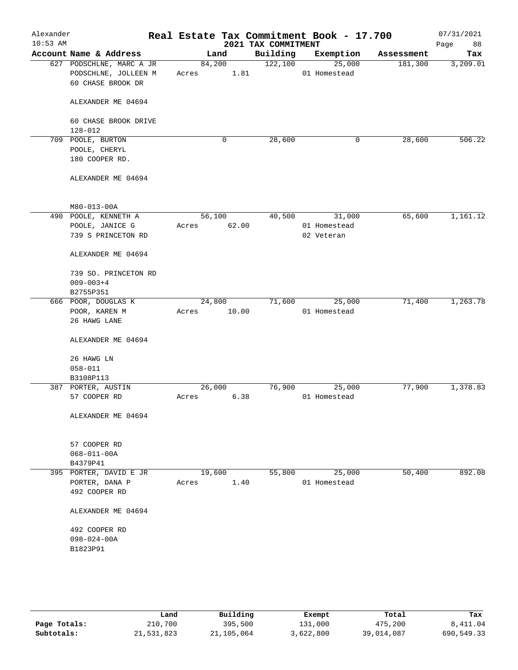| Alexander<br>$10:53$ AM |                                                                       | Real Estate Tax Commitment Book - 17.700 | 2021 TAX COMMITMENT |                        |            | 07/31/2021<br>Page<br>88 |
|-------------------------|-----------------------------------------------------------------------|------------------------------------------|---------------------|------------------------|------------|--------------------------|
|                         | Account Name & Address                                                | Land                                     | Building            | Exemption              | Assessment | Tax                      |
|                         | 627 PODSCHLNE, MARC A JR<br>PODSCHLNE, JOLLEEN M<br>60 CHASE BROOK DR | 84,200<br>1.81<br>Acres                  | 122,100             | 25,000<br>01 Homestead | 181,300    | 3,209.01                 |
|                         | ALEXANDER ME 04694                                                    |                                          |                     |                        |            |                          |
|                         | 60 CHASE BROOK DRIVE<br>128-012                                       |                                          |                     |                        |            |                          |
|                         | 709 POOLE, BURTON                                                     | 0                                        | 28,600              | 0                      | 28,600     | 506.22                   |
|                         | POOLE, CHERYL                                                         |                                          |                     |                        |            |                          |
|                         | 180 COOPER RD.                                                        |                                          |                     |                        |            |                          |
|                         | ALEXANDER ME 04694                                                    |                                          |                     |                        |            |                          |
|                         | M80-013-00A                                                           |                                          |                     |                        |            |                          |
|                         | 490 POOLE, KENNETH A                                                  | 56,100                                   | 40,500              | 31,000                 | 65,600     | 1,161.12                 |
|                         | POOLE, JANICE G                                                       | 62.00<br>Acres                           |                     | 01 Homestead           |            |                          |
|                         | 739 S PRINCETON RD                                                    |                                          |                     | 02 Veteran             |            |                          |
|                         | ALEXANDER ME 04694                                                    |                                          |                     |                        |            |                          |
|                         | 739 SO. PRINCETON RD                                                  |                                          |                     |                        |            |                          |
|                         | $009 - 003 + 4$                                                       |                                          |                     |                        |            |                          |
|                         | B2755P351                                                             |                                          |                     |                        |            |                          |
|                         | 666 POOR, DOUGLAS K                                                   | 24,800                                   | 71,600              | 25,000                 | 71,400     | 1,263.78                 |
|                         | POOR, KAREN M<br>26 HAWG LANE                                         | 10.00<br>Acres                           |                     | 01 Homestead           |            |                          |
|                         | ALEXANDER ME 04694                                                    |                                          |                     |                        |            |                          |
|                         | 26 HAWG LN                                                            |                                          |                     |                        |            |                          |
|                         | $058 - 011$                                                           |                                          |                     |                        |            |                          |
|                         | B3108P113                                                             |                                          |                     |                        |            |                          |
|                         | 387 PORTER, AUSTIN                                                    | 26,000                                   | 76,900              | 25,000                 | 77,900     | 1,378.83                 |
|                         | 57 COOPER RD                                                          | 6.38<br>Acres                            |                     | 01 Homestead           |            |                          |
|                         | ALEXANDER ME 04694                                                    |                                          |                     |                        |            |                          |
|                         | 57 COOPER RD                                                          |                                          |                     |                        |            |                          |
|                         | $068 - 011 - 00A$                                                     |                                          |                     |                        |            |                          |
|                         | B4379P41                                                              |                                          |                     |                        |            |                          |
|                         | 395 PORTER, DAVID E JR                                                | 19,600                                   | 55,800              | 25,000                 | 50,400     | 892.08                   |
|                         | PORTER, DANA P                                                        | 1.40<br>Acres                            |                     | 01 Homestead           |            |                          |
|                         | 492 COOPER RD                                                         |                                          |                     |                        |            |                          |
|                         | ALEXANDER ME 04694                                                    |                                          |                     |                        |            |                          |
|                         | 492 COOPER RD                                                         |                                          |                     |                        |            |                          |
|                         | $098 - 024 - 00A$                                                     |                                          |                     |                        |            |                          |
|                         | B1823P91                                                              |                                          |                     |                        |            |                          |
|                         |                                                                       |                                          |                     |                        |            |                          |
|                         |                                                                       |                                          |                     |                        |            |                          |

|              | Land       | Building   | Exempt    | Total      | Tax        |
|--------------|------------|------------|-----------|------------|------------|
| Page Totals: | 210,700    | 395,500    | 131,000   | 475,200    | 8,411.04   |
| Subtotals:   | 21,531,823 | 21,105,064 | 3,622,800 | 39,014,087 | 690,549.33 |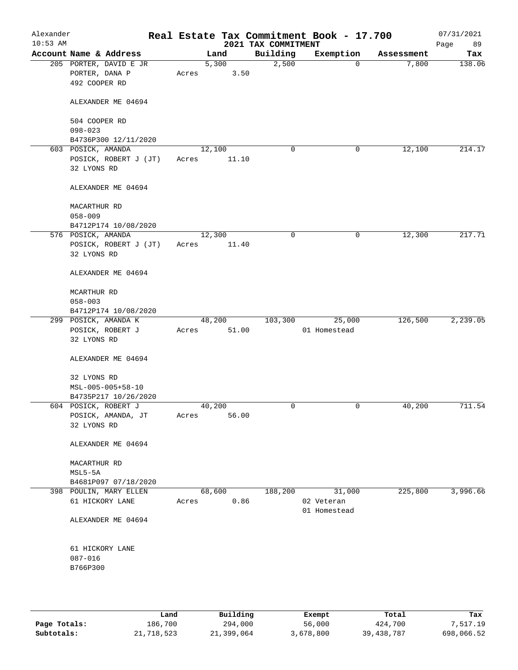| Alexander<br>$10:53$ AM |                                                           |        |               | 2021 TAX COMMITMENT | Real Estate Tax Commitment Book - 17.700 |            | 07/31/2021<br>89<br>Page |
|-------------------------|-----------------------------------------------------------|--------|---------------|---------------------|------------------------------------------|------------|--------------------------|
|                         | Account Name & Address                                    |        | Land          | Building            | Exemption                                | Assessment | Tax                      |
|                         | 205 PORTER, DAVID E JR<br>PORTER, DANA P<br>492 COOPER RD | Acres  | 5,300<br>3.50 | 2,500               | 0                                        | 7,800      | 138.06                   |
|                         | ALEXANDER ME 04694                                        |        |               |                     |                                          |            |                          |
|                         | 504 COOPER RD<br>$098 - 023$                              |        |               |                     |                                          |            |                          |
|                         | B4736P300 12/11/2020                                      |        |               |                     |                                          |            |                          |
|                         | 603 POSICK, AMANDA                                        |        | 12,100        | 0                   | 0                                        | 12,100     | 214.17                   |
|                         | POSICK, ROBERT J (JT)                                     | Acres  | 11.10         |                     |                                          |            |                          |
|                         | 32 LYONS RD                                               |        |               |                     |                                          |            |                          |
|                         | ALEXANDER ME 04694                                        |        |               |                     |                                          |            |                          |
|                         | MACARTHUR RD                                              |        |               |                     |                                          |            |                          |
|                         | $058 - 009$                                               |        |               |                     |                                          |            |                          |
|                         | B4712P174 10/08/2020                                      |        |               |                     |                                          |            |                          |
|                         | 576 POSICK, AMANDA                                        | 12,300 |               | 0                   | 0                                        | 12,300     | 217.71                   |
|                         | POSICK, ROBERT J (JT)                                     | Acres  | 11.40         |                     |                                          |            |                          |
|                         | 32 LYONS RD                                               |        |               |                     |                                          |            |                          |
|                         | ALEXANDER ME 04694                                        |        |               |                     |                                          |            |                          |
|                         | MCARTHUR RD                                               |        |               |                     |                                          |            |                          |
|                         | $058 - 003$                                               |        |               |                     |                                          |            |                          |
|                         | B4712P174 10/08/2020                                      |        |               |                     |                                          |            |                          |
|                         | 299 POSICK, AMANDA K                                      |        | 48,200        | 103,300             | 25,000                                   | 126,500    | 2,239.05                 |
|                         | POSICK, ROBERT J<br>32 LYONS RD                           | Acres  | 51.00         |                     | 01 Homestead                             |            |                          |
|                         | ALEXANDER ME 04694                                        |        |               |                     |                                          |            |                          |
|                         | 32 LYONS RD                                               |        |               |                     |                                          |            |                          |
|                         | MSL-005-005+58-10                                         |        |               |                     |                                          |            |                          |
|                         | B4735P217 10/26/2020                                      |        |               |                     |                                          |            |                          |
|                         | 604 POSICK, ROBERT J                                      |        | 40,200        | 0                   | 0                                        | 40,200     | 711.54                   |
|                         | POSICK, AMANDA, JT                                        | Acres  | 56.00         |                     |                                          |            |                          |
|                         | 32 LYONS RD                                               |        |               |                     |                                          |            |                          |
|                         | ALEXANDER ME 04694                                        |        |               |                     |                                          |            |                          |
|                         | MACARTHUR RD                                              |        |               |                     |                                          |            |                          |
|                         | MSL5-5A                                                   |        |               |                     |                                          |            |                          |
|                         | B4681P097 07/18/2020                                      |        |               |                     |                                          |            |                          |
|                         | 398 POULIN, MARY ELLEN                                    |        | 68,600        | 188,200             | 31,000                                   | 225,800    | 3,996.66                 |
|                         | 61 HICKORY LANE                                           | Acres  | 0.86          |                     | 02 Veteran                               |            |                          |
|                         |                                                           |        |               |                     | 01 Homestead                             |            |                          |
|                         | ALEXANDER ME 04694                                        |        |               |                     |                                          |            |                          |
|                         | 61 HICKORY LANE                                           |        |               |                     |                                          |            |                          |
|                         | $087 - 016$                                               |        |               |                     |                                          |            |                          |
|                         | B766P300                                                  |        |               |                     |                                          |            |                          |
|                         |                                                           |        |               |                     |                                          |            |                          |
|                         |                                                           |        |               |                     |                                          |            |                          |
|                         |                                                           |        |               |                     |                                          |            |                          |

|              | Land       | Building   | Exempt    | Total      | Tax        |
|--------------|------------|------------|-----------|------------|------------|
| Page Totals: | 186,700    | 294,000    | 56,000    | 424,700    | 7,517.19   |
| Subtotals:   | 21,718,523 | 21,399,064 | 3,678,800 | 39,438,787 | 698,066.52 |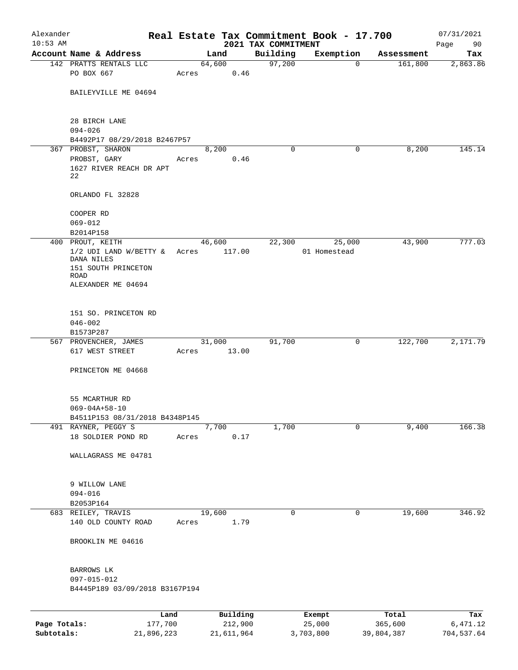| Alexander    |                                                                                             |       |                |                                 | Real Estate Tax Commitment Book - 17.700 |            | 07/31/2021        |
|--------------|---------------------------------------------------------------------------------------------|-------|----------------|---------------------------------|------------------------------------------|------------|-------------------|
| $10:53$ AM   | Account Name & Address                                                                      |       | Land           | 2021 TAX COMMITMENT<br>Building | Exemption                                | Assessment | Page<br>90<br>Tax |
|              | 142 PRATTS RENTALS LLC                                                                      |       | 64,600         | 97,200                          | $\mathbf{0}$                             | 161,800    | 2,863.86          |
|              | PO BOX 667                                                                                  | Acres | 0.46           |                                 |                                          |            |                   |
|              | BAILEYVILLE ME 04694                                                                        |       |                |                                 |                                          |            |                   |
|              | 28 BIRCH LANE<br>$094 - 026$                                                                |       |                |                                 |                                          |            |                   |
|              | B4492P17 08/29/2018 B2467P57                                                                |       |                |                                 |                                          |            |                   |
|              | 367 PROBST, SHARON<br>PROBST, GARY<br>1627 RIVER REACH DR APT<br>22                         | Acres | 8,200<br>0.46  | $\Omega$                        | 0                                        | 8,200      | 145.14            |
|              | ORLANDO FL 32828                                                                            |       |                |                                 |                                          |            |                   |
|              | COOPER RD<br>069-012<br>B2014P158                                                           |       |                |                                 |                                          |            |                   |
|              | 400 PROUT, KEITH                                                                            |       | 46,600         | 22,300                          | 25,000                                   | 43,900     | 777.03            |
|              | $1/2$ UDI LAND W/BETTY &<br>DANA NILES<br>151 SOUTH PRINCETON<br>ROAD<br>ALEXANDER ME 04694 | Acres | 117.00         |                                 | 01 Homestead                             |            |                   |
|              | 151 SO. PRINCETON RD<br>$046 - 002$<br>B1573P287                                            |       |                |                                 |                                          |            |                   |
|              | 567 PROVENCHER, JAMES                                                                       |       | 31,000         | 91,700                          | 0                                        | 122,700    | 2,171.79          |
|              | 617 WEST STREET<br>PRINCETON ME 04668                                                       | Acres | 13.00          |                                 |                                          |            |                   |
|              | 55 MCARTHUR RD<br>$069 - 04A + 58 - 10$                                                     |       |                |                                 |                                          |            |                   |
|              | B4511P153 08/31/2018 B4348P145<br>491 RAYNER, PEGGY S                                       |       | 7,700          | 1,700                           | 0                                        | 9,400      | 166.38            |
|              | 18 SOLDIER POND RD                                                                          | Acres | 0.17           |                                 |                                          |            |                   |
|              | WALLAGRASS ME 04781                                                                         |       |                |                                 |                                          |            |                   |
|              | 9 WILLOW LANE<br>$094 - 016$<br>B2053P164                                                   |       |                |                                 |                                          |            |                   |
|              | 683 REILEY, TRAVIS<br>140 OLD COUNTY ROAD                                                   | Acres | 19,600<br>1.79 | $\mathbf 0$                     | 0                                        | 19,600     | 346.92            |
|              | BROOKLIN ME 04616                                                                           |       |                |                                 |                                          |            |                   |
|              | BARROWS LK<br>097-015-012<br>B4445P189 03/09/2018 B3167P194                                 |       |                |                                 |                                          |            |                   |
|              | Land                                                                                        |       | Building       |                                 | Exempt                                   | Total      | Tax               |
| Page Totals: | 177,700                                                                                     |       | 212,900        |                                 | 25,000                                   | 365,600    | 6,471.12          |
| Subtotals:   | 21,896,223                                                                                  |       | 21,611,964     |                                 | 3,703,800                                | 39,804,387 | 704,537.64        |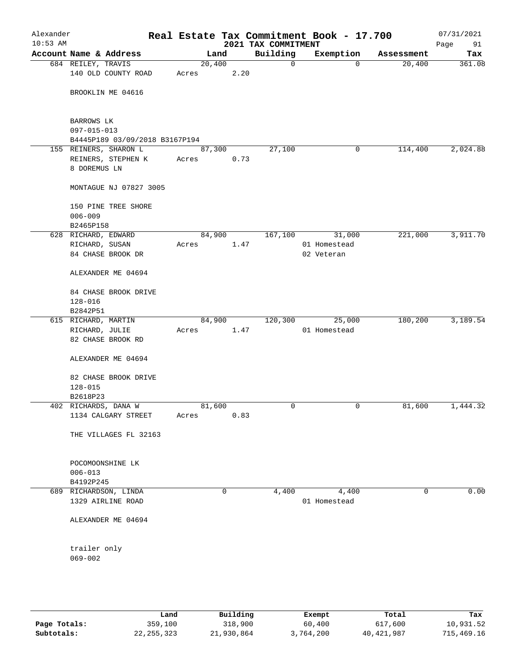| Alexander<br>$10:53$ AM |                             |                                             |       |        |      | Real Estate Tax Commitment Book - 17.700<br>2021 TAX COMMITMENT |                            |             |            | 07/31/2021<br>Page<br>91 |
|-------------------------|-----------------------------|---------------------------------------------|-------|--------|------|-----------------------------------------------------------------|----------------------------|-------------|------------|--------------------------|
| Account Name & Address  |                             |                                             |       | Land   |      | Building                                                        |                            | Exemption   | Assessment | Tax                      |
|                         | 684 REILEY, TRAVIS          | 140 OLD COUNTY ROAD                         | Acres | 20,400 | 2.20 | 0                                                               |                            | $\mathbf 0$ | 20,400     | 361.08                   |
|                         |                             | BROOKLIN ME 04616                           |       |        |      |                                                                 |                            |             |            |                          |
|                         | BARROWS LK<br>097-015-013   |                                             |       |        |      |                                                                 |                            |             |            |                          |
|                         |                             | B4445P189 03/09/2018 B3167P194              |       |        |      |                                                                 |                            |             |            |                          |
|                         |                             | 155 REINERS, SHARON L                       |       | 87,300 |      | 27,100                                                          |                            | 0           | 114,400    | 2,024.88                 |
|                         | 8 DOREMUS LN                | REINERS, STEPHEN K                          | Acres |        | 0.73 |                                                                 |                            |             |            |                          |
|                         |                             | MONTAGUE NJ 07827 3005                      |       |        |      |                                                                 |                            |             |            |                          |
|                         | $006 - 009$                 | 150 PINE TREE SHORE                         |       |        |      |                                                                 |                            |             |            |                          |
|                         | B2465P158                   |                                             |       |        |      |                                                                 |                            |             |            |                          |
|                         |                             | 628 RICHARD, EDWARD                         |       | 84,900 |      | 167,100                                                         |                            | 31,000      | 221,000    | 3,911.70                 |
|                         | RICHARD, SUSAN              | 84 CHASE BROOK DR                           | Acres |        | 1.47 |                                                                 | 01 Homestead<br>02 Veteran |             |            |                          |
|                         |                             | ALEXANDER ME 04694                          |       |        |      |                                                                 |                            |             |            |                          |
|                         | $128 - 016$                 | 84 CHASE BROOK DRIVE                        |       |        |      |                                                                 |                            |             |            |                          |
|                         | B2842P51                    |                                             |       |        |      |                                                                 |                            |             |            |                          |
|                         |                             | 615 RICHARD, MARTIN                         |       | 84,900 |      | 120,300                                                         |                            | 25,000      | 180,200    | 3,189.54                 |
|                         | RICHARD, JULIE              | 82 CHASE BROOK RD                           | Acres |        | 1.47 |                                                                 | 01 Homestead               |             |            |                          |
|                         |                             | ALEXANDER ME 04694                          |       |        |      |                                                                 |                            |             |            |                          |
|                         | $128 - 015$                 | 82 CHASE BROOK DRIVE                        |       |        |      |                                                                 |                            |             |            |                          |
|                         | B2618P23                    |                                             |       |        |      |                                                                 |                            |             |            |                          |
|                         |                             | 402 RICHARDS, DANA W<br>1134 CALGARY STREET | Acres | 81,600 | 0.83 | 0                                                               |                            | 0           | 81,600     | 1,444.32                 |
|                         |                             | THE VILLAGES FL 32163                       |       |        |      |                                                                 |                            |             |            |                          |
|                         | $006 - 013$                 | POCOMOONSHINE LK                            |       |        |      |                                                                 |                            |             |            |                          |
|                         | B4192P245                   |                                             |       |        |      |                                                                 |                            |             |            |                          |
|                         |                             | 689 RICHARDSON, LINDA                       |       |        | 0    | 4,400                                                           |                            | 4,400       | 0          | 0.00                     |
|                         |                             | 1329 AIRLINE ROAD                           |       |        |      |                                                                 | 01 Homestead               |             |            |                          |
|                         |                             | ALEXANDER ME 04694                          |       |        |      |                                                                 |                            |             |            |                          |
|                         | trailer only<br>$069 - 002$ |                                             |       |        |      |                                                                 |                            |             |            |                          |
|                         |                             |                                             |       |        |      |                                                                 |                            |             |            |                          |

|              | Land         | Building   | Exempt    | Total      | Tax        |
|--------------|--------------|------------|-----------|------------|------------|
| Page Totals: | 359,100      | 318,900    | 60,400    | 617,600    | 10,931.52  |
| Subtotals:   | 22, 255, 323 | 21,930,864 | 3,764,200 | 40,421,987 | 715,469.16 |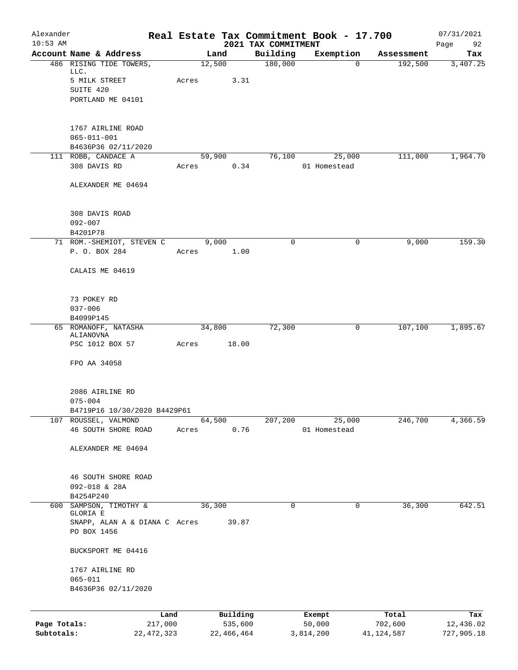| Alexander    |                                   |              |       |              |                                 | Real Estate Tax Commitment Book - 17.700 |                       | 07/31/2021      |
|--------------|-----------------------------------|--------------|-------|--------------|---------------------------------|------------------------------------------|-----------------------|-----------------|
| $10:53$ AM   | Account Name & Address            |              |       | Land         | 2021 TAX COMMITMENT<br>Building | Exemption                                |                       | 92<br>Page      |
|              | 486 RISING TIDE TOWERS,           |              |       | 12,500       | 180,000                         | 0                                        | Assessment<br>192,500 | Tax<br>3,407.25 |
|              | LLC.                              |              |       |              |                                 |                                          |                       |                 |
|              | 5 MILK STREET                     |              | Acres | 3.31         |                                 |                                          |                       |                 |
|              | SUITE 420                         |              |       |              |                                 |                                          |                       |                 |
|              | PORTLAND ME 04101                 |              |       |              |                                 |                                          |                       |                 |
|              | 1767 AIRLINE ROAD                 |              |       |              |                                 |                                          |                       |                 |
|              | $065 - 011 - 001$                 |              |       |              |                                 |                                          |                       |                 |
|              | B4636P36 02/11/2020               |              |       |              |                                 |                                          |                       |                 |
|              | 111 ROBB, CANDACE A               |              |       | 59,900       | 76,100                          | 25,000                                   | 111,000               | 1,964.70        |
|              | 308 DAVIS RD                      |              | Acres | 0.34         |                                 | 01 Homestead                             |                       |                 |
|              | ALEXANDER ME 04694                |              |       |              |                                 |                                          |                       |                 |
|              | 308 DAVIS ROAD                    |              |       |              |                                 |                                          |                       |                 |
|              | $092 - 007$                       |              |       |              |                                 |                                          |                       |                 |
|              | B4201P78                          |              |       |              |                                 |                                          |                       |                 |
|              | 71 ROM.-SHEMIOT, STEVEN C         |              |       | 9,000        | 0                               | 0                                        | 9,000                 | 159.30          |
|              | P. O. BOX 284                     |              | Acres | 1.00         |                                 |                                          |                       |                 |
|              | CALAIS ME 04619                   |              |       |              |                                 |                                          |                       |                 |
|              | 73 POKEY RD                       |              |       |              |                                 |                                          |                       |                 |
|              | $037 - 006$                       |              |       |              |                                 |                                          |                       |                 |
|              | B4099P145                         |              |       |              |                                 |                                          |                       |                 |
|              | 65 ROMANOFF, NATASHA<br>ALIANOVNA |              |       | 34,800       | 72,300                          | 0                                        | 107,100               | 1,895.67        |
|              | PSC 1012 BOX 57                   |              | Acres | 18.00        |                                 |                                          |                       |                 |
|              | FPO AA 34058                      |              |       |              |                                 |                                          |                       |                 |
|              |                                   |              |       |              |                                 |                                          |                       |                 |
|              | 2086 AIRLINE RD<br>$075 - 004$    |              |       |              |                                 |                                          |                       |                 |
|              | B4719P16 10/30/2020 B4429P61      |              |       |              |                                 |                                          |                       |                 |
| 107          | ROUSSEL, VALMOND                  |              |       | 64,500       | 207,200                         | 25,000                                   | 246,700               | 4,366.59        |
|              | 46 SOUTH SHORE ROAD               |              | Acres | 0.76         |                                 | 01 Homestead                             |                       |                 |
|              | ALEXANDER ME 04694                |              |       |              |                                 |                                          |                       |                 |
|              |                                   |              |       |              |                                 |                                          |                       |                 |
|              | 46 SOUTH SHORE ROAD               |              |       |              |                                 |                                          |                       |                 |
|              | 092-018 & 28A                     |              |       |              |                                 |                                          |                       |                 |
|              | B4254P240                         |              |       |              |                                 |                                          |                       |                 |
| 600          | SAMPSON, TIMOTHY &<br>GLORIA E    |              |       | 36,300       | 0                               | $\mathsf{O}$                             | 36,300                | 642.51          |
|              | SNAPP, ALAN A & DIANA C Acres     |              |       | 39.87        |                                 |                                          |                       |                 |
|              | PO BOX 1456                       |              |       |              |                                 |                                          |                       |                 |
|              | BUCKSPORT ME 04416                |              |       |              |                                 |                                          |                       |                 |
|              | 1767 AIRLINE RD                   |              |       |              |                                 |                                          |                       |                 |
|              | $065 - 011$                       |              |       |              |                                 |                                          |                       |                 |
|              | B4636P36 02/11/2020               |              |       |              |                                 |                                          |                       |                 |
|              |                                   | Land         |       | Building     |                                 | Exempt                                   | Total                 | Tax             |
| Page Totals: |                                   | 217,000      |       | 535,600      |                                 | 50,000                                   | 702,600               | 12,436.02       |
| Subtotals:   |                                   | 22, 472, 323 |       | 22, 466, 464 |                                 | 3,814,200                                | 41,124,587            | 727,905.18      |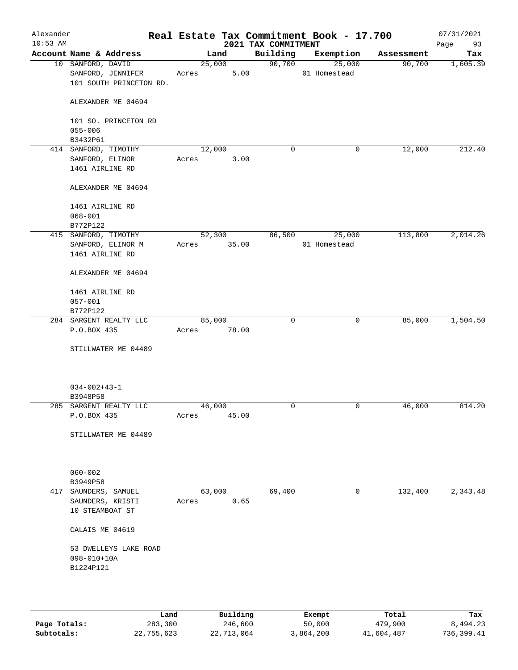| Alexander<br>$10:53$ AM |                                                                   |                 |       | 2021 TAX COMMITMENT | Real Estate Tax Commitment Book - 17.700 |            | 07/31/2021<br>Page<br>93 |
|-------------------------|-------------------------------------------------------------------|-----------------|-------|---------------------|------------------------------------------|------------|--------------------------|
|                         | Account Name & Address                                            | Land            |       | Building            | Exemption                                | Assessment | Tax                      |
|                         | 10 SANFORD, DAVID<br>SANFORD, JENNIFER<br>101 SOUTH PRINCETON RD. | 25,000<br>Acres | 5.00  | 90,700              | 25,000<br>01 Homestead                   | 90,700     | 1,605.39                 |
|                         | ALEXANDER ME 04694                                                |                 |       |                     |                                          |            |                          |
|                         | 101 SO. PRINCETON RD<br>$055 - 006$                               |                 |       |                     |                                          |            |                          |
|                         | B3432P61                                                          |                 |       |                     |                                          |            |                          |
|                         | 414 SANFORD, TIMOTHY                                              | 12,000          |       | 0                   | 0                                        | 12,000     | 212.40                   |
|                         | SANFORD, ELINOR<br>1461 AIRLINE RD                                | Acres           | 3.00  |                     |                                          |            |                          |
|                         | ALEXANDER ME 04694                                                |                 |       |                     |                                          |            |                          |
|                         | 1461 AIRLINE RD                                                   |                 |       |                     |                                          |            |                          |
|                         | $068 - 001$                                                       |                 |       |                     |                                          |            |                          |
|                         | B772P122                                                          |                 |       |                     |                                          |            |                          |
|                         | 415 SANFORD, TIMOTHY                                              | 52,300          |       | 86,500              | 25,000                                   | 113,800    | 2,014.26                 |
|                         | SANFORD, ELINOR M                                                 | Acres           | 35.00 |                     | 01 Homestead                             |            |                          |
|                         | 1461 AIRLINE RD                                                   |                 |       |                     |                                          |            |                          |
|                         | ALEXANDER ME 04694                                                |                 |       |                     |                                          |            |                          |
|                         | 1461 AIRLINE RD                                                   |                 |       |                     |                                          |            |                          |
|                         | $057 - 001$                                                       |                 |       |                     |                                          |            |                          |
|                         | B772P122                                                          |                 |       |                     |                                          |            |                          |
|                         | 284 SARGENT REALTY LLC                                            | 85,000          |       | $\mathbf 0$         | 0                                        | 85,000     | 1,504.50                 |
|                         | P.O.BOX 435                                                       | Acres           | 78.00 |                     |                                          |            |                          |
|                         | STILLWATER ME 04489                                               |                 |       |                     |                                          |            |                          |
|                         | $034 - 002 + 43 - 1$<br>B3948P58                                  |                 |       |                     |                                          |            |                          |
|                         | 285 SARGENT REALTY LLC                                            | 46,000          |       | 0                   | 0                                        | 46,000     | 814.20                   |
|                         | P.O.BOX 435                                                       | Acres           | 45.00 |                     |                                          |            |                          |
|                         | STILLWATER ME 04489                                               |                 |       |                     |                                          |            |                          |
|                         | $060 - 002$                                                       |                 |       |                     |                                          |            |                          |
|                         | B3949P58                                                          |                 |       |                     |                                          |            |                          |
|                         | 417 SAUNDERS, SAMUEL                                              | 63,000          |       | 69,400              | 0                                        | 132,400    | 2,343.48                 |
|                         | SAUNDERS, KRISTI<br>10 STEAMBOAT ST                               | Acres           | 0.65  |                     |                                          |            |                          |
|                         | CALAIS ME 04619                                                   |                 |       |                     |                                          |            |                          |
|                         | 53 DWELLEYS LAKE ROAD<br>098-010+10A                              |                 |       |                     |                                          |            |                          |
|                         | B1224P121                                                         |                 |       |                     |                                          |            |                          |
|                         |                                                                   |                 |       |                     |                                          |            |                          |
|                         |                                                                   |                 |       |                     |                                          |            |                          |

|              | Land       | Building   | Exempt    | Total      | Tax        |
|--------------|------------|------------|-----------|------------|------------|
| Page Totals: | 283,300    | 246,600    | 50,000    | 479,900    | 8,494.23   |
| Subtotals:   | 22,755,623 | 22,713,064 | 3,864,200 | 41,604,487 | 736,399.41 |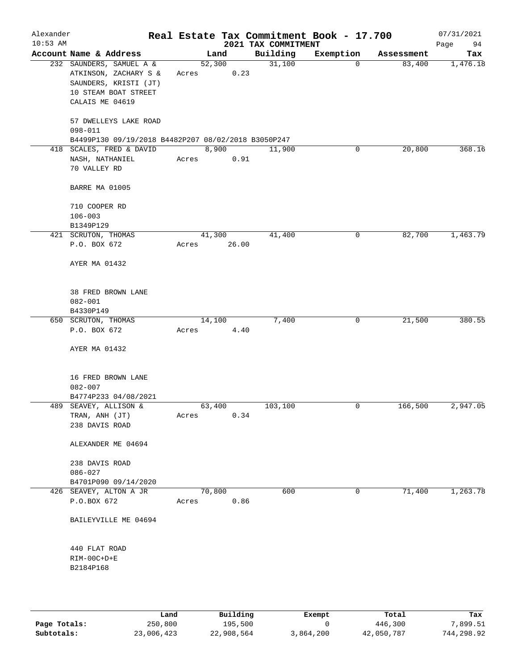| Alexander<br>$10:53$ AM |                                                                                                                       |       |        |       | 2021 TAX COMMITMENT | Real Estate Tax Commitment Book - 17.700 |            | 07/31/2021<br>Page<br>94 |
|-------------------------|-----------------------------------------------------------------------------------------------------------------------|-------|--------|-------|---------------------|------------------------------------------|------------|--------------------------|
|                         | Account Name & Address                                                                                                |       | Land   |       | Building            | Exemption                                | Assessment | Tax                      |
|                         | 232 SAUNDERS, SAMUEL A &<br>ATKINSON, ZACHARY S &<br>SAUNDERS, KRISTI (JT)<br>10 STEAM BOAT STREET<br>CALAIS ME 04619 | Acres | 52,300 | 0.23  | 31,100              | $\mathbf 0$                              | 83,400     | 1,476.18                 |
|                         | 57 DWELLEYS LAKE ROAD<br>$098 - 011$<br>B4499P130 09/19/2018 B4482P207 08/02/2018 B3050P247                           |       |        |       |                     |                                          |            |                          |
|                         | 418 SCALES, FRED & DAVID<br>NASH, NATHANIEL<br>70 VALLEY RD                                                           | Acres | 8,900  | 0.91  | 11,900              | 0                                        | 20,800     | 368.16                   |
|                         | BARRE MA 01005                                                                                                        |       |        |       |                     |                                          |            |                          |
|                         | 710 COOPER RD<br>$106 - 003$<br>B1349P129                                                                             |       |        |       |                     |                                          |            |                          |
|                         | 421 SCRUTON, THOMAS                                                                                                   |       | 41,300 |       | 41,400              | 0                                        | 82,700     | 1,463.79                 |
|                         | P.O. BOX 672<br>AYER MA 01432                                                                                         | Acres |        | 26.00 |                     |                                          |            |                          |
|                         | 38 FRED BROWN LANE<br>$082 - 001$<br>B4330P149                                                                        |       |        |       |                     |                                          |            |                          |
|                         | 650 SCRUTON, THOMAS                                                                                                   |       | 14,100 |       | 7,400               | 0                                        | 21,500     | 380.55                   |
|                         | P.O. BOX 672<br>AYER MA 01432                                                                                         | Acres |        | 4.40  |                     |                                          |            |                          |
|                         | 16 FRED BROWN LANE<br>$082 - 007$<br>B4774P233 04/08/2021                                                             |       |        |       |                     |                                          |            |                          |
|                         | 489 SEAVEY, ALLISON &<br>TRAN, ANH (JT)<br>238 DAVIS ROAD                                                             | Acres | 63,400 | 0.34  | 103,100             | 0                                        | 166,500    | 2,947.05                 |
|                         | ALEXANDER ME 04694                                                                                                    |       |        |       |                     |                                          |            |                          |
|                         | 238 DAVIS ROAD<br>$086 - 027$<br>B4701P090 09/14/2020                                                                 |       |        |       |                     |                                          |            |                          |
|                         | 426 SEAVEY, ALTON A JR<br>P.O.BOX 672                                                                                 | Acres | 70,800 | 0.86  | 600                 | 0                                        | 71,400     | 1,263.78                 |
|                         | BAILEYVILLE ME 04694                                                                                                  |       |        |       |                     |                                          |            |                          |
|                         | 440 FLAT ROAD<br>RIM-00C+D+E<br>B2184P168                                                                             |       |        |       |                     |                                          |            |                          |
|                         |                                                                                                                       |       |        |       |                     |                                          |            |                          |

|              | Land       | Building   | Exempt    | Total      | Tax        |
|--------------|------------|------------|-----------|------------|------------|
| Page Totals: | 250,800    | 195,500    |           | 446,300    | 7,899.51   |
| Subtotals:   | 23,006,423 | 22,908,564 | 3,864,200 | 42,050,787 | 744,298.92 |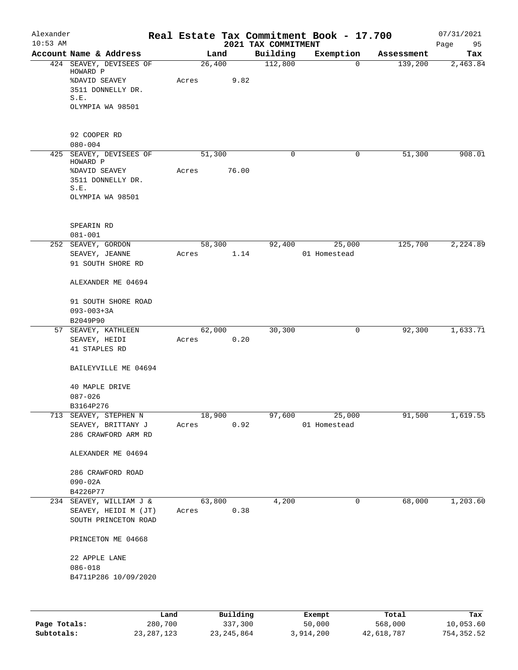| Alexander<br>$10:53$ AM |                                    |      |       |        |          |                                 | Real Estate Tax Commitment Book - 17.700 |                       | 07/31/2021      |
|-------------------------|------------------------------------|------|-------|--------|----------|---------------------------------|------------------------------------------|-----------------------|-----------------|
|                         | Account Name & Address             |      |       | Land   |          | 2021 TAX COMMITMENT<br>Building | Exemption                                |                       | Page<br>95      |
|                         | 424 SEAVEY, DEVISEES OF            |      |       | 26,400 |          | 112,800                         | $\mathbf 0$                              | Assessment<br>139,200 | Tax<br>2,463.84 |
|                         | HOWARD P<br><b>%DAVID SEAVEY</b>   |      | Acres |        | 9.82     |                                 |                                          |                       |                 |
|                         | 3511 DONNELLY DR.                  |      |       |        |          |                                 |                                          |                       |                 |
|                         | S.E.                               |      |       |        |          |                                 |                                          |                       |                 |
|                         | OLYMPIA WA 98501                   |      |       |        |          |                                 |                                          |                       |                 |
|                         | 92 COOPER RD                       |      |       |        |          |                                 |                                          |                       |                 |
|                         | $080 - 004$                        |      |       |        |          |                                 |                                          |                       |                 |
| 425                     | SEAVEY, DEVISEES OF<br>HOWARD P    |      |       | 51,300 |          | 0                               | 0                                        | 51,300                | 908.01          |
|                         | <b>%DAVID SEAVEY</b>               |      | Acres |        | 76.00    |                                 |                                          |                       |                 |
|                         | 3511 DONNELLY DR.<br>S.E.          |      |       |        |          |                                 |                                          |                       |                 |
|                         | OLYMPIA WA 98501                   |      |       |        |          |                                 |                                          |                       |                 |
|                         | SPEARIN RD                         |      |       |        |          |                                 |                                          |                       |                 |
|                         | $081 - 001$                        |      |       |        |          |                                 |                                          |                       |                 |
|                         | 252 SEAVEY, GORDON                 |      |       | 58,300 |          | 92,400                          | 25,000                                   | 125,700               | 2,224.89        |
|                         | SEAVEY, JEANNE                     |      | Acres |        | 1.14     |                                 | 01 Homestead                             |                       |                 |
|                         | 91 SOUTH SHORE RD                  |      |       |        |          |                                 |                                          |                       |                 |
|                         | ALEXANDER ME 04694                 |      |       |        |          |                                 |                                          |                       |                 |
|                         | 91 SOUTH SHORE ROAD                |      |       |        |          |                                 |                                          |                       |                 |
|                         | $093 - 003 + 3A$                   |      |       |        |          |                                 |                                          |                       |                 |
|                         | B2049P90<br>57 SEAVEY, KATHLEEN    |      |       | 62,000 |          | 30,300                          | 0                                        | 92,300                | 1,633.71        |
|                         | SEAVEY, HEIDI                      |      | Acres |        | 0.20     |                                 |                                          |                       |                 |
|                         | 41 STAPLES RD                      |      |       |        |          |                                 |                                          |                       |                 |
|                         | BAILEYVILLE ME 04694               |      |       |        |          |                                 |                                          |                       |                 |
|                         | 40 MAPLE DRIVE                     |      |       |        |          |                                 |                                          |                       |                 |
|                         | $087 - 026$                        |      |       |        |          |                                 |                                          |                       |                 |
|                         | B3164P276<br>713 SEAVEY, STEPHEN N |      |       | 18,900 |          |                                 | 25,000                                   |                       |                 |
|                         | SEAVEY, BRITTANY J                 |      | Acres |        | 0.92     | 97,600                          | 01 Homestead                             | 91,500                | 1,619.55        |
|                         | 286 CRAWFORD ARM RD                |      |       |        |          |                                 |                                          |                       |                 |
|                         | ALEXANDER ME 04694                 |      |       |        |          |                                 |                                          |                       |                 |
|                         | 286 CRAWFORD ROAD                  |      |       |        |          |                                 |                                          |                       |                 |
|                         | $090 - 02A$                        |      |       |        |          |                                 |                                          |                       |                 |
|                         | B4226P77                           |      |       |        |          |                                 |                                          |                       |                 |
|                         | 234 SEAVEY, WILLIAM J &            |      |       | 63,800 |          | 4,200                           | 0                                        | 68,000                | 1,203.60        |
|                         | SEAVEY, HEIDI M (JT)               |      | Acres |        | 0.38     |                                 |                                          |                       |                 |
|                         | SOUTH PRINCETON ROAD               |      |       |        |          |                                 |                                          |                       |                 |
|                         | PRINCETON ME 04668                 |      |       |        |          |                                 |                                          |                       |                 |
|                         | 22 APPLE LANE                      |      |       |        |          |                                 |                                          |                       |                 |
|                         | $086 - 018$                        |      |       |        |          |                                 |                                          |                       |                 |
|                         | B4711P286 10/09/2020               |      |       |        |          |                                 |                                          |                       |                 |
|                         |                                    |      |       |        |          |                                 |                                          |                       |                 |
|                         |                                    | Land |       |        | Building |                                 | <b>Exempt</b>                            | Total                 | Tax             |

|              | Land       | Building     | Exempt    | Total      | Tax         |
|--------------|------------|--------------|-----------|------------|-------------|
| Page Totals: | 280,700    | 337,300      | 50,000    | 568,000    | 10,053.60   |
| Subtotals:   | 23,287,123 | 23, 245, 864 | 3,914,200 | 42,618,787 | 754, 352.52 |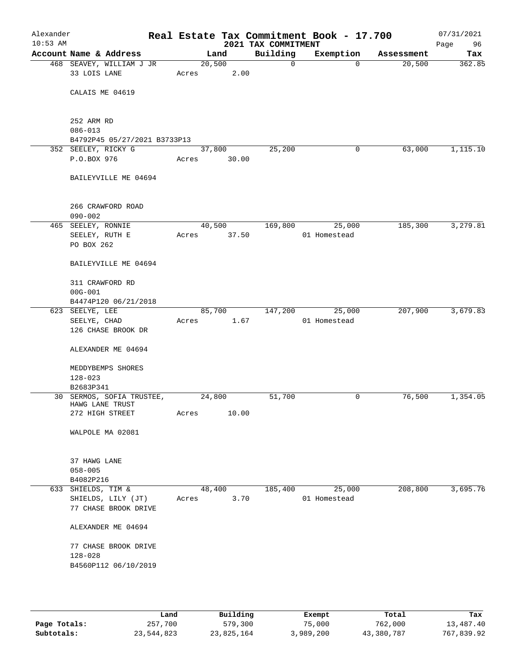| Alexander<br>$10:53$ AM |                                              |       |                | 2021 TAX COMMITMENT | Real Estate Tax Commitment Book - 17.700 |            | 07/31/2021<br>96<br>Page |
|-------------------------|----------------------------------------------|-------|----------------|---------------------|------------------------------------------|------------|--------------------------|
|                         | Account Name & Address                       |       | Land           | Building            | Exemption                                | Assessment | Tax                      |
|                         | 468 SEAVEY, WILLIAM J JR<br>33 LOIS LANE     | Acres | 20,500<br>2.00 | 0                   | $\Omega$                                 | 20,500     | 362.85                   |
|                         | CALAIS ME 04619                              |       |                |                     |                                          |            |                          |
|                         | 252 ARM RD<br>$086 - 013$                    |       |                |                     |                                          |            |                          |
|                         | B4792P45 05/27/2021 B3733P13                 |       |                |                     |                                          |            |                          |
|                         | 352 SEELEY, RICKY G                          |       | 37,800         | 25,200              | 0                                        | 63,000     | 1,115.10                 |
|                         | P.O.BOX 976                                  | Acres | 30.00          |                     |                                          |            |                          |
|                         | BAILEYVILLE ME 04694                         |       |                |                     |                                          |            |                          |
|                         | 266 CRAWFORD ROAD<br>$090 - 002$             |       |                |                     |                                          |            |                          |
|                         | 465 SEELEY, RONNIE                           |       | 40,500         | 169,800             | 25,000                                   | 185,300    | 3,279.81                 |
|                         | SEELEY, RUTH E<br>PO BOX 262                 | Acres | 37.50          |                     | 01 Homestead                             |            |                          |
|                         | BAILEYVILLE ME 04694                         |       |                |                     |                                          |            |                          |
|                         | 311 CRAWFORD RD                              |       |                |                     |                                          |            |                          |
|                         | $00G - 001$                                  |       |                |                     |                                          |            |                          |
|                         | B4474P120 06/21/2018                         |       |                |                     |                                          |            |                          |
|                         | 623 SEELYE, LEE                              |       | 85,700         | 147,200             | 25,000                                   | 207,900    | 3,679.83                 |
|                         | SEELYE, CHAD                                 | Acres | 1.67           |                     | 01 Homestead                             |            |                          |
|                         | 126 CHASE BROOK DR                           |       |                |                     |                                          |            |                          |
|                         | ALEXANDER ME 04694                           |       |                |                     |                                          |            |                          |
|                         | MEDDYBEMPS SHORES                            |       |                |                     |                                          |            |                          |
|                         | $128 - 023$                                  |       |                |                     |                                          |            |                          |
|                         | B2683P341                                    |       |                |                     |                                          |            |                          |
|                         | 30 SERMOS, SOFIA TRUSTEE,<br>HAWG LANE TRUST |       | 24,800         | 51,700              | 0                                        | 76,500     | 1,354.05                 |
|                         | 272 HIGH STREET                              | Acres | 10.00          |                     |                                          |            |                          |
|                         | WALPOLE MA 02081                             |       |                |                     |                                          |            |                          |
|                         | 37 HAWG LANE                                 |       |                |                     |                                          |            |                          |
|                         | $058 - 005$                                  |       |                |                     |                                          |            |                          |
|                         | B4082P216                                    |       |                |                     |                                          |            |                          |
|                         | 633 SHIELDS, TIM &                           |       | 48,400         | 185,400             | 25,000                                   | 208,800    | 3,695.76                 |
|                         | SHIELDS, LILY (JT)<br>77 CHASE BROOK DRIVE   | Acres | 3.70           |                     | 01 Homestead                             |            |                          |
|                         | ALEXANDER ME 04694                           |       |                |                     |                                          |            |                          |
|                         | 77 CHASE BROOK DRIVE<br>$128 - 028$          |       |                |                     |                                          |            |                          |
|                         | B4560P112 06/10/2019                         |       |                |                     |                                          |            |                          |
|                         |                                              |       |                |                     |                                          |            |                          |

|              | Land       | Building   | Exempt    | Total      | Tax        |
|--------------|------------|------------|-----------|------------|------------|
| Page Totals: | 257,700    | 579,300    | 75,000    | 762,000    | 13,487.40  |
| Subtotals:   | 23,544,823 | 23,825,164 | 3,989,200 | 43,380,787 | 767,839.92 |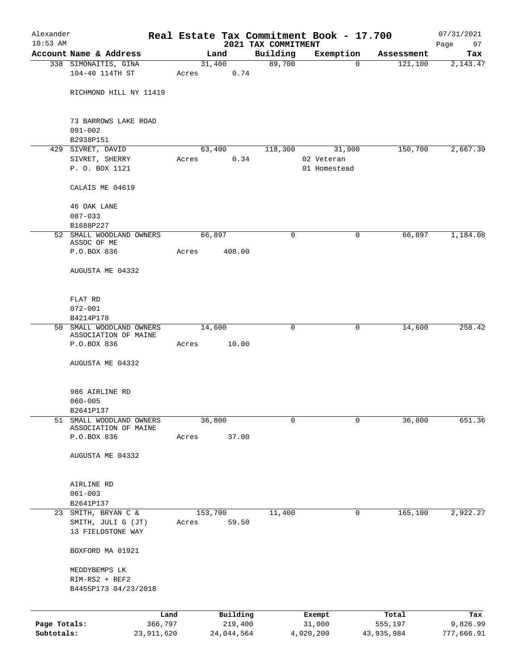| Alexander    |                                               |            |       |                |            | Real Estate Tax Commitment Book - 17.700 |              |        |                       | 07/31/2021      |
|--------------|-----------------------------------------------|------------|-------|----------------|------------|------------------------------------------|--------------|--------|-----------------------|-----------------|
| $10:53$ AM   | Account Name & Address                        |            |       |                |            | 2021 TAX COMMITMENT                      |              |        |                       | Page<br>97      |
|              | 338 SIMONAITIS, GINA                          |            |       | Land<br>31,400 |            | Building<br>89,700                       | Exemption    | 0      | Assessment<br>121,100 | Tax<br>2,143.47 |
|              | 104-40 114TH ST                               |            | Acres |                | 0.74       |                                          |              |        |                       |                 |
|              | RICHMOND HILL NY 11419                        |            |       |                |            |                                          |              |        |                       |                 |
|              | 73 BARROWS LAKE ROAD                          |            |       |                |            |                                          |              |        |                       |                 |
|              | $091 - 002$                                   |            |       |                |            |                                          |              |        |                       |                 |
|              | B2938P151<br>429 SIVRET, DAVID                |            |       | 63,400         |            | 118,300                                  |              | 31,000 | 150,700               | 2,667.39        |
|              | SIVRET, SHERRY                                |            | Acres |                | 0.34       |                                          | 02 Veteran   |        |                       |                 |
|              | P. O. BOX 1121                                |            |       |                |            |                                          | 01 Homestead |        |                       |                 |
|              | CALAIS ME 04619                               |            |       |                |            |                                          |              |        |                       |                 |
|              | 46 OAK LANE                                   |            |       |                |            |                                          |              |        |                       |                 |
|              | $087 - 033$                                   |            |       |                |            |                                          |              |        |                       |                 |
|              | B1688P227                                     |            |       |                |            |                                          |              |        |                       |                 |
|              | 52 SMALL WOODLAND OWNERS<br>ASSOC OF ME       |            |       | 66,897         |            | 0                                        |              | 0      | 66,897                | 1,184.08        |
|              | P.O.BOX 836                                   |            | Acres |                | 408.00     |                                          |              |        |                       |                 |
|              | AUGUSTA ME 04332                              |            |       |                |            |                                          |              |        |                       |                 |
|              | FLAT RD                                       |            |       |                |            |                                          |              |        |                       |                 |
|              | $072 - 001$                                   |            |       |                |            |                                          |              |        |                       |                 |
|              | B4214P178                                     |            |       |                |            |                                          |              |        |                       |                 |
|              | 50 SMALL WOODLAND OWNERS                      |            |       | 14,600         |            | 0                                        |              | 0      | 14,600                | 258.42          |
|              | ASSOCIATION OF MAINE<br>P.O.BOX 836           |            | Acres |                | 10.00      |                                          |              |        |                       |                 |
|              | AUGUSTA ME 04332                              |            |       |                |            |                                          |              |        |                       |                 |
|              | 986 AIRLINE RD                                |            |       |                |            |                                          |              |        |                       |                 |
|              | $060 - 005$                                   |            |       |                |            |                                          |              |        |                       |                 |
|              | B2641P137                                     |            |       |                |            |                                          |              |        |                       |                 |
| 51           | SMALL WOODLAND OWNERS<br>ASSOCIATION OF MAINE |            |       | 36,800         |            | 0                                        |              | 0      | 36,800                | 651.36          |
|              | P.O.BOX 836                                   |            | Acres |                | 37.00      |                                          |              |        |                       |                 |
|              | AUGUSTA ME 04332                              |            |       |                |            |                                          |              |        |                       |                 |
|              | AIRLINE RD                                    |            |       |                |            |                                          |              |        |                       |                 |
|              | $061 - 003$                                   |            |       |                |            |                                          |              |        |                       |                 |
|              | B2641P137                                     |            |       |                |            |                                          |              |        |                       |                 |
|              | 23 SMITH, BRYAN C &                           |            |       | 153,700        |            | 11,400                                   |              | 0      | 165,100               | 2,922.27        |
|              | SMITH, JULI G (JT)<br>13 FIELDSTONE WAY       |            | Acres |                | 59.50      |                                          |              |        |                       |                 |
|              | BOXFORD MA 01921                              |            |       |                |            |                                          |              |        |                       |                 |
|              | MEDDYBEMPS LK                                 |            |       |                |            |                                          |              |        |                       |                 |
|              | RIM-RS2 + REF2<br>B4455P173 04/23/2018        |            |       |                |            |                                          |              |        |                       |                 |
|              |                                               |            |       |                |            |                                          |              |        |                       |                 |
|              |                                               | Land       |       |                | Building   |                                          | Exempt       |        | Total                 | Tax             |
| Page Totals: |                                               | 366,797    |       |                | 219,400    |                                          | 31,000       |        | 555,197               | 9,826.99        |
| Subtotals:   |                                               | 23,911,620 |       |                | 24,044,564 |                                          | 4,020,200    |        | 43,935,984            | 777,666.91      |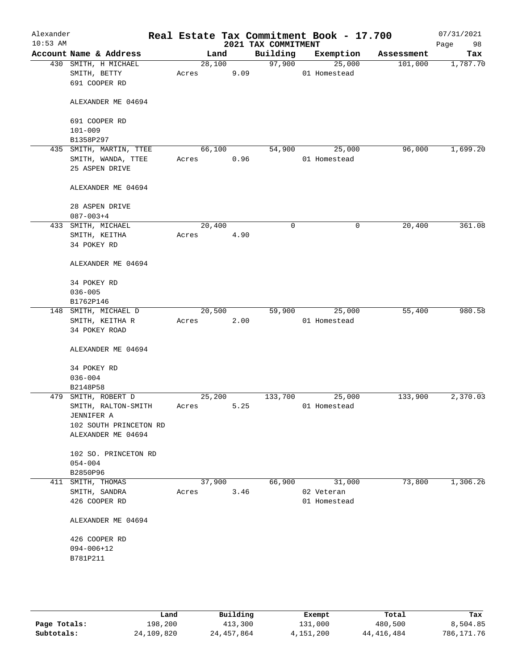| Alexander<br>$10:53$ AM |                                                                 |                 |      | 2021 TAX COMMITMENT | Real Estate Tax Commitment Book - 17.700 |            | 07/31/2021<br>Page<br>98 |
|-------------------------|-----------------------------------------------------------------|-----------------|------|---------------------|------------------------------------------|------------|--------------------------|
|                         | Account Name & Address                                          | Land            |      | Building            | Exemption                                | Assessment | Tax                      |
|                         | 430 SMITH, H MICHAEL<br>SMITH, BETTY<br>691 COOPER RD           | 28,100<br>Acres | 9.09 | 97,900              | 25,000<br>01 Homestead                   | 101,000    | 1,787.70                 |
|                         | ALEXANDER ME 04694                                              |                 |      |                     |                                          |            |                          |
|                         | 691 COOPER RD<br>$101 - 009$                                    |                 |      |                     |                                          |            |                          |
|                         | B1358P297                                                       |                 |      |                     |                                          |            |                          |
|                         | 435 SMITH, MARTIN, TTEE<br>SMITH, WANDA, TTEE<br>25 ASPEN DRIVE | 66,100<br>Acres | 0.96 | 54,900              | 25,000<br>01 Homestead                   | 96,000     | 1,699.20                 |
|                         | ALEXANDER ME 04694                                              |                 |      |                     |                                          |            |                          |
|                         | 28 ASPEN DRIVE<br>$087 - 003 + 4$                               |                 |      |                     |                                          |            |                          |
|                         | 433 SMITH, MICHAEL                                              | 20,400          |      | $\mathbf 0$         | $\mathbf 0$                              | 20,400     | 361.08                   |
|                         | SMITH, KEITHA<br>34 POKEY RD                                    | Acres           | 4.90 |                     |                                          |            |                          |
|                         | ALEXANDER ME 04694                                              |                 |      |                     |                                          |            |                          |
|                         | 34 POKEY RD                                                     |                 |      |                     |                                          |            |                          |
|                         | $036 - 005$                                                     |                 |      |                     |                                          |            |                          |
|                         | B1762P146                                                       |                 |      |                     |                                          |            |                          |
|                         | 148 SMITH, MICHAEL D                                            | 20,500          |      | 59,900              | 25,000                                   | 55,400     | 980.58                   |
|                         | SMITH, KEITHA R<br>34 POKEY ROAD                                | Acres           | 2.00 |                     | 01 Homestead                             |            |                          |
|                         | ALEXANDER ME 04694                                              |                 |      |                     |                                          |            |                          |
|                         | 34 POKEY RD<br>$036 - 004$                                      |                 |      |                     |                                          |            |                          |
|                         | B2148P58                                                        |                 |      |                     |                                          |            |                          |
|                         | 479 SMITH, ROBERT D                                             | 25,200          |      | 133,700             | 25,000                                   | 133,900    | 2,370.03                 |
|                         | SMITH, RALTON-SMITH                                             | Acres           | 5.25 |                     | 01 Homestead                             |            |                          |
|                         | JENNIFER A                                                      |                 |      |                     |                                          |            |                          |
|                         | 102 SOUTH PRINCETON RD                                          |                 |      |                     |                                          |            |                          |
|                         | ALEXANDER ME 04694                                              |                 |      |                     |                                          |            |                          |
|                         | 102 SO. PRINCETON RD                                            |                 |      |                     |                                          |            |                          |
|                         | $054 - 004$<br>B2850P96                                         |                 |      |                     |                                          |            |                          |
|                         | 411 SMITH, THOMAS                                               | 37,900          |      | 66,900              | 31,000                                   | 73,800     | 1,306.26                 |
|                         | SMITH, SANDRA                                                   | Acres           | 3.46 |                     | 02 Veteran                               |            |                          |
|                         | 426 COOPER RD                                                   |                 |      |                     | 01 Homestead                             |            |                          |
|                         | ALEXANDER ME 04694                                              |                 |      |                     |                                          |            |                          |
|                         | 426 COOPER RD                                                   |                 |      |                     |                                          |            |                          |
|                         | $094 - 006 + 12$                                                |                 |      |                     |                                          |            |                          |
|                         | B781P211                                                        |                 |      |                     |                                          |            |                          |
|                         |                                                                 |                 |      |                     |                                          |            |                          |
|                         |                                                                 |                 |      |                     |                                          |            |                          |
|                         |                                                                 |                 |      |                     |                                          |            |                          |

|              | Land       | Building     | Exempt    | Total      | Tax        |
|--------------|------------|--------------|-----------|------------|------------|
| Page Totals: | 198,200    | 413,300      | 131,000   | 480,500    | 8,504.85   |
| Subtotals:   | 24,109,820 | 24, 457, 864 | 4,151,200 | 44,416,484 | 786,171.76 |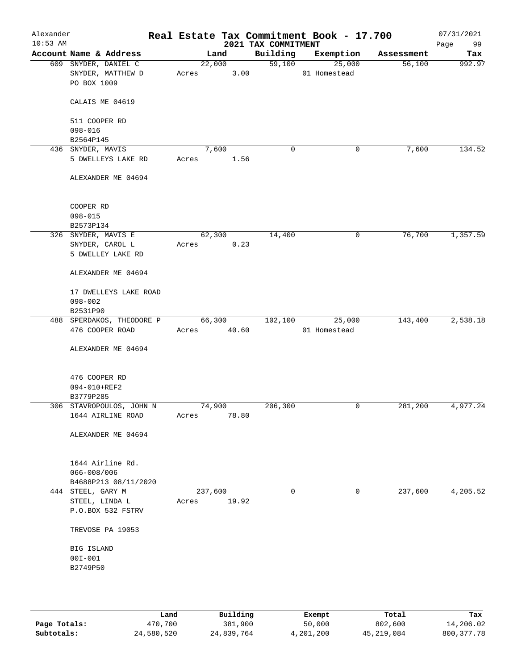| Alexander<br>$10:53$ AM |                                                          | Real Estate Tax Commitment Book - 17.700 | 2021 TAX COMMITMENT |                        |            | 07/31/2021<br>Page<br>99 |
|-------------------------|----------------------------------------------------------|------------------------------------------|---------------------|------------------------|------------|--------------------------|
|                         | Account Name & Address                                   | Land                                     | Building            | Exemption              | Assessment | Tax                      |
|                         | 609 SNYDER, DANIEL C<br>SNYDER, MATTHEW D<br>PO BOX 1009 | 22,000<br>3.00<br>Acres                  | 59,100              | 25,000<br>01 Homestead | 56,100     | 992.97                   |
|                         | CALAIS ME 04619                                          |                                          |                     |                        |            |                          |
|                         | 511 COOPER RD<br>$098 - 016$                             |                                          |                     |                        |            |                          |
|                         | B2564P145                                                |                                          |                     |                        |            |                          |
|                         | 436 SNYDER, MAVIS                                        | 7,600                                    | 0                   | 0                      | 7,600      | 134.52                   |
|                         | 5 DWELLEYS LAKE RD                                       | 1.56<br>Acres                            |                     |                        |            |                          |
|                         | ALEXANDER ME 04694                                       |                                          |                     |                        |            |                          |
|                         | COOPER RD<br>$098 - 015$                                 |                                          |                     |                        |            |                          |
|                         | B2573P134                                                |                                          |                     |                        |            |                          |
|                         | 326 SNYDER, MAVIS E                                      | 62,300<br>0.23<br>Acres                  | 14,400              | $\mathsf{O}$           | 76,700     | 1,357.59                 |
|                         | SNYDER, CAROL L<br>5 DWELLEY LAKE RD                     |                                          |                     |                        |            |                          |
|                         | ALEXANDER ME 04694                                       |                                          |                     |                        |            |                          |
|                         | 17 DWELLEYS LAKE ROAD                                    |                                          |                     |                        |            |                          |
|                         | $098 - 002$                                              |                                          |                     |                        |            |                          |
|                         | B2531P90<br>488 SPERDAKOS, THEODORE P                    | 66,300                                   | 102,100             | 25,000                 | 143,400    | 2,538.18                 |
|                         | 476 COOPER ROAD                                          | 40.60<br>Acres                           |                     | 01 Homestead           |            |                          |
|                         | ALEXANDER ME 04694                                       |                                          |                     |                        |            |                          |
|                         | 476 COOPER RD<br>094-010+REF2<br>B3779P285               |                                          |                     |                        |            |                          |
|                         | 306 STAVROPOULOS, JOHN N                                 | 74,900                                   | 206,300             | 0                      | 281,200    | 4,977.24                 |
|                         | 1644 AIRLINE ROAD                                        | 78.80<br>Acres                           |                     |                        |            |                          |
|                         | ALEXANDER ME 04694                                       |                                          |                     |                        |            |                          |
|                         | 1644 Airline Rd.                                         |                                          |                     |                        |            |                          |
|                         | $066 - 008 / 006$<br>B4688P213 08/11/2020                |                                          |                     |                        |            |                          |
|                         | 444 STEEL, GARY M                                        | 237,600                                  | 0                   | 0                      | 237,600    | 4,205.52                 |
|                         | STEEL, LINDA L<br>P.O.BOX 532 FSTRV                      | 19.92<br>Acres                           |                     |                        |            |                          |
|                         | TREVOSE PA 19053                                         |                                          |                     |                        |            |                          |
|                         | BIG ISLAND                                               |                                          |                     |                        |            |                          |
|                         | $00I - 001$                                              |                                          |                     |                        |            |                          |
|                         | B2749P50                                                 |                                          |                     |                        |            |                          |
|                         |                                                          |                                          |                     |                        |            |                          |
|                         |                                                          |                                          |                     |                        |            |                          |
|                         |                                                          |                                          |                     |                        |            |                          |

|              | Land       | Building   | Exempt    | Total        | Tax          |
|--------------|------------|------------|-----------|--------------|--------------|
| Page Totals: | 470,700    | 381,900    | 50,000    | 802,600      | 14,206.02    |
| Subtotals:   | 24,580,520 | 24,839,764 | 4,201,200 | 45, 219, 084 | 800, 377, 78 |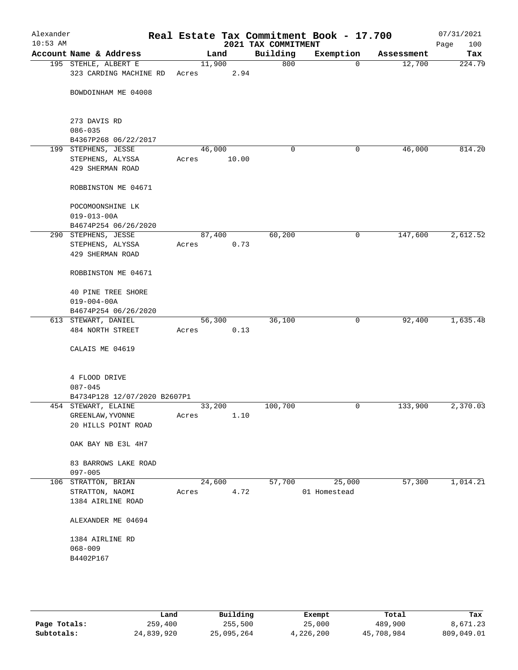| Alexander<br>$10:53$ AM |                                                |                 |       | 2021 TAX COMMITMENT | Real Estate Tax Commitment Book - 17.700 |            | 07/31/2021<br>100<br>Page |
|-------------------------|------------------------------------------------|-----------------|-------|---------------------|------------------------------------------|------------|---------------------------|
|                         | Account Name & Address                         |                 | Land  | Building            | Exemption                                | Assessment | Tax                       |
|                         | 195 STEHLE, ALBERT E<br>323 CARDING MACHINE RD | 11,900<br>Acres | 2.94  | 800                 | $\mathbf 0$                              | 12,700     | 224.79                    |
|                         | BOWDOINHAM ME 04008                            |                 |       |                     |                                          |            |                           |
|                         | 273 DAVIS RD<br>$086 - 035$                    |                 |       |                     |                                          |            |                           |
|                         | B4367P268 06/22/2017                           |                 |       |                     |                                          |            |                           |
|                         | 199 STEPHENS, JESSE                            | 46,000          |       | 0                   | 0                                        | 46,000     | 814.20                    |
|                         | STEPHENS, ALYSSA                               | Acres           | 10.00 |                     |                                          |            |                           |
|                         | 429 SHERMAN ROAD                               |                 |       |                     |                                          |            |                           |
|                         | ROBBINSTON ME 04671                            |                 |       |                     |                                          |            |                           |
|                         | POCOMOONSHINE LK                               |                 |       |                     |                                          |            |                           |
|                         | $019 - 013 - 00A$                              |                 |       |                     |                                          |            |                           |
|                         | B4674P254 06/26/2020                           |                 |       |                     |                                          |            |                           |
|                         | 290 STEPHENS, JESSE                            | 87,400          |       | 60,200              | 0                                        | 147,600    | 2,612.52                  |
|                         | STEPHENS, ALYSSA<br>429 SHERMAN ROAD           | Acres           | 0.73  |                     |                                          |            |                           |
|                         | ROBBINSTON ME 04671                            |                 |       |                     |                                          |            |                           |
|                         | <b>40 PINE TREE SHORE</b>                      |                 |       |                     |                                          |            |                           |
|                         | $019 - 004 - 00A$                              |                 |       |                     |                                          |            |                           |
|                         | B4674P254 06/26/2020                           |                 |       |                     |                                          |            |                           |
|                         | 613 STEWART, DANIEL                            | 56,300          |       | 36,100              | 0                                        | 92,400     | 1,635.48                  |
|                         | 484 NORTH STREET                               | Acres           | 0.13  |                     |                                          |            |                           |
|                         | CALAIS ME 04619                                |                 |       |                     |                                          |            |                           |
|                         | 4 FLOOD DRIVE                                  |                 |       |                     |                                          |            |                           |
|                         | $087 - 045$                                    |                 |       |                     |                                          |            |                           |
|                         | B4734P128 12/07/2020 B2607P1                   |                 |       |                     |                                          |            |                           |
|                         | 454 STEWART, ELAINE                            | 33,200          |       | 100,700             | 0                                        | 133,900    | 2,370.03                  |
|                         | GREENLAW, YVONNE                               | Acres           | 1.10  |                     |                                          |            |                           |
|                         | 20 HILLS POINT ROAD                            |                 |       |                     |                                          |            |                           |
|                         | OAK BAY NB E3L 4H7                             |                 |       |                     |                                          |            |                           |
|                         | 83 BARROWS LAKE ROAD<br>$097 - 005$            |                 |       |                     |                                          |            |                           |
|                         | 106 STRATTON, BRIAN                            | 24,600          |       | 57,700              | 25,000                                   | 57,300     | 1,014.21                  |
|                         | STRATTON, NAOMI                                | Acres           | 4.72  |                     | 01 Homestead                             |            |                           |
|                         | 1384 AIRLINE ROAD                              |                 |       |                     |                                          |            |                           |
|                         | ALEXANDER ME 04694                             |                 |       |                     |                                          |            |                           |
|                         | 1384 AIRLINE RD                                |                 |       |                     |                                          |            |                           |
|                         | $068 - 009$                                    |                 |       |                     |                                          |            |                           |
|                         | B4402P167                                      |                 |       |                     |                                          |            |                           |
|                         |                                                |                 |       |                     |                                          |            |                           |
|                         |                                                |                 |       |                     |                                          |            |                           |
|                         |                                                |                 |       |                     |                                          |            |                           |
|                         |                                                |                 |       |                     |                                          |            |                           |

|              | Land       | Building   | Exempt    | Total      | Tax        |
|--------------|------------|------------|-----------|------------|------------|
| Page Totals: | 259,400    | 255,500    | 25,000    | 489,900    | 8,671.23   |
| Subtotals:   | 24,839,920 | 25,095,264 | 4,226,200 | 45,708,984 | 809,049.01 |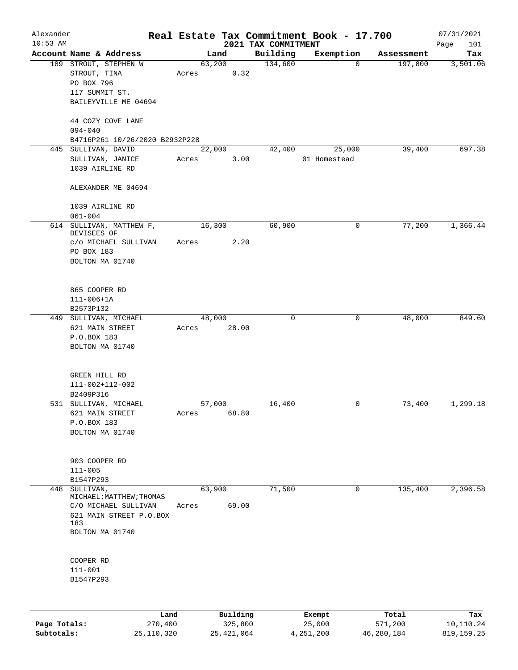| Alexander  |                                |      |       |        |          |                                 | Real Estate Tax Commitment Book - 17.700 |            | 07/31/2021         |
|------------|--------------------------------|------|-------|--------|----------|---------------------------------|------------------------------------------|------------|--------------------|
| $10:53$ AM | Account Name & Address         |      |       | Land   |          | 2021 TAX COMMITMENT<br>Building | Exemption                                | Assessment | Page<br>101<br>Tax |
|            | 189 STROUT, STEPHEN W          |      |       | 63,200 |          | 134,600                         | 0                                        | 197,800    | 3,501.06           |
|            | STROUT, TINA                   |      | Acres |        | 0.32     |                                 |                                          |            |                    |
|            | PO BOX 796                     |      |       |        |          |                                 |                                          |            |                    |
|            | 117 SUMMIT ST.                 |      |       |        |          |                                 |                                          |            |                    |
|            | BAILEYVILLE ME 04694           |      |       |        |          |                                 |                                          |            |                    |
|            |                                |      |       |        |          |                                 |                                          |            |                    |
|            | 44 COZY COVE LANE              |      |       |        |          |                                 |                                          |            |                    |
|            | $094 - 040$                    |      |       |        |          |                                 |                                          |            |                    |
|            | B4716P261 10/26/2020 B2932P228 |      |       |        |          |                                 |                                          |            |                    |
|            | 445 SULLIVAN, DAVID            |      |       | 22,000 |          | 42,400                          | 25,000                                   | 39,400     | 697.38             |
|            | SULLIVAN, JANICE               |      | Acres |        | 3.00     |                                 | 01 Homestead                             |            |                    |
|            | 1039 AIRLINE RD                |      |       |        |          |                                 |                                          |            |                    |
|            |                                |      |       |        |          |                                 |                                          |            |                    |
|            | ALEXANDER ME 04694             |      |       |        |          |                                 |                                          |            |                    |
|            |                                |      |       |        |          |                                 |                                          |            |                    |
|            | 1039 AIRLINE RD                |      |       |        |          |                                 |                                          |            |                    |
|            | $061 - 004$                    |      |       |        |          |                                 |                                          |            |                    |
| 614        | SULLIVAN, MATTHEW F,           |      |       | 16,300 |          | 60,900                          | 0                                        | 77,200     | 1,366.44           |
|            | DEVISEES OF                    |      |       |        |          |                                 |                                          |            |                    |
|            | c/o MICHAEL SULLIVAN           |      | Acres |        | 2.20     |                                 |                                          |            |                    |
|            | PO BOX 183                     |      |       |        |          |                                 |                                          |            |                    |
|            | BOLTON MA 01740                |      |       |        |          |                                 |                                          |            |                    |
|            |                                |      |       |        |          |                                 |                                          |            |                    |
|            |                                |      |       |        |          |                                 |                                          |            |                    |
|            | 865 COOPER RD                  |      |       |        |          |                                 |                                          |            |                    |
|            | $111 - 006 + 1A$               |      |       |        |          |                                 |                                          |            |                    |
|            | B2573P132                      |      |       |        |          |                                 |                                          |            |                    |
|            | 449 SULLIVAN, MICHAEL          |      |       | 48,000 |          | $\mathbf 0$                     | $\mathsf{O}$                             | 48,000     | 849.60             |
|            | 621 MAIN STREET                |      | Acres |        | 28.00    |                                 |                                          |            |                    |
|            | P.O.BOX 183                    |      |       |        |          |                                 |                                          |            |                    |
|            | BOLTON MA 01740                |      |       |        |          |                                 |                                          |            |                    |
|            |                                |      |       |        |          |                                 |                                          |            |                    |
|            |                                |      |       |        |          |                                 |                                          |            |                    |
|            | GREEN HILL RD                  |      |       |        |          |                                 |                                          |            |                    |
|            | 111-002+112-002                |      |       |        |          |                                 |                                          |            |                    |
|            | B2409P316                      |      |       |        |          |                                 |                                          |            |                    |
|            | 531 SULLIVAN, MICHAEL          |      |       | 57,000 |          | 16,400                          | 0                                        | 73,400     | 1,299.18           |
|            | 621 MAIN STREET                |      | Acres |        | 68.80    |                                 |                                          |            |                    |
|            | P.O.BOX 183                    |      |       |        |          |                                 |                                          |            |                    |
|            | BOLTON MA 01740                |      |       |        |          |                                 |                                          |            |                    |
|            |                                |      |       |        |          |                                 |                                          |            |                    |
|            | 903 COOPER RD                  |      |       |        |          |                                 |                                          |            |                    |
|            | $111 - 005$                    |      |       |        |          |                                 |                                          |            |                    |
|            | B1547P293                      |      |       |        |          |                                 |                                          |            |                    |
| 448        | SULLIVAN,                      |      |       | 63,900 |          | 71,500                          | 0                                        | 135,400    | 2,396.58           |
|            | MICHAEL; MATTHEW; THOMAS       |      |       |        |          |                                 |                                          |            |                    |
|            | C/O MICHAEL SULLIVAN           |      | Acres |        | 69.00    |                                 |                                          |            |                    |
|            | 621 MAIN STREET P.O.BOX        |      |       |        |          |                                 |                                          |            |                    |
|            | 183                            |      |       |        |          |                                 |                                          |            |                    |
|            | BOLTON MA 01740                |      |       |        |          |                                 |                                          |            |                    |
|            |                                |      |       |        |          |                                 |                                          |            |                    |
|            |                                |      |       |        |          |                                 |                                          |            |                    |
|            | COOPER RD                      |      |       |        |          |                                 |                                          |            |                    |
|            | $111 - 001$                    |      |       |        |          |                                 |                                          |            |                    |
|            | B1547P293                      |      |       |        |          |                                 |                                          |            |                    |
|            |                                |      |       |        |          |                                 |                                          |            |                    |
|            |                                |      |       |        |          |                                 |                                          |            |                    |
|            |                                | Land |       |        | Building |                                 | Exempt                                   | Total      | Tax                |

|              | Land         | Building   | Exempt    | Total      | Tax        |
|--------------|--------------|------------|-----------|------------|------------|
| Page Totals: | 270,400      | 325,800    | 25,000    | 571,200    | 10,110.24  |
| Subtotals:   | 25, 110, 320 | 25,421,064 | 4,251,200 | 46,280,184 | 819,159.25 |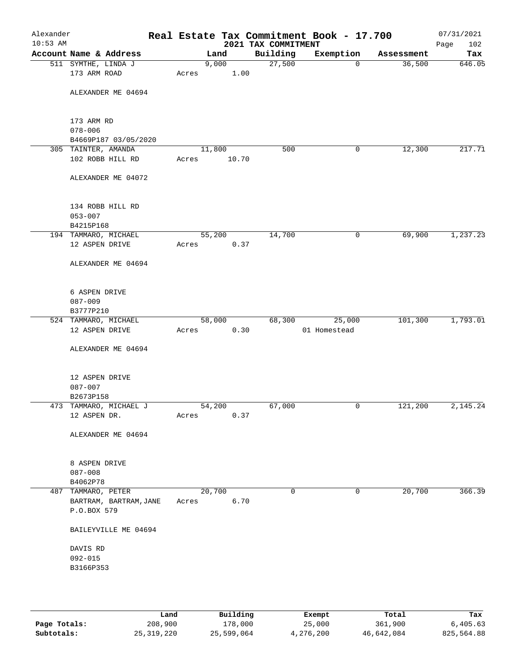| Alexander<br>$10:53$ AM |                                        |                 |       | 2021 TAX COMMITMENT | Real Estate Tax Commitment Book - 17.700 |            | 07/31/2021<br>Page<br>102 |
|-------------------------|----------------------------------------|-----------------|-------|---------------------|------------------------------------------|------------|---------------------------|
|                         | Account Name & Address                 |                 | Land  | Building            | Exemption                                | Assessment | Tax                       |
|                         | 511 SYMTHE, LINDA J                    |                 | 9,000 | 27,500              | $\mathbf 0$                              | 36,500     | 646.05                    |
|                         | 173 ARM ROAD                           | Acres           | 1.00  |                     |                                          |            |                           |
|                         | ALEXANDER ME 04694                     |                 |       |                     |                                          |            |                           |
|                         | 173 ARM RD                             |                 |       |                     |                                          |            |                           |
|                         | $078 - 006$                            |                 |       |                     |                                          |            |                           |
|                         | B4669P187 03/05/2020                   |                 |       |                     |                                          |            |                           |
|                         | 305 TAINTER, AMANDA                    | 11,800          |       | 500                 | 0                                        | 12,300     | 217.71                    |
|                         | 102 ROBB HILL RD                       | Acres           | 10.70 |                     |                                          |            |                           |
|                         | ALEXANDER ME 04072                     |                 |       |                     |                                          |            |                           |
|                         | 134 ROBB HILL RD                       |                 |       |                     |                                          |            |                           |
|                         | $053 - 007$                            |                 |       |                     |                                          |            |                           |
|                         | B4215P168                              |                 |       |                     |                                          |            |                           |
|                         | 194 TAMMARO, MICHAEL                   | 55,200          |       | 14,700              | 0                                        | 69,900     | 1,237.23                  |
|                         | 12 ASPEN DRIVE                         | Acres           | 0.37  |                     |                                          |            |                           |
|                         | ALEXANDER ME 04694                     |                 |       |                     |                                          |            |                           |
|                         | 6 ASPEN DRIVE                          |                 |       |                     |                                          |            |                           |
|                         | $087 - 009$                            |                 |       |                     |                                          |            |                           |
|                         | B3777P210                              |                 |       |                     |                                          |            |                           |
|                         | 524 TAMMARO, MICHAEL                   | 58,000          |       | 68,300              | 25,000                                   | 101,300    | 1,793.01                  |
|                         | 12 ASPEN DRIVE                         | Acres           | 0.30  |                     | 01 Homestead                             |            |                           |
|                         | ALEXANDER ME 04694                     |                 |       |                     |                                          |            |                           |
|                         | 12 ASPEN DRIVE                         |                 |       |                     |                                          |            |                           |
|                         | $087 - 007$                            |                 |       |                     |                                          |            |                           |
|                         | B2673P158                              |                 |       |                     |                                          |            |                           |
|                         | 473 TAMMARO, MICHAEL J<br>12 ASPEN DR. | 54,200<br>Acres | 0.37  | 67,000              | 0                                        | 121,200    | 2,145.24                  |
|                         | ALEXANDER ME 04694                     |                 |       |                     |                                          |            |                           |
|                         |                                        |                 |       |                     |                                          |            |                           |
|                         | 8 ASPEN DRIVE                          |                 |       |                     |                                          |            |                           |
|                         | $087 - 008$                            |                 |       |                     |                                          |            |                           |
|                         | B4062P78                               |                 |       |                     |                                          |            |                           |
|                         | 487 TAMMARO, PETER                     | 20,700          |       | 0                   | $\mathbf 0$                              | 20,700     | 366.39                    |
|                         | BARTRAM, BARTRAM, JANE<br>P.O.BOX 579  | Acres           | 6.70  |                     |                                          |            |                           |
|                         | BAILEYVILLE ME 04694                   |                 |       |                     |                                          |            |                           |
|                         | DAVIS RD                               |                 |       |                     |                                          |            |                           |
|                         | $092 - 015$                            |                 |       |                     |                                          |            |                           |
|                         | B3166P353                              |                 |       |                     |                                          |            |                           |
|                         |                                        |                 |       |                     |                                          |            |                           |
|                         |                                        |                 |       |                     |                                          |            |                           |
|                         |                                        |                 |       |                     |                                          |            |                           |

|              | Land       | Building   | Exempt    | Total      | Tax        |
|--------------|------------|------------|-----------|------------|------------|
| Page Totals: | 208,900    | 178,000    | 25,000    | 361,900    | 6,405.63   |
| Subtotals:   | 25,319,220 | 25,599,064 | 4,276,200 | 46,642,084 | 825,564.88 |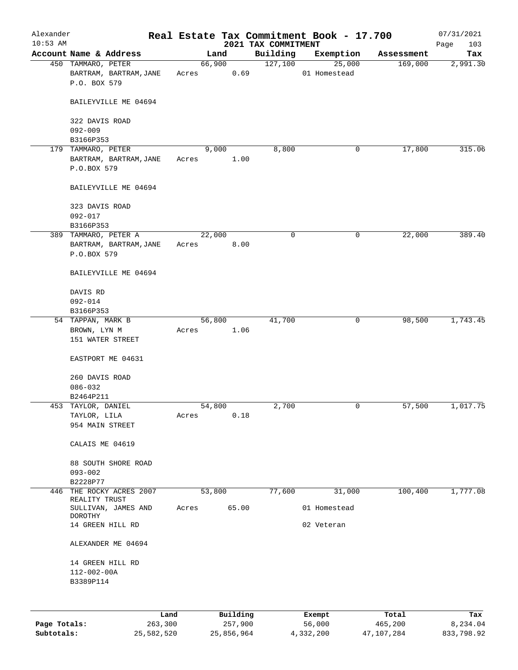| Alexander    |                                                             |       |                     |                                 | Real Estate Tax Commitment Book - 17.700 |                       | 07/31/2021         |
|--------------|-------------------------------------------------------------|-------|---------------------|---------------------------------|------------------------------------------|-----------------------|--------------------|
| $10:53$ AM   | Account Name & Address                                      |       | Land                | 2021 TAX COMMITMENT<br>Building |                                          |                       | 103<br>Page<br>Tax |
|              | 450 TAMMARO, PETER                                          |       | 66,900              | 127,100                         | Exemption<br>25,000                      | Assessment<br>169,000 | 2,991.30           |
|              | BARTRAM, BARTRAM, JANE<br>P.O. BOX 579                      | Acres | 0.69                |                                 | 01 Homestead                             |                       |                    |
|              | BAILEYVILLE ME 04694                                        |       |                     |                                 |                                          |                       |                    |
|              | 322 DAVIS ROAD<br>$092 - 009$                               |       |                     |                                 |                                          |                       |                    |
|              | B3166P353                                                   |       |                     |                                 |                                          |                       |                    |
|              | 179 TAMMARO, PETER<br>BARTRAM, BARTRAM, JANE<br>P.O.BOX 579 | Acres | 9,000<br>1.00       | 8,800                           | 0                                        | 17,800                | 315.06             |
|              | BAILEYVILLE ME 04694                                        |       |                     |                                 |                                          |                       |                    |
|              | 323 DAVIS ROAD<br>$092 - 017$                               |       |                     |                                 |                                          |                       |                    |
|              | B3166P353                                                   |       |                     |                                 |                                          |                       |                    |
|              | 389 TAMMARO, PETER A                                        |       | 22,000              | 0                               | 0                                        | 22,000                | 389.40             |
|              | BARTRAM, BARTRAM, JANE<br>P.O.BOX 579                       | Acres | 8.00                |                                 |                                          |                       |                    |
|              | BAILEYVILLE ME 04694                                        |       |                     |                                 |                                          |                       |                    |
|              | DAVIS RD                                                    |       |                     |                                 |                                          |                       |                    |
|              | $092 - 014$<br>B3166P353                                    |       |                     |                                 |                                          |                       |                    |
|              | 54 TAPPAN, MARK B                                           |       | 56,800              | 41,700                          | 0                                        | 98,500                | 1,743.45           |
|              | BROWN, LYN M                                                | Acres | 1.06                |                                 |                                          |                       |                    |
|              | 151 WATER STREET                                            |       |                     |                                 |                                          |                       |                    |
|              | EASTPORT ME 04631                                           |       |                     |                                 |                                          |                       |                    |
|              | 260 DAVIS ROAD<br>$086 - 032$                               |       |                     |                                 |                                          |                       |                    |
|              | B2464P211                                                   |       |                     |                                 |                                          |                       |                    |
|              | 453 TAYLOR, DANIEL                                          |       | 54,800              | 2,700                           | 0                                        | 57,500                | 1,017.75           |
|              | TAYLOR, LILA                                                | Acres | 0.18                |                                 |                                          |                       |                    |
|              | 954 MAIN STREET                                             |       |                     |                                 |                                          |                       |                    |
|              | CALAIS ME 04619                                             |       |                     |                                 |                                          |                       |                    |
|              | 88 SOUTH SHORE ROAD                                         |       |                     |                                 |                                          |                       |                    |
|              | $093 - 002$                                                 |       |                     |                                 |                                          |                       |                    |
|              | B2228P77                                                    |       |                     |                                 |                                          |                       |                    |
| 446          | THE ROCKY ACRES 2007<br>REALITY TRUST                       |       | 53,800              | 77,600                          | 31,000                                   | 100,400               | 1,777.08           |
|              | SULLIVAN, JAMES AND<br><b>DOROTHY</b>                       | Acres | 65.00               |                                 | 01 Homestead                             |                       |                    |
|              | 14 GREEN HILL RD                                            |       |                     |                                 | 02 Veteran                               |                       |                    |
|              | ALEXANDER ME 04694                                          |       |                     |                                 |                                          |                       |                    |
|              | 14 GREEN HILL RD                                            |       |                     |                                 |                                          |                       |                    |
|              | $112 - 002 - 00A$                                           |       |                     |                                 |                                          |                       |                    |
|              | B3389P114                                                   |       |                     |                                 |                                          |                       |                    |
|              |                                                             |       |                     |                                 |                                          |                       |                    |
| Page Totals: | Land<br>263,300                                             |       | Building<br>257,900 |                                 | Exempt<br>56,000                         | Total<br>465,200      | Tax<br>8,234.04    |
|              |                                                             |       |                     |                                 |                                          |                       |                    |

**Subtotals:** 25,582,520 25,856,964 4,332,200 47,107,284 833,798.92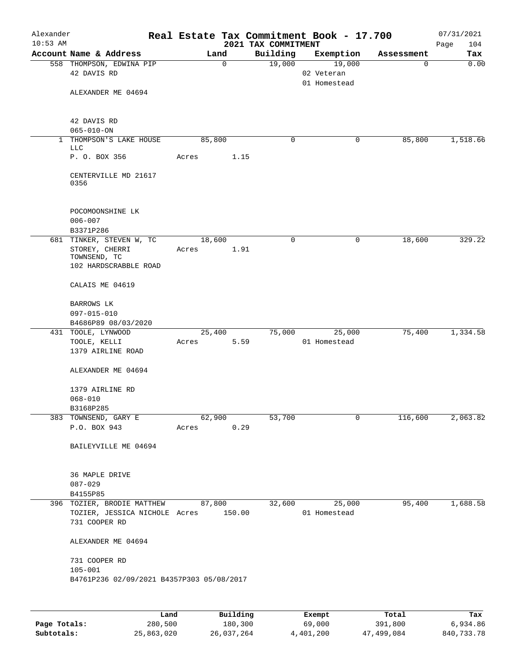| Alexander  |                                                                              |       |                     |                     | Real Estate Tax Commitment Book - 17.700 |                 | 07/31/2021  |
|------------|------------------------------------------------------------------------------|-------|---------------------|---------------------|------------------------------------------|-----------------|-------------|
| $10:53$ AM | Account Name & Address                                                       |       |                     | 2021 TAX COMMITMENT |                                          |                 | 104<br>Page |
|            | 558 THOMPSON, EDWINA PIP                                                     |       | Land<br>$\mathbf 0$ | Building<br>19,000  | Exemption<br>19,000                      | Assessment<br>0 | Tax<br>0.00 |
|            | 42 DAVIS RD                                                                  |       |                     |                     | 02 Veteran<br>01 Homestead               |                 |             |
|            | ALEXANDER ME 04694                                                           |       |                     |                     |                                          |                 |             |
|            | 42 DAVIS RD                                                                  |       |                     |                     |                                          |                 |             |
|            | $065 - 010 - ON$<br>1 THOMPSON'S LAKE HOUSE                                  |       | 85,800              | 0                   | 0                                        | 85,800          | 1,518.66    |
|            | <b>LLC</b>                                                                   |       |                     |                     |                                          |                 |             |
|            | P. O. BOX 356                                                                | Acres | 1.15                |                     |                                          |                 |             |
|            | CENTERVILLE MD 21617<br>0356                                                 |       |                     |                     |                                          |                 |             |
|            | POCOMOONSHINE LK<br>$006 - 007$                                              |       |                     |                     |                                          |                 |             |
|            | B3371P286                                                                    |       |                     |                     |                                          |                 |             |
|            | 681 TINKER, STEVEN W, TC<br>STOREY, CHERRI                                   | Acres | 18,600<br>1.91      | 0                   | 0                                        | 18,600          | 329.22      |
|            | TOWNSEND, TC                                                                 |       |                     |                     |                                          |                 |             |
|            | 102 HARDSCRABBLE ROAD                                                        |       |                     |                     |                                          |                 |             |
|            | CALAIS ME 04619                                                              |       |                     |                     |                                          |                 |             |
|            | BARROWS LK                                                                   |       |                     |                     |                                          |                 |             |
|            | 097-015-010                                                                  |       |                     |                     |                                          |                 |             |
|            | B4686P89 08/03/2020                                                          |       |                     |                     |                                          |                 |             |
|            | 431 TOOLE, LYNWOOD                                                           |       | 25,400              | 75,000              | 25,000                                   | 75,400          | 1,334.58    |
|            | TOOLE, KELLI<br>1379 AIRLINE ROAD                                            | Acres | 5.59                |                     | 01 Homestead                             |                 |             |
|            | ALEXANDER ME 04694                                                           |       |                     |                     |                                          |                 |             |
|            | 1379 AIRLINE RD                                                              |       |                     |                     |                                          |                 |             |
|            | $068 - 010$                                                                  |       |                     |                     |                                          |                 |             |
|            | B3168P285                                                                    |       |                     |                     |                                          |                 |             |
|            | 383 TOWNSEND, GARY E<br>P.O. BOX 943                                         | Acres | 62,900<br>0.29      | 53,700              | $\mathbf 0$                              | 116,600         | 2,063.82    |
|            | BAILEYVILLE ME 04694                                                         |       |                     |                     |                                          |                 |             |
|            |                                                                              |       |                     |                     |                                          |                 |             |
|            | 36 MAPLE DRIVE                                                               |       |                     |                     |                                          |                 |             |
|            | $087 - 029$                                                                  |       |                     |                     |                                          |                 |             |
|            | B4155P85                                                                     |       |                     |                     |                                          |                 |             |
|            | 396 TOZIER, BRODIE MATTHEW<br>TOZIER, JESSICA NICHOLE Acres<br>731 COOPER RD |       | 87,800<br>150.00    | 32,600              | 25,000<br>01 Homestead                   | 95,400          | 1,688.58    |
|            | ALEXANDER ME 04694                                                           |       |                     |                     |                                          |                 |             |
|            | 731 COOPER RD                                                                |       |                     |                     |                                          |                 |             |
|            | $105 - 001$                                                                  |       |                     |                     |                                          |                 |             |
|            | B4761P236 02/09/2021 B4357P303 05/08/2017                                    |       |                     |                     |                                          |                 |             |
|            |                                                                              | Land  | Building            |                     |                                          | Total           | Tax         |
|            |                                                                              |       |                     |                     | Exempt                                   |                 |             |

|              | Land       | Building   | Exempt    | Total      | Tax        |
|--------------|------------|------------|-----------|------------|------------|
| Page Totals: | 280,500    | 180,300    | 69,000    | 391,800    | 6,934.86   |
| Subtotals:   | 25,863,020 | 26,037,264 | 4,401,200 | 47,499,084 | 840,733.78 |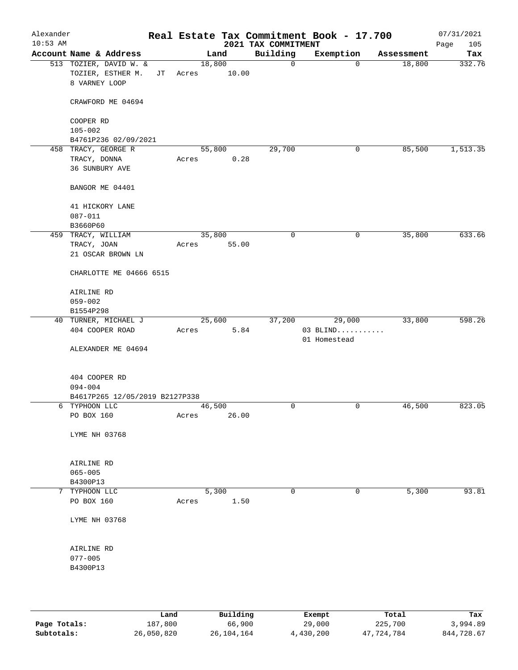| Alexander<br>$10:53$ AM |                                                              |    |       |                 |      | Real Estate Tax Commitment Book - 17.700<br>2021 TAX COMMITMENT |                            |        |            | 07/31/2021<br>105<br>Page |
|-------------------------|--------------------------------------------------------------|----|-------|-----------------|------|-----------------------------------------------------------------|----------------------------|--------|------------|---------------------------|
|                         | Account Name & Address                                       |    |       | Land            |      | Building                                                        | Exemption                  |        | Assessment | Tax                       |
|                         | 513 TOZIER, DAVID W. &<br>TOZIER, ESTHER M.<br>8 VARNEY LOOP | JТ | Acres | 18,800<br>10.00 |      | $\mathbf 0$                                                     |                            | 0      | 18,800     | 332.76                    |
|                         | CRAWFORD ME 04694                                            |    |       |                 |      |                                                                 |                            |        |            |                           |
|                         | COOPER RD                                                    |    |       |                 |      |                                                                 |                            |        |            |                           |
|                         | $105 - 002$                                                  |    |       |                 |      |                                                                 |                            |        |            |                           |
|                         | B4761P236 02/09/2021                                         |    |       |                 |      |                                                                 |                            |        |            |                           |
|                         | 458 TRACY, GEORGE R                                          |    |       | 55,800          |      | 29,700                                                          |                            | 0      | 85,500     | 1, 513.35                 |
|                         | TRACY, DONNA<br>36 SUNBURY AVE                               |    | Acres |                 | 0.28 |                                                                 |                            |        |            |                           |
|                         | BANGOR ME 04401                                              |    |       |                 |      |                                                                 |                            |        |            |                           |
|                         | 41 HICKORY LANE                                              |    |       |                 |      |                                                                 |                            |        |            |                           |
|                         | $087 - 011$                                                  |    |       |                 |      |                                                                 |                            |        |            |                           |
|                         | B3660P60<br>459 TRACY, WILLIAM                               |    |       | 35,800          |      | 0                                                               |                            | 0      | 35,800     | 633.66                    |
|                         | TRACY, JOAN                                                  |    | Acres | 55.00           |      |                                                                 |                            |        |            |                           |
|                         | 21 OSCAR BROWN LN                                            |    |       |                 |      |                                                                 |                            |        |            |                           |
|                         | CHARLOTTE ME 04666 6515                                      |    |       |                 |      |                                                                 |                            |        |            |                           |
|                         | AIRLINE RD                                                   |    |       |                 |      |                                                                 |                            |        |            |                           |
|                         | $059 - 002$<br>B1554P298                                     |    |       |                 |      |                                                                 |                            |        |            |                           |
|                         | 40 TURNER, MICHAEL J                                         |    |       | 25,600          |      | 37,200                                                          |                            | 29,000 | 33,800     | 598.26                    |
|                         | 404 COOPER ROAD                                              |    | Acres |                 | 5.84 |                                                                 | $03$ BLIND<br>01 Homestead |        |            |                           |
|                         | ALEXANDER ME 04694                                           |    |       |                 |      |                                                                 |                            |        |            |                           |
|                         | 404 COOPER RD                                                |    |       |                 |      |                                                                 |                            |        |            |                           |
|                         | $094 - 004$                                                  |    |       |                 |      |                                                                 |                            |        |            |                           |
|                         | B4617P265 12/05/2019 B2127P338                               |    |       |                 |      |                                                                 |                            |        |            |                           |
|                         | 6 TYPHOON LLC<br>PO BOX 160                                  |    | Acres | 46,500<br>26.00 |      | $\mathsf{O}$                                                    |                            | 0      | 46,500     | 823.05                    |
|                         | LYME NH 03768                                                |    |       |                 |      |                                                                 |                            |        |            |                           |
|                         |                                                              |    |       |                 |      |                                                                 |                            |        |            |                           |
|                         | AIRLINE RD                                                   |    |       |                 |      |                                                                 |                            |        |            |                           |
|                         | $065 - 005$                                                  |    |       |                 |      |                                                                 |                            |        |            |                           |
|                         | B4300P13                                                     |    |       |                 |      |                                                                 |                            |        |            |                           |
|                         | 7 TYPHOON LLC<br>PO BOX 160                                  |    | Acres | 5,300           | 1.50 | $\mathbf 0$                                                     |                            | 0      | 5,300      | 93.81                     |
|                         |                                                              |    |       |                 |      |                                                                 |                            |        |            |                           |
|                         | LYME NH 03768                                                |    |       |                 |      |                                                                 |                            |        |            |                           |
|                         | AIRLINE RD                                                   |    |       |                 |      |                                                                 |                            |        |            |                           |
|                         | $077 - 005$                                                  |    |       |                 |      |                                                                 |                            |        |            |                           |
|                         | B4300P13                                                     |    |       |                 |      |                                                                 |                            |        |            |                           |
|                         |                                                              |    |       |                 |      |                                                                 |                            |        |            |                           |
|                         |                                                              |    |       |                 |      |                                                                 |                            |        |            |                           |
|                         |                                                              |    |       |                 |      |                                                                 |                            |        |            |                           |

|              | Land       | Building   | Exempt    | Total      | Tax        |
|--------------|------------|------------|-----------|------------|------------|
| Page Totals: | 187,800    | 66,900     | 29,000    | 225,700    | 3,994.89   |
| Subtotals:   | 26,050,820 | 26,104,164 | 4,430,200 | 47,724,784 | 844,728.67 |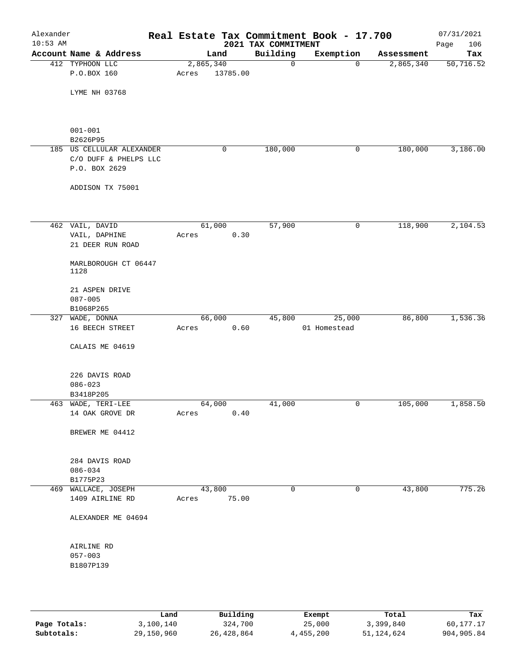| Alexander<br>$10:53$ AM |                                    |                 |          | 2021 TAX COMMITMENT | Real Estate Tax Commitment Book - 17.700 |            | 07/31/2021<br>Page<br>106 |
|-------------------------|------------------------------------|-----------------|----------|---------------------|------------------------------------------|------------|---------------------------|
|                         | Account Name & Address             |                 | Land     | Building            | Exemption                                | Assessment | Tax                       |
|                         | 412 TYPHOON LLC                    | 2,865,340       |          | 0                   | $\mathbf 0$                              | 2,865,340  | $\overline{50, 716.52}$   |
|                         | P.O.BOX 160                        | Acres           | 13785.00 |                     |                                          |            |                           |
|                         |                                    |                 |          |                     |                                          |            |                           |
|                         | LYME NH 03768                      |                 |          |                     |                                          |            |                           |
|                         |                                    |                 |          |                     |                                          |            |                           |
|                         |                                    |                 |          |                     |                                          |            |                           |
|                         | $001 - 001$                        |                 |          |                     |                                          |            |                           |
|                         | B2626P95                           |                 |          |                     |                                          |            |                           |
|                         | 185 US CELLULAR ALEXANDER          |                 | 0        | 180,000             | 0                                        | 180,000    | 3,186.00                  |
|                         | C/O DUFF & PHELPS LLC              |                 |          |                     |                                          |            |                           |
|                         | P.O. BOX 2629                      |                 |          |                     |                                          |            |                           |
|                         | ADDISON TX 75001                   |                 |          |                     |                                          |            |                           |
|                         |                                    |                 |          |                     |                                          |            |                           |
|                         | 462 VAIL, DAVID                    |                 | 61,000   | 57,900              | 0                                        | 118,900    | 2,104.53                  |
|                         | VAIL, DAPHINE                      | Acres           | 0.30     |                     |                                          |            |                           |
|                         | 21 DEER RUN ROAD                   |                 |          |                     |                                          |            |                           |
|                         | MARLBOROUGH CT 06447               |                 |          |                     |                                          |            |                           |
|                         | 1128                               |                 |          |                     |                                          |            |                           |
|                         |                                    |                 |          |                     |                                          |            |                           |
|                         | 21 ASPEN DRIVE                     |                 |          |                     |                                          |            |                           |
|                         | $087 - 005$                        |                 |          |                     |                                          |            |                           |
|                         | B1068P265                          |                 |          |                     |                                          |            |                           |
|                         | 327 WADE, DONNA<br>16 BEECH STREET | 66,000<br>Acres | 0.60     | 45,800              | 25,000<br>01 Homestead                   | 86,800     | 1,536.36                  |
|                         |                                    |                 |          |                     |                                          |            |                           |
|                         | CALAIS ME 04619                    |                 |          |                     |                                          |            |                           |
|                         |                                    |                 |          |                     |                                          |            |                           |
|                         | 226 DAVIS ROAD                     |                 |          |                     |                                          |            |                           |
|                         | $086 - 023$                        |                 |          |                     |                                          |            |                           |
|                         | B3418P205                          |                 |          |                     |                                          |            |                           |
|                         | 463 WADE, TERI-LEE                 | 64,000          |          | 41,000              | 0                                        | 105,000    | 1,858.50                  |
|                         | 14 OAK GROVE DR                    | Acres           | 0.40     |                     |                                          |            |                           |
|                         |                                    |                 |          |                     |                                          |            |                           |
|                         | BREWER ME 04412                    |                 |          |                     |                                          |            |                           |
|                         |                                    |                 |          |                     |                                          |            |                           |
|                         | 284 DAVIS ROAD                     |                 |          |                     |                                          |            |                           |
|                         | $086 - 034$                        |                 |          |                     |                                          |            |                           |
|                         | B1775P23                           |                 |          |                     |                                          |            |                           |
|                         | 469 WALLACE, JOSEPH                |                 | 43,800   | $\mathbf 0$         | 0                                        | 43,800     | 775.26                    |
|                         | 1409 AIRLINE RD                    | Acres           | 75.00    |                     |                                          |            |                           |
|                         | ALEXANDER ME 04694                 |                 |          |                     |                                          |            |                           |
|                         |                                    |                 |          |                     |                                          |            |                           |
|                         |                                    |                 |          |                     |                                          |            |                           |
|                         | AIRLINE RD<br>$057 - 003$          |                 |          |                     |                                          |            |                           |
|                         | B1807P139                          |                 |          |                     |                                          |            |                           |
|                         |                                    |                 |          |                     |                                          |            |                           |
|                         |                                    |                 |          |                     |                                          |            |                           |
|                         |                                    |                 |          |                     |                                          |            |                           |

|              | Land       | Building   | Exempt    | Total      | Tax        |
|--------------|------------|------------|-----------|------------|------------|
| Page Totals: | 3,100,140  | 324,700    | 25,000    | 3,399,840  | 60,177.17  |
| Subtotals:   | 29,150,960 | 26,428,864 | 4,455,200 | 51,124,624 | 904,905.84 |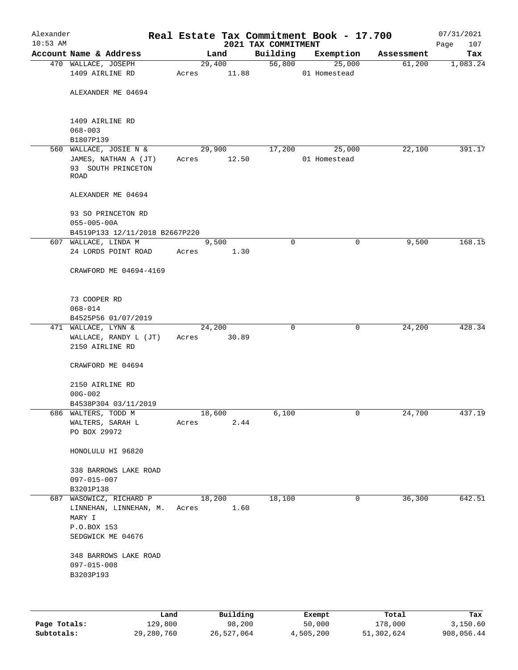| Alexander<br>$10:53$ AM |                                                                                                 |        |                | 2021 TAX COMMITMENT | Real Estate Tax Commitment Book - 17.700 |            | 07/31/2021<br>107<br>Page |
|-------------------------|-------------------------------------------------------------------------------------------------|--------|----------------|---------------------|------------------------------------------|------------|---------------------------|
|                         | Account Name & Address                                                                          |        | Land           | Building            | Exemption                                | Assessment | Tax                       |
|                         | 470 WALLACE, JOSEPH                                                                             |        | 29,400         | 56,800              | 25,000                                   | 61,200     | 1,083.24                  |
|                         | 1409 AIRLINE RD                                                                                 | Acres  | 11.88          |                     | 01 Homestead                             |            |                           |
|                         | ALEXANDER ME 04694                                                                              |        |                |                     |                                          |            |                           |
|                         | 1409 AIRLINE RD<br>$068 - 003$<br>B1807P139                                                     |        |                |                     |                                          |            |                           |
|                         | 560 WALLACE, JOSIE N &                                                                          |        | 29,900         | 17,200              | 25,000                                   | 22,100     | 391.17                    |
|                         | JAMES, NATHAN A (JT)<br>93 SOUTH PRINCETON<br>ROAD                                              | Acres  | 12.50          |                     | 01 Homestead                             |            |                           |
|                         | ALEXANDER ME 04694                                                                              |        |                |                     |                                          |            |                           |
|                         | 93 SO PRINCETON RD<br>$055 - 005 - 00A$                                                         |        |                |                     |                                          |            |                           |
|                         | B4519P133 12/11/2018 B2667P220                                                                  |        |                |                     |                                          |            |                           |
|                         | 607 WALLACE, LINDA M<br>24 LORDS POINT ROAD                                                     | Acres  | 9,500<br>1.30  | $\mathbf 0$         | 0                                        | 9,500      | 168.15                    |
|                         | CRAWFORD ME 04694-4169                                                                          |        |                |                     |                                          |            |                           |
|                         |                                                                                                 |        |                |                     |                                          |            |                           |
|                         | 73 COOPER RD                                                                                    |        |                |                     |                                          |            |                           |
|                         | $068 - 014$                                                                                     |        |                |                     |                                          |            |                           |
|                         | B4525P56 01/07/2019                                                                             |        |                |                     |                                          |            |                           |
|                         | 471 WALLACE, LYNN &                                                                             | 24,200 |                | 0                   | 0                                        | 24,200     | 428.34                    |
|                         | WALLACE, RANDY L (JT)<br>2150 AIRLINE RD                                                        | Acres  | 30.89          |                     |                                          |            |                           |
|                         | CRAWFORD ME 04694                                                                               |        |                |                     |                                          |            |                           |
|                         | 2150 AIRLINE RD                                                                                 |        |                |                     |                                          |            |                           |
|                         | $00G - 002$                                                                                     |        |                |                     |                                          |            |                           |
|                         | B4538P304 03/11/2019                                                                            |        |                |                     |                                          |            |                           |
|                         | 686 WALTERS, TODD M                                                                             | 18,600 |                | 6,100               | 0                                        | 24,700     | 437.19                    |
|                         | WALTERS, SARAH L<br>PO BOX 29972                                                                | Acres  | 2.44           |                     |                                          |            |                           |
|                         |                                                                                                 |        |                |                     |                                          |            |                           |
|                         | HONOLULU HI 96820                                                                               |        |                |                     |                                          |            |                           |
|                         | 338 BARROWS LAKE ROAD<br>$097 - 015 - 007$                                                      |        |                |                     |                                          |            |                           |
|                         | B3201P138                                                                                       |        |                |                     |                                          |            |                           |
|                         | 687 WASOWICZ, RICHARD P<br>LINNEHAN, LINNEHAN, M.<br>MARY I<br>P.O.BOX 153<br>SEDGWICK ME 04676 | Acres  | 18,200<br>1.60 | 18,100              | 0                                        | 36,300     | 642.51                    |
|                         | 348 BARROWS LAKE ROAD<br>$097 - 015 - 008$<br>B3203P193                                         |        |                |                     |                                          |            |                           |
|                         |                                                                                                 |        |                |                     |                                          |            |                           |

|              | Land       | Building   | Exempt    | Total      | Tax        |
|--------------|------------|------------|-----------|------------|------------|
| Page Totals: | 129,800    | 98,200     | 50,000    | 178,000    | 3,150.60   |
| Subtotals:   | 29,280,760 | 26,527,064 | 4,505,200 | 51,302,624 | 908,056.44 |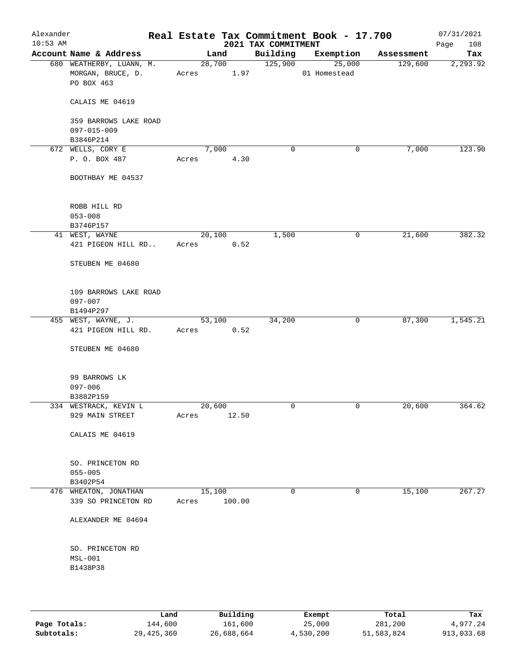| Alexander<br>$10:53$ AM |                                                             |       |                  |       | 2021 TAX COMMITMENT | Real Estate Tax Commitment Book - 17.700 |            | 07/31/2021<br>Page<br>108 |
|-------------------------|-------------------------------------------------------------|-------|------------------|-------|---------------------|------------------------------------------|------------|---------------------------|
|                         | Account Name & Address                                      |       | Land             |       | Building            | Exemption                                | Assessment | Tax                       |
|                         | 680 WEATHERBY, LUANN, M.<br>MORGAN, BRUCE, D.<br>PO BOX 463 | Acres | 28,700           | 1.97  | 125,900             | 25,000<br>01 Homestead                   | 129,600    | 2, 293.92                 |
|                         | CALAIS ME 04619                                             |       |                  |       |                     |                                          |            |                           |
|                         | 359 BARROWS LAKE ROAD<br>$097 - 015 - 009$                  |       |                  |       |                     |                                          |            |                           |
|                         | B3846P214                                                   |       |                  |       |                     |                                          |            |                           |
|                         | 672 WELLS, CORY E                                           |       | 7,000            |       | 0                   | 0                                        | 7,000      | 123.90                    |
|                         | P. O. BOX 487                                               | Acres |                  | 4.30  |                     |                                          |            |                           |
|                         | BOOTHBAY ME 04537                                           |       |                  |       |                     |                                          |            |                           |
|                         | ROBB HILL RD                                                |       |                  |       |                     |                                          |            |                           |
|                         | $053 - 008$                                                 |       |                  |       |                     |                                          |            |                           |
|                         | B3746P157                                                   |       |                  |       |                     |                                          |            |                           |
|                         | 41 WEST, WAYNE                                              |       | 20,100           |       | 1,500               | 0                                        | 21,600     | 382.32                    |
|                         | 421 PIGEON HILL RD                                          | Acres |                  | 0.52  |                     |                                          |            |                           |
|                         | STEUBEN ME 04680                                            |       |                  |       |                     |                                          |            |                           |
|                         | 109 BARROWS LAKE ROAD<br>097-007                            |       |                  |       |                     |                                          |            |                           |
|                         | B1494P297                                                   |       | 53,100           |       |                     |                                          | 87,300     |                           |
|                         | 455 WEST, WAYNE, J.<br>421 PIGEON HILL RD.                  | Acres |                  | 0.52  | 34,200              | 0                                        |            | 1,545.21                  |
|                         | STEUBEN ME 04680                                            |       |                  |       |                     |                                          |            |                           |
|                         | 99 BARROWS LK<br>$097 - 006$                                |       |                  |       |                     |                                          |            |                           |
|                         | B3882P159                                                   |       |                  |       |                     |                                          |            |                           |
|                         | 334 WESTRACK, KEVIN L                                       |       | 20,600           |       | $\mathbf 0$         | 0                                        | 20,600     | 364.62                    |
|                         | 929 MAIN STREET                                             | Acres |                  | 12.50 |                     |                                          |            |                           |
|                         | CALAIS ME 04619                                             |       |                  |       |                     |                                          |            |                           |
|                         | SO. PRINCETON RD<br>$055 - 005$                             |       |                  |       |                     |                                          |            |                           |
|                         | B3402P54                                                    |       |                  |       |                     |                                          |            |                           |
|                         | 476 WHEATON, JONATHAN<br>339 SO PRINCETON RD                | Acres | 15,100<br>100.00 |       | $\mathbf 0$         | 0                                        | 15,100     | 267.27                    |
|                         | ALEXANDER ME 04694                                          |       |                  |       |                     |                                          |            |                           |
|                         | SO. PRINCETON RD<br>$MSL-001$                               |       |                  |       |                     |                                          |            |                           |
|                         | B1438P38                                                    |       |                  |       |                     |                                          |            |                           |
|                         |                                                             |       |                  |       |                     |                                          |            |                           |

|              | Land       | Building   | Exempt    | Total      | Tax        |
|--------------|------------|------------|-----------|------------|------------|
| Page Totals: | 144,600    | 161,600    | 25,000    | 281,200    | 4.977.24   |
| Subtotals:   | 29,425,360 | 26,688,664 | 4,530,200 | 51,583,824 | 913,033.68 |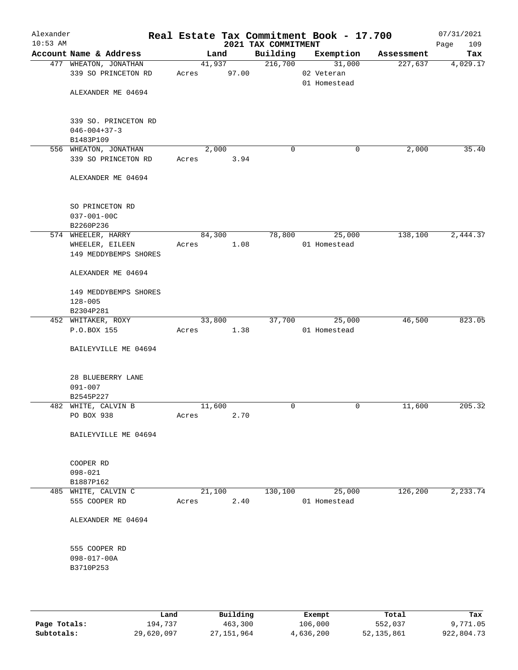| Alexander<br>$10:53$ AM |                                                   |                 |                 | 2021 TAX COMMITMENT | Real Estate Tax Commitment Book - 17.700 |            | 07/31/2021<br>109<br>Page |
|-------------------------|---------------------------------------------------|-----------------|-----------------|---------------------|------------------------------------------|------------|---------------------------|
|                         | Account Name & Address                            |                 | Land            | Building            | Exemption                                | Assessment | Tax                       |
|                         | 477 WHEATON, JONATHAN<br>339 SO PRINCETON RD      | Acres           | 41,937<br>97.00 | 216,700             | 31,000<br>02 Veteran<br>01 Homestead     | 227,637    | 4,029.17                  |
|                         | ALEXANDER ME 04694                                |                 |                 |                     |                                          |            |                           |
|                         | 339 SO. PRINCETON RD<br>$046 - 004 + 37 - 3$      |                 |                 |                     |                                          |            |                           |
|                         | B1483P109                                         |                 |                 |                     |                                          |            |                           |
|                         | 556 WHEATON, JONATHAN<br>339 SO PRINCETON RD      | Acres           | 2,000<br>3.94   | 0                   | 0                                        | 2,000      | 35.40                     |
|                         | ALEXANDER ME 04694                                |                 |                 |                     |                                          |            |                           |
|                         | SO PRINCETON RD<br>$037 - 001 - 00C$<br>B2260P236 |                 |                 |                     |                                          |            |                           |
|                         | 574 WHEELER, HARRY                                |                 | 84,300          | 78,800              | 25,000                                   | 138,100    | 2,444.37                  |
|                         | WHEELER, EILEEN                                   | Acres           | 1.08            |                     | 01 Homestead                             |            |                           |
|                         | 149 MEDDYBEMPS SHORES                             |                 |                 |                     |                                          |            |                           |
|                         | ALEXANDER ME 04694                                |                 |                 |                     |                                          |            |                           |
|                         | 149 MEDDYBEMPS SHORES<br>$128 - 005$              |                 |                 |                     |                                          |            |                           |
|                         | B2304P281                                         |                 |                 |                     |                                          |            |                           |
|                         | 452 WHITAKER, ROXY<br>P.O.BOX 155                 | 33,800<br>Acres | 1.38            | 37,700              | 25,000<br>01 Homestead                   | 46,500     | 823.05                    |
|                         | BAILEYVILLE ME 04694                              |                 |                 |                     |                                          |            |                           |
|                         | 28 BLUEBERRY LANE                                 |                 |                 |                     |                                          |            |                           |
|                         | $091 - 007$                                       |                 |                 |                     |                                          |            |                           |
|                         | B2545P227<br>482 WHITE, CALVIN B                  | 11,600          |                 | 0                   | 0                                        | 11,600     | 205.32                    |
|                         | PO BOX 938                                        | Acres           | 2.70            |                     |                                          |            |                           |
|                         | BAILEYVILLE ME 04694                              |                 |                 |                     |                                          |            |                           |
|                         | COOPER RD                                         |                 |                 |                     |                                          |            |                           |
|                         | $098 - 021$<br>B1887P162                          |                 |                 |                     |                                          |            |                           |
|                         | 485 WHITE, CALVIN C                               | 21,100          |                 | 130,100             | 25,000                                   | 126,200    | 2,233.74                  |
|                         | 555 COOPER RD                                     | Acres           | 2.40            |                     | 01 Homestead                             |            |                           |
|                         | ALEXANDER ME 04694                                |                 |                 |                     |                                          |            |                           |
|                         | 555 COOPER RD                                     |                 |                 |                     |                                          |            |                           |
|                         | $098 - 017 - 00A$<br>B3710P253                    |                 |                 |                     |                                          |            |                           |
|                         |                                                   |                 |                 |                     |                                          |            |                           |

|              | Land       | Building   | Exempt    | Total      | Tax        |
|--------------|------------|------------|-----------|------------|------------|
| Page Totals: | 194,737    | 463,300    | 106,000   | 552,037    | 9,771.05   |
| Subtotals:   | 29,620,097 | 27,151,964 | 4,636,200 | 52,135,861 | 922,804.73 |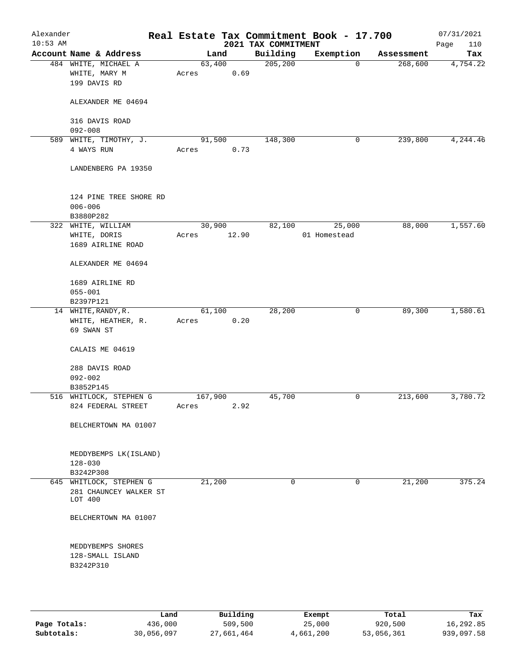| Alexander<br>$10:53$ AM |                                                         |                  |                | 2021 TAX COMMITMENT | Real Estate Tax Commitment Book - 17.700 |            | 07/31/2021<br>110<br>Page |
|-------------------------|---------------------------------------------------------|------------------|----------------|---------------------|------------------------------------------|------------|---------------------------|
|                         | Account Name & Address                                  |                  | Land           | Building            | Exemption                                | Assessment | Tax                       |
|                         | 484 WHITE, MICHAEL A<br>WHITE, MARY M<br>199 DAVIS RD   | Acres            | 63,400<br>0.69 | 205, 200            | $\mathbf 0$                              | 268,600    | 4,754.22                  |
|                         | ALEXANDER ME 04694                                      |                  |                |                     |                                          |            |                           |
|                         | 316 DAVIS ROAD<br>$092 - 008$                           |                  |                |                     |                                          |            |                           |
| 589                     | WHITE, TIMOTHY, J.<br>4 WAYS RUN                        | Acres            | 91,500<br>0.73 | 148,300             | 0                                        | 239,800    | 4,244.46                  |
|                         | LANDENBERG PA 19350                                     |                  |                |                     |                                          |            |                           |
|                         | 124 PINE TREE SHORE RD<br>$006 - 006$<br>B3880P282      |                  |                |                     |                                          |            |                           |
|                         | 322 WHITE, WILLIAM                                      |                  | 30,900         | 82,100              | 25,000                                   | 88,000     | 1,557.60                  |
|                         | WHITE, DORIS<br>1689 AIRLINE ROAD                       | Acres            | 12.90          |                     | 01 Homestead                             |            |                           |
|                         | ALEXANDER ME 04694                                      |                  |                |                     |                                          |            |                           |
|                         | 1689 AIRLINE RD<br>$055 - 001$                          |                  |                |                     |                                          |            |                           |
|                         | B2397P121                                               |                  |                |                     |                                          |            |                           |
|                         | 14 WHITE, RANDY, R.<br>WHITE, HEATHER, R.<br>69 SWAN ST | Acres            | 61,100<br>0.20 | 28,200              | 0                                        | 89,300     | 1,580.61                  |
|                         | CALAIS ME 04619                                         |                  |                |                     |                                          |            |                           |
|                         | 288 DAVIS ROAD<br>$092 - 002$                           |                  |                |                     |                                          |            |                           |
|                         | B3852P145                                               |                  |                |                     |                                          |            |                           |
|                         | 516 WHITLOCK, STEPHEN G<br>824 FEDERAL STREET           | 167,900<br>Acres | 2.92           | 45,700              | 0                                        | 213,600    | 3,780.72                  |
|                         | BELCHERTOWN MA 01007                                    |                  |                |                     |                                          |            |                           |
|                         | MEDDYBEMPS LK (ISLAND)<br>$128 - 030$                   |                  |                |                     |                                          |            |                           |
|                         | B3242P308                                               |                  |                |                     |                                          |            |                           |
|                         | 645 WHITLOCK, STEPHEN G                                 |                  | 21,200         | $\mathbf 0$         | 0                                        | 21,200     | 375.24                    |
|                         | 281 CHAUNCEY WALKER ST<br>LOT 400                       |                  |                |                     |                                          |            |                           |
|                         | BELCHERTOWN MA 01007                                    |                  |                |                     |                                          |            |                           |
|                         | MEDDYBEMPS SHORES<br>128-SMALL ISLAND<br>B3242P310      |                  |                |                     |                                          |            |                           |
|                         |                                                         |                  |                |                     |                                          |            |                           |

|              | Land       | Building   | Exempt    | Total      | Tax        |
|--------------|------------|------------|-----------|------------|------------|
| Page Totals: | 436,000    | 509,500    | 25,000    | 920,500    | 16,292.85  |
| Subtotals:   | 30,056,097 | 27,661,464 | 4,661,200 | 53,056,361 | 939,097.58 |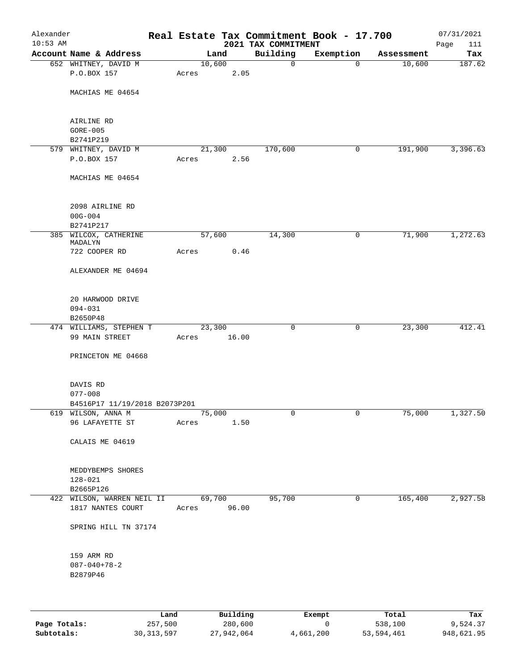| Alexander  |                                                 |             |       |        |                        |                     | Real Estate Tax Commitment Book - 17.700 |            | 07/31/2021    |
|------------|-------------------------------------------------|-------------|-------|--------|------------------------|---------------------|------------------------------------------|------------|---------------|
| $10:53$ AM |                                                 |             |       |        |                        | 2021 TAX COMMITMENT |                                          |            | 111<br>Page   |
|            | Account Name & Address                          |             |       | Land   |                        | Building            | Exemption                                | Assessment | Tax<br>187.62 |
|            | 652 WHITNEY, DAVID M<br>P.O.BOX 157             |             |       | 10,600 | 2.05                   | 0                   | $\mathbf 0$                              | 10,600     |               |
|            |                                                 |             | Acres |        |                        |                     |                                          |            |               |
|            | MACHIAS ME 04654                                |             |       |        |                        |                     |                                          |            |               |
|            |                                                 |             |       |        |                        |                     |                                          |            |               |
|            |                                                 |             |       |        |                        |                     |                                          |            |               |
|            | AIRLINE RD                                      |             |       |        |                        |                     |                                          |            |               |
|            | $GORE-005$                                      |             |       |        |                        |                     |                                          |            |               |
|            | B2741P219                                       |             |       |        |                        |                     |                                          |            |               |
|            | 579 WHITNEY, DAVID M                            |             |       | 21,300 |                        | 170,600             | 0                                        | 191,900    | 3,396.63      |
|            | P.O.BOX 157                                     |             | Acres |        | 2.56                   |                     |                                          |            |               |
|            |                                                 |             |       |        |                        |                     |                                          |            |               |
|            | MACHIAS ME 04654                                |             |       |        |                        |                     |                                          |            |               |
|            |                                                 |             |       |        |                        |                     |                                          |            |               |
|            |                                                 |             |       |        |                        |                     |                                          |            |               |
|            | 2098 AIRLINE RD                                 |             |       |        |                        |                     |                                          |            |               |
|            | $00G - 004$                                     |             |       |        |                        |                     |                                          |            |               |
|            | B2741P217                                       |             |       |        |                        |                     |                                          |            |               |
|            | 385 WILCOX, CATHERINE<br>MADALYN                |             |       | 57,600 |                        | 14,300              | 0                                        | 71,900     | 1,272.63      |
|            | 722 COOPER RD                                   |             | Acres |        | 0.46                   |                     |                                          |            |               |
|            |                                                 |             |       |        |                        |                     |                                          |            |               |
|            | ALEXANDER ME 04694                              |             |       |        |                        |                     |                                          |            |               |
|            |                                                 |             |       |        |                        |                     |                                          |            |               |
|            |                                                 |             |       |        |                        |                     |                                          |            |               |
|            | 20 HARWOOD DRIVE                                |             |       |        |                        |                     |                                          |            |               |
|            | $094 - 031$                                     |             |       |        |                        |                     |                                          |            |               |
|            | B2650P48                                        |             |       |        |                        |                     |                                          |            |               |
|            | 474 WILLIAMS, STEPHEN T                         |             |       | 23,300 |                        | 0                   | 0                                        | 23,300     | 412.41        |
|            | 99 MAIN STREET                                  |             | Acres |        | 16.00                  |                     |                                          |            |               |
|            |                                                 |             |       |        |                        |                     |                                          |            |               |
|            | PRINCETON ME 04668                              |             |       |        |                        |                     |                                          |            |               |
|            |                                                 |             |       |        |                        |                     |                                          |            |               |
|            | DAVIS RD                                        |             |       |        |                        |                     |                                          |            |               |
|            | $077 - 008$                                     |             |       |        |                        |                     |                                          |            |               |
|            | B4516P17 11/19/2018 B2073P201                   |             |       |        |                        |                     |                                          |            |               |
|            | 619 WILSON, ANNA M                              |             |       | 75,000 |                        | 0                   | $\overline{0}$                           | 75,000     | 1,327.50      |
|            | 96 LAFAYETTE ST                                 |             | Acres |        | 1.50                   |                     |                                          |            |               |
|            |                                                 |             |       |        |                        |                     |                                          |            |               |
|            | CALAIS ME 04619                                 |             |       |        |                        |                     |                                          |            |               |
|            |                                                 |             |       |        |                        |                     |                                          |            |               |
|            |                                                 |             |       |        |                        |                     |                                          |            |               |
|            | MEDDYBEMPS SHORES                               |             |       |        |                        |                     |                                          |            |               |
|            | 128-021                                         |             |       |        |                        |                     |                                          |            |               |
|            | B2665P126                                       |             |       |        |                        | 95,700              | 0                                        | 165,400    |               |
|            | 422 WILSON, WARREN NEIL II<br>1817 NANTES COURT |             |       |        | 69,700<br>Acres 96.00  |                     |                                          |            | 2,927.58      |
|            |                                                 |             |       |        |                        |                     |                                          |            |               |
|            | SPRING HILL TN 37174                            |             |       |        |                        |                     |                                          |            |               |
|            |                                                 |             |       |        |                        |                     |                                          |            |               |
|            |                                                 |             |       |        |                        |                     |                                          |            |               |
|            | 159 ARM RD                                      |             |       |        |                        |                     |                                          |            |               |
|            | $087 - 040 + 78 - 2$                            |             |       |        |                        |                     |                                          |            |               |
|            | B2879P46                                        |             |       |        |                        |                     |                                          |            |               |
|            |                                                 |             |       |        |                        |                     |                                          |            |               |
|            |                                                 |             |       |        |                        |                     |                                          |            |               |
|            |                                                 |             |       |        |                        |                     |                                          |            |               |
|            |                                                 | <b>Tond</b> |       |        | $D_{11}$ in $A$ in $A$ |                     | $P$ <sub>rr</sub> $\sim$ m $\sim$ +      | $T - 1$    | mas.          |

|              | Land         | Building   | Exempt    | Total      | Tax        |
|--------------|--------------|------------|-----------|------------|------------|
| Page Totals: | 257,500      | 280,600    |           | 538,100    | 9,524.37   |
| Subtotals:   | 30, 313, 597 | 27,942,064 | 4,661,200 | 53,594,461 | 948,621.95 |